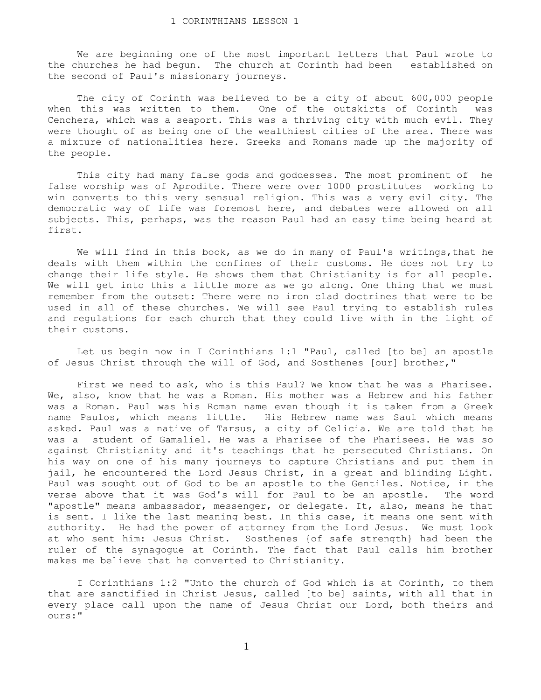We are beginning one of the most important letters that Paul wrote to the churches he had begun. The church at Corinth had been established on the second of Paul's missionary journeys.

 The city of Corinth was believed to be a city of about 600,000 people when this was written to them. One of the outskirts of Corinth was Cenchera, which was a seaport. This was a thriving city with much evil. They were thought of as being one of the wealthiest cities of the area. There was a mixture of nationalities here. Greeks and Romans made up the majority of the people.

 This city had many false gods and goddesses. The most prominent of he false worship was of Aprodite. There were over 1000 prostitutes working to win converts to this very sensual religion. This was a very evil city. The democratic way of life was foremost here, and debates were allowed on all subjects. This, perhaps, was the reason Paul had an easy time being heard at first.

 We will find in this book, as we do in many of Paul's writings,that he deals with them within the confines of their customs. He does not try to change their life style. He shows them that Christianity is for all people. We will get into this a little more as we go along. One thing that we must remember from the outset: There were no iron clad doctrines that were to be used in all of these churches. We will see Paul trying to establish rules and regulations for each church that they could live with in the light of their customs.

 Let us begin now in I Corinthians 1:1 "Paul, called [to be] an apostle of Jesus Christ through the will of God, and Sosthenes [our] brother,"

 First we need to ask, who is this Paul? We know that he was a Pharisee. We, also, know that he was a Roman. His mother was a Hebrew and his father was a Roman. Paul was his Roman name even though it is taken from a Greek name Paulos, which means little. His Hebrew name was Saul which means asked. Paul was a native of Tarsus, a city of Celicia. We are told that he was a student of Gamaliel. He was a Pharisee of the Pharisees. He was so against Christianity and it's teachings that he persecuted Christians. On his way on one of his many journeys to capture Christians and put them in jail, he encountered the Lord Jesus Christ, in a great and blinding Light. Paul was sought out of God to be an apostle to the Gentiles. Notice, in the verse above that it was God's will for Paul to be an apostle. The word "apostle" means ambassador, messenger, or delegate. It, also, means he that is sent. I like the last meaning best. In this case, it means one sent with authority. He had the power of attorney from the Lord Jesus. We must look at who sent him: Jesus Christ. Sosthenes {of safe strength} had been the ruler of the synagogue at Corinth. The fact that Paul calls him brother makes me believe that he converted to Christianity.

 I Corinthians 1:2 "Unto the church of God which is at Corinth, to them that are sanctified in Christ Jesus, called [to be] saints, with all that in every place call upon the name of Jesus Christ our Lord, both theirs and ours:"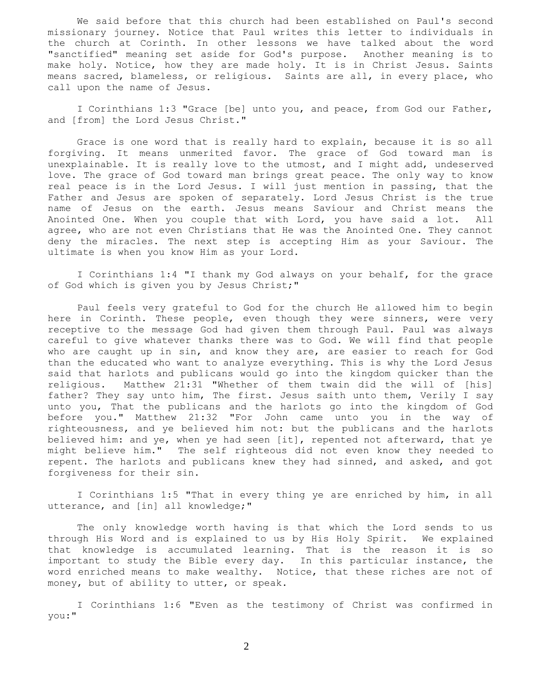We said before that this church had been established on Paul's second missionary journey. Notice that Paul writes this letter to individuals in the church at Corinth. In other lessons we have talked about the word "sanctified" meaning set aside for God's purpose. Another meaning is to make holy. Notice, how they are made holy. It is in Christ Jesus. Saints means sacred, blameless, or religious. Saints are all, in every place, who call upon the name of Jesus.

 I Corinthians 1:3 "Grace [be] unto you, and peace, from God our Father, and [from] the Lord Jesus Christ."

 Grace is one word that is really hard to explain, because it is so all forgiving. It means unmerited favor. The grace of God toward man is unexplainable. It is really love to the utmost, and I might add, undeserved love. The grace of God toward man brings great peace. The only way to know real peace is in the Lord Jesus. I will just mention in passing, that the Father and Jesus are spoken of separately. Lord Jesus Christ is the true name of Jesus on the earth. Jesus means Saviour and Christ means the Anointed One. When you couple that with Lord, you have said a lot. All agree, who are not even Christians that He was the Anointed One. They cannot deny the miracles. The next step is accepting Him as your Saviour. The ultimate is when you know Him as your Lord.

 I Corinthians 1:4 "I thank my God always on your behalf, for the grace of God which is given you by Jesus Christ;"

 Paul feels very grateful to God for the church He allowed him to begin here in Corinth. These people, even though they were sinners, were very receptive to the message God had given them through Paul. Paul was always careful to give whatever thanks there was to God. We will find that people who are caught up in sin, and know they are, are easier to reach for God than the educated who want to analyze everything. This is why the Lord Jesus said that harlots and publicans would go into the kingdom quicker than the religious. Matthew 21:31 "Whether of them twain did the will of [his] father? They say unto him, The first. Jesus saith unto them, Verily I say unto you, That the publicans and the harlots go into the kingdom of God before you." Matthew 21:32 "For John came unto you in the way of righteousness, and ye believed him not: but the publicans and the harlots believed him: and ye, when ye had seen [it], repented not afterward, that ye might believe him." The self righteous did not even know they needed to repent. The harlots and publicans knew they had sinned, and asked, and got forgiveness for their sin.

 I Corinthians 1:5 "That in every thing ye are enriched by him, in all utterance, and [in] all knowledge;"

 The only knowledge worth having is that which the Lord sends to us through His Word and is explained to us by His Holy Spirit. We explained that knowledge is accumulated learning. That is the reason it is so important to study the Bible every day. In this particular instance, the word enriched means to make wealthy. Notice, that these riches are not of money, but of ability to utter, or speak.

 I Corinthians 1:6 "Even as the testimony of Christ was confirmed in you:"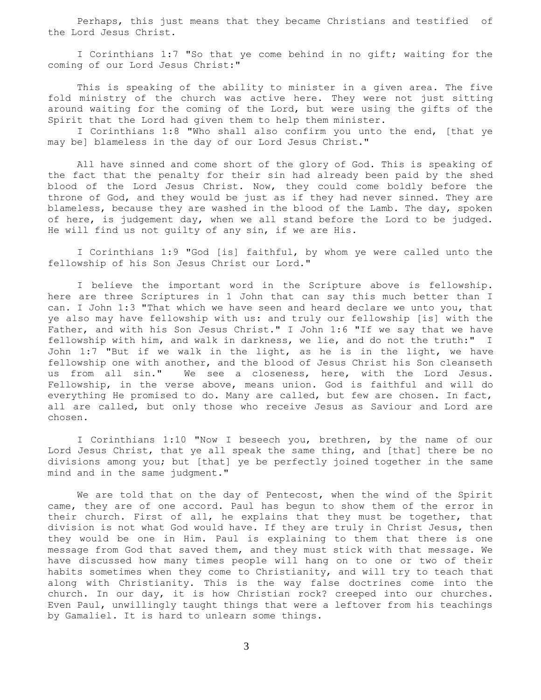Perhaps, this just means that they became Christians and testified of the Lord Jesus Christ.

 I Corinthians 1:7 "So that ye come behind in no gift; waiting for the coming of our Lord Jesus Christ:"

 This is speaking of the ability to minister in a given area. The five fold ministry of the church was active here. They were not just sitting around waiting for the coming of the Lord, but were using the gifts of the Spirit that the Lord had given them to help them minister.

 I Corinthians 1:8 "Who shall also confirm you unto the end, [that ye may be] blameless in the day of our Lord Jesus Christ."

 All have sinned and come short of the glory of God. This is speaking of the fact that the penalty for their sin had already been paid by the shed blood of the Lord Jesus Christ. Now, they could come boldly before the throne of God, and they would be just as if they had never sinned. They are blameless, because they are washed in the blood of the Lamb. The day, spoken of here, is judgement day, when we all stand before the Lord to be judged. He will find us not guilty of any sin, if we are His.

 I Corinthians 1:9 "God [is] faithful, by whom ye were called unto the fellowship of his Son Jesus Christ our Lord."

 I believe the important word in the Scripture above is fellowship. here are three Scriptures in 1 John that can say this much better than I can. I John 1:3 "That which we have seen and heard declare we unto you, that ye also may have fellowship with us: and truly our fellowship [is] with the Father, and with his Son Jesus Christ." I John 1:6 "If we say that we have fellowship with him, and walk in darkness, we lie, and do not the truth:" I John 1:7 "But if we walk in the light, as he is in the light, we have fellowship one with another, and the blood of Jesus Christ his Son cleanseth us from all sin." We see a closeness, here, with the Lord Jesus. Fellowship, in the verse above, means union. God is faithful and will do everything He promised to do. Many are called, but few are chosen. In fact, all are called, but only those who receive Jesus as Saviour and Lord are chosen.

 I Corinthians 1:10 "Now I beseech you, brethren, by the name of our Lord Jesus Christ, that ye all speak the same thing, and [that] there be no divisions among you; but [that] ye be perfectly joined together in the same mind and in the same judgment."

 We are told that on the day of Pentecost, when the wind of the Spirit came, they are of one accord. Paul has begun to show them of the error in their church. First of all, he explains that they must be together, that division is not what God would have. If they are truly in Christ Jesus, then they would be one in Him. Paul is explaining to them that there is one message from God that saved them, and they must stick with that message. We have discussed how many times people will hang on to one or two of their habits sometimes when they come to Christianity, and will try to teach that along with Christianity. This is the way false doctrines come into the church. In our day, it is how Christian rock? creeped into our churches. Even Paul, unwillingly taught things that were a leftover from his teachings by Gamaliel. It is hard to unlearn some things.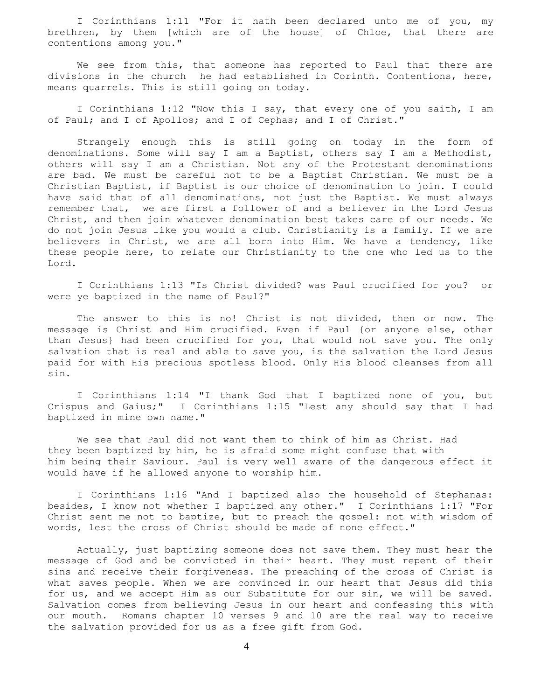I Corinthians 1:11 "For it hath been declared unto me of you, my brethren, by them [which are of the house] of Chloe, that there are contentions among you."

 We see from this, that someone has reported to Paul that there are divisions in the church he had established in Corinth. Contentions, here, means quarrels. This is still going on today.

 I Corinthians 1:12 "Now this I say, that every one of you saith, I am of Paul; and I of Apollos; and I of Cephas; and I of Christ."

 Strangely enough this is still going on today in the form of denominations. Some will say I am a Baptist, others say I am a Methodist, others will say I am a Christian. Not any of the Protestant denominations are bad. We must be careful not to be a Baptist Christian. We must be a Christian Baptist, if Baptist is our choice of denomination to join. I could have said that of all denominations, not just the Baptist. We must always remember that, we are first a follower of and a believer in the Lord Jesus Christ, and then join whatever denomination best takes care of our needs. We do not join Jesus like you would a club. Christianity is a family. If we are believers in Christ, we are all born into Him. We have a tendency, like these people here, to relate our Christianity to the one who led us to the Lord.

 I Corinthians 1:13 "Is Christ divided? was Paul crucified for you? or were ye baptized in the name of Paul?"

 The answer to this is no! Christ is not divided, then or now. The message is Christ and Him crucified. Even if Paul {or anyone else, other than Jesus} had been crucified for you, that would not save you. The only salvation that is real and able to save you, is the salvation the Lord Jesus paid for with His precious spotless blood. Only His blood cleanses from all sin.

 I Corinthians 1:14 "I thank God that I baptized none of you, but Crispus and Gaius;" I Corinthians 1:15 "Lest any should say that I had baptized in mine own name."

 We see that Paul did not want them to think of him as Christ. Had they been baptized by him, he is afraid some might confuse that with him being their Saviour. Paul is very well aware of the dangerous effect it would have if he allowed anyone to worship him.

 I Corinthians 1:16 "And I baptized also the household of Stephanas: besides, I know not whether I baptized any other." I Corinthians 1:17 "For Christ sent me not to baptize, but to preach the gospel: not with wisdom of words, lest the cross of Christ should be made of none effect."

 Actually, just baptizing someone does not save them. They must hear the message of God and be convicted in their heart. They must repent of their sins and receive their forgiveness. The preaching of the cross of Christ is what saves people. When we are convinced in our heart that Jesus did this for us, and we accept Him as our Substitute for our sin, we will be saved. Salvation comes from believing Jesus in our heart and confessing this with our mouth. Romans chapter 10 verses 9 and 10 are the real way to receive the salvation provided for us as a free gift from God.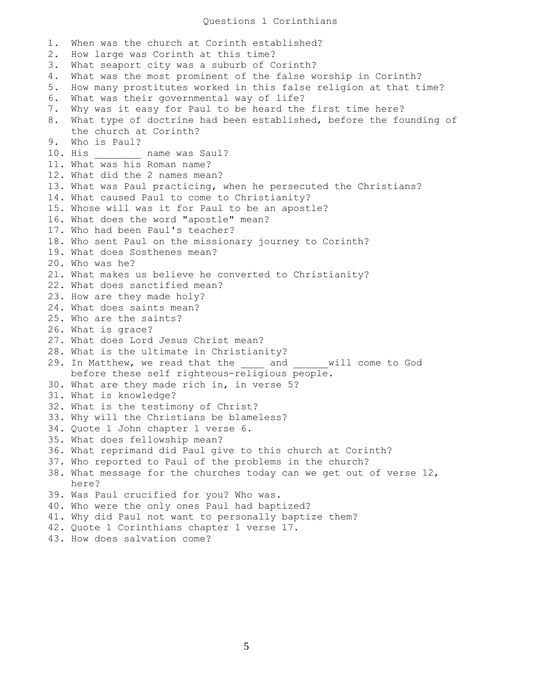## Questions 1 Corinthians

1. When was the church at Corinth established? 2. How large was Corinth at this time? 3. What seaport city was a suburb of Corinth? 4. What was the most prominent of the false worship in Corinth? 5. How many prostitutes worked in this false religion at that time? 6. What was their governmental way of life? 7. Why was it easy for Paul to be heard the first time here? 8. What type of doctrine had been established, before the founding of the church at Corinth? 9. Who is Paul? 10. His \_\_\_\_\_\_\_\_ name was Saul? 11. What was his Roman name? 12. What did the 2 names mean? 13. What was Paul practicing, when he persecuted the Christians? 14. What caused Paul to come to Christianity? 15. Whose will was it for Paul to be an apostle? 16. What does the word "apostle" mean? 17. Who had been Paul's teacher? 18. Who sent Paul on the missionary journey to Corinth? 19. What does Sosthenes mean? 20. Who was he? 21. What makes us believe he converted to Christianity? 22. What does sanctified mean? 23. How are they made holy? 24. What does saints mean? 25. Who are the saints? 26. What is grace? 27. What does Lord Jesus Christ mean? 28. What is the ultimate in Christianity? 29. In Matthew, we read that the and and will come to God before these self righteous-religious people. 30. What are they made rich in, in verse 5? 31. What is knowledge? 32. What is the testimony of Christ? 33. Why will the Christians be blameless? 34. Quote 1 John chapter 1 verse 6. 35. What does fellowship mean? 36. What reprimand did Paul give to this church at Corinth? 37. Who reported to Paul of the problems in the church? 38. What message for the churches today can we get out of verse 12, here? 39. Was Paul crucified for you? Who was. 40. Who were the only ones Paul had baptized? 41. Why did Paul not want to personally baptize them? 42. Quote 1 Corinthians chapter 1 verse 17. 43. How does salvation come?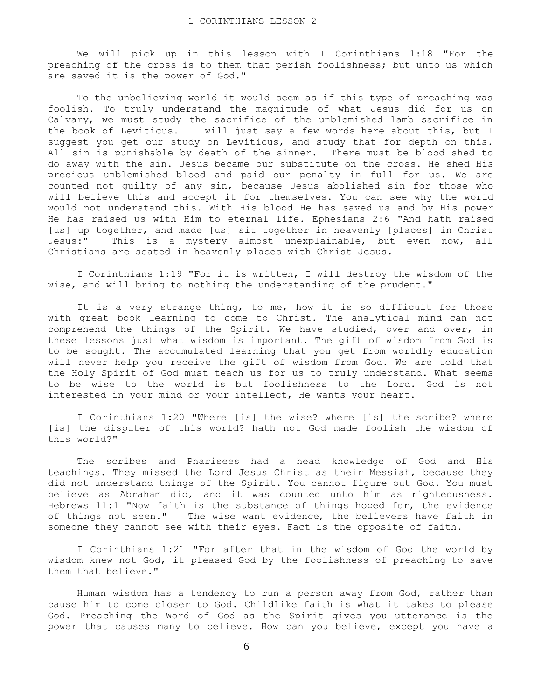We will pick up in this lesson with I Corinthians 1:18 "For the preaching of the cross is to them that perish foolishness; but unto us which are saved it is the power of God."

 To the unbelieving world it would seem as if this type of preaching was foolish. To truly understand the magnitude of what Jesus did for us on Calvary, we must study the sacrifice of the unblemished lamb sacrifice in the book of Leviticus. I will just say a few words here about this, but I suggest you get our study on Leviticus, and study that for depth on this. All sin is punishable by death of the sinner. There must be blood shed to do away with the sin. Jesus became our substitute on the cross. He shed His precious unblemished blood and paid our penalty in full for us. We are counted not guilty of any sin, because Jesus abolished sin for those who will believe this and accept it for themselves. You can see why the world would not understand this. With His blood He has saved us and by His power He has raised us with Him to eternal life. Ephesians 2:6 "And hath raised [us] up together, and made [us] sit together in heavenly [places] in Christ Jesus:" This is a mystery almost unexplainable, but even now, all Christians are seated in heavenly places with Christ Jesus.

 I Corinthians 1:19 "For it is written, I will destroy the wisdom of the wise, and will bring to nothing the understanding of the prudent."

It is a very strange thing, to me, how it is so difficult for those with great book learning to come to Christ. The analytical mind can not comprehend the things of the Spirit. We have studied, over and over, in these lessons just what wisdom is important. The gift of wisdom from God is to be sought. The accumulated learning that you get from worldly education will never help you receive the gift of wisdom from God. We are told that the Holy Spirit of God must teach us for us to truly understand. What seems to be wise to the world is but foolishness to the Lord. God is not interested in your mind or your intellect, He wants your heart.

 I Corinthians 1:20 "Where [is] the wise? where [is] the scribe? where [is] the disputer of this world? hath not God made foolish the wisdom of this world?"

 The scribes and Pharisees had a head knowledge of God and His teachings. They missed the Lord Jesus Christ as their Messiah, because they did not understand things of the Spirit. You cannot figure out God. You must believe as Abraham did, and it was counted unto him as righteousness. Hebrews 11:1 "Now faith is the substance of things hoped for, the evidence of things not seen." The wise want evidence, the believers have faith in someone they cannot see with their eyes. Fact is the opposite of faith.

 I Corinthians 1:21 "For after that in the wisdom of God the world by wisdom knew not God, it pleased God by the foolishness of preaching to save them that believe."

 Human wisdom has a tendency to run a person away from God, rather than cause him to come closer to God. Childlike faith is what it takes to please God. Preaching the Word of God as the Spirit gives you utterance is the power that causes many to believe. How can you believe, except you have a

6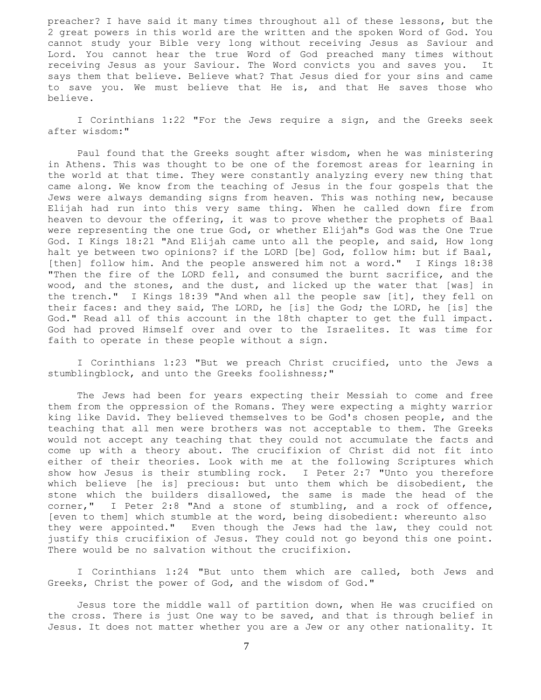preacher? I have said it many times throughout all of these lessons, but the 2 great powers in this world are the written and the spoken Word of God. You cannot study your Bible very long without receiving Jesus as Saviour and Lord. You cannot hear the true Word of God preached many times without receiving Jesus as your Saviour. The Word convicts you and saves you. It says them that believe. Believe what? That Jesus died for your sins and came to save you. We must believe that He is, and that He saves those who believe.

 I Corinthians 1:22 "For the Jews require a sign, and the Greeks seek after wisdom:"

 Paul found that the Greeks sought after wisdom, when he was ministering in Athens. This was thought to be one of the foremost areas for learning in the world at that time. They were constantly analyzing every new thing that came along. We know from the teaching of Jesus in the four gospels that the Jews were always demanding signs from heaven. This was nothing new, because Elijah had run into this very same thing. When he called down fire from heaven to devour the offering, it was to prove whether the prophets of Baal were representing the one true God, or whether Elijah"s God was the One True God. I Kings 18:21 "And Elijah came unto all the people, and said, How long halt ye between two opinions? if the LORD [be] God, follow him: but if Baal, [then] follow him. And the people answered him not a word." I Kings 18:38 "Then the fire of the LORD fell, and consumed the burnt sacrifice, and the wood, and the stones, and the dust, and licked up the water that [was] in the trench." I Kings 18:39 "And when all the people saw [it], they fell on their faces: and they said, The LORD, he [is] the God; the LORD, he [is] the God." Read all of this account in the 18th chapter to get the full impact. God had proved Himself over and over to the Israelites. It was time for faith to operate in these people without a sign.

 I Corinthians 1:23 "But we preach Christ crucified, unto the Jews a stumblingblock, and unto the Greeks foolishness;"

 The Jews had been for years expecting their Messiah to come and free them from the oppression of the Romans. They were expecting a mighty warrior king like David. They believed themselves to be God's chosen people, and the teaching that all men were brothers was not acceptable to them. The Greeks would not accept any teaching that they could not accumulate the facts and come up with a theory about. The crucifixion of Christ did not fit into either of their theories. Look with me at the following Scriptures which show how Jesus is their stumbling rock. I Peter 2:7 "Unto you therefore which believe [he is] precious: but unto them which be disobedient, the stone which the builders disallowed, the same is made the head of the corner," I Peter 2:8 "And a stone of stumbling, and a rock of offence, [even to them] which stumble at the word, being disobedient: whereunto also they were appointed." Even though the Jews had the law, they could not justify this crucifixion of Jesus. They could not go beyond this one point. There would be no salvation without the crucifixion.

 I Corinthians 1:24 "But unto them which are called, both Jews and Greeks, Christ the power of God, and the wisdom of God."

 Jesus tore the middle wall of partition down, when He was crucified on the cross. There is just One way to be saved, and that is through belief in Jesus. It does not matter whether you are a Jew or any other nationality. It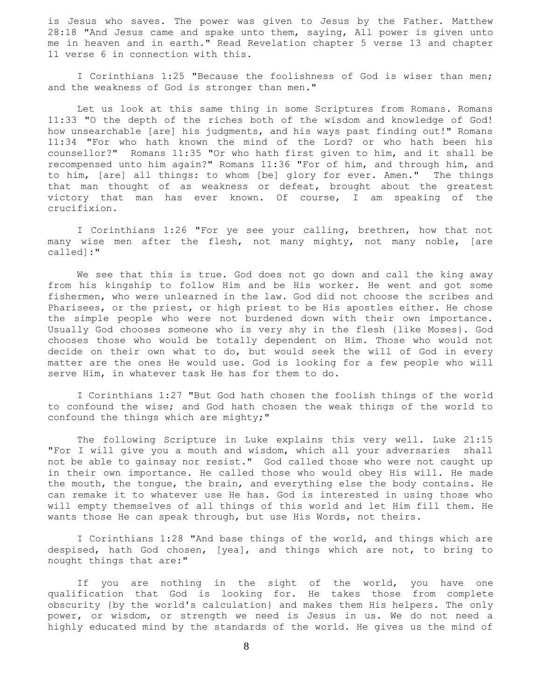is Jesus who saves. The power was given to Jesus by the Father. Matthew 28:18 "And Jesus came and spake unto them, saying, All power is given unto me in heaven and in earth." Read Revelation chapter 5 verse 13 and chapter 11 verse 6 in connection with this.

 I Corinthians 1:25 "Because the foolishness of God is wiser than men; and the weakness of God is stronger than men."

 Let us look at this same thing in some Scriptures from Romans. Romans 11:33 "O the depth of the riches both of the wisdom and knowledge of God! how unsearchable [are] his judgments, and his ways past finding out!" Romans 11:34 "For who hath known the mind of the Lord? or who hath been his counsellor?" Romans 11:35 "Or who hath first given to him, and it shall be recompensed unto him again?" Romans 11:36 "For of him, and through him, and to him, [are] all things: to whom [be] glory for ever. Amen." The things that man thought of as weakness or defeat, brought about the greatest victory that man has ever known. Of course, I am speaking of the crucifixion.

 I Corinthians 1:26 "For ye see your calling, brethren, how that not many wise men after the flesh, not many mighty, not many noble, [are called]:"

 We see that this is true. God does not go down and call the king away from his kingship to follow Him and be His worker. He went and got some fishermen, who were unlearned in the law. God did not choose the scribes and Pharisees, or the priest, or high priest to be His apostles either. He chose the simple people who were not burdened down with their own importance. Usually God chooses someone who is very shy in the flesh {like Moses}. God chooses those who would be totally dependent on Him. Those who would not decide on their own what to do, but would seek the will of God in every matter are the ones He would use. God is looking for a few people who will serve Him, in whatever task He has for them to do.

 I Corinthians 1:27 "But God hath chosen the foolish things of the world to confound the wise; and God hath chosen the weak things of the world to confound the things which are mighty;"

 The following Scripture in Luke explains this very well. Luke 21:15 "For I will give you a mouth and wisdom, which all your adversaries shall not be able to gainsay nor resist." God called those who were not caught up in their own importance. He called those who would obey His will. He made the mouth, the tongue, the brain, and everything else the body contains. He can remake it to whatever use He has. God is interested in using those who will empty themselves of all things of this world and let Him fill them. He wants those He can speak through, but use His Words, not theirs.

 I Corinthians 1:28 "And base things of the world, and things which are despised, hath God chosen, [yea], and things which are not, to bring to nought things that are:"

 If you are nothing in the sight of the world, you have one qualification that God is looking for. He takes those from complete obscurity {by the world's calculation} and makes them His helpers. The only power, or wisdom, or strength we need is Jesus in us. We do not need a highly educated mind by the standards of the world. He gives us the mind of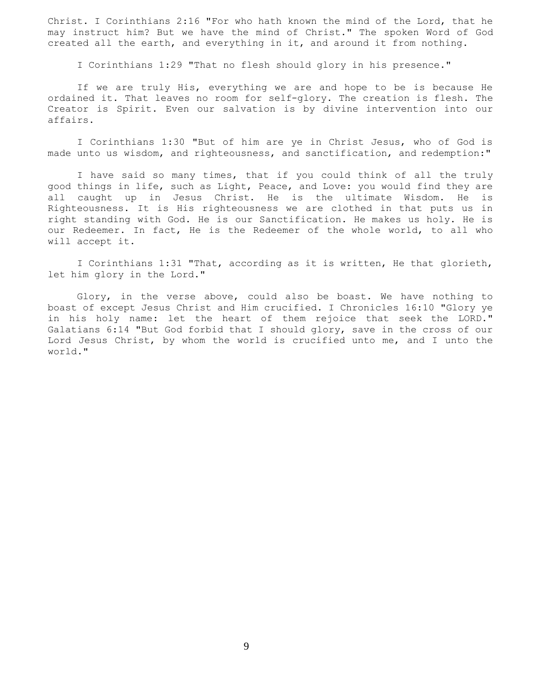Christ. I Corinthians 2:16 "For who hath known the mind of the Lord, that he may instruct him? But we have the mind of Christ." The spoken Word of God created all the earth, and everything in it, and around it from nothing.

I Corinthians 1:29 "That no flesh should glory in his presence."

 If we are truly His, everything we are and hope to be is because He ordained it. That leaves no room for self-glory. The creation is flesh. The Creator is Spirit. Even our salvation is by divine intervention into our affairs.

 I Corinthians 1:30 "But of him are ye in Christ Jesus, who of God is made unto us wisdom, and righteousness, and sanctification, and redemption:"

 I have said so many times, that if you could think of all the truly good things in life, such as Light, Peace, and Love: you would find they are all caught up in Jesus Christ. He is the ultimate Wisdom. He is Righteousness. It is His righteousness we are clothed in that puts us in right standing with God. He is our Sanctification. He makes us holy. He is our Redeemer. In fact, He is the Redeemer of the whole world, to all who will accept it.

 I Corinthians 1:31 "That, according as it is written, He that glorieth, let him glory in the Lord."

 Glory, in the verse above, could also be boast. We have nothing to boast of except Jesus Christ and Him crucified. I Chronicles 16:10 "Glory ye in his holy name: let the heart of them rejoice that seek the LORD." Galatians 6:14 "But God forbid that I should glory, save in the cross of our Lord Jesus Christ, by whom the world is crucified unto me, and I unto the world."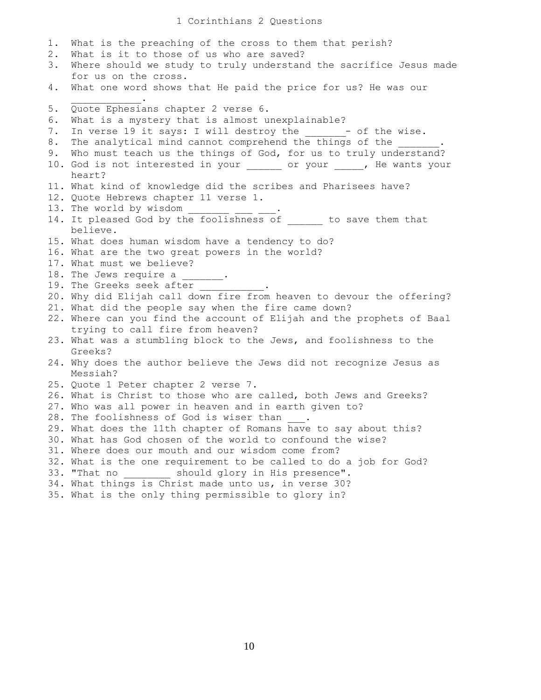| 1.  | What is the preaching of the cross to them that perish?                                                   |
|-----|-----------------------------------------------------------------------------------------------------------|
| 2.  | What is it to those of us who are saved?                                                                  |
| 3.  | Where should we study to truly understand the sacrifice Jesus made                                        |
|     | for us on the cross.                                                                                      |
| 4.  | What one word shows that He paid the price for us? He was our                                             |
| 5.  | Quote Ephesians chapter 2 verse 6.                                                                        |
| 6.  | What is a mystery that is almost unexplainable?                                                           |
| 7.  | In verse 19 it says: I will destroy the $\frac{\ }{\ }$ - of the wise.                                    |
| 8.  | The analytical mind cannot comprehend the things of the .                                                 |
| 9.  | Who must teach us the things of God, for us to truly understand?                                          |
|     | 10. God is not interested in your or your , He wants your                                                 |
|     | heart?                                                                                                    |
|     | 11. What kind of knowledge did the scribes and Pharisees have?                                            |
|     | 12. Quote Hebrews chapter 11 verse 1.                                                                     |
|     | 13. The world by wisdom $\frac{1}{\sqrt{1-\frac{1}{2}}}\frac{1}{\sqrt{1-\frac{1}{2}}}}$                   |
|     | 14. It pleased God by the foolishness of ______ to save them that<br>believe.                             |
|     | 15. What does human wisdom have a tendency to do?                                                         |
|     | 16. What are the two great powers in the world?                                                           |
|     | 17. What must we believe?                                                                                 |
|     | 18. The Jews require a _______.                                                                           |
|     | 19. The Greeks seek after                                                                                 |
|     | 20. Why did Elijah call down fire from heaven to devour the offering?                                     |
|     | 21. What did the people say when the fire came down?                                                      |
|     | 22. Where can you find the account of Elijah and the prophets of Baal<br>trying to call fire from heaven? |
|     | 23. What was a stumbling block to the Jews, and foolishness to the                                        |
|     | Greeks?                                                                                                   |
|     | 24. Why does the author believe the Jews did not recognize Jesus as<br>Messiah?                           |
|     | 25. Quote 1 Peter chapter 2 verse 7.                                                                      |
|     | 26. What is Christ to those who are called, both Jews and Greeks?                                         |
|     | 27. Who was all power in heaven and in earth given to?                                                    |
|     | 28. The foolishness of God is wiser than                                                                  |
|     | 29. What does the 11th chapter of Romans have to say about this?                                          |
|     | 30. What has God chosen of the world to confound the wise?                                                |
| 31. | Where does our mouth and our wisdom come from?                                                            |
| 32. | What is the one requirement to be called to do a job for God?                                             |
| 33. | "That no should glory in His presence".                                                                   |
| 34. | What things is Christ made unto us, in verse 30?                                                          |
|     | 35. What is the only thing permissible to glory in?                                                       |
|     |                                                                                                           |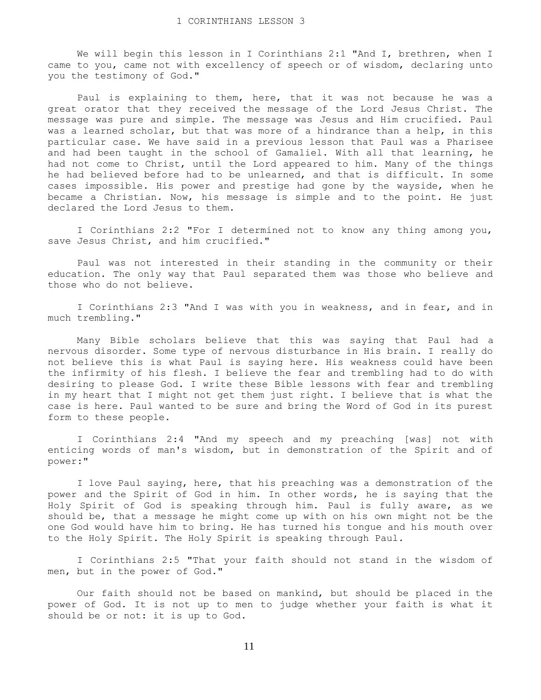We will begin this lesson in I Corinthians 2:1 "And I, brethren, when I came to you, came not with excellency of speech or of wisdom, declaring unto you the testimony of God."

 Paul is explaining to them, here, that it was not because he was a great orator that they received the message of the Lord Jesus Christ. The message was pure and simple. The message was Jesus and Him crucified. Paul was a learned scholar, but that was more of a hindrance than a help, in this particular case. We have said in a previous lesson that Paul was a Pharisee and had been taught in the school of Gamaliel. With all that learning, he had not come to Christ, until the Lord appeared to him. Many of the things he had believed before had to be unlearned, and that is difficult. In some cases impossible. His power and prestige had gone by the wayside, when he became a Christian. Now, his message is simple and to the point. He just declared the Lord Jesus to them.

 I Corinthians 2:2 "For I determined not to know any thing among you, save Jesus Christ, and him crucified."

 Paul was not interested in their standing in the community or their education. The only way that Paul separated them was those who believe and those who do not believe.

 I Corinthians 2:3 "And I was with you in weakness, and in fear, and in much trembling."

 Many Bible scholars believe that this was saying that Paul had a nervous disorder. Some type of nervous disturbance in His brain. I really do not believe this is what Paul is saying here. His weakness could have been the infirmity of his flesh. I believe the fear and trembling had to do with desiring to please God. I write these Bible lessons with fear and trembling in my heart that I might not get them just right. I believe that is what the case is here. Paul wanted to be sure and bring the Word of God in its purest form to these people.

 I Corinthians 2:4 "And my speech and my preaching [was] not with enticing words of man's wisdom, but in demonstration of the Spirit and of power:"

 I love Paul saying, here, that his preaching was a demonstration of the power and the Spirit of God in him. In other words, he is saying that the Holy Spirit of God is speaking through him. Paul is fully aware, as we should be, that a message he might come up with on his own might not be the one God would have him to bring. He has turned his tongue and his mouth over to the Holy Spirit. The Holy Spirit is speaking through Paul.

 I Corinthians 2:5 "That your faith should not stand in the wisdom of men, but in the power of God."

 Our faith should not be based on mankind, but should be placed in the power of God. It is not up to men to judge whether your faith is what it should be or not: it is up to God.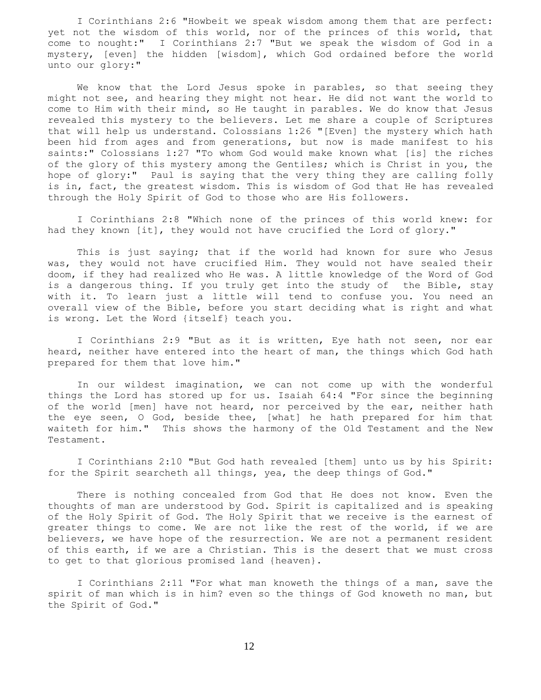I Corinthians 2:6 "Howbeit we speak wisdom among them that are perfect: yet not the wisdom of this world, nor of the princes of this world, that come to nought:" I Corinthians 2:7 "But we speak the wisdom of God in a mystery, [even] the hidden [wisdom], which God ordained before the world unto our glory:"

We know that the Lord Jesus spoke in parables, so that seeing they might not see, and hearing they might not hear. He did not want the world to come to Him with their mind, so He taught in parables. We do know that Jesus revealed this mystery to the believers. Let me share a couple of Scriptures that will help us understand. Colossians 1:26 "[Even] the mystery which hath been hid from ages and from generations, but now is made manifest to his saints:" Colossians 1:27 "To whom God would make known what [is] the riches of the glory of this mystery among the Gentiles; which is Christ in you, the hope of glory:" Paul is saying that the very thing they are calling folly is in, fact, the greatest wisdom. This is wisdom of God that He has revealed through the Holy Spirit of God to those who are His followers.

 I Corinthians 2:8 "Which none of the princes of this world knew: for had they known [it], they would not have crucified the Lord of glory."

This is just saying; that if the world had known for sure who Jesus was, they would not have crucified Him. They would not have sealed their doom, if they had realized who He was. A little knowledge of the Word of God is a dangerous thing. If you truly get into the study of the Bible, stay with it. To learn just a little will tend to confuse you. You need an overall view of the Bible, before you start deciding what is right and what is wrong. Let the Word {itself} teach you.

 I Corinthians 2:9 "But as it is written, Eye hath not seen, nor ear heard, neither have entered into the heart of man, the things which God hath prepared for them that love him."

 In our wildest imagination, we can not come up with the wonderful things the Lord has stored up for us. Isaiah 64:4 "For since the beginning of the world [men] have not heard, nor perceived by the ear, neither hath the eye seen, O God, beside thee, [what] he hath prepared for him that waiteth for him." This shows the harmony of the Old Testament and the New Testament.

 I Corinthians 2:10 "But God hath revealed [them] unto us by his Spirit: for the Spirit searcheth all things, yea, the deep things of God."

 There is nothing concealed from God that He does not know. Even the thoughts of man are understood by God. Spirit is capitalized and is speaking of the Holy Spirit of God. The Holy Spirit that we receive is the earnest of greater things to come. We are not like the rest of the world, if we are believers, we have hope of the resurrection. We are not a permanent resident of this earth, if we are a Christian. This is the desert that we must cross to get to that glorious promised land {heaven}.

 I Corinthians 2:11 "For what man knoweth the things of a man, save the spirit of man which is in him? even so the things of God knoweth no man, but the Spirit of God."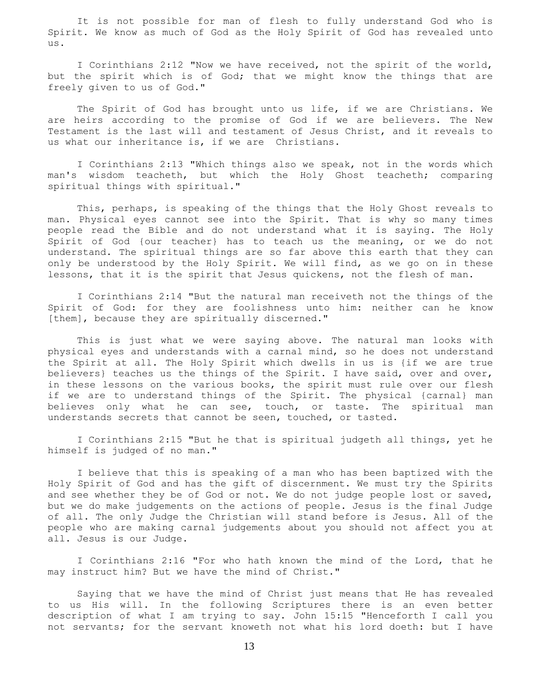It is not possible for man of flesh to fully understand God who is Spirit. We know as much of God as the Holy Spirit of God has revealed unto us.

 I Corinthians 2:12 "Now we have received, not the spirit of the world, but the spirit which is of God; that we might know the things that are freely given to us of God."

 The Spirit of God has brought unto us life, if we are Christians. We are heirs according to the promise of God if we are believers. The New Testament is the last will and testament of Jesus Christ, and it reveals to us what our inheritance is, if we are Christians.

 I Corinthians 2:13 "Which things also we speak, not in the words which man's wisdom teacheth, but which the Holy Ghost teacheth; comparing spiritual things with spiritual."

 This, perhaps, is speaking of the things that the Holy Ghost reveals to man. Physical eyes cannot see into the Spirit. That is why so many times people read the Bible and do not understand what it is saying. The Holy Spirit of God {our teacher} has to teach us the meaning, or we do not understand. The spiritual things are so far above this earth that they can only be understood by the Holy Spirit. We will find, as we go on in these lessons, that it is the spirit that Jesus quickens, not the flesh of man.

 I Corinthians 2:14 "But the natural man receiveth not the things of the Spirit of God: for they are foolishness unto him: neither can he know [them], because they are spiritually discerned."

 This is just what we were saying above. The natural man looks with physical eyes and understands with a carnal mind, so he does not understand the Spirit at all. The Holy Spirit which dwells in us is {if we are true believers} teaches us the things of the Spirit. I have said, over and over, in these lessons on the various books, the spirit must rule over our flesh if we are to understand things of the Spirit. The physical {carnal} man believes only what he can see, touch, or taste. The spiritual man understands secrets that cannot be seen, touched, or tasted.

 I Corinthians 2:15 "But he that is spiritual judgeth all things, yet he himself is judged of no man."

 I believe that this is speaking of a man who has been baptized with the Holy Spirit of God and has the gift of discernment. We must try the Spirits and see whether they be of God or not. We do not judge people lost or saved, but we do make judgements on the actions of people. Jesus is the final Judge of all. The only Judge the Christian will stand before is Jesus. All of the people who are making carnal judgements about you should not affect you at all. Jesus is our Judge.

 I Corinthians 2:16 "For who hath known the mind of the Lord, that he may instruct him? But we have the mind of Christ."

 Saying that we have the mind of Christ just means that He has revealed to us His will. In the following Scriptures there is an even better description of what I am trying to say. John 15:15 "Henceforth I call you not servants; for the servant knoweth not what his lord doeth: but I have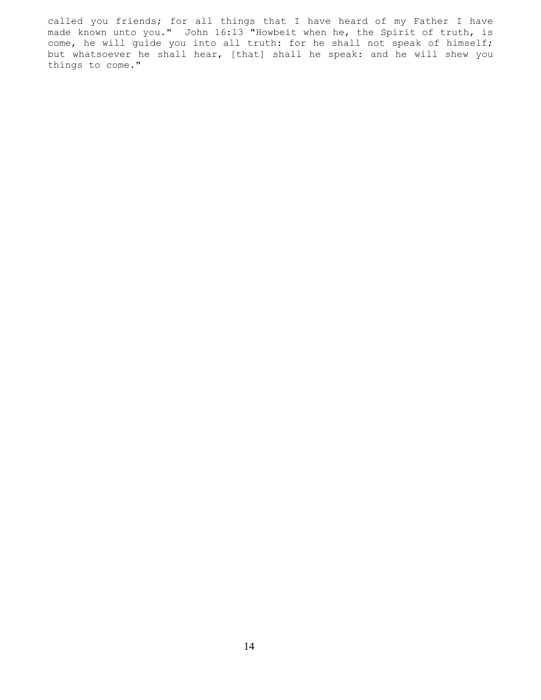called you friends; for all things that I have heard of my Father I have made known unto you." John 16:13 "Howbeit when he, the Spirit of truth, is come, he will guide you into all truth: for he shall not speak of himself; but whatsoever he shall hear, [that] shall he speak: and he will shew you things to come."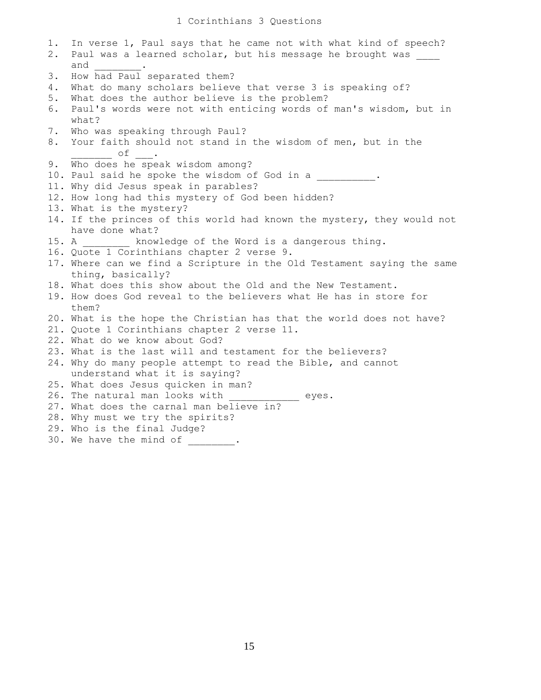### 1 Corinthians 3 Questions

1. In verse 1, Paul says that he came not with what kind of speech? 2. Paul was a learned scholar, but his message he brought was and 3. How had Paul separated them? 4. What do many scholars believe that verse 3 is speaking of? 5. What does the author believe is the problem? 6. Paul's words were not with enticing words of man's wisdom, but in what? 7. Who was speaking through Paul? 8. Your faith should not stand in the wisdom of men, but in the  $\overline{\phantom{a}}$  of  $\overline{\phantom{a}}$ . 9. Who does he speak wisdom among? 10. Paul said he spoke the wisdom of God in a . 11. Why did Jesus speak in parables? 12. How long had this mystery of God been hidden? 13. What is the mystery? 14. If the princes of this world had known the mystery, they would not have done what? 15. A **Example 2** knowledge of the Word is a dangerous thing. 16. Quote 1 Corinthians chapter 2 verse 9. 17. Where can we find a Scripture in the Old Testament saying the same thing, basically? 18. What does this show about the Old and the New Testament. 19. How does God reveal to the believers what He has in store for them? 20. What is the hope the Christian has that the world does not have? 21. Quote 1 Corinthians chapter 2 verse 11. 22. What do we know about God? 23. What is the last will and testament for the believers? 24. Why do many people attempt to read the Bible, and cannot understand what it is saying? 25. What does Jesus quicken in man? 26. The natural man looks with \_\_\_\_\_\_\_\_\_\_ eyes. 27. What does the carnal man believe in? 28. Why must we try the spirits? 29. Who is the final Judge? 30. We have the mind of \_\_\_\_\_\_\_\_.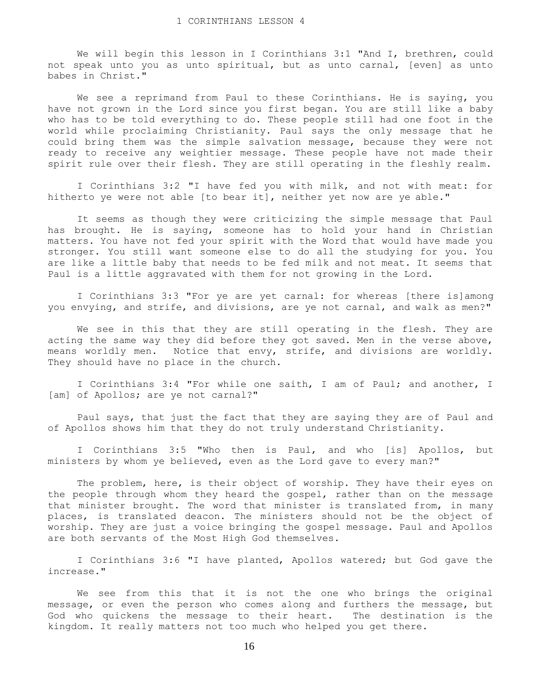We will begin this lesson in I Corinthians 3:1 "And I, brethren, could not speak unto you as unto spiritual, but as unto carnal, [even] as unto babes in Christ."

 We see a reprimand from Paul to these Corinthians. He is saying, you have not grown in the Lord since you first began. You are still like a baby who has to be told everything to do. These people still had one foot in the world while proclaiming Christianity. Paul says the only message that he could bring them was the simple salvation message, because they were not ready to receive any weightier message. These people have not made their spirit rule over their flesh. They are still operating in the fleshly realm.

 I Corinthians 3:2 "I have fed you with milk, and not with meat: for hitherto ye were not able [to bear it], neither yet now are ye able."

 It seems as though they were criticizing the simple message that Paul has brought. He is saying, someone has to hold your hand in Christian matters. You have not fed your spirit with the Word that would have made you stronger. You still want someone else to do all the studying for you. You are like a little baby that needs to be fed milk and not meat. It seems that Paul is a little aggravated with them for not growing in the Lord.

 I Corinthians 3:3 "For ye are yet carnal: for whereas [there is]among you envying, and strife, and divisions, are ye not carnal, and walk as men?"

 We see in this that they are still operating in the flesh. They are acting the same way they did before they got saved. Men in the verse above, means worldly men. Notice that envy, strife, and divisions are worldly. They should have no place in the church.

 I Corinthians 3:4 "For while one saith, I am of Paul; and another, I [am] of Apollos; are ye not carnal?"

 Paul says, that just the fact that they are saying they are of Paul and of Apollos shows him that they do not truly understand Christianity.

 I Corinthians 3:5 "Who then is Paul, and who [is] Apollos, but ministers by whom ye believed, even as the Lord gave to every man?"

 The problem, here, is their object of worship. They have their eyes on the people through whom they heard the gospel, rather than on the message that minister brought. The word that minister is translated from, in many places, is translated deacon. The ministers should not be the object of worship. They are just a voice bringing the gospel message. Paul and Apollos are both servants of the Most High God themselves.

 I Corinthians 3:6 "I have planted, Apollos watered; but God gave the increase."

 We see from this that it is not the one who brings the original message, or even the person who comes along and furthers the message, but God who quickens the message to their heart. The destination is the kingdom. It really matters not too much who helped you get there.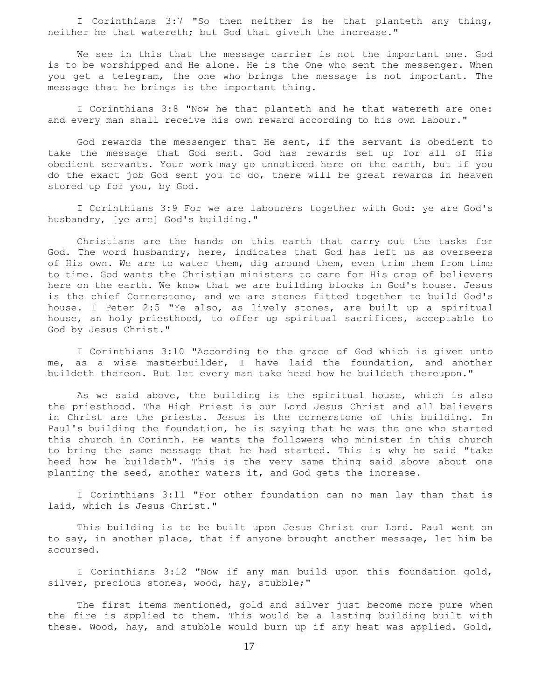I Corinthians 3:7 "So then neither is he that planteth any thing, neither he that watereth; but God that giveth the increase."

 We see in this that the message carrier is not the important one. God is to be worshipped and He alone. He is the One who sent the messenger. When you get a telegram, the one who brings the message is not important. The message that he brings is the important thing.

 I Corinthians 3:8 "Now he that planteth and he that watereth are one: and every man shall receive his own reward according to his own labour."

 God rewards the messenger that He sent, if the servant is obedient to take the message that God sent. God has rewards set up for all of His obedient servants. Your work may go unnoticed here on the earth, but if you do the exact job God sent you to do, there will be great rewards in heaven stored up for you, by God.

 I Corinthians 3:9 For we are labourers together with God: ye are God's husbandry, [ye are] God's building."

 Christians are the hands on this earth that carry out the tasks for God. The word husbandry, here, indicates that God has left us as overseers of His own. We are to water them, dig around them, even trim them from time to time. God wants the Christian ministers to care for His crop of believers here on the earth. We know that we are building blocks in God's house. Jesus is the chief Cornerstone, and we are stones fitted together to build God's house. I Peter 2:5 "Ye also, as lively stones, are built up a spiritual house, an holy priesthood, to offer up spiritual sacrifices, acceptable to God by Jesus Christ."

 I Corinthians 3:10 "According to the grace of God which is given unto me, as a wise masterbuilder, I have laid the foundation, and another buildeth thereon. But let every man take heed how he buildeth thereupon."

 As we said above, the building is the spiritual house, which is also the priesthood. The High Priest is our Lord Jesus Christ and all believers in Christ are the priests. Jesus is the cornerstone of this building. In Paul's building the foundation, he is saying that he was the one who started this church in Corinth. He wants the followers who minister in this church to bring the same message that he had started. This is why he said "take heed how he buildeth". This is the very same thing said above about one planting the seed, another waters it, and God gets the increase.

 I Corinthians 3:11 "For other foundation can no man lay than that is laid, which is Jesus Christ."

 This building is to be built upon Jesus Christ our Lord. Paul went on to say, in another place, that if anyone brought another message, let him be accursed.

 I Corinthians 3:12 "Now if any man build upon this foundation gold, silver, precious stones, wood, hay, stubble;"

 The first items mentioned, gold and silver just become more pure when the fire is applied to them. This would be a lasting building built with these. Wood, hay, and stubble would burn up if any heat was applied. Gold,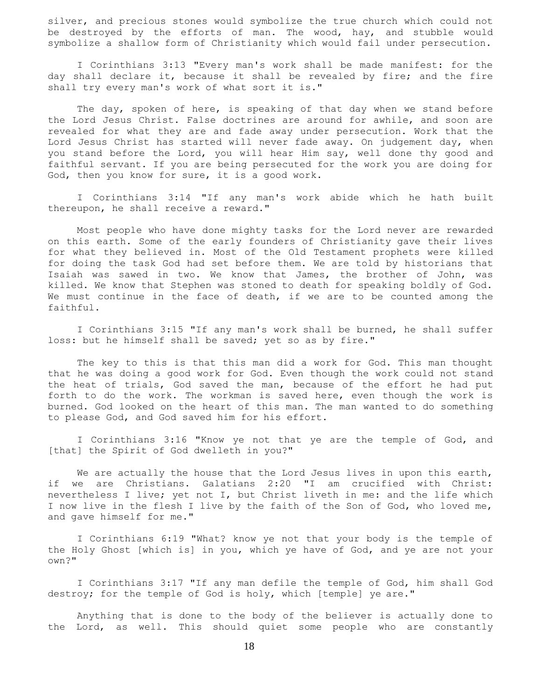silver, and precious stones would symbolize the true church which could not be destroyed by the efforts of man. The wood, hay, and stubble would symbolize a shallow form of Christianity which would fail under persecution.

 I Corinthians 3:13 "Every man's work shall be made manifest: for the day shall declare it, because it shall be revealed by fire; and the fire shall try every man's work of what sort it is."

 The day, spoken of here, is speaking of that day when we stand before the Lord Jesus Christ. False doctrines are around for awhile, and soon are revealed for what they are and fade away under persecution. Work that the Lord Jesus Christ has started will never fade away. On judgement day, when you stand before the Lord, you will hear Him say, well done thy good and faithful servant. If you are being persecuted for the work you are doing for God, then you know for sure, it is a good work.

 I Corinthians 3:14 "If any man's work abide which he hath built thereupon, he shall receive a reward."

 Most people who have done mighty tasks for the Lord never are rewarded on this earth. Some of the early founders of Christianity gave their lives for what they believed in. Most of the Old Testament prophets were killed for doing the task God had set before them. We are told by historians that Isaiah was sawed in two. We know that James, the brother of John, was killed. We know that Stephen was stoned to death for speaking boldly of God. We must continue in the face of death, if we are to be counted among the faithful.

 I Corinthians 3:15 "If any man's work shall be burned, he shall suffer loss: but he himself shall be saved; yet so as by fire."

 The key to this is that this man did a work for God. This man thought that he was doing a good work for God. Even though the work could not stand the heat of trials, God saved the man, because of the effort he had put forth to do the work. The workman is saved here, even though the work is burned. God looked on the heart of this man. The man wanted to do something to please God, and God saved him for his effort.

 I Corinthians 3:16 "Know ye not that ye are the temple of God, and [that] the Spirit of God dwelleth in you?"

We are actually the house that the Lord Jesus lives in upon this earth, if we are Christians. Galatians 2:20 "I am crucified with Christ: nevertheless I live; yet not I, but Christ liveth in me: and the life which I now live in the flesh I live by the faith of the Son of God, who loved me, and gave himself for me."

 I Corinthians 6:19 "What? know ye not that your body is the temple of the Holy Ghost [which is] in you, which ye have of God, and ye are not your own?"

 I Corinthians 3:17 "If any man defile the temple of God, him shall God destroy; for the temple of God is holy, which [temple] ye are."

 Anything that is done to the body of the believer is actually done to the Lord, as well. This should quiet some people who are constantly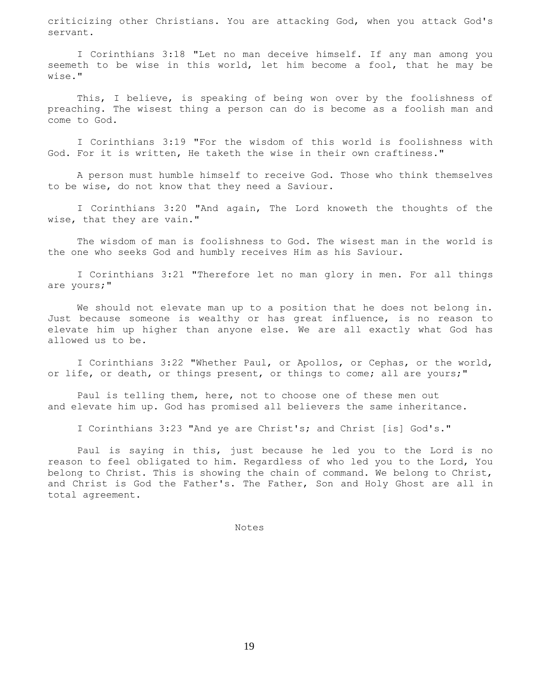criticizing other Christians. You are attacking God, when you attack God's servant.

 I Corinthians 3:18 "Let no man deceive himself. If any man among you seemeth to be wise in this world, let him become a fool, that he may be wise."

This, I believe, is speaking of being won over by the foolishness of preaching. The wisest thing a person can do is become as a foolish man and come to God.

 I Corinthians 3:19 "For the wisdom of this world is foolishness with God. For it is written, He taketh the wise in their own craftiness."

 A person must humble himself to receive God. Those who think themselves to be wise, do not know that they need a Saviour.

 I Corinthians 3:20 "And again, The Lord knoweth the thoughts of the wise, that they are vain."

 The wisdom of man is foolishness to God. The wisest man in the world is the one who seeks God and humbly receives Him as his Saviour.

 I Corinthians 3:21 "Therefore let no man glory in men. For all things are yours;"

 We should not elevate man up to a position that he does not belong in. Just because someone is wealthy or has great influence, is no reason to elevate him up higher than anyone else. We are all exactly what God has allowed us to be.

 I Corinthians 3:22 "Whether Paul, or Apollos, or Cephas, or the world, or life, or death, or things present, or things to come; all are yours;"

 Paul is telling them, here, not to choose one of these men out and elevate him up. God has promised all believers the same inheritance.

I Corinthians 3:23 "And ye are Christ's; and Christ [is] God's."

 Paul is saying in this, just because he led you to the Lord is no reason to feel obligated to him. Regardless of who led you to the Lord, You belong to Christ. This is showing the chain of command. We belong to Christ, and Christ is God the Father's. The Father, Son and Holy Ghost are all in total agreement.

Notes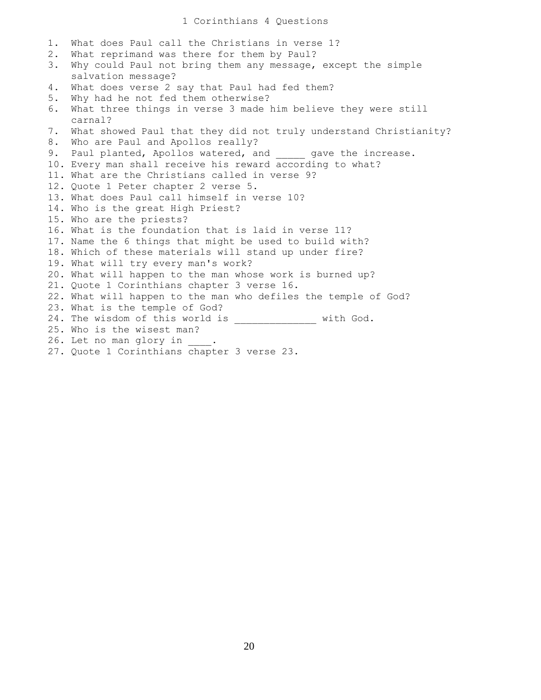### 1 Corinthians 4 Questions

1. What does Paul call the Christians in verse 1? 2. What reprimand was there for them by Paul? 3. Why could Paul not bring them any message, except the simple salvation message? 4. What does verse 2 say that Paul had fed them? 5. Why had he not fed them otherwise? 6. What three things in verse 3 made him believe they were still carnal? 7. What showed Paul that they did not truly understand Christianity? 8. Who are Paul and Apollos really? 9. Paul planted, Apollos watered, and \_\_\_\_\_ gave the increase. 10. Every man shall receive his reward according to what? 11. What are the Christians called in verse 9? 12. Quote 1 Peter chapter 2 verse 5. 13. What does Paul call himself in verse 10? 14. Who is the great High Priest? 15. Who are the priests? 16. What is the foundation that is laid in verse 11? 17. Name the 6 things that might be used to build with? 18. Which of these materials will stand up under fire? 19. What will try every man's work? 20. What will happen to the man whose work is burned up? 21. Quote 1 Corinthians chapter 3 verse 16. 22. What will happen to the man who defiles the temple of God? 23. What is the temple of God? 24. The wisdom of this world is \_\_\_\_\_\_\_\_\_\_\_\_\_\_\_ with God. 25. Who is the wisest man? 26. Let no man glory in \_\_\_\_. 27. Quote 1 Corinthians chapter 3 verse 23.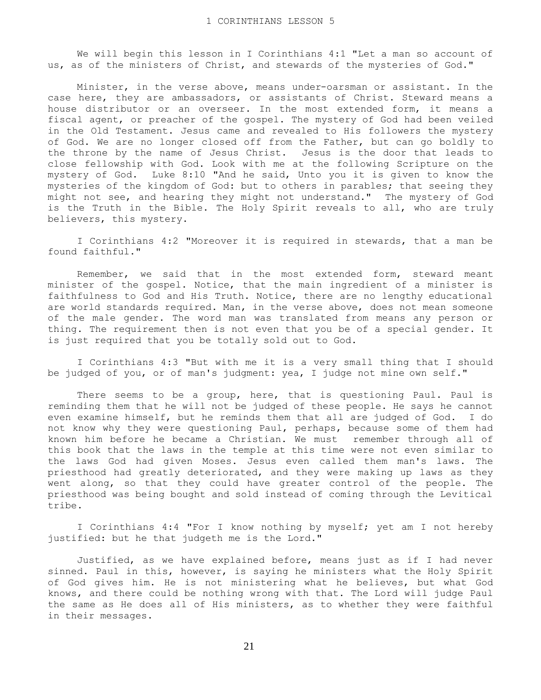We will begin this lesson in I Corinthians 4:1 "Let a man so account of us, as of the ministers of Christ, and stewards of the mysteries of God."

 Minister, in the verse above, means under-oarsman or assistant. In the case here, they are ambassadors, or assistants of Christ. Steward means a house distributor or an overseer. In the most extended form, it means a fiscal agent, or preacher of the gospel. The mystery of God had been veiled in the Old Testament. Jesus came and revealed to His followers the mystery of God. We are no longer closed off from the Father, but can go boldly to the throne by the name of Jesus Christ. Jesus is the door that leads to close fellowship with God. Look with me at the following Scripture on the mystery of God. Luke 8:10 "And he said, Unto you it is given to know the mysteries of the kingdom of God: but to others in parables; that seeing they might not see, and hearing they might not understand." The mystery of God is the Truth in the Bible. The Holy Spirit reveals to all, who are truly believers, this mystery.

 I Corinthians 4:2 "Moreover it is required in stewards, that a man be found faithful."

 Remember, we said that in the most extended form, steward meant minister of the gospel. Notice, that the main ingredient of a minister is faithfulness to God and His Truth. Notice, there are no lengthy educational are world standards required. Man, in the verse above, does not mean someone of the male gender. The word man was translated from means any person or thing. The requirement then is not even that you be of a special gender. It is just required that you be totally sold out to God.

 I Corinthians 4:3 "But with me it is a very small thing that I should be judged of you, or of man's judgment: yea, I judge not mine own self."

 There seems to be a group, here, that is questioning Paul. Paul is reminding them that he will not be judged of these people. He says he cannot even examine himself, but he reminds them that all are judged of God. I do not know why they were questioning Paul, perhaps, because some of them had known him before he became a Christian. We must remember through all of this book that the laws in the temple at this time were not even similar to the laws God had given Moses. Jesus even called them man's laws. The priesthood had greatly deteriorated, and they were making up laws as they went along, so that they could have greater control of the people. The priesthood was being bought and sold instead of coming through the Levitical tribe.

 I Corinthians 4:4 "For I know nothing by myself; yet am I not hereby justified: but he that judgeth me is the Lord."

 Justified, as we have explained before, means just as if I had never sinned. Paul in this, however, is saying he ministers what the Holy Spirit of God gives him. He is not ministering what he believes, but what God knows, and there could be nothing wrong with that. The Lord will judge Paul the same as He does all of His ministers, as to whether they were faithful in their messages.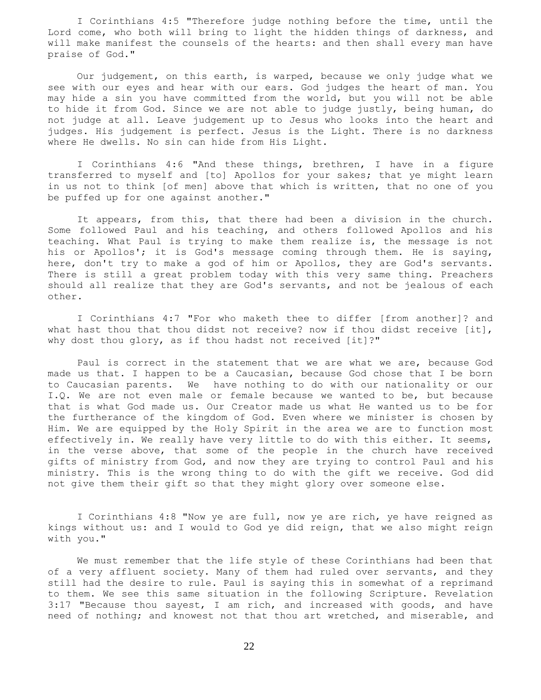I Corinthians 4:5 "Therefore judge nothing before the time, until the Lord come, who both will bring to light the hidden things of darkness, and will make manifest the counsels of the hearts: and then shall every man have praise of God."

 Our judgement, on this earth, is warped, because we only judge what we see with our eyes and hear with our ears. God judges the heart of man. You may hide a sin you have committed from the world, but you will not be able to hide it from God. Since we are not able to judge justly, being human, do not judge at all. Leave judgement up to Jesus who looks into the heart and judges. His judgement is perfect. Jesus is the Light. There is no darkness where He dwells. No sin can hide from His Light.

 I Corinthians 4:6 "And these things, brethren, I have in a figure transferred to myself and [to] Apollos for your sakes; that ye might learn in us not to think [of men] above that which is written, that no one of you be puffed up for one against another."

 It appears, from this, that there had been a division in the church. Some followed Paul and his teaching, and others followed Apollos and his teaching. What Paul is trying to make them realize is, the message is not his or Apollos'; it is God's message coming through them. He is saying, here, don't try to make a god of him or Apollos, they are God's servants. There is still a great problem today with this very same thing. Preachers should all realize that they are God's servants, and not be jealous of each other.

 I Corinthians 4:7 "For who maketh thee to differ [from another]? and what hast thou that thou didst not receive? now if thou didst receive  $[it]$ , why dost thou glory, as if thou hadst not received [it]?"

 Paul is correct in the statement that we are what we are, because God made us that. I happen to be a Caucasian, because God chose that I be born to Caucasian parents. We have nothing to do with our nationality or our I.Q. We are not even male or female because we wanted to be, but because that is what God made us. Our Creator made us what He wanted us to be for the furtherance of the kingdom of God. Even where we minister is chosen by Him. We are equipped by the Holy Spirit in the area we are to function most effectively in. We really have very little to do with this either. It seems, in the verse above, that some of the people in the church have received gifts of ministry from God, and now they are trying to control Paul and his ministry. This is the wrong thing to do with the gift we receive. God did not give them their gift so that they might glory over someone else.

 I Corinthians 4:8 "Now ye are full, now ye are rich, ye have reigned as kings without us: and I would to God ye did reign, that we also might reign with you."

 We must remember that the life style of these Corinthians had been that of a very affluent society. Many of them had ruled over servants, and they still had the desire to rule. Paul is saying this in somewhat of a reprimand to them. We see this same situation in the following Scripture. Revelation 3:17 "Because thou sayest, I am rich, and increased with goods, and have need of nothing; and knowest not that thou art wretched, and miserable, and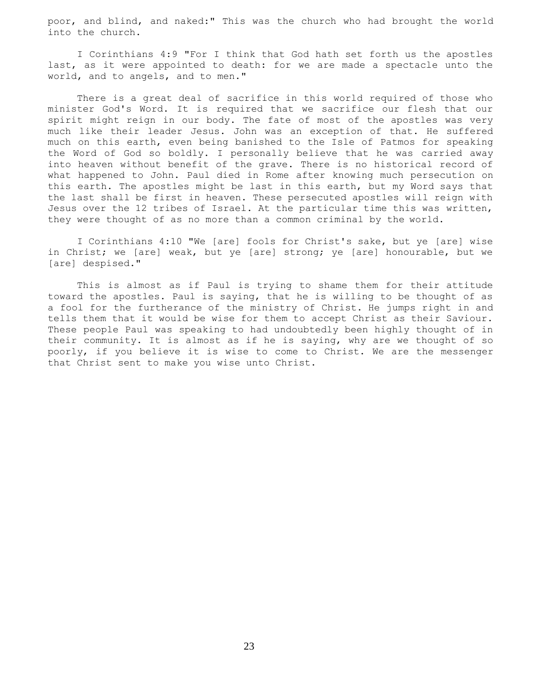poor, and blind, and naked:" This was the church who had brought the world into the church.

 I Corinthians 4:9 "For I think that God hath set forth us the apostles last, as it were appointed to death: for we are made a spectacle unto the world, and to angels, and to men."

 There is a great deal of sacrifice in this world required of those who minister God's Word. It is required that we sacrifice our flesh that our spirit might reign in our body. The fate of most of the apostles was very much like their leader Jesus. John was an exception of that. He suffered much on this earth, even being banished to the Isle of Patmos for speaking the Word of God so boldly. I personally believe that he was carried away into heaven without benefit of the grave. There is no historical record of what happened to John. Paul died in Rome after knowing much persecution on this earth. The apostles might be last in this earth, but my Word says that the last shall be first in heaven. These persecuted apostles will reign with Jesus over the 12 tribes of Israel. At the particular time this was written, they were thought of as no more than a common criminal by the world.

 I Corinthians 4:10 "We [are] fools for Christ's sake, but ye [are] wise in Christ; we [are] weak, but ye [are] strong; ye [are] honourable, but we [are] despised."

 This is almost as if Paul is trying to shame them for their attitude toward the apostles. Paul is saying, that he is willing to be thought of as a fool for the furtherance of the ministry of Christ. He jumps right in and tells them that it would be wise for them to accept Christ as their Saviour. These people Paul was speaking to had undoubtedly been highly thought of in their community. It is almost as if he is saying, why are we thought of so poorly, if you believe it is wise to come to Christ. We are the messenger that Christ sent to make you wise unto Christ.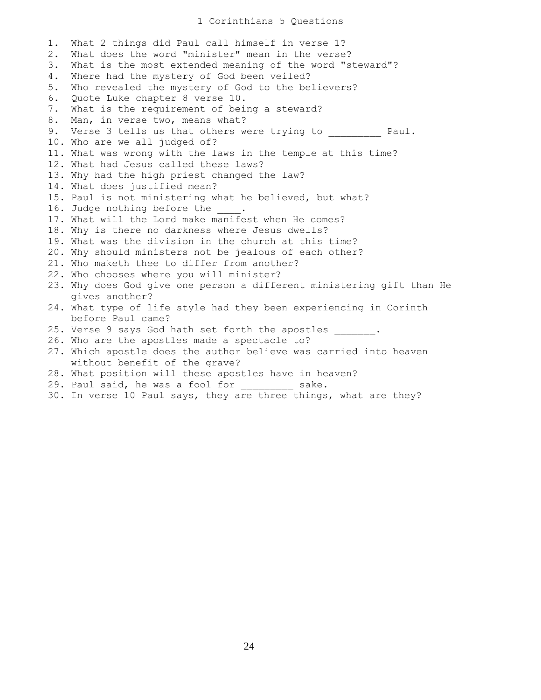# 1 Corinthians 5 Questions

1. What 2 things did Paul call himself in verse 1? 2. What does the word "minister" mean in the verse? 3. What is the most extended meaning of the word "steward"? 4. Where had the mystery of God been veiled? 5. Who revealed the mystery of God to the believers? 6. Quote Luke chapter 8 verse 10. 7. What is the requirement of being a steward? 8. Man, in verse two, means what? 9. Verse 3 tells us that others were trying to  $\qquad \qquad$  Paul. 10. Who are we all judged of? 11. What was wrong with the laws in the temple at this time? 12. What had Jesus called these laws? 13. Why had the high priest changed the law? 14. What does justified mean? 15. Paul is not ministering what he believed, but what? 16. Judge nothing before the  $\qquad$ . 17. What will the Lord make manifest when He comes? 18. Why is there no darkness where Jesus dwells? 19. What was the division in the church at this time? 20. Why should ministers not be jealous of each other? 21. Who maketh thee to differ from another? 22. Who chooses where you will minister? 23. Why does God give one person a different ministering gift than He gives another? 24. What type of life style had they been experiencing in Corinth before Paul came? 25. Verse 9 says God hath set forth the apostles . 26. Who are the apostles made a spectacle to? 27. Which apostle does the author believe was carried into heaven without benefit of the grave? 28. What position will these apostles have in heaven? 29. Paul said, he was a fool for sake. 30. In verse 10 Paul says, they are three things, what are they?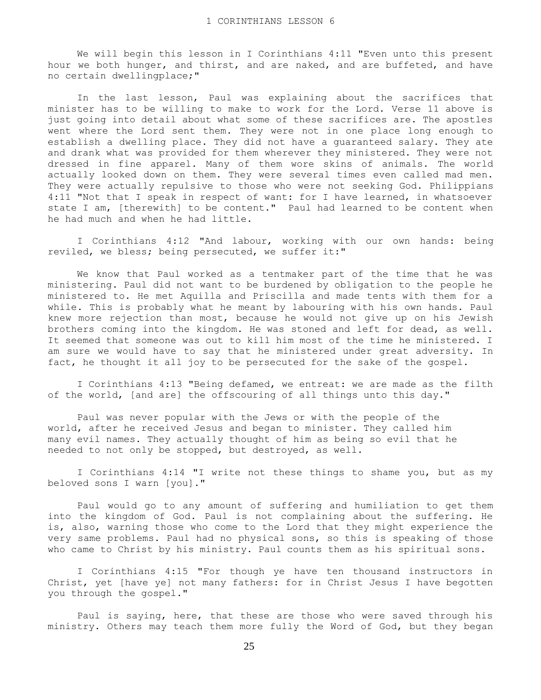We will begin this lesson in I Corinthians 4:11 "Even unto this present hour we both hunger, and thirst, and are naked, and are buffeted, and have no certain dwellingplace;"

 In the last lesson, Paul was explaining about the sacrifices that minister has to be willing to make to work for the Lord. Verse 11 above is just going into detail about what some of these sacrifices are. The apostles went where the Lord sent them. They were not in one place long enough to establish a dwelling place. They did not have a guaranteed salary. They ate and drank what was provided for them wherever they ministered. They were not dressed in fine apparel. Many of them wore skins of animals. The world actually looked down on them. They were several times even called mad men. They were actually repulsive to those who were not seeking God. Philippians 4:11 "Not that I speak in respect of want: for I have learned, in whatsoever state I am, [therewith] to be content." Paul had learned to be content when he had much and when he had little.

 I Corinthians 4:12 "And labour, working with our own hands: being reviled, we bless; being persecuted, we suffer it:"

 We know that Paul worked as a tentmaker part of the time that he was ministering. Paul did not want to be burdened by obligation to the people he ministered to. He met Aquilla and Priscilla and made tents with them for a while. This is probably what he meant by labouring with his own hands. Paul knew more rejection than most, because he would not give up on his Jewish brothers coming into the kingdom. He was stoned and left for dead, as well. It seemed that someone was out to kill him most of the time he ministered. I am sure we would have to say that he ministered under great adversity. In fact, he thought it all joy to be persecuted for the sake of the gospel.

I Corinthians 4:13 "Being defamed, we entreat: we are made as the filth of the world, [and are] the offscouring of all things unto this day."

 Paul was never popular with the Jews or with the people of the world, after he received Jesus and began to minister. They called him many evil names. They actually thought of him as being so evil that he needed to not only be stopped, but destroyed, as well.

 I Corinthians 4:14 "I write not these things to shame you, but as my beloved sons I warn [you]."

 Paul would go to any amount of suffering and humiliation to get them into the kingdom of God. Paul is not complaining about the suffering. He is, also, warning those who come to the Lord that they might experience the very same problems. Paul had no physical sons, so this is speaking of those who came to Christ by his ministry. Paul counts them as his spiritual sons.

 I Corinthians 4:15 "For though ye have ten thousand instructors in Christ, yet [have ye] not many fathers: for in Christ Jesus I have begotten you through the gospel."

 Paul is saying, here, that these are those who were saved through his ministry. Others may teach them more fully the Word of God, but they began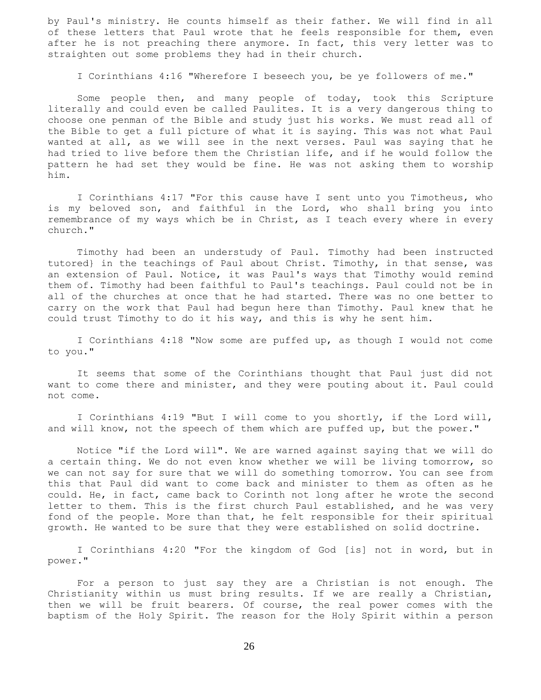by Paul's ministry. He counts himself as their father. We will find in all of these letters that Paul wrote that he feels responsible for them, even after he is not preaching there anymore. In fact, this very letter was to straighten out some problems they had in their church.

I Corinthians 4:16 "Wherefore I beseech you, be ye followers of me."

 Some people then, and many people of today, took this Scripture literally and could even be called Paulites. It is a very dangerous thing to choose one penman of the Bible and study just his works. We must read all of the Bible to get a full picture of what it is saying. This was not what Paul wanted at all, as we will see in the next verses. Paul was saying that he had tried to live before them the Christian life, and if he would follow the pattern he had set they would be fine. He was not asking them to worship him.

 I Corinthians 4:17 "For this cause have I sent unto you Timotheus, who is my beloved son, and faithful in the Lord, who shall bring you into remembrance of my ways which be in Christ, as I teach every where in every church."

 Timothy had been an understudy of Paul. Timothy had been instructed tutored} in the teachings of Paul about Christ. Timothy, in that sense, was an extension of Paul. Notice, it was Paul's ways that Timothy would remind them of. Timothy had been faithful to Paul's teachings. Paul could not be in all of the churches at once that he had started. There was no one better to carry on the work that Paul had begun here than Timothy. Paul knew that he could trust Timothy to do it his way, and this is why he sent him.

I Corinthians 4:18 "Now some are puffed up, as though I would not come to you."

 It seems that some of the Corinthians thought that Paul just did not want to come there and minister, and they were pouting about it. Paul could not come.

 I Corinthians 4:19 "But I will come to you shortly, if the Lord will, and will know, not the speech of them which are puffed up, but the power."

 Notice "if the Lord will". We are warned against saying that we will do a certain thing. We do not even know whether we will be living tomorrow, so we can not say for sure that we will do something tomorrow. You can see from this that Paul did want to come back and minister to them as often as he could. He, in fact, came back to Corinth not long after he wrote the second letter to them. This is the first church Paul established, and he was very fond of the people. More than that, he felt responsible for their spiritual growth. He wanted to be sure that they were established on solid doctrine.

 I Corinthians 4:20 "For the kingdom of God [is] not in word, but in power."

 For a person to just say they are a Christian is not enough. The Christianity within us must bring results. If we are really a Christian, then we will be fruit bearers. Of course, the real power comes with the baptism of the Holy Spirit. The reason for the Holy Spirit within a person

26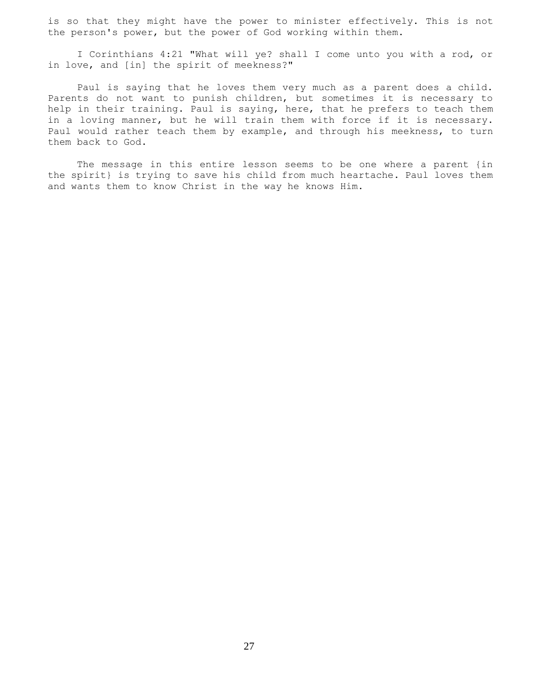is so that they might have the power to minister effectively. This is not the person's power, but the power of God working within them.

 I Corinthians 4:21 "What will ye? shall I come unto you with a rod, or in love, and [in] the spirit of meekness?"

 Paul is saying that he loves them very much as a parent does a child. Parents do not want to punish children, but sometimes it is necessary to help in their training. Paul is saying, here, that he prefers to teach them in a loving manner, but he will train them with force if it is necessary. Paul would rather teach them by example, and through his meekness, to turn them back to God.

 The message in this entire lesson seems to be one where a parent {in the spirit} is trying to save his child from much heartache. Paul loves them and wants them to know Christ in the way he knows Him.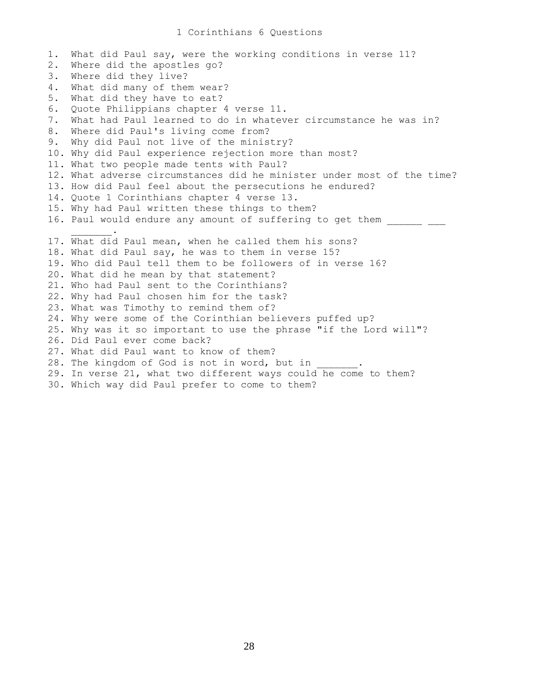1. What did Paul say, were the working conditions in verse 11? 2. Where did the apostles go? 3. Where did they live? 4. What did many of them wear? 5. What did they have to eat? 6. Quote Philippians chapter 4 verse 11. 7. What had Paul learned to do in whatever circumstance he was in? 8. Where did Paul's living come from? 9. Why did Paul not live of the ministry? 10. Why did Paul experience rejection more than most? 11. What two people made tents with Paul? 12. What adverse circumstances did he minister under most of the time? 13. How did Paul feel about the persecutions he endured? 14. Quote 1 Corinthians chapter 4 verse 13. 15. Why had Paul written these things to them? 16. Paul would endure any amount of suffering to get them \_\_\_\_\_\_\_  $\overline{\phantom{a}}$  ,  $\overline{\phantom{a}}$  ,  $\overline{\phantom{a}}$  ,  $\overline{\phantom{a}}$  ,  $\overline{\phantom{a}}$ 17. What did Paul mean, when he called them his sons? 18. What did Paul say, he was to them in verse 15? 19. Who did Paul tell them to be followers of in verse 16? 20. What did he mean by that statement? 21. Who had Paul sent to the Corinthians? 22. Why had Paul chosen him for the task? 23. What was Timothy to remind them of? 24. Why were some of the Corinthian believers puffed up? 25. Why was it so important to use the phrase "if the Lord will"? 26. Did Paul ever come back? 27. What did Paul want to know of them? 28. The kingdom of God is not in word, but in 29. In verse 21, what two different ways could he come to them? 30. Which way did Paul prefer to come to them?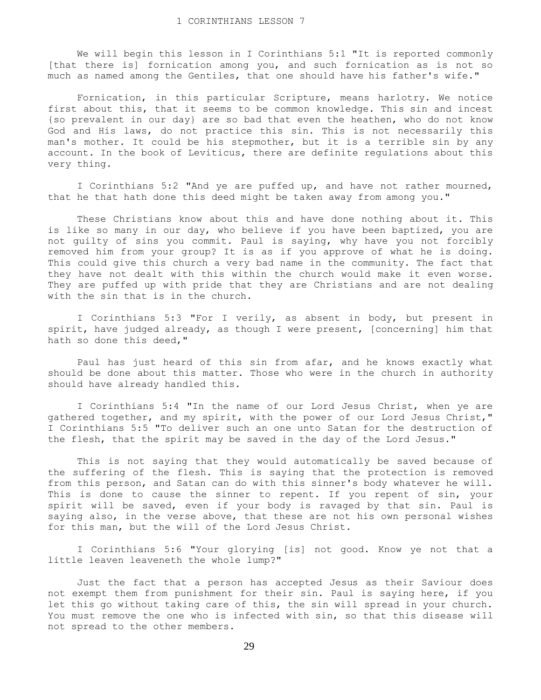We will begin this lesson in I Corinthians 5:1 "It is reported commonly [that there is] fornication among you, and such fornication as is not so much as named among the Gentiles, that one should have his father's wife."

 Fornication, in this particular Scripture, means harlotry. We notice first about this, that it seems to be common knowledge. This sin and incest {so prevalent in our day} are so bad that even the heathen, who do not know God and His laws, do not practice this sin. This is not necessarily this man's mother. It could be his stepmother, but it is a terrible sin by any account. In the book of Leviticus, there are definite regulations about this very thing.

 I Corinthians 5:2 "And ye are puffed up, and have not rather mourned, that he that hath done this deed might be taken away from among you."

 These Christians know about this and have done nothing about it. This is like so many in our day, who believe if you have been baptized, you are not guilty of sins you commit. Paul is saying, why have you not forcibly removed him from your group? It is as if you approve of what he is doing. This could give this church a very bad name in the community. The fact that they have not dealt with this within the church would make it even worse. They are puffed up with pride that they are Christians and are not dealing with the sin that is in the church.

 I Corinthians 5:3 "For I verily, as absent in body, but present in spirit, have judged already, as though I were present, [concerning] him that hath so done this deed,"

 Paul has just heard of this sin from afar, and he knows exactly what should be done about this matter. Those who were in the church in authority should have already handled this.

 I Corinthians 5:4 "In the name of our Lord Jesus Christ, when ye are gathered together, and my spirit, with the power of our Lord Jesus Christ," I Corinthians 5:5 "To deliver such an one unto Satan for the destruction of the flesh, that the spirit may be saved in the day of the Lord Jesus."

 This is not saying that they would automatically be saved because of the suffering of the flesh. This is saying that the protection is removed from this person, and Satan can do with this sinner's body whatever he will. This is done to cause the sinner to repent. If you repent of sin, your spirit will be saved, even if your body is ravaged by that sin. Paul is saying also, in the verse above, that these are not his own personal wishes for this man, but the will of the Lord Jesus Christ.

 I Corinthians 5:6 "Your glorying [is] not good. Know ye not that a little leaven leaveneth the whole lump?"

 Just the fact that a person has accepted Jesus as their Saviour does not exempt them from punishment for their sin. Paul is saying here, if you let this go without taking care of this, the sin will spread in your church. You must remove the one who is infected with sin, so that this disease will not spread to the other members.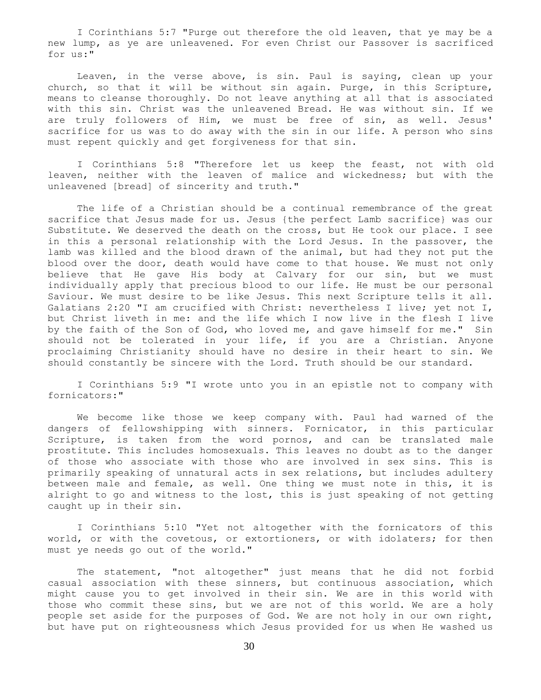I Corinthians 5:7 "Purge out therefore the old leaven, that ye may be a new lump, as ye are unleavened. For even Christ our Passover is sacrificed for us:"

 Leaven, in the verse above, is sin. Paul is saying, clean up your church, so that it will be without sin again. Purge, in this Scripture, means to cleanse thoroughly. Do not leave anything at all that is associated with this sin. Christ was the unleavened Bread. He was without sin. If we are truly followers of Him, we must be free of sin, as well. Jesus' sacrifice for us was to do away with the sin in our life. A person who sins must repent quickly and get forgiveness for that sin.

 I Corinthians 5:8 "Therefore let us keep the feast, not with old leaven, neither with the leaven of malice and wickedness; but with the unleavened [bread] of sincerity and truth."

 The life of a Christian should be a continual remembrance of the great sacrifice that Jesus made for us. Jesus {the perfect Lamb sacrifice} was our Substitute. We deserved the death on the cross, but He took our place. I see in this a personal relationship with the Lord Jesus. In the passover, the lamb was killed and the blood drawn of the animal, but had they not put the blood over the door, death would have come to that house. We must not only believe that He gave His body at Calvary for our sin, but we must individually apply that precious blood to our life. He must be our personal Saviour. We must desire to be like Jesus. This next Scripture tells it all. Galatians 2:20 "I am crucified with Christ: nevertheless I live; yet not I, but Christ liveth in me: and the life which I now live in the flesh I live by the faith of the Son of God, who loved me, and gave himself for me." Sin should not be tolerated in your life, if you are a Christian. Anyone proclaiming Christianity should have no desire in their heart to sin. We should constantly be sincere with the Lord. Truth should be our standard.

 I Corinthians 5:9 "I wrote unto you in an epistle not to company with fornicators:"

 We become like those we keep company with. Paul had warned of the dangers of fellowshipping with sinners. Fornicator, in this particular Scripture, is taken from the word pornos, and can be translated male prostitute. This includes homosexuals. This leaves no doubt as to the danger of those who associate with those who are involved in sex sins. This is primarily speaking of unnatural acts in sex relations, but includes adultery between male and female, as well. One thing we must note in this, it is alright to go and witness to the lost, this is just speaking of not getting caught up in their sin.

 I Corinthians 5:10 "Yet not altogether with the fornicators of this world, or with the covetous, or extortioners, or with idolaters; for then must ye needs go out of the world."

 The statement, "not altogether" just means that he did not forbid casual association with these sinners, but continuous association, which might cause you to get involved in their sin. We are in this world with those who commit these sins, but we are not of this world. We are a holy people set aside for the purposes of God. We are not holy in our own right, but have put on righteousness which Jesus provided for us when He washed us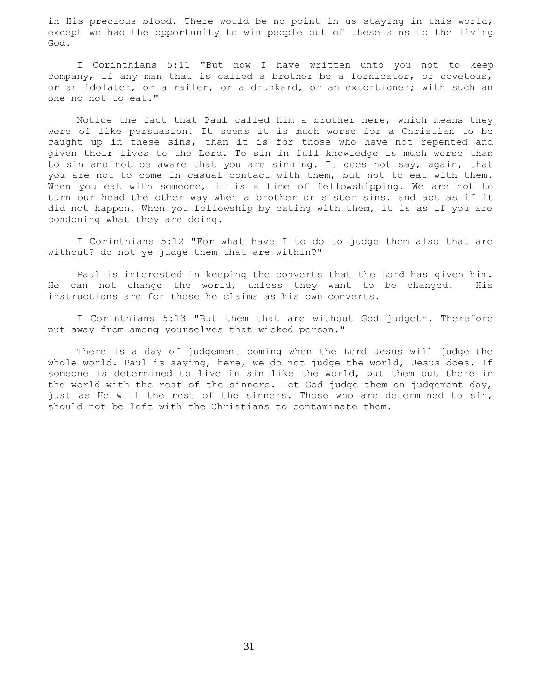in His precious blood. There would be no point in us staying in this world, except we had the opportunity to win people out of these sins to the living God.

 I Corinthians 5:11 "But now I have written unto you not to keep company, if any man that is called a brother be a fornicator, or covetous, or an idolater, or a railer, or a drunkard, or an extortioner; with such an one no not to eat."

 Notice the fact that Paul called him a brother here, which means they were of like persuasion. It seems it is much worse for a Christian to be caught up in these sins, than it is for those who have not repented and given their lives to the Lord. To sin in full knowledge is much worse than to sin and not be aware that you are sinning. It does not say, again, that you are not to come in casual contact with them, but not to eat with them. When you eat with someone, it is a time of fellowshipping. We are not to turn our head the other way when a brother or sister sins, and act as if it did not happen. When you fellowship by eating with them, it is as if you are condoning what they are doing.

 I Corinthians 5:12 "For what have I to do to judge them also that are without? do not ye judge them that are within?"

 Paul is interested in keeping the converts that the Lord has given him. He can not change the world, unless they want to be changed. His instructions are for those he claims as his own converts.

 I Corinthians 5:13 "But them that are without God judgeth. Therefore put away from among yourselves that wicked person."

 There is a day of judgement coming when the Lord Jesus will judge the whole world. Paul is saying, here, we do not judge the world, Jesus does. If someone is determined to live in sin like the world, put them out there in the world with the rest of the sinners. Let God judge them on judgement day, just as He will the rest of the sinners. Those who are determined to sin, should not be left with the Christians to contaminate them.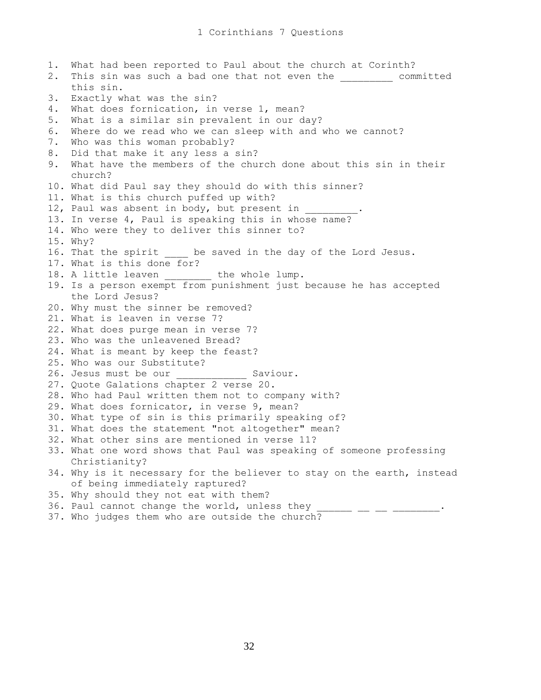1. What had been reported to Paul about the church at Corinth? 2. This sin was such a bad one that not even the \_\_\_\_\_\_\_\_\_ committed this sin. 3. Exactly what was the sin? 4. What does fornication, in verse 1, mean? 5. What is a similar sin prevalent in our day? 6. Where do we read who we can sleep with and who we cannot? 7. Who was this woman probably? 8. Did that make it any less a sin? 9. What have the members of the church done about this sin in their church? 10. What did Paul say they should do with this sinner? 11. What is this church puffed up with? 12, Paul was absent in body, but present in 13. In verse 4, Paul is speaking this in whose name? 14. Who were they to deliver this sinner to? 15. Why? 16. That the spirit be saved in the day of the Lord Jesus. 17. What is this done for? 18. A little leaven \_\_\_\_\_\_\_\_\_ the whole lump. 19. Is a person exempt from punishment just because he has accepted the Lord Jesus? 20. Why must the sinner be removed? 21. What is leaven in verse 7? 22. What does purge mean in verse 7? 23. Who was the unleavened Bread? 24. What is meant by keep the feast? 25. Who was our Substitute? 26. Jesus must be our **Saviour.** 27. Quote Galations chapter 2 verse 20. 28. Who had Paul written them not to company with? 29. What does fornicator, in verse 9, mean? 30. What type of sin is this primarily speaking of? 31. What does the statement "not altogether" mean? 32. What other sins are mentioned in verse 11? 33. What one word shows that Paul was speaking of someone professing Christianity? 34. Why is it necessary for the believer to stay on the earth, instead of being immediately raptured? 35. Why should they not eat with them?  $36.$  Paul cannot change the world, unless they \_\_\_\_\_\_ \_\_ \_\_ \_\_ \_\_\_\_\_\_\_. 37. Who judges them who are outside the church?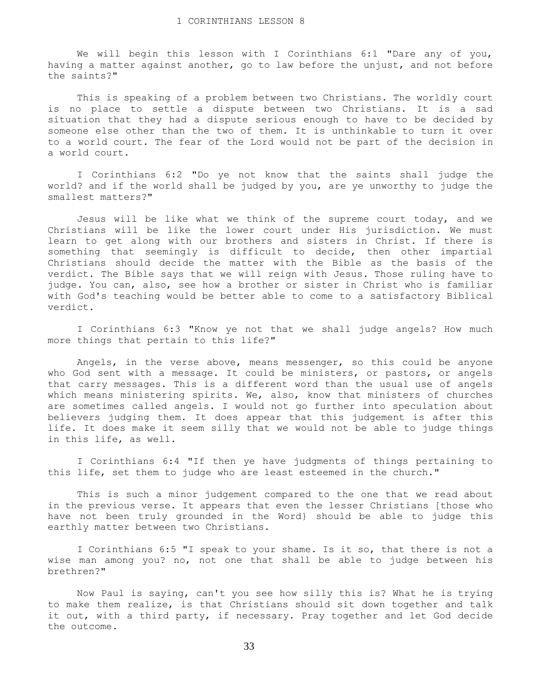We will begin this lesson with I Corinthians 6:1 "Dare any of you, having a matter against another, go to law before the unjust, and not before the saints?"

 This is speaking of a problem between two Christians. The worldly court is no place to settle a dispute between two Christians. It is a sad situation that they had a dispute serious enough to have to be decided by someone else other than the two of them. It is unthinkable to turn it over to a world court. The fear of the Lord would not be part of the decision in a world court.

 I Corinthians 6:2 "Do ye not know that the saints shall judge the world? and if the world shall be judged by you, are ye unworthy to judge the smallest matters?"

 Jesus will be like what we think of the supreme court today, and we Christians will be like the lower court under His jurisdiction. We must learn to get along with our brothers and sisters in Christ. If there is something that seemingly is difficult to decide, then other impartial Christians should decide the matter with the Bible as the basis of the verdict. The Bible says that we will reign with Jesus. Those ruling have to judge. You can, also, see how a brother or sister in Christ who is familiar with God's teaching would be better able to come to a satisfactory Biblical verdict.

 I Corinthians 6:3 "Know ye not that we shall judge angels? How much more things that pertain to this life?"

 Angels, in the verse above, means messenger, so this could be anyone who God sent with a message. It could be ministers, or pastors, or angels that carry messages. This is a different word than the usual use of angels which means ministering spirits. We, also, know that ministers of churches are sometimes called angels. I would not go further into speculation about believers judging them. It does appear that this judgement is after this life. It does make it seem silly that we would not be able to judge things in this life, as well.

 I Corinthians 6:4 "If then ye have judgments of things pertaining to this life, set them to judge who are least esteemed in the church."

 This is such a minor judgement compared to the one that we read about in the previous verse. It appears that even the lesser Christians [those who have not been truly grounded in the Word} should be able to judge this earthly matter between two Christians.

 I Corinthians 6:5 "I speak to your shame. Is it so, that there is not a wise man among you? no, not one that shall be able to judge between his brethren?"

 Now Paul is saying, can't you see how silly this is? What he is trying to make them realize, is that Christians should sit down together and talk it out, with a third party, if necessary. Pray together and let God decide the outcome.

33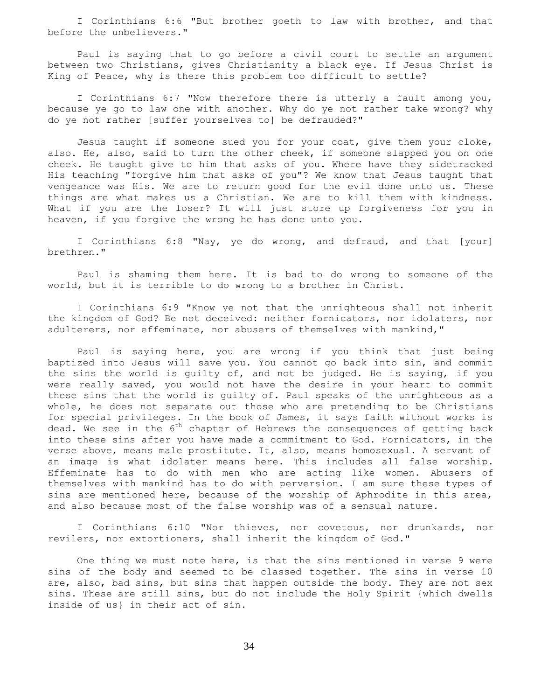I Corinthians 6:6 "But brother goeth to law with brother, and that before the unbelievers."

 Paul is saying that to go before a civil court to settle an argument between two Christians, gives Christianity a black eye. If Jesus Christ is King of Peace, why is there this problem too difficult to settle?

 I Corinthians 6:7 "Now therefore there is utterly a fault among you, because ye go to law one with another. Why do ye not rather take wrong? why do ye not rather [suffer yourselves to] be defrauded?"

 Jesus taught if someone sued you for your coat, give them your cloke, also. He, also, said to turn the other cheek, if someone slapped you on one cheek. He taught give to him that asks of you. Where have they sidetracked His teaching "forgive him that asks of you"? We know that Jesus taught that vengeance was His. We are to return good for the evil done unto us. These things are what makes us a Christian. We are to kill them with kindness. What if you are the loser? It will just store up forgiveness for you in heaven, if you forgive the wrong he has done unto you.

 I Corinthians 6:8 "Nay, ye do wrong, and defraud, and that [your] brethren."

 Paul is shaming them here. It is bad to do wrong to someone of the world, but it is terrible to do wrong to a brother in Christ.

 I Corinthians 6:9 "Know ye not that the unrighteous shall not inherit the kingdom of God? Be not deceived: neither fornicators, nor idolaters, nor adulterers, nor effeminate, nor abusers of themselves with mankind,"

 Paul is saying here, you are wrong if you think that just being baptized into Jesus will save you. You cannot go back into sin, and commit the sins the world is guilty of, and not be judged. He is saying, if you were really saved, you would not have the desire in your heart to commit these sins that the world is guilty of. Paul speaks of the unrighteous as a whole, he does not separate out those who are pretending to be Christians for special privileges. In the book of James, it says faith without works is dead. We see in the  $6<sup>th</sup>$  chapter of Hebrews the consequences of getting back into these sins after you have made a commitment to God. Fornicators, in the verse above, means male prostitute. It, also, means homosexual. A servant of an image is what idolater means here. This includes all false worship. Effeminate has to do with men who are acting like women. Abusers of themselves with mankind has to do with perversion. I am sure these types of sins are mentioned here, because of the worship of Aphrodite in this area, and also because most of the false worship was of a sensual nature.

 I Corinthians 6:10 "Nor thieves, nor covetous, nor drunkards, nor revilers, nor extortioners, shall inherit the kingdom of God."

 One thing we must note here, is that the sins mentioned in verse 9 were sins of the body and seemed to be classed together. The sins in verse 10 are, also, bad sins, but sins that happen outside the body. They are not sex sins. These are still sins, but do not include the Holy Spirit {which dwells inside of us} in their act of sin.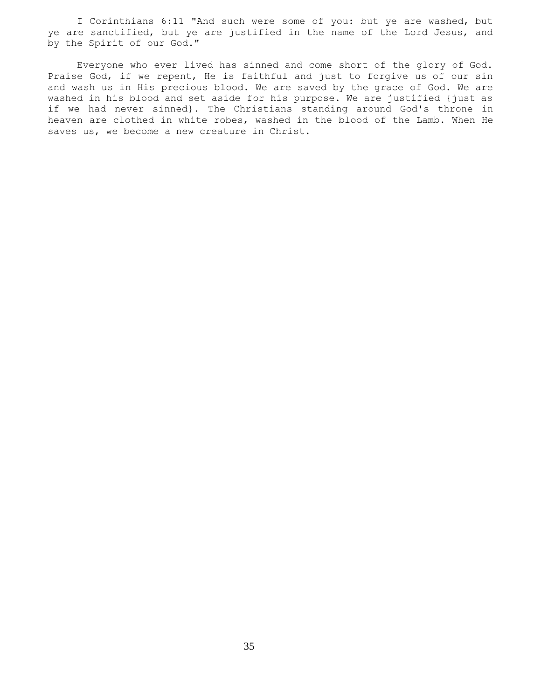I Corinthians 6:11 "And such were some of you: but ye are washed, but ye are sanctified, but ye are justified in the name of the Lord Jesus, and by the Spirit of our God."

 Everyone who ever lived has sinned and come short of the glory of God. Praise God, if we repent, He is faithful and just to forgive us of our sin and wash us in His precious blood. We are saved by the grace of God. We are washed in his blood and set aside for his purpose. We are justified {just as if we had never sinned}. The Christians standing around God's throne in heaven are clothed in white robes, washed in the blood of the Lamb. When He saves us, we become a new creature in Christ.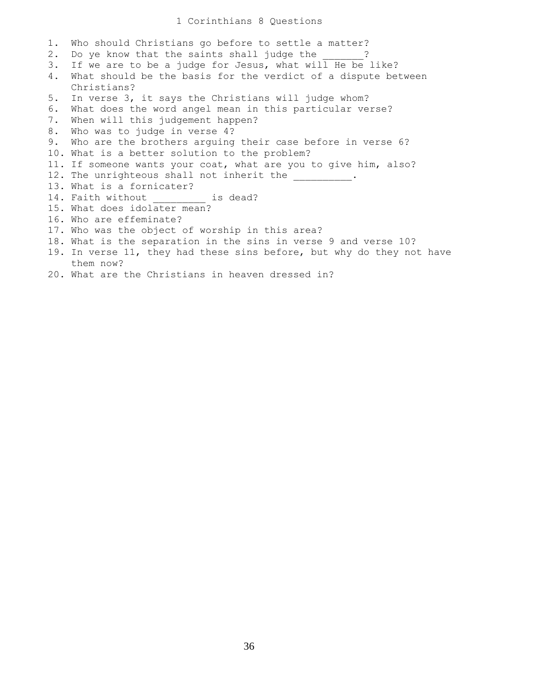### 1 Corinthians 8 Questions

1. Who should Christians go before to settle a matter? 2. Do ye know that the saints shall judge the 2 3. If we are to be a judge for Jesus, what will He be like? 4. What should be the basis for the verdict of a dispute between Christians? 5. In verse 3, it says the Christians will judge whom? 6. What does the word angel mean in this particular verse? 7. When will this judgement happen? 8. Who was to judge in verse 4? 9. Who are the brothers arguing their case before in verse 6? 10. What is a better solution to the problem? 11. If someone wants your coat, what are you to give him, also? 12. The unrighteous shall not inherit the 13. What is a fornicater? 14. Faith without is dead? 15. What does idolater mean? 16. Who are effeminate? 17. Who was the object of worship in this area? 18. What is the separation in the sins in verse 9 and verse 10? 19. In verse 11, they had these sins before, but why do they not have them now? 20. What are the Christians in heaven dressed in?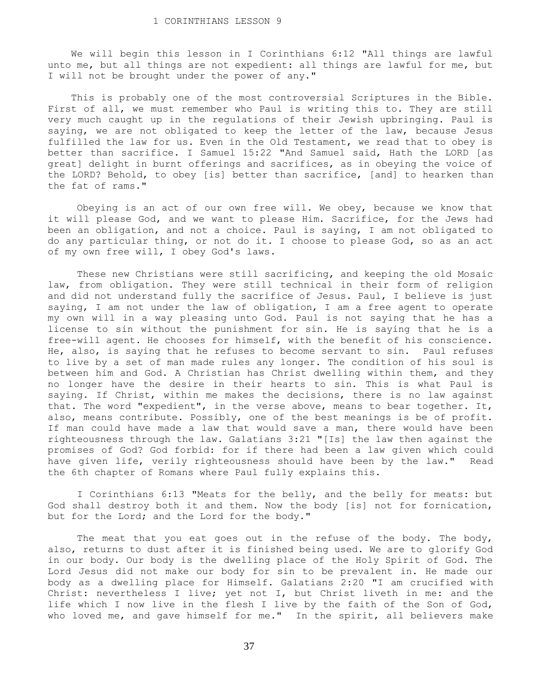We will begin this lesson in I Corinthians 6:12 "All things are lawful unto me, but all things are not expedient: all things are lawful for me, but I will not be brought under the power of any."

 This is probably one of the most controversial Scriptures in the Bible. First of all, we must remember who Paul is writing this to. They are still very much caught up in the regulations of their Jewish upbringing. Paul is saying, we are not obligated to keep the letter of the law, because Jesus fulfilled the law for us. Even in the Old Testament, we read that to obey is better than sacrifice. I Samuel 15:22 "And Samuel said, Hath the LORD [as great] delight in burnt offerings and sacrifices, as in obeying the voice of the LORD? Behold, to obey [is] better than sacrifice, [and] to hearken than the fat of rams."

 Obeying is an act of our own free will. We obey, because we know that it will please God, and we want to please Him. Sacrifice, for the Jews had been an obligation, and not a choice. Paul is saying, I am not obligated to do any particular thing, or not do it. I choose to please God, so as an act of my own free will, I obey God's laws.

 These new Christians were still sacrificing, and keeping the old Mosaic law, from obligation. They were still technical in their form of religion and did not understand fully the sacrifice of Jesus. Paul, I believe is just saying, I am not under the law of obligation, I am a free agent to operate my own will in a way pleasing unto God. Paul is not saying that he has a license to sin without the punishment for sin. He is saying that he is a free-will agent. He chooses for himself, with the benefit of his conscience. He, also, is saying that he refuses to become servant to sin. Paul refuses to live by a set of man made rules any longer. The condition of his soul is between him and God. A Christian has Christ dwelling within them, and they no longer have the desire in their hearts to sin. This is what Paul is saying. If Christ, within me makes the decisions, there is no law against that. The word "expedient", in the verse above, means to bear together. It, also, means contribute. Possibly, one of the best meanings is be of profit. If man could have made a law that would save a man, there would have been righteousness through the law. Galatians 3:21 "[Is] the law then against the promises of God? God forbid: for if there had been a law given which could have given life, verily righteousness should have been by the law." Read the 6th chapter of Romans where Paul fully explains this.

 I Corinthians 6:13 "Meats for the belly, and the belly for meats: but God shall destroy both it and them. Now the body [is] not for fornication, but for the Lord; and the Lord for the body."

The meat that you eat goes out in the refuse of the body. The body, also, returns to dust after it is finished being used. We are to glorify God in our body. Our body is the dwelling place of the Holy Spirit of God. The Lord Jesus did not make our body for sin to be prevalent in. He made our body as a dwelling place for Himself. Galatians 2:20 "I am crucified with Christ: nevertheless I live; yet not I, but Christ liveth in me: and the life which I now live in the flesh I live by the faith of the Son of God, who loved me, and gave himself for me." In the spirit, all believers make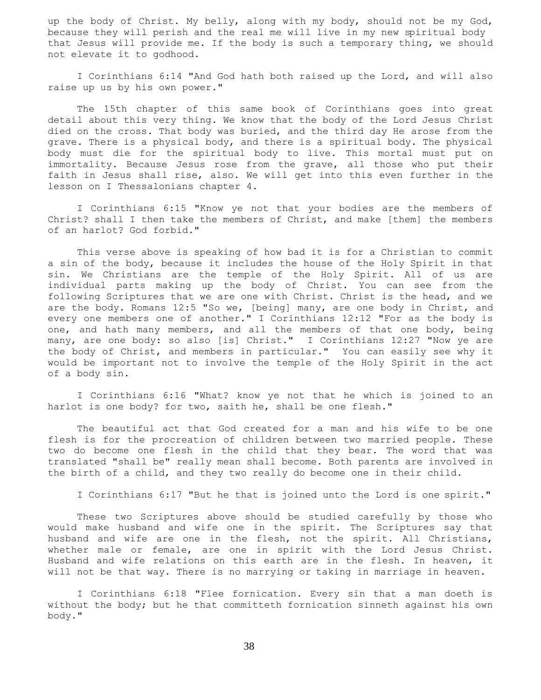up the body of Christ. My belly, along with my body, should not be my God, because they will perish and the real me will live in my new spiritual body that Jesus will provide me. If the body is such a temporary thing, we should not elevate it to godhood.

 I Corinthians 6:14 "And God hath both raised up the Lord, and will also raise up us by his own power."

 The 15th chapter of this same book of Corinthians goes into great detail about this very thing. We know that the body of the Lord Jesus Christ died on the cross. That body was buried, and the third day He arose from the grave. There is a physical body, and there is a spiritual body. The physical body must die for the spiritual body to live. This mortal must put on immortality. Because Jesus rose from the grave, all those who put their faith in Jesus shall rise, also. We will get into this even further in the lesson on I Thessalonians chapter 4.

 I Corinthians 6:15 "Know ye not that your bodies are the members of Christ? shall I then take the members of Christ, and make [them] the members of an harlot? God forbid."

 This verse above is speaking of how bad it is for a Christian to commit a sin of the body, because it includes the house of the Holy Spirit in that sin. We Christians are the temple of the Holy Spirit. All of us are individual parts making up the body of Christ. You can see from the following Scriptures that we are one with Christ. Christ is the head, and we are the body. Romans 12:5 "So we, [being] many, are one body in Christ, and every one members one of another." I Corinthians 12:12 "For as the body is one, and hath many members, and all the members of that one body, being many, are one body: so also [is] Christ." I Corinthians 12:27 "Now ye are the body of Christ, and members in particular." You can easily see why it would be important not to involve the temple of the Holy Spirit in the act of a body sin.

 I Corinthians 6:16 "What? know ye not that he which is joined to an harlot is one body? for two, saith he, shall be one flesh."

 The beautiful act that God created for a man and his wife to be one flesh is for the procreation of children between two married people. These two do become one flesh in the child that they bear. The word that was translated "shall be" really mean shall become. Both parents are involved in the birth of a child, and they two really do become one in their child.

I Corinthians 6:17 "But he that is joined unto the Lord is one spirit."

 These two Scriptures above should be studied carefully by those who would make husband and wife one in the spirit. The Scriptures say that husband and wife are one in the flesh, not the spirit. All Christians, whether male or female, are one in spirit with the Lord Jesus Christ. Husband and wife relations on this earth are in the flesh. In heaven, it will not be that way. There is no marrying or taking in marriage in heaven.

 I Corinthians 6:18 "Flee fornication. Every sin that a man doeth is without the body; but he that committeth fornication sinneth against his own body."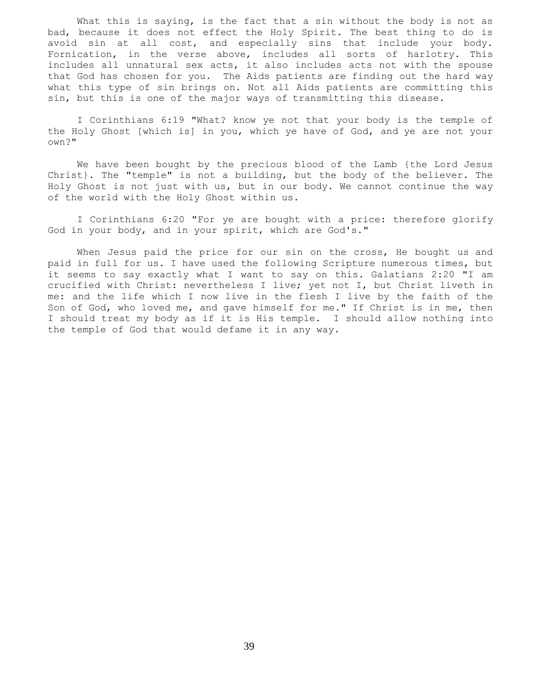What this is saying, is the fact that a sin without the body is not as bad, because it does not effect the Holy Spirit. The best thing to do is avoid sin at all cost, and especially sins that include your body. Fornication, in the verse above, includes all sorts of harlotry. This includes all unnatural sex acts, it also includes acts not with the spouse that God has chosen for you. The Aids patients are finding out the hard way what this type of sin brings on. Not all Aids patients are committing this sin, but this is one of the major ways of transmitting this disease.

 I Corinthians 6:19 "What? know ye not that your body is the temple of the Holy Ghost [which is] in you, which ye have of God, and ye are not your own?"

We have been bought by the precious blood of the Lamb {the Lord Jesus Christ}. The "temple" is not a building, but the body of the believer. The Holy Ghost is not just with us, but in our body. We cannot continue the way of the world with the Holy Ghost within us.

 I Corinthians 6:20 "For ye are bought with a price: therefore glorify God in your body, and in your spirit, which are God's."

When Jesus paid the price for our sin on the cross, He bought us and paid in full for us. I have used the following Scripture numerous times, but it seems to say exactly what I want to say on this. Galatians 2:20 "I am crucified with Christ: nevertheless I live; yet not I, but Christ liveth in me: and the life which I now live in the flesh I live by the faith of the Son of God, who loved me, and gave himself for me." If Christ is in me, then I should treat my body as if it is His temple. I should allow nothing into the temple of God that would defame it in any way.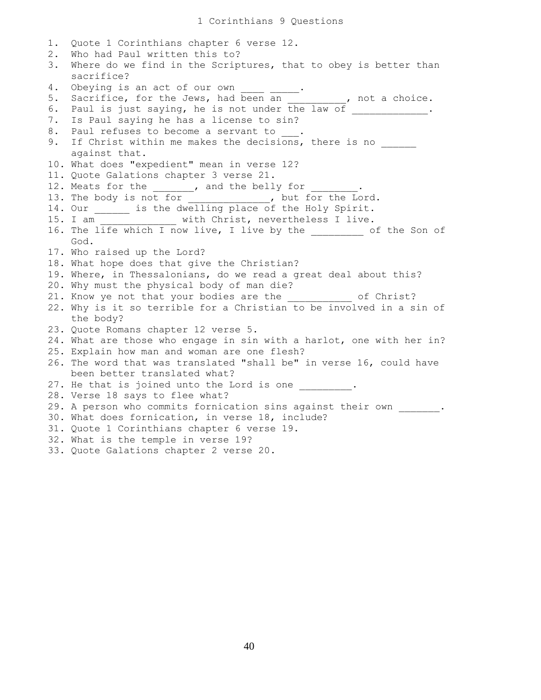1. Quote 1 Corinthians chapter 6 verse 12. 2. Who had Paul written this to? 3. Where do we find in the Scriptures, that to obey is better than sacrifice? 4. Obeying is an act of our own \_\_\_\_\_\_\_\_. 5. Sacrifice, for the Jews, had been an Theore and the choice. 6. Paul is just saying, he is not under the law of \_\_\_\_\_\_\_\_\_\_\_\_. 7. Is Paul saying he has a license to sin? 8. Paul refuses to become a servant to . 9. If Christ within me makes the decisions, there is no against that. 10. What does "expedient" mean in verse 12? 11. Quote Galations chapter 3 verse 21. 12. Meats for the \_\_\_\_\_\_\_, and the belly for 13. The body is not for \_\_\_\_\_\_\_\_\_\_\_\_, but for the Lord. 14. Our \_\_\_\_\_\_\_ is the dwelling place of the Holy Spirit. 15. I am \_\_\_\_\_\_\_\_\_\_\_\_\_ with Christ, nevertheless I live. 16. The life which I now live, I live by the \_\_\_\_\_\_\_\_\_ of the Son of God. 17. Who raised up the Lord? 18. What hope does that give the Christian? 19. Where, in Thessalonians, do we read a great deal about this? 20. Why must the physical body of man die? 21. Know ye not that your bodies are the  $\qquad \qquad$  of Christ? 22. Why is it so terrible for a Christian to be involved in a sin of the body? 23. Quote Romans chapter 12 verse 5. 24. What are those who engage in sin with a harlot, one with her in? 25. Explain how man and woman are one flesh? 26. The word that was translated "shall be" in verse 16, could have been better translated what? 27. He that is joined unto the Lord is one \_\_\_\_\_\_\_\_. 28. Verse 18 says to flee what? 29. A person who commits fornication sins against their own \_\_\_\_\_\_. 30. What does fornication, in verse 18, include? 31. Quote 1 Corinthians chapter 6 verse 19. 32. What is the temple in verse 19? 33. Quote Galations chapter 2 verse 20.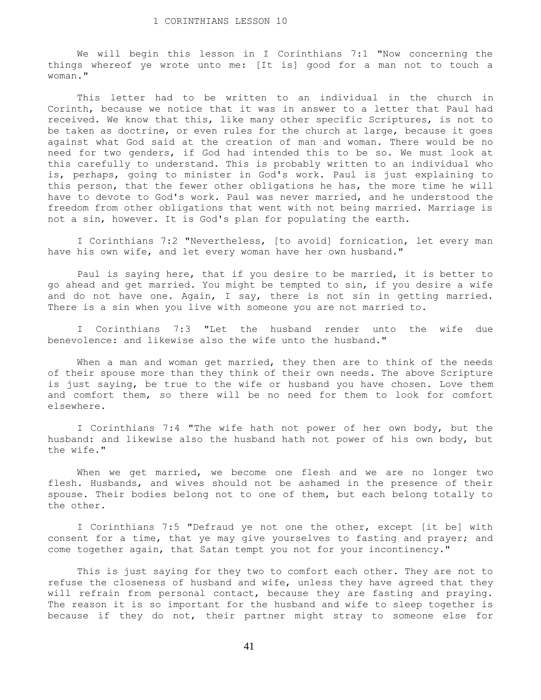We will begin this lesson in I Corinthians 7:1 "Now concerning the things whereof ye wrote unto me: [It is] good for a man not to touch a woman."

 This letter had to be written to an individual in the church in Corinth, because we notice that it was in answer to a letter that Paul had received. We know that this, like many other specific Scriptures, is not to be taken as doctrine, or even rules for the church at large, because it goes against what God said at the creation of man and woman. There would be no need for two genders, if God had intended this to be so. We must look at this carefully to understand. This is probably written to an individual who is, perhaps, going to minister in God's work. Paul is just explaining to this person, that the fewer other obligations he has, the more time he will have to devote to God's work. Paul was never married, and he understood the freedom from other obligations that went with not being married. Marriage is not a sin, however. It is God's plan for populating the earth.

 I Corinthians 7:2 "Nevertheless, [to avoid] fornication, let every man have his own wife, and let every woman have her own husband."

 Paul is saying here, that if you desire to be married, it is better to go ahead and get married. You might be tempted to sin, if you desire a wife and do not have one. Again, I say, there is not sin in getting married. There is a sin when you live with someone you are not married to.

 I Corinthians 7:3 "Let the husband render unto the wife due benevolence: and likewise also the wife unto the husband."

When a man and woman get married, they then are to think of the needs of their spouse more than they think of their own needs. The above Scripture is just saying, be true to the wife or husband you have chosen. Love them and comfort them, so there will be no need for them to look for comfort elsewhere.

 I Corinthians 7:4 "The wife hath not power of her own body, but the husband: and likewise also the husband hath not power of his own body, but the wife."

When we get married, we become one flesh and we are no longer two flesh. Husbands, and wives should not be ashamed in the presence of their spouse. Their bodies belong not to one of them, but each belong totally to the other.

 I Corinthians 7:5 "Defraud ye not one the other, except [it be] with consent for a time, that ye may give yourselves to fasting and prayer; and come together again, that Satan tempt you not for your incontinency."

 This is just saying for they two to comfort each other. They are not to refuse the closeness of husband and wife, unless they have agreed that they will refrain from personal contact, because they are fasting and praying. The reason it is so important for the husband and wife to sleep together is because if they do not, their partner might stray to someone else for

41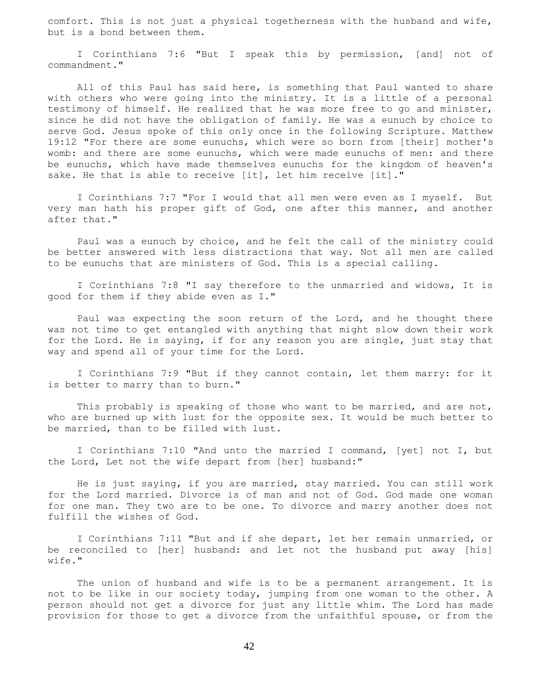comfort. This is not just a physical togetherness with the husband and wife, but is a bond between them.

 I Corinthians 7:6 "But I speak this by permission, [and] not of commandment."

All of this Paul has said here, is something that Paul wanted to share with others who were going into the ministry. It is a little of a personal testimony of himself. He realized that he was more free to go and minister, since he did not have the obligation of family. He was a eunuch by choice to serve God. Jesus spoke of this only once in the following Scripture. Matthew 19:12 "For there are some eunuchs, which were so born from [their] mother's womb: and there are some eunuchs, which were made eunuchs of men: and there be eunuchs, which have made themselves eunuchs for the kingdom of heaven's sake. He that is able to receive [it], let him receive [it]."

 I Corinthians 7:7 "For I would that all men were even as I myself. But very man hath his proper gift of God, one after this manner, and another after that."

 Paul was a eunuch by choice, and he felt the call of the ministry could be better answered with less distractions that way. Not all men are called to be eunuchs that are ministers of God. This is a special calling.

 I Corinthians 7:8 "I say therefore to the unmarried and widows, It is good for them if they abide even as I."

 Paul was expecting the soon return of the Lord, and he thought there was not time to get entangled with anything that might slow down their work for the Lord. He is saying, if for any reason you are single, just stay that way and spend all of your time for the Lord.

 I Corinthians 7:9 "But if they cannot contain, let them marry: for it is better to marry than to burn."

This probably is speaking of those who want to be married, and are not, who are burned up with lust for the opposite sex. It would be much better to be married, than to be filled with lust.

 I Corinthians 7:10 "And unto the married I command, [yet] not I, but the Lord, Let not the wife depart from [her] husband:"

 He is just saying, if you are married, stay married. You can still work for the Lord married. Divorce is of man and not of God. God made one woman for one man. They two are to be one. To divorce and marry another does not fulfill the wishes of God.

 I Corinthians 7:11 "But and if she depart, let her remain unmarried, or be reconciled to [her] husband: and let not the husband put away [his] wife."

 The union of husband and wife is to be a permanent arrangement. It is not to be like in our society today, jumping from one woman to the other. A person should not get a divorce for just any little whim. The Lord has made provision for those to get a divorce from the unfaithful spouse, or from the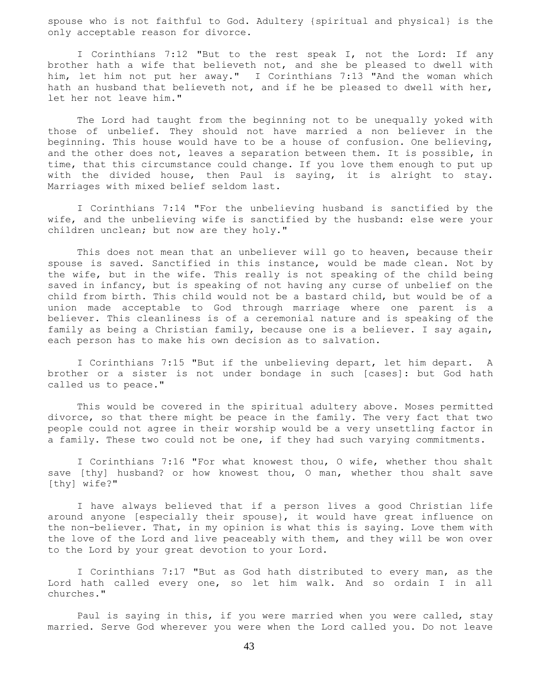spouse who is not faithful to God. Adultery {spiritual and physical} is the only acceptable reason for divorce.

 I Corinthians 7:12 "But to the rest speak I, not the Lord: If any brother hath a wife that believeth not, and she be pleased to dwell with him, let him not put her away." I Corinthians 7:13 "And the woman which hath an husband that believeth not, and if he be pleased to dwell with her, let her not leave him."

 The Lord had taught from the beginning not to be unequally yoked with those of unbelief. They should not have married a non believer in the beginning. This house would have to be a house of confusion. One believing, and the other does not, leaves a separation between them. It is possible, in time, that this circumstance could change. If you love them enough to put up with the divided house, then Paul is saying, it is alright to stay. Marriages with mixed belief seldom last.

 I Corinthians 7:14 "For the unbelieving husband is sanctified by the wife, and the unbelieving wife is sanctified by the husband: else were your children unclean; but now are they holy."

 This does not mean that an unbeliever will go to heaven, because their spouse is saved. Sanctified in this instance, would be made clean. Not by the wife, but in the wife. This really is not speaking of the child being saved in infancy, but is speaking of not having any curse of unbelief on the child from birth. This child would not be a bastard child, but would be of a union made acceptable to God through marriage where one parent is a believer. This cleanliness is of a ceremonial nature and is speaking of the family as being a Christian family, because one is a believer. I say again, each person has to make his own decision as to salvation.

 I Corinthians 7:15 "But if the unbelieving depart, let him depart. A brother or a sister is not under bondage in such [cases]: but God hath called us to peace."

 This would be covered in the spiritual adultery above. Moses permitted divorce, so that there might be peace in the family. The very fact that two people could not agree in their worship would be a very unsettling factor in a family. These two could not be one, if they had such varying commitments.

 I Corinthians 7:16 "For what knowest thou, O wife, whether thou shalt save [thy] husband? or how knowest thou, O man, whether thou shalt save [thy] wife?"

 I have always believed that if a person lives a good Christian life around anyone [especially their spouse}, it would have great influence on the non-believer. That, in my opinion is what this is saying. Love them with the love of the Lord and live peaceably with them, and they will be won over to the Lord by your great devotion to your Lord.

 I Corinthians 7:17 "But as God hath distributed to every man, as the Lord hath called every one, so let him walk. And so ordain I in all churches."

 Paul is saying in this, if you were married when you were called, stay married. Serve God wherever you were when the Lord called you. Do not leave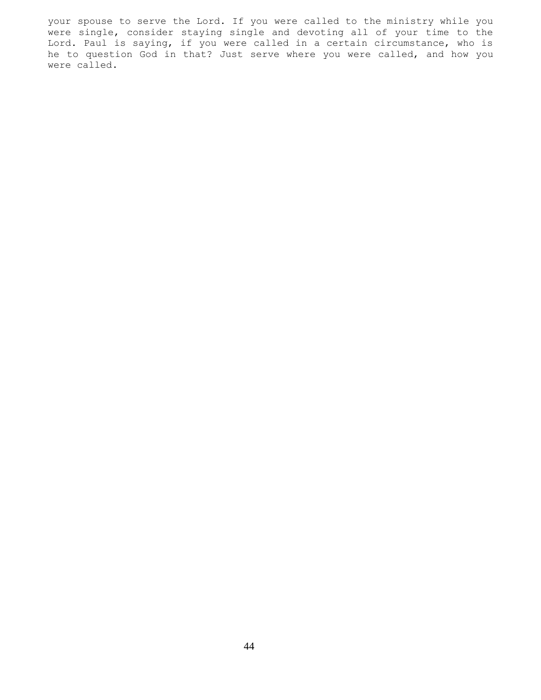your spouse to serve the Lord. If you were called to the ministry while you were single, consider staying single and devoting all of your time to the Lord. Paul is saying, if you were called in a certain circumstance, who is he to question God in that? Just serve where you were called, and how you were called.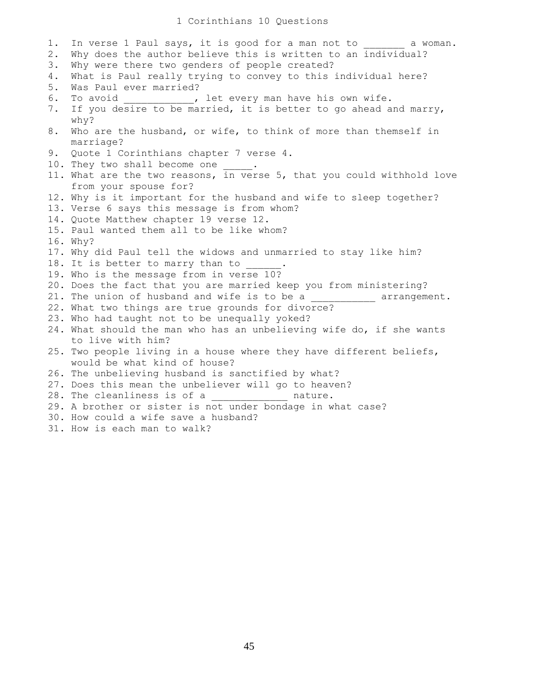## 1 Corinthians 10 Questions

1. In verse 1 Paul says, it is good for a man not to a woman. 2. Why does the author believe this is written to an individual? 3. Why were there two genders of people created? 4. What is Paul really trying to convey to this individual here? 5. Was Paul ever married? 6. To avoid \_\_\_\_\_\_\_\_\_\_\_, let every man have his own wife. 7. If you desire to be married, it is better to go ahead and marry, why? 8. Who are the husband, or wife, to think of more than themself in marriage? 9. Quote 1 Corinthians chapter 7 verse 4. 10. They two shall become one 11. What are the two reasons, in verse 5, that you could withhold love from your spouse for? 12. Why is it important for the husband and wife to sleep together? 13. Verse 6 says this message is from whom? 14. Quote Matthew chapter 19 verse 12. 15. Paul wanted them all to be like whom? 16. Why? 17. Why did Paul tell the widows and unmarried to stay like him? 18. It is better to marry than to 19. Who is the message from in verse 10? 20. Does the fact that you are married keep you from ministering? 21. The union of husband and wife is to be a \_\_\_\_\_\_\_\_\_\_\_ arrangement. 22. What two things are true grounds for divorce? 23. Who had taught not to be unequally yoked? 24. What should the man who has an unbelieving wife do, if she wants to live with him? 25. Two people living in a house where they have different beliefs, would be what kind of house? 26. The unbelieving husband is sanctified by what? 27. Does this mean the unbeliever will go to heaven? 28. The cleanliness is of a \_\_\_\_\_\_\_\_\_\_\_\_\_ nature. 29. A brother or sister is not under bondage in what case? 30. How could a wife save a husband? 31. How is each man to walk?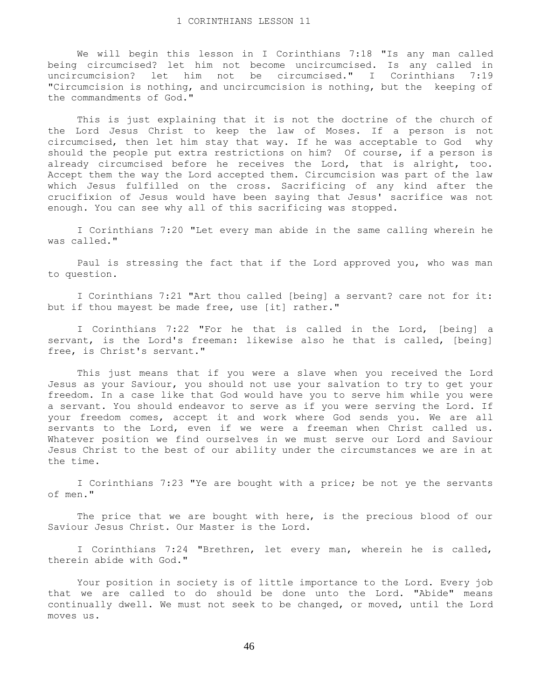We will begin this lesson in I Corinthians 7:18 "Is any man called being circumcised? let him not become uncircumcised. Is any called in uncircumcision? let him not be circumcised." I Corinthians 7:19 "Circumcision is nothing, and uncircumcision is nothing, but the keeping of the commandments of God."

 This is just explaining that it is not the doctrine of the church of the Lord Jesus Christ to keep the law of Moses. If a person is not circumcised, then let him stay that way. If he was acceptable to God why should the people put extra restrictions on him? Of course, if a person is already circumcised before he receives the Lord, that is alright, too. Accept them the way the Lord accepted them. Circumcision was part of the law which Jesus fulfilled on the cross. Sacrificing of any kind after the crucifixion of Jesus would have been saying that Jesus' sacrifice was not enough. You can see why all of this sacrificing was stopped.

 I Corinthians 7:20 "Let every man abide in the same calling wherein he was called."

 Paul is stressing the fact that if the Lord approved you, who was man to question.

 I Corinthians 7:21 "Art thou called [being] a servant? care not for it: but if thou mayest be made free, use [it] rather."

 I Corinthians 7:22 "For he that is called in the Lord, [being] a servant, is the Lord's freeman: likewise also he that is called, [being] free, is Christ's servant."

 This just means that if you were a slave when you received the Lord Jesus as your Saviour, you should not use your salvation to try to get your freedom. In a case like that God would have you to serve him while you were a servant. You should endeavor to serve as if you were serving the Lord. If your freedom comes, accept it and work where God sends you. We are all servants to the Lord, even if we were a freeman when Christ called us. Whatever position we find ourselves in we must serve our Lord and Saviour Jesus Christ to the best of our ability under the circumstances we are in at the time.

 I Corinthians 7:23 "Ye are bought with a price; be not ye the servants of men."

The price that we are bought with here, is the precious blood of our Saviour Jesus Christ. Our Master is the Lord.

 I Corinthians 7:24 "Brethren, let every man, wherein he is called, therein abide with God."

 Your position in society is of little importance to the Lord. Every job that we are called to do should be done unto the Lord. "Abide" means continually dwell. We must not seek to be changed, or moved, until the Lord moves us.

46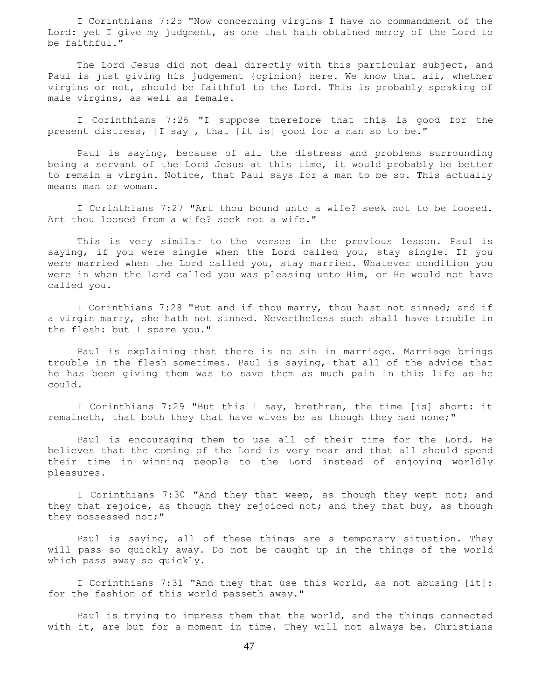I Corinthians 7:25 "Now concerning virgins I have no commandment of the Lord: yet I give my judgment, as one that hath obtained mercy of the Lord to be faithful."

 The Lord Jesus did not deal directly with this particular subject, and Paul is just giving his judgement {opinion} here. We know that all, whether virgins or not, should be faithful to the Lord. This is probably speaking of male virgins, as well as female.

 I Corinthians 7:26 "I suppose therefore that this is good for the present distress, [I say], that [it is] good for a man so to be."

 Paul is saying, because of all the distress and problems surrounding being a servant of the Lord Jesus at this time, it would probably be better to remain a virgin. Notice, that Paul says for a man to be so. This actually means man or woman.

 I Corinthians 7:27 "Art thou bound unto a wife? seek not to be loosed. Art thou loosed from a wife? seek not a wife."

 This is very similar to the verses in the previous lesson. Paul is saying, if you were single when the Lord called you, stay single. If you were married when the Lord called you, stay married. Whatever condition you were in when the Lord called you was pleasing unto Him, or He would not have called you.

 I Corinthians 7:28 "But and if thou marry, thou hast not sinned; and if a virgin marry, she hath not sinned. Nevertheless such shall have trouble in the flesh: but I spare you."

 Paul is explaining that there is no sin in marriage. Marriage brings trouble in the flesh sometimes. Paul is saying, that all of the advice that he has been giving them was to save them as much pain in this life as he could.

 I Corinthians 7:29 "But this I say, brethren, the time [is] short: it remaineth, that both they that have wives be as though they had none;"

 Paul is encouraging them to use all of their time for the Lord. He believes that the coming of the Lord is very near and that all should spend their time in winning people to the Lord instead of enjoying worldly pleasures.

I Corinthians 7:30 "And they that weep, as though they wept not; and they that rejoice, as though they rejoiced not; and they that buy, as though they possessed not;"

 Paul is saying, all of these things are a temporary situation. They will pass so quickly away. Do not be caught up in the things of the world which pass away so quickly.

 I Corinthians 7:31 "And they that use this world, as not abusing [it]: for the fashion of this world passeth away."

 Paul is trying to impress them that the world, and the things connected with it, are but for a moment in time. They will not always be. Christians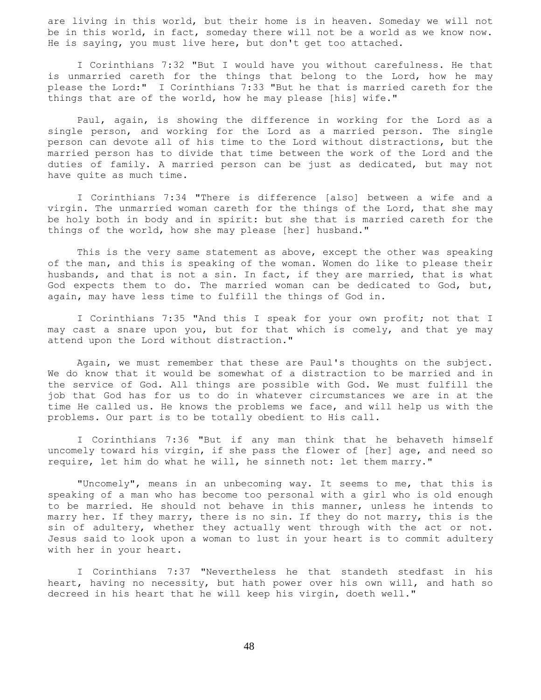are living in this world, but their home is in heaven. Someday we will not be in this world, in fact, someday there will not be a world as we know now. He is saying, you must live here, but don't get too attached.

 I Corinthians 7:32 "But I would have you without carefulness. He that is unmarried careth for the things that belong to the Lord, how he may please the Lord:" I Corinthians 7:33 "But he that is married careth for the things that are of the world, how he may please [his] wife."

 Paul, again, is showing the difference in working for the Lord as a single person, and working for the Lord as a married person. The single person can devote all of his time to the Lord without distractions, but the married person has to divide that time between the work of the Lord and the duties of family. A married person can be just as dedicated, but may not have quite as much time.

 I Corinthians 7:34 "There is difference [also] between a wife and a virgin. The unmarried woman careth for the things of the Lord, that she may be holy both in body and in spirit: but she that is married careth for the things of the world, how she may please [her] husband."

This is the very same statement as above, except the other was speaking of the man, and this is speaking of the woman. Women do like to please their husbands, and that is not a sin. In fact, if they are married, that is what God expects them to do. The married woman can be dedicated to God, but, again, may have less time to fulfill the things of God in.

 I Corinthians 7:35 "And this I speak for your own profit; not that I may cast a snare upon you, but for that which is comely, and that ye may attend upon the Lord without distraction."

 Again, we must remember that these are Paul's thoughts on the subject. We do know that it would be somewhat of a distraction to be married and in the service of God. All things are possible with God. We must fulfill the job that God has for us to do in whatever circumstances we are in at the time He called us. He knows the problems we face, and will help us with the problems. Our part is to be totally obedient to His call.

 I Corinthians 7:36 "But if any man think that he behaveth himself uncomely toward his virgin, if she pass the flower of [her] age, and need so require, let him do what he will, he sinneth not: let them marry."

 "Uncomely", means in an unbecoming way. It seems to me, that this is speaking of a man who has become too personal with a girl who is old enough to be married. He should not behave in this manner, unless he intends to marry her. If they marry, there is no sin. If they do not marry, this is the sin of adultery, whether they actually went through with the act or not. Jesus said to look upon a woman to lust in your heart is to commit adultery with her in your heart.

 I Corinthians 7:37 "Nevertheless he that standeth stedfast in his heart, having no necessity, but hath power over his own will, and hath so decreed in his heart that he will keep his virgin, doeth well."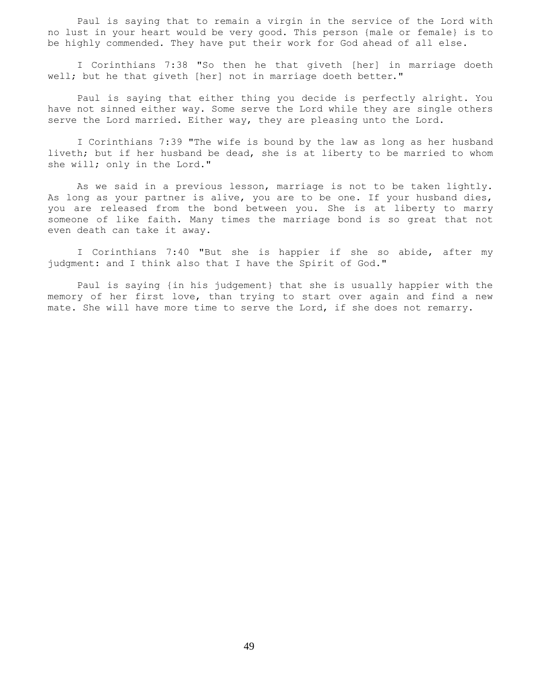Paul is saying that to remain a virgin in the service of the Lord with no lust in your heart would be very good. This person {male or female} is to be highly commended. They have put their work for God ahead of all else.

 I Corinthians 7:38 "So then he that giveth [her] in marriage doeth well; but he that giveth [her] not in marriage doeth better."

 Paul is saying that either thing you decide is perfectly alright. You have not sinned either way. Some serve the Lord while they are single others serve the Lord married. Either way, they are pleasing unto the Lord.

 I Corinthians 7:39 "The wife is bound by the law as long as her husband liveth; but if her husband be dead, she is at liberty to be married to whom she will; only in the Lord."

 As we said in a previous lesson, marriage is not to be taken lightly. As long as your partner is alive, you are to be one. If your husband dies, you are released from the bond between you. She is at liberty to marry someone of like faith. Many times the marriage bond is so great that not even death can take it away.

 I Corinthians 7:40 "But she is happier if she so abide, after my judgment: and I think also that I have the Spirit of God."

 Paul is saying {in his judgement} that she is usually happier with the memory of her first love, than trying to start over again and find a new mate. She will have more time to serve the Lord, if she does not remarry.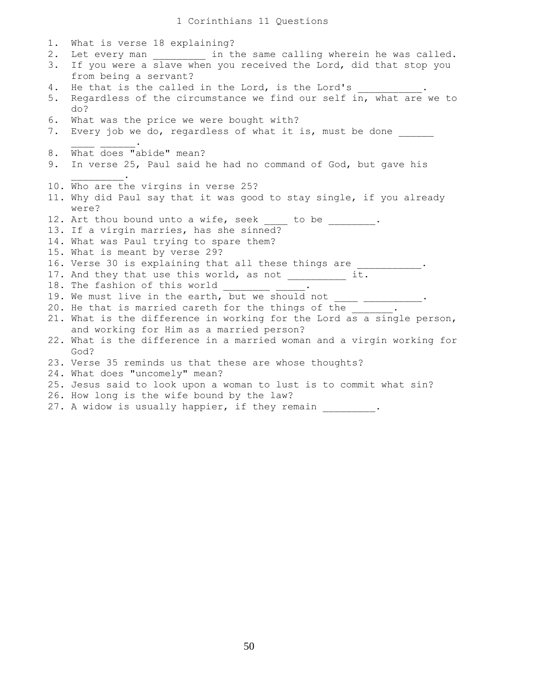| 1.          | What is verse 18 explaining?                                                                                                               |
|-------------|--------------------------------------------------------------------------------------------------------------------------------------------|
| $2$ .<br>3. | Let every man ____________ in the same calling wherein he was called.<br>If you were a slave when you received the Lord, did that stop you |
|             | from being a servant?                                                                                                                      |
| 4.          | He that is the called in the Lord, is the Lord's                                                                                           |
| 5.          | Regardless of the circumstance we find our self in, what are we to<br>do?                                                                  |
| 6.<br>7.    | What was the price we were bought with?<br>Every job we do, regardless of what it is, must be done                                         |
| 8.          | What does "abide" mean?                                                                                                                    |
| 9.          | In verse 25, Paul said he had no command of God, but gave his                                                                              |
|             | 10. Who are the virgins in verse 25?                                                                                                       |
|             | 11. Why did Paul say that it was good to stay single, if you already<br>were?                                                              |
|             | 12. Art thou bound unto a wife, seek to be                                                                                                 |
|             | 13. If a virgin marries, has she sinned?                                                                                                   |
|             | 14. What was Paul trying to spare them?                                                                                                    |
|             | 15. What is meant by verse 29?                                                                                                             |
|             | 16. Verse 30 is explaining that all these things are                                                                                       |
|             | 17. And they that use this world, as not __________<br>it.                                                                                 |
|             | 18. The fashion of this world                                                                                                              |
|             | 19. We must live in the earth, but we should not                                                                                           |
|             | 20. He that is married careth for the things of the                                                                                        |
|             | 21. What is the difference in working for the Lord as a single person,                                                                     |
|             | and working for Him as a married person?                                                                                                   |
|             | 22. What is the difference in a married woman and a virgin working for<br>God?                                                             |
|             | 23. Verse 35 reminds us that these are whose thoughts?                                                                                     |
|             | 24. What does "uncomely" mean?                                                                                                             |
|             | 25. Jesus said to look upon a woman to lust is to commit what sin?                                                                         |
|             | 26. How long is the wife bound by the law?                                                                                                 |
|             | 27. A widow is usually happier, if they remain                                                                                             |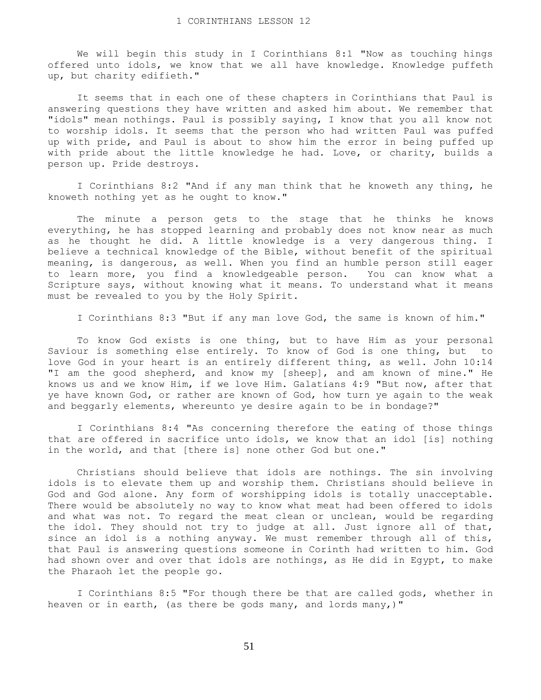We will begin this study in I Corinthians 8:1 "Now as touching hings offered unto idols, we know that we all have knowledge. Knowledge puffeth up, but charity edifieth."

 It seems that in each one of these chapters in Corinthians that Paul is answering questions they have written and asked him about. We remember that "idols" mean nothings. Paul is possibly saying, I know that you all know not to worship idols. It seems that the person who had written Paul was puffed up with pride, and Paul is about to show him the error in being puffed up with pride about the little knowledge he had. Love, or charity, builds a person up. Pride destroys.

 I Corinthians 8:2 "And if any man think that he knoweth any thing, he knoweth nothing yet as he ought to know."

 The minute a person gets to the stage that he thinks he knows everything, he has stopped learning and probably does not know near as much as he thought he did. A little knowledge is a very dangerous thing. I believe a technical knowledge of the Bible, without benefit of the spiritual meaning, is dangerous, as well. When you find an humble person still eager to learn more, you find a knowledgeable person. You can know what a Scripture says, without knowing what it means. To understand what it means must be revealed to you by the Holy Spirit.

I Corinthians 8:3 "But if any man love God, the same is known of him."

 To know God exists is one thing, but to have Him as your personal Saviour is something else entirely. To know of God is one thing, but to love God in your heart is an entirely different thing, as well. John 10:14 "I am the good shepherd, and know my [sheep], and am known of mine." He knows us and we know Him, if we love Him. Galatians 4:9 "But now, after that ye have known God, or rather are known of God, how turn ye again to the weak and beggarly elements, whereunto ye desire again to be in bondage?"

 I Corinthians 8:4 "As concerning therefore the eating of those things that are offered in sacrifice unto idols, we know that an idol [is] nothing in the world, and that [there is] none other God but one."

 Christians should believe that idols are nothings. The sin involving idols is to elevate them up and worship them. Christians should believe in God and God alone. Any form of worshipping idols is totally unacceptable. There would be absolutely no way to know what meat had been offered to idols and what was not. To regard the meat clean or unclean, would be regarding the idol. They should not try to judge at all. Just ignore all of that, since an idol is a nothing anyway. We must remember through all of this, that Paul is answering questions someone in Corinth had written to him. God had shown over and over that idols are nothings, as He did in Egypt, to make the Pharaoh let the people go.

 I Corinthians 8:5 "For though there be that are called gods, whether in heaven or in earth, (as there be gods many, and lords many,)"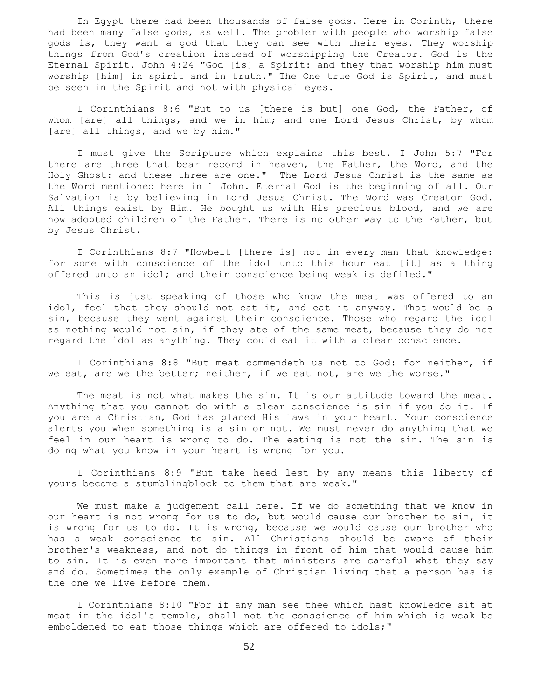In Egypt there had been thousands of false gods. Here in Corinth, there had been many false gods, as well. The problem with people who worship false gods is, they want a god that they can see with their eyes. They worship things from God's creation instead of worshipping the Creator. God is the Eternal Spirit. John 4:24 "God [is] a Spirit: and they that worship him must worship [him] in spirit and in truth." The One true God is Spirit, and must be seen in the Spirit and not with physical eyes.

 I Corinthians 8:6 "But to us [there is but] one God, the Father, of whom [are] all things, and we in him; and one Lord Jesus Christ, by whom [are] all things, and we by him."

 I must give the Scripture which explains this best. I John 5:7 "For there are three that bear record in heaven, the Father, the Word, and the Holy Ghost: and these three are one." The Lord Jesus Christ is the same as the Word mentioned here in 1 John. Eternal God is the beginning of all. Our Salvation is by believing in Lord Jesus Christ. The Word was Creator God. All things exist by Him. He bought us with His precious blood, and we are now adopted children of the Father. There is no other way to the Father, but by Jesus Christ.

 I Corinthians 8:7 "Howbeit [there is] not in every man that knowledge: for some with conscience of the idol unto this hour eat [it] as a thing offered unto an idol; and their conscience being weak is defiled."

 This is just speaking of those who know the meat was offered to an idol, feel that they should not eat it, and eat it anyway. That would be a sin, because they went against their conscience. Those who regard the idol as nothing would not sin, if they ate of the same meat, because they do not regard the idol as anything. They could eat it with a clear conscience.

 I Corinthians 8:8 "But meat commendeth us not to God: for neither, if we eat, are we the better; neither, if we eat not, are we the worse."

 The meat is not what makes the sin. It is our attitude toward the meat. Anything that you cannot do with a clear conscience is sin if you do it. If you are a Christian, God has placed His laws in your heart. Your conscience alerts you when something is a sin or not. We must never do anything that we feel in our heart is wrong to do. The eating is not the sin. The sin is doing what you know in your heart is wrong for you.

 I Corinthians 8:9 "But take heed lest by any means this liberty of yours become a stumblingblock to them that are weak."

 We must make a judgement call here. If we do something that we know in our heart is not wrong for us to do, but would cause our brother to sin, it is wrong for us to do. It is wrong, because we would cause our brother who has a weak conscience to sin. All Christians should be aware of their brother's weakness, and not do things in front of him that would cause him to sin. It is even more important that ministers are careful what they say and do. Sometimes the only example of Christian living that a person has is the one we live before them.

 I Corinthians 8:10 "For if any man see thee which hast knowledge sit at meat in the idol's temple, shall not the conscience of him which is weak be emboldened to eat those things which are offered to idols;"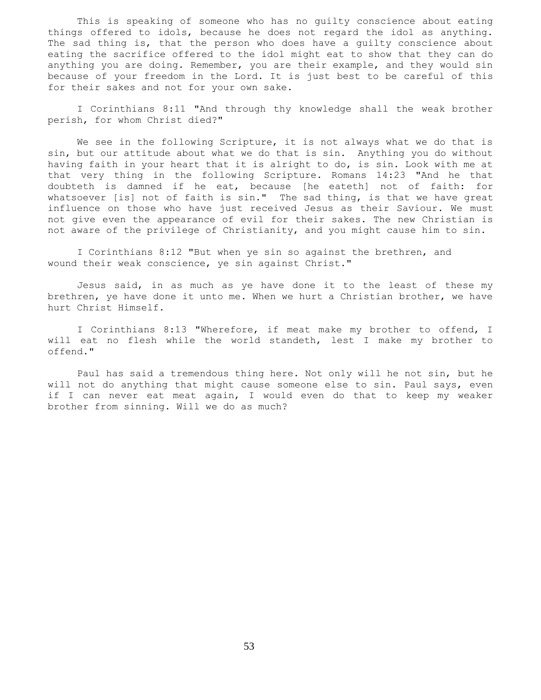This is speaking of someone who has no guilty conscience about eating things offered to idols, because he does not regard the idol as anything. The sad thing is, that the person who does have a guilty conscience about eating the sacrifice offered to the idol might eat to show that they can do anything you are doing. Remember, you are their example, and they would sin because of your freedom in the Lord. It is just best to be careful of this for their sakes and not for your own sake.

 I Corinthians 8:11 "And through thy knowledge shall the weak brother perish, for whom Christ died?"

We see in the following Scripture, it is not always what we do that is sin, but our attitude about what we do that is sin. Anything you do without having faith in your heart that it is alright to do, is sin. Look with me at that very thing in the following Scripture. Romans 14:23 "And he that doubteth is damned if he eat, because [he eateth] not of faith: for whatsoever [is] not of faith is sin." The sad thing, is that we have great influence on those who have just received Jesus as their Saviour. We must not give even the appearance of evil for their sakes. The new Christian is not aware of the privilege of Christianity, and you might cause him to sin.

 I Corinthians 8:12 "But when ye sin so against the brethren, and wound their weak conscience, ye sin against Christ."

 Jesus said, in as much as ye have done it to the least of these my brethren, ye have done it unto me. When we hurt a Christian brother, we have hurt Christ Himself.

 I Corinthians 8:13 "Wherefore, if meat make my brother to offend, I will eat no flesh while the world standeth, lest I make my brother to offend."

 Paul has said a tremendous thing here. Not only will he not sin, but he will not do anything that might cause someone else to sin. Paul says, even if I can never eat meat again, I would even do that to keep my weaker brother from sinning. Will we do as much?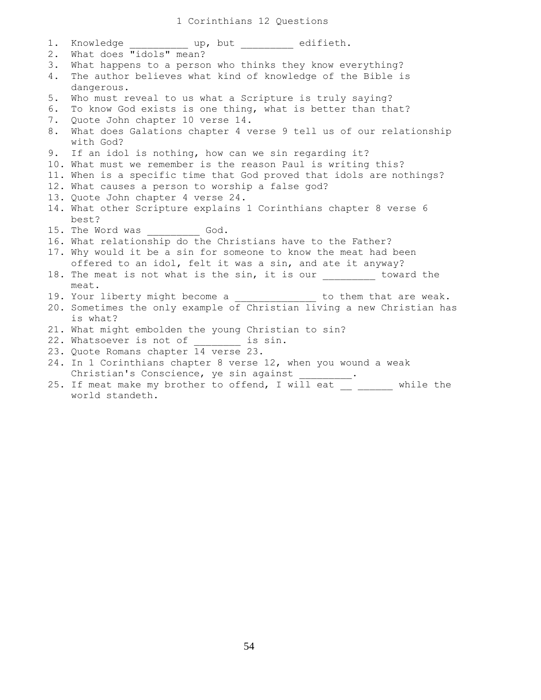## 1 Corinthians 12 Questions

| $1$ . |                                                                        |
|-------|------------------------------------------------------------------------|
| 2.    | What does "idols" mean?                                                |
| 3.    | What happens to a person who thinks they know everything?              |
| 4.    | The author believes what kind of knowledge of the Bible is             |
|       | dangerous.                                                             |
| 5.    | Who must reveal to us what a Scripture is truly saying?                |
| 6.    | To know God exists is one thing, what is better than that?             |
| 7.    | Quote John chapter 10 verse 14.                                        |
| 8.    | What does Galations chapter 4 verse 9 tell us of our relationship      |
|       | with God?                                                              |
|       | 9. If an idol is nothing, how can we sin regarding it?                 |
|       | 10. What must we remember is the reason Paul is writing this?          |
|       | 11. When is a specific time that God proved that idols are nothings?   |
|       | 12. What causes a person to worship a false god?                       |
|       | 13. Quote John chapter 4 verse 24.                                     |
|       | 14. What other Scripture explains 1 Corinthians chapter 8 verse 6      |
|       | best?                                                                  |
|       | 15. The Word was ____________ God.                                     |
|       | 16. What relationship do the Christians have to the Father?            |
|       | 17. Why would it be a sin for someone to know the meat had been        |
|       | offered to an idol, felt it was a sin, and ate it anyway?              |
|       | 18. The meat is not what is the sin, it is our _________ toward the    |
|       | meat.                                                                  |
|       | 19. Your liberty might become a ______________ to them that are weak.  |
|       | 20. Sometimes the only example of Christian living a new Christian has |
|       | is what?                                                               |
|       | 21. What might embolden the young Christian to sin?                    |
|       | 22. Whatsoever is not of is sin.                                       |
|       | 23. Quote Romans chapter 14 verse 23.                                  |
|       | 24. In 1 Corinthians chapter 8 verse 12, when you wound a weak         |
|       | Christian's Conscience, ye sin against ________.                       |
|       | 25. If meat make my brother to offend, I will eat __ _____ while the   |
|       | world standeth.                                                        |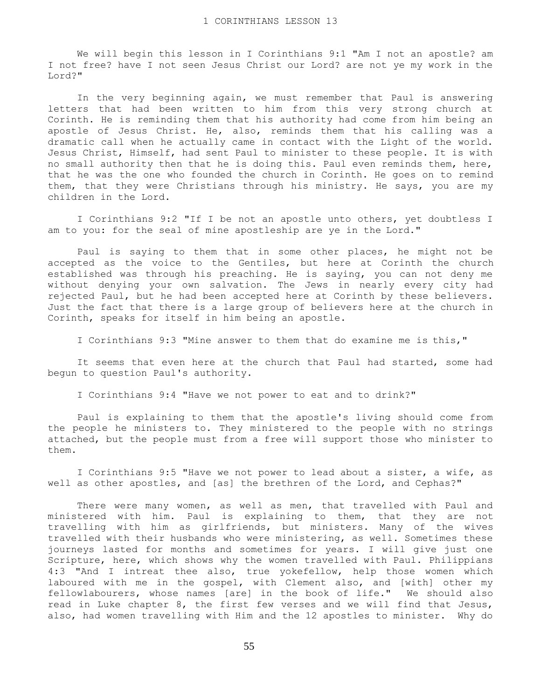We will begin this lesson in I Corinthians 9:1 "Am I not an apostle? am I not free? have I not seen Jesus Christ our Lord? are not ye my work in the Lord?"

 In the very beginning again, we must remember that Paul is answering letters that had been written to him from this very strong church at Corinth. He is reminding them that his authority had come from him being an apostle of Jesus Christ. He, also, reminds them that his calling was a dramatic call when he actually came in contact with the Light of the world. Jesus Christ, Himself, had sent Paul to minister to these people. It is with no small authority then that he is doing this. Paul even reminds them, here, that he was the one who founded the church in Corinth. He goes on to remind them, that they were Christians through his ministry. He says, you are my children in the Lord.

 I Corinthians 9:2 "If I be not an apostle unto others, yet doubtless I am to you: for the seal of mine apostleship are ye in the Lord."

 Paul is saying to them that in some other places, he might not be accepted as the voice to the Gentiles, but here at Corinth the church established was through his preaching. He is saying, you can not deny me without denying your own salvation. The Jews in nearly every city had rejected Paul, but he had been accepted here at Corinth by these believers. Just the fact that there is a large group of believers here at the church in Corinth, speaks for itself in him being an apostle.

I Corinthians 9:3 "Mine answer to them that do examine me is this,"

 It seems that even here at the church that Paul had started, some had begun to question Paul's authority.

I Corinthians 9:4 "Have we not power to eat and to drink?"

 Paul is explaining to them that the apostle's living should come from the people he ministers to. They ministered to the people with no strings attached, but the people must from a free will support those who minister to them.

 I Corinthians 9:5 "Have we not power to lead about a sister, a wife, as well as other apostles, and [as] the brethren of the Lord, and Cephas?"

 There were many women, as well as men, that travelled with Paul and ministered with him. Paul is explaining to them, that they are not travelling with him as girlfriends, but ministers. Many of the wives travelled with their husbands who were ministering, as well. Sometimes these journeys lasted for months and sometimes for years. I will give just one Scripture, here, which shows why the women travelled with Paul. Philippians 4:3 "And I intreat thee also, true yokefellow, help those women which laboured with me in the gospel, with Clement also, and [with] other my fellowlabourers, whose names [are] in the book of life." We should also read in Luke chapter 8, the first few verses and we will find that Jesus, also, had women travelling with Him and the 12 apostles to minister. Why do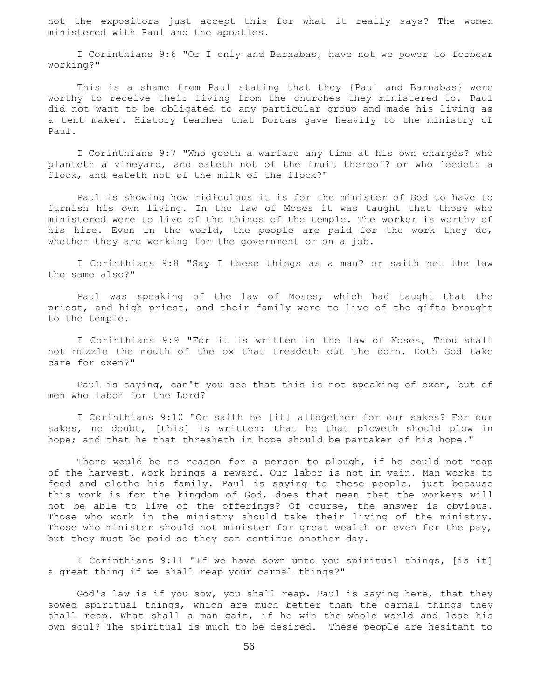not the expositors just accept this for what it really says? The women ministered with Paul and the apostles.

 I Corinthians 9:6 "Or I only and Barnabas, have not we power to forbear working?"

 This is a shame from Paul stating that they {Paul and Barnabas} were worthy to receive their living from the churches they ministered to. Paul did not want to be obligated to any particular group and made his living as a tent maker. History teaches that Dorcas gave heavily to the ministry of Paul.

 I Corinthians 9:7 "Who goeth a warfare any time at his own charges? who planteth a vineyard, and eateth not of the fruit thereof? or who feedeth a flock, and eateth not of the milk of the flock?"

 Paul is showing how ridiculous it is for the minister of God to have to furnish his own living. In the law of Moses it was taught that those who ministered were to live of the things of the temple. The worker is worthy of his hire. Even in the world, the people are paid for the work they do, whether they are working for the government or on a job.

 I Corinthians 9:8 "Say I these things as a man? or saith not the law the same also?"

 Paul was speaking of the law of Moses, which had taught that the priest, and high priest, and their family were to live of the gifts brought to the temple.

 I Corinthians 9:9 "For it is written in the law of Moses, Thou shalt not muzzle the mouth of the ox that treadeth out the corn. Doth God take care for oxen?"

 Paul is saying, can't you see that this is not speaking of oxen, but of men who labor for the Lord?

 I Corinthians 9:10 "Or saith he [it] altogether for our sakes? For our sakes, no doubt, [this] is written: that he that ploweth should plow in hope; and that he that thresheth in hope should be partaker of his hope."

There would be no reason for a person to plough, if he could not reap of the harvest. Work brings a reward. Our labor is not in vain. Man works to feed and clothe his family. Paul is saying to these people, just because this work is for the kingdom of God, does that mean that the workers will not be able to live of the offerings? Of course, the answer is obvious. Those who work in the ministry should take their living of the ministry. Those who minister should not minister for great wealth or even for the pay, but they must be paid so they can continue another day.

 I Corinthians 9:11 "If we have sown unto you spiritual things, [is it] a great thing if we shall reap your carnal things?"

 God's law is if you sow, you shall reap. Paul is saying here, that they sowed spiritual things, which are much better than the carnal things they shall reap. What shall a man gain, if he win the whole world and lose his own soul? The spiritual is much to be desired. These people are hesitant to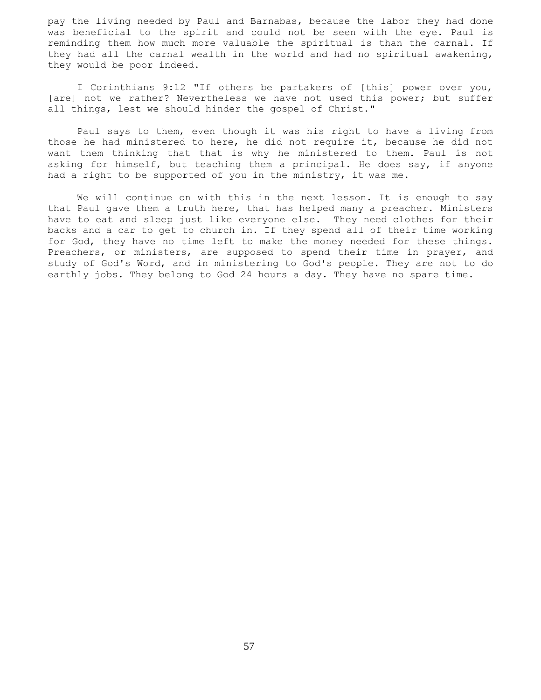pay the living needed by Paul and Barnabas, because the labor they had done was beneficial to the spirit and could not be seen with the eye. Paul is reminding them how much more valuable the spiritual is than the carnal. If they had all the carnal wealth in the world and had no spiritual awakening, they would be poor indeed.

 I Corinthians 9:12 "If others be partakers of [this] power over you, [are] not we rather? Nevertheless we have not used this power; but suffer all things, lest we should hinder the gospel of Christ."

 Paul says to them, even though it was his right to have a living from those he had ministered to here, he did not require it, because he did not want them thinking that that is why he ministered to them. Paul is not asking for himself, but teaching them a principal. He does say, if anyone had a right to be supported of you in the ministry, it was me.

 We will continue on with this in the next lesson. It is enough to say that Paul gave them a truth here, that has helped many a preacher. Ministers have to eat and sleep just like everyone else. They need clothes for their backs and a car to get to church in. If they spend all of their time working for God, they have no time left to make the money needed for these things. Preachers, or ministers, are supposed to spend their time in prayer, and study of God's Word, and in ministering to God's people. They are not to do earthly jobs. They belong to God 24 hours a day. They have no spare time.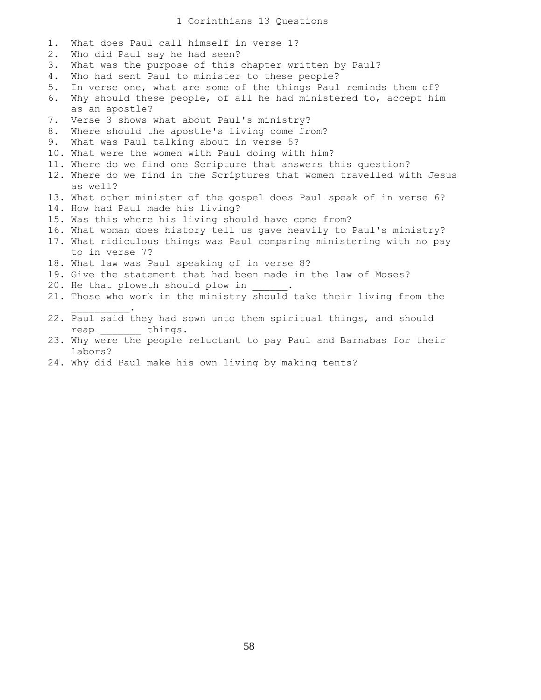1 Corinthians 13 Questions

- 1. What does Paul call himself in verse 1?
- 2. Who did Paul say he had seen?
- 3. What was the purpose of this chapter written by Paul?
- 4. Who had sent Paul to minister to these people?
- 5. In verse one, what are some of the things Paul reminds them of?
- 6. Why should these people, of all he had ministered to, accept him as an apostle?
- 7. Verse 3 shows what about Paul's ministry?
- 8. Where should the apostle's living come from?
- 9. What was Paul talking about in verse 5?
- 10. What were the women with Paul doing with him?
- 11. Where do we find one Scripture that answers this question?
- 12. Where do we find in the Scriptures that women travelled with Jesus as well?
- 13. What other minister of the gospel does Paul speak of in verse 6?
- 14. How had Paul made his living?
- 15. Was this where his living should have come from?
- 16. What woman does history tell us gave heavily to Paul's ministry?
- 17. What ridiculous things was Paul comparing ministering with no pay to in verse 7?
- 18. What law was Paul speaking of in verse 8?
- 19. Give the statement that had been made in the law of Moses?
- 20. He that ploweth should plow in

 $\overline{\phantom{a}}$  ,  $\overline{\phantom{a}}$  ,  $\overline{\phantom{a}}$  ,  $\overline{\phantom{a}}$  ,  $\overline{\phantom{a}}$ 

- 21. Those who work in the ministry should take their living from the
- 22. Paul said they had sown unto them spiritual things, and should reap things.
- 23. Why were the people reluctant to pay Paul and Barnabas for their labors?
- 24. Why did Paul make his own living by making tents?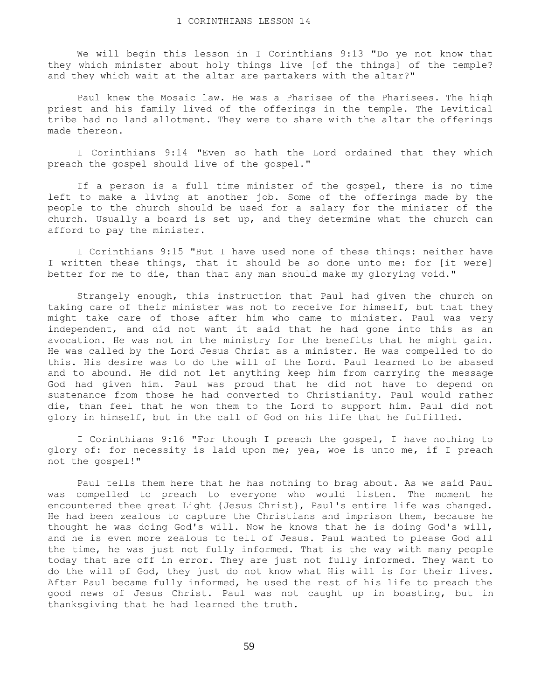We will begin this lesson in I Corinthians 9:13 "Do ye not know that they which minister about holy things live [of the things] of the temple? and they which wait at the altar are partakers with the altar?"

 Paul knew the Mosaic law. He was a Pharisee of the Pharisees. The high priest and his family lived of the offerings in the temple. The Levitical tribe had no land allotment. They were to share with the altar the offerings made thereon.

 I Corinthians 9:14 "Even so hath the Lord ordained that they which preach the gospel should live of the gospel."

 If a person is a full time minister of the gospel, there is no time left to make a living at another job. Some of the offerings made by the people to the church should be used for a salary for the minister of the church. Usually a board is set up, and they determine what the church can afford to pay the minister.

 I Corinthians 9:15 "But I have used none of these things: neither have I written these things, that it should be so done unto me: for [it were] better for me to die, than that any man should make my glorying void."

 Strangely enough, this instruction that Paul had given the church on taking care of their minister was not to receive for himself, but that they might take care of those after him who came to minister. Paul was very independent, and did not want it said that he had gone into this as an avocation. He was not in the ministry for the benefits that he might gain. He was called by the Lord Jesus Christ as a minister. He was compelled to do this. His desire was to do the will of the Lord. Paul learned to be abased and to abound. He did not let anything keep him from carrying the message God had given him. Paul was proud that he did not have to depend on sustenance from those he had converted to Christianity. Paul would rather die, than feel that he won them to the Lord to support him. Paul did not glory in himself, but in the call of God on his life that he fulfilled.

 I Corinthians 9:16 "For though I preach the gospel, I have nothing to glory of: for necessity is laid upon me; yea, woe is unto me, if I preach not the gospel!"

 Paul tells them here that he has nothing to brag about. As we said Paul was compelled to preach to everyone who would listen. The moment he encountered thee great Light {Jesus Christ}, Paul's entire life was changed. He had been zealous to capture the Christians and imprison them, because he thought he was doing God's will. Now he knows that he is doing God's will, and he is even more zealous to tell of Jesus. Paul wanted to please God all the time, he was just not fully informed. That is the way with many people today that are off in error. They are just not fully informed. They want to do the will of God, they just do not know what His will is for their lives. After Paul became fully informed, he used the rest of his life to preach the good news of Jesus Christ. Paul was not caught up in boasting, but in thanksgiving that he had learned the truth.

59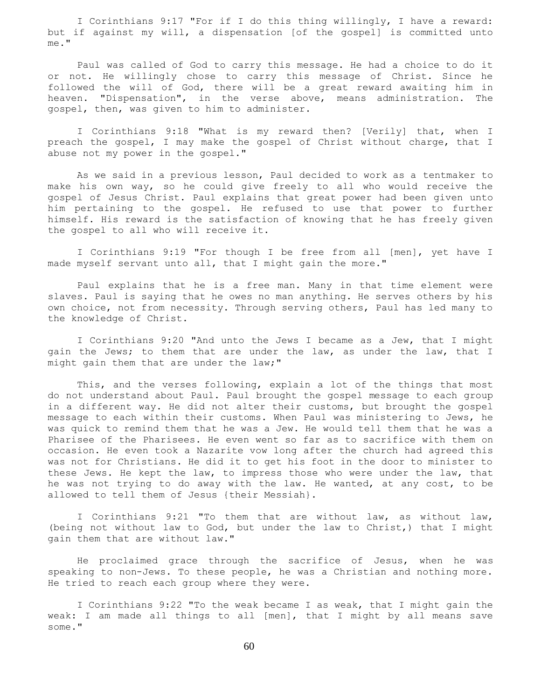I Corinthians 9:17 "For if I do this thing willingly, I have a reward: but if against my will, a dispensation [of the gospel] is committed unto me."

 Paul was called of God to carry this message. He had a choice to do it or not. He willingly chose to carry this message of Christ. Since he followed the will of God, there will be a great reward awaiting him in heaven. "Dispensation", in the verse above, means administration. The gospel, then, was given to him to administer.

 I Corinthians 9:18 "What is my reward then? [Verily] that, when I preach the gospel, I may make the gospel of Christ without charge, that I abuse not my power in the gospel."

 As we said in a previous lesson, Paul decided to work as a tentmaker to make his own way, so he could give freely to all who would receive the gospel of Jesus Christ. Paul explains that great power had been given unto him pertaining to the gospel. He refused to use that power to further himself. His reward is the satisfaction of knowing that he has freely given the gospel to all who will receive it.

 I Corinthians 9:19 "For though I be free from all [men], yet have I made myself servant unto all, that I might gain the more."

 Paul explains that he is a free man. Many in that time element were slaves. Paul is saying that he owes no man anything. He serves others by his own choice, not from necessity. Through serving others, Paul has led many to the knowledge of Christ.

 I Corinthians 9:20 "And unto the Jews I became as a Jew, that I might gain the Jews; to them that are under the law, as under the law, that I might gain them that are under the law;"

 This, and the verses following, explain a lot of the things that most do not understand about Paul. Paul brought the gospel message to each group in a different way. He did not alter their customs, but brought the gospel message to each within their customs. When Paul was ministering to Jews, he was quick to remind them that he was a Jew. He would tell them that he was a Pharisee of the Pharisees. He even went so far as to sacrifice with them on occasion. He even took a Nazarite vow long after the church had agreed this was not for Christians. He did it to get his foot in the door to minister to these Jews. He kept the law, to impress those who were under the law, that he was not trying to do away with the law. He wanted, at any cost, to be allowed to tell them of Jesus {their Messiah}.

 I Corinthians 9:21 "To them that are without law, as without law, (being not without law to God, but under the law to Christ,) that I might gain them that are without law."

 He proclaimed grace through the sacrifice of Jesus, when he was speaking to non-Jews. To these people, he was a Christian and nothing more. He tried to reach each group where they were.

 I Corinthians 9:22 "To the weak became I as weak, that I might gain the weak: I am made all things to all [men], that I might by all means save some."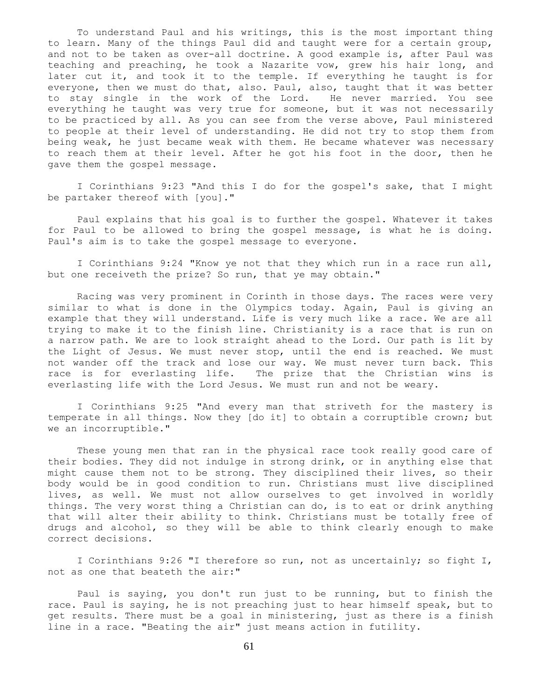To understand Paul and his writings, this is the most important thing to learn. Many of the things Paul did and taught were for a certain group, and not to be taken as over-all doctrine. A good example is, after Paul was teaching and preaching, he took a Nazarite vow, grew his hair long, and later cut it, and took it to the temple. If everything he taught is for everyone, then we must do that, also. Paul, also, taught that it was better to stay single in the work of the Lord. He never married. You see everything he taught was very true for someone, but it was not necessarily to be practiced by all. As you can see from the verse above, Paul ministered to people at their level of understanding. He did not try to stop them from being weak, he just became weak with them. He became whatever was necessary to reach them at their level. After he got his foot in the door, then he gave them the gospel message.

 I Corinthians 9:23 "And this I do for the gospel's sake, that I might be partaker thereof with [you]."

 Paul explains that his goal is to further the gospel. Whatever it takes for Paul to be allowed to bring the gospel message, is what he is doing. Paul's aim is to take the gospel message to everyone.

 I Corinthians 9:24 "Know ye not that they which run in a race run all, but one receiveth the prize? So run, that ye may obtain."

 Racing was very prominent in Corinth in those days. The races were very similar to what is done in the Olympics today. Again, Paul is giving an example that they will understand. Life is very much like a race. We are all trying to make it to the finish line. Christianity is a race that is run on a narrow path. We are to look straight ahead to the Lord. Our path is lit by the Light of Jesus. We must never stop, until the end is reached. We must not wander off the track and lose our way. We must never turn back. This race is for everlasting life. The prize that the Christian wins is everlasting life with the Lord Jesus. We must run and not be weary.

 I Corinthians 9:25 "And every man that striveth for the mastery is temperate in all things. Now they [do it] to obtain a corruptible crown; but we an incorruptible."

 These young men that ran in the physical race took really good care of their bodies. They did not indulge in strong drink, or in anything else that might cause them not to be strong. They disciplined their lives, so their body would be in good condition to run. Christians must live disciplined lives, as well. We must not allow ourselves to get involved in worldly things. The very worst thing a Christian can do, is to eat or drink anything that will alter their ability to think. Christians must be totally free of drugs and alcohol, so they will be able to think clearly enough to make correct decisions.

 I Corinthians 9:26 "I therefore so run, not as uncertainly; so fight I, not as one that beateth the air:"

 Paul is saying, you don't run just to be running, but to finish the race. Paul is saying, he is not preaching just to hear himself speak, but to get results. There must be a goal in ministering, just as there is a finish line in a race. "Beating the air" just means action in futility.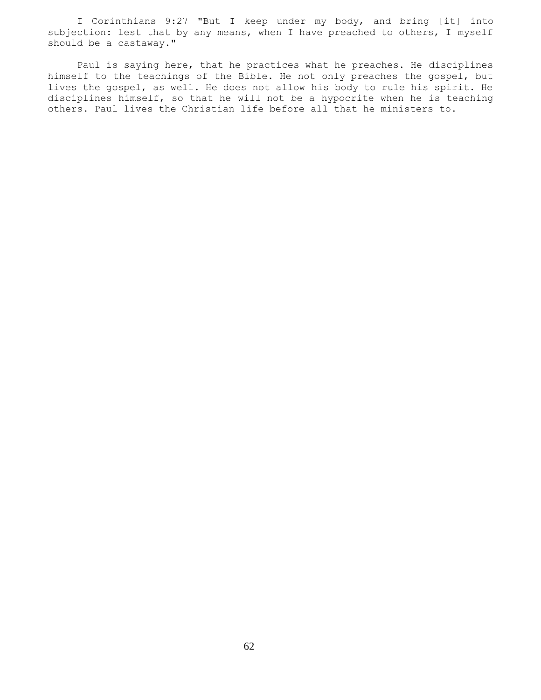I Corinthians 9:27 "But I keep under my body, and bring [it] into subjection: lest that by any means, when I have preached to others, I myself should be a castaway."

 Paul is saying here, that he practices what he preaches. He disciplines himself to the teachings of the Bible. He not only preaches the gospel, but lives the gospel, as well. He does not allow his body to rule his spirit. He disciplines himself, so that he will not be a hypocrite when he is teaching others. Paul lives the Christian life before all that he ministers to.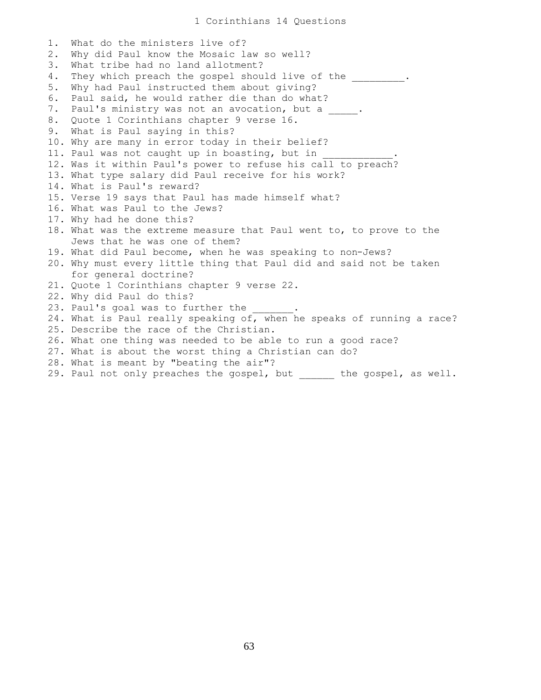1. What do the ministers live of? 2. Why did Paul know the Mosaic law so well? 3. What tribe had no land allotment? 4. They which preach the gospel should live of the  $\qquad \qquad$ . 5. Why had Paul instructed them about giving? 6. Paul said, he would rather die than do what? 7. Paul's ministry was not an avocation, but a \_\_\_\_\_. 8. Quote 1 Corinthians chapter 9 verse 16. 9. What is Paul saying in this? 10. Why are many in error today in their belief? 11. Paul was not caught up in boasting, but in 12. Was it within Paul's power to refuse his call to preach? 13. What type salary did Paul receive for his work? 14. What is Paul's reward? 15. Verse 19 says that Paul has made himself what? 16. What was Paul to the Jews? 17. Why had he done this? 18. What was the extreme measure that Paul went to, to prove to the Jews that he was one of them? 19. What did Paul become, when he was speaking to non-Jews? 20. Why must every little thing that Paul did and said not be taken for general doctrine? 21. Quote 1 Corinthians chapter 9 verse 22. 22. Why did Paul do this? 23. Paul's goal was to further the 24. What is Paul really speaking of, when he speaks of running a race? 25. Describe the race of the Christian. 26. What one thing was needed to be able to run a good race? 27. What is about the worst thing a Christian can do? 28. What is meant by "beating the air"?

29. Paul not only preaches the gospel, but \_\_\_\_\_\_ the gospel, as well.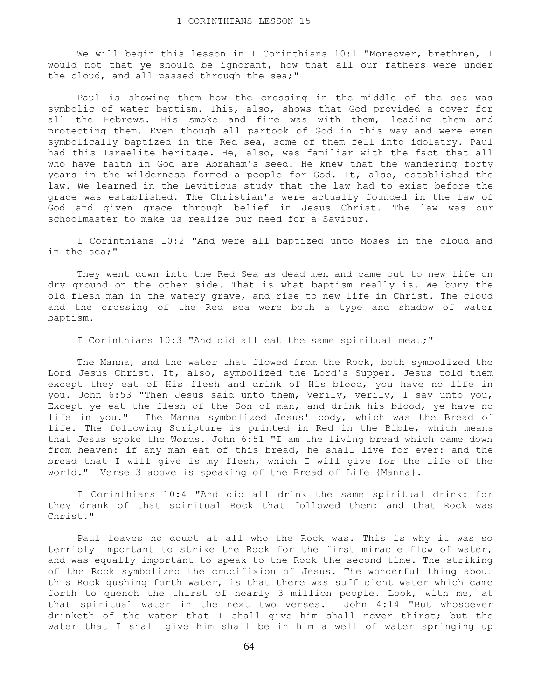We will begin this lesson in I Corinthians 10:1 "Moreover, brethren, I would not that ye should be ignorant, how that all our fathers were under the cloud, and all passed through the sea;"

 Paul is showing them how the crossing in the middle of the sea was symbolic of water baptism. This, also, shows that God provided a cover for all the Hebrews. His smoke and fire was with them, leading them and protecting them. Even though all partook of God in this way and were even symbolically baptized in the Red sea, some of them fell into idolatry. Paul had this Israelite heritage. He, also, was familiar with the fact that all who have faith in God are Abraham's seed. He knew that the wandering forty years in the wilderness formed a people for God. It, also, established the law. We learned in the Leviticus study that the law had to exist before the grace was established. The Christian's were actually founded in the law of God and given grace through belief in Jesus Christ. The law was our schoolmaster to make us realize our need for a Saviour.

 I Corinthians 10:2 "And were all baptized unto Moses in the cloud and in the sea;"

 They went down into the Red Sea as dead men and came out to new life on dry ground on the other side. That is what baptism really is. We bury the old flesh man in the watery grave, and rise to new life in Christ. The cloud and the crossing of the Red sea were both a type and shadow of water baptism.

I Corinthians 10:3 "And did all eat the same spiritual meat;"

 The Manna, and the water that flowed from the Rock, both symbolized the Lord Jesus Christ. It, also, symbolized the Lord's Supper. Jesus told them except they eat of His flesh and drink of His blood, you have no life in you. John 6:53 "Then Jesus said unto them, Verily, verily, I say unto you, Except ye eat the flesh of the Son of man, and drink his blood, ye have no life in you." The Manna symbolized Jesus' body, which was the Bread of life. The following Scripture is printed in Red in the Bible, which means that Jesus spoke the Words. John 6:51 "I am the living bread which came down from heaven: if any man eat of this bread, he shall live for ever: and the bread that I will give is my flesh, which I will give for the life of the world." Verse 3 above is speaking of the Bread of Life {Manna}.

 I Corinthians 10:4 "And did all drink the same spiritual drink: for they drank of that spiritual Rock that followed them: and that Rock was Christ."

 Paul leaves no doubt at all who the Rock was. This is why it was so terribly important to strike the Rock for the first miracle flow of water, and was equally important to speak to the Rock the second time. The striking of the Rock symbolized the crucifixion of Jesus. The wonderful thing about this Rock gushing forth water, is that there was sufficient water which came forth to quench the thirst of nearly 3 million people. Look, with me, at that spiritual water in the next two verses. John 4:14 "But whosoever drinketh of the water that I shall give him shall never thirst; but the water that I shall give him shall be in him a well of water springing up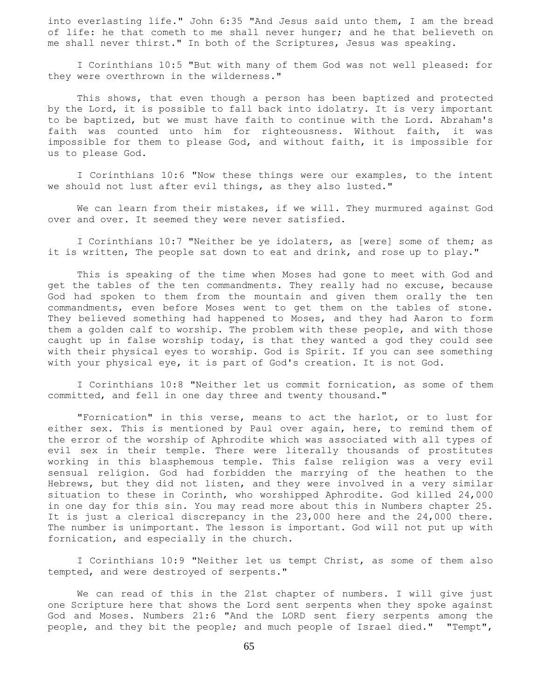into everlasting life." John 6:35 "And Jesus said unto them, I am the bread of life: he that cometh to me shall never hunger; and he that believeth on me shall never thirst." In both of the Scriptures, Jesus was speaking.

 I Corinthians 10:5 "But with many of them God was not well pleased: for they were overthrown in the wilderness."

 This shows, that even though a person has been baptized and protected by the Lord, it is possible to fall back into idolatry. It is very important to be baptized, but we must have faith to continue with the Lord. Abraham's faith was counted unto him for righteousness. Without faith, it was impossible for them to please God, and without faith, it is impossible for us to please God.

 I Corinthians 10:6 "Now these things were our examples, to the intent we should not lust after evil things, as they also lusted."

 We can learn from their mistakes, if we will. They murmured against God over and over. It seemed they were never satisfied.

 I Corinthians 10:7 "Neither be ye idolaters, as [were] some of them; as it is written, The people sat down to eat and drink, and rose up to play."

 This is speaking of the time when Moses had gone to meet with God and get the tables of the ten commandments. They really had no excuse, because God had spoken to them from the mountain and given them orally the ten commandments, even before Moses went to get them on the tables of stone. They believed something had happened to Moses, and they had Aaron to form them a golden calf to worship. The problem with these people, and with those caught up in false worship today, is that they wanted a god they could see with their physical eyes to worship. God is Spirit. If you can see something with your physical eye, it is part of God's creation. It is not God.

 I Corinthians 10:8 "Neither let us commit fornication, as some of them committed, and fell in one day three and twenty thousand."

 "Fornication" in this verse, means to act the harlot, or to lust for either sex. This is mentioned by Paul over again, here, to remind them of the error of the worship of Aphrodite which was associated with all types of evil sex in their temple. There were literally thousands of prostitutes working in this blasphemous temple. This false religion was a very evil sensual religion. God had forbidden the marrying of the heathen to the Hebrews, but they did not listen, and they were involved in a very similar situation to these in Corinth, who worshipped Aphrodite. God killed 24,000 in one day for this sin. You may read more about this in Numbers chapter 25. It is just a clerical discrepancy in the 23,000 here and the 24,000 there. The number is unimportant. The lesson is important. God will not put up with fornication, and especially in the church.

 I Corinthians 10:9 "Neither let us tempt Christ, as some of them also tempted, and were destroyed of serpents."

 We can read of this in the 21st chapter of numbers. I will give just one Scripture here that shows the Lord sent serpents when they spoke against God and Moses. Numbers 21:6 "And the LORD sent fiery serpents among the people, and they bit the people; and much people of Israel died." "Tempt",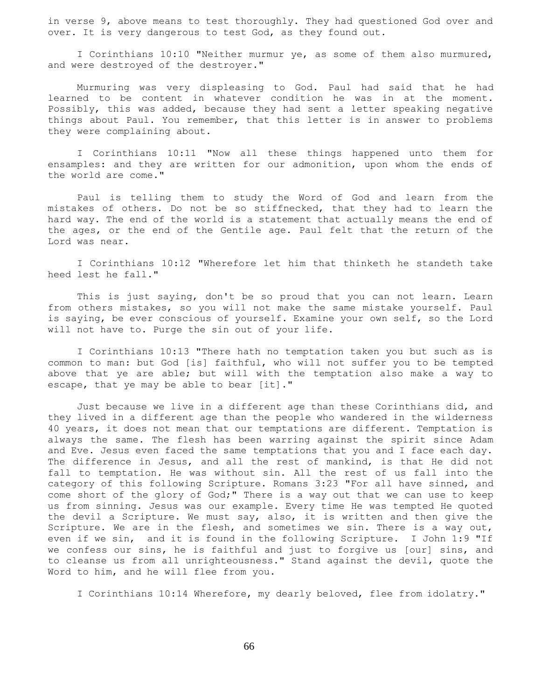in verse 9, above means to test thoroughly. They had questioned God over and over. It is very dangerous to test God, as they found out.

 I Corinthians 10:10 "Neither murmur ye, as some of them also murmured, and were destroyed of the destroyer."

 Murmuring was very displeasing to God. Paul had said that he had learned to be content in whatever condition he was in at the moment. Possibly, this was added, because they had sent a letter speaking negative things about Paul. You remember, that this letter is in answer to problems they were complaining about.

 I Corinthians 10:11 "Now all these things happened unto them for ensamples: and they are written for our admonition, upon whom the ends of the world are come."

 Paul is telling them to study the Word of God and learn from the mistakes of others. Do not be so stiffnecked, that they had to learn the hard way. The end of the world is a statement that actually means the end of the ages, or the end of the Gentile age. Paul felt that the return of the Lord was near.

 I Corinthians 10:12 "Wherefore let him that thinketh he standeth take heed lest he fall."

 This is just saying, don't be so proud that you can not learn. Learn from others mistakes, so you will not make the same mistake yourself. Paul is saying, be ever conscious of yourself. Examine your own self, so the Lord will not have to. Purge the sin out of your life.

 I Corinthians 10:13 "There hath no temptation taken you but such as is common to man: but God [is] faithful, who will not suffer you to be tempted above that ye are able; but will with the temptation also make a way to escape, that ye may be able to bear [it]."

 Just because we live in a different age than these Corinthians did, and they lived in a different age than the people who wandered in the wilderness 40 years, it does not mean that our temptations are different. Temptation is always the same. The flesh has been warring against the spirit since Adam and Eve. Jesus even faced the same temptations that you and I face each day. The difference in Jesus, and all the rest of mankind, is that He did not fall to temptation. He was without sin. All the rest of us fall into the category of this following Scripture. Romans 3:23 "For all have sinned, and come short of the glory of God;" There is a way out that we can use to keep us from sinning. Jesus was our example. Every time He was tempted He quoted the devil a Scripture. We must say, also, it is written and then give the Scripture. We are in the flesh, and sometimes we sin. There is a way out, even if we sin, and it is found in the following Scripture. I John 1:9 "If we confess our sins, he is faithful and just to forgive us [our] sins, and to cleanse us from all unrighteousness." Stand against the devil, quote the Word to him, and he will flee from you.

I Corinthians 10:14 Wherefore, my dearly beloved, flee from idolatry."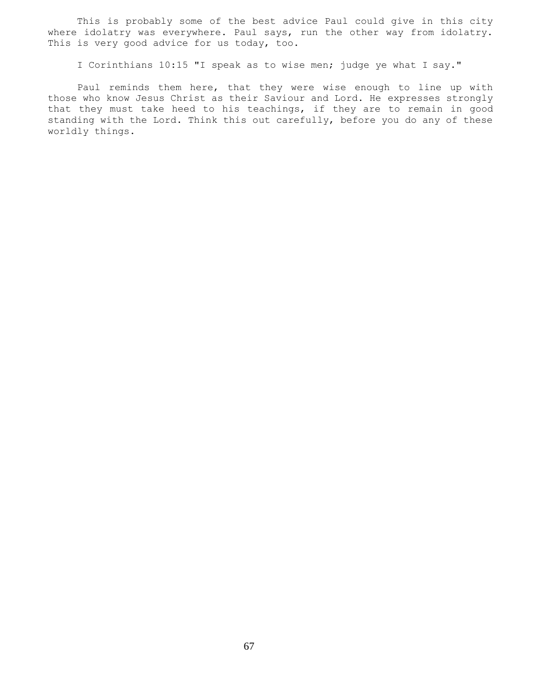This is probably some of the best advice Paul could give in this city where idolatry was everywhere. Paul says, run the other way from idolatry. This is very good advice for us today, too.

I Corinthians 10:15 "I speak as to wise men; judge ye what I say."

 Paul reminds them here, that they were wise enough to line up with those who know Jesus Christ as their Saviour and Lord. He expresses strongly that they must take heed to his teachings, if they are to remain in good standing with the Lord. Think this out carefully, before you do any of these worldly things.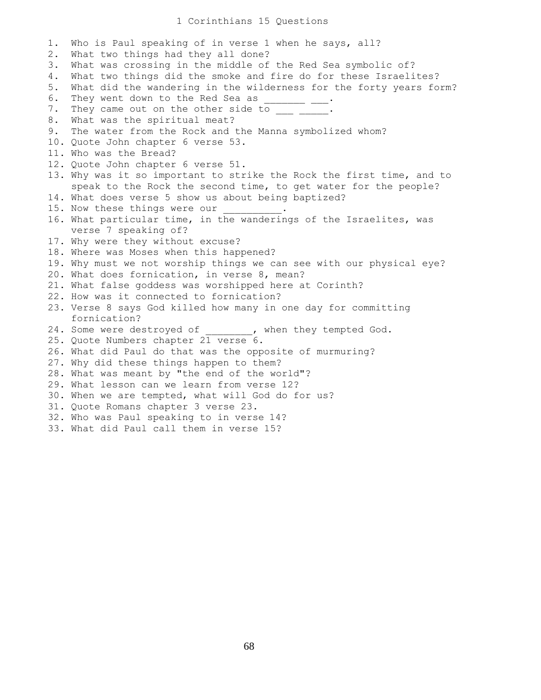## 1 Corinthians 15 Questions

1. Who is Paul speaking of in verse 1 when he says, all? 2. What two things had they all done? 3. What was crossing in the middle of the Red Sea symbolic of? 4. What two things did the smoke and fire do for these Israelites? 5. What did the wandering in the wilderness for the forty years form? 6. They went down to the Red Sea as \_\_\_\_\_\_\_\_\_. 7. They came out on the other side to \_\_\_ \_ 8. What was the spiritual meat? 9. The water from the Rock and the Manna symbolized whom? 10. Quote John chapter 6 verse 53. 11. Who was the Bread? 12. Quote John chapter 6 verse 51. 13. Why was it so important to strike the Rock the first time, and to speak to the Rock the second time, to get water for the people? 14. What does verse 5 show us about being baptized? 15. Now these things were our 16. What particular time, in the wanderings of the Israelites, was verse 7 speaking of? 17. Why were they without excuse? 18. Where was Moses when this happened? 19. Why must we not worship things we can see with our physical eye? 20. What does fornication, in verse 8, mean? 21. What false goddess was worshipped here at Corinth? 22. How was it connected to fornication? 23. Verse 8 says God killed how many in one day for committing fornication? 24. Some were destroyed of  $\qquad \qquad$ , when they tempted God. 25. Quote Numbers chapter 21 verse 6. 26. What did Paul do that was the opposite of murmuring? 27. Why did these things happen to them? 28. What was meant by "the end of the world"? 29. What lesson can we learn from verse 12? 30. When we are tempted, what will God do for us? 31. Quote Romans chapter 3 verse 23. 32. Who was Paul speaking to in verse 14? 33. What did Paul call them in verse 15?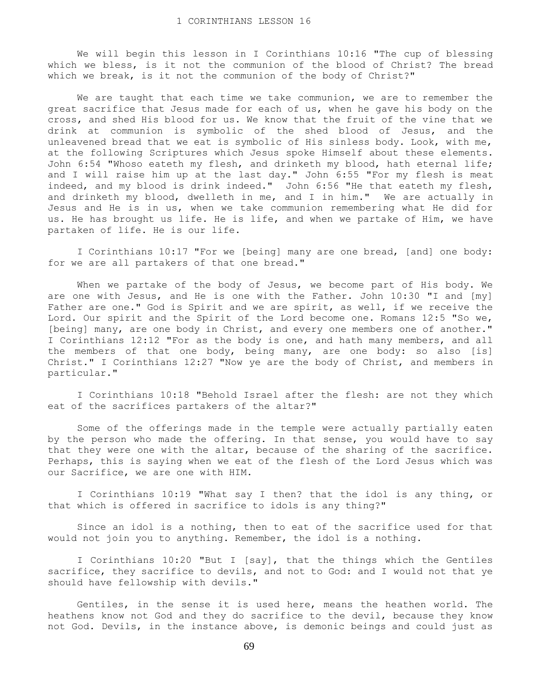We will begin this lesson in I Corinthians 10:16 "The cup of blessing which we bless, is it not the communion of the blood of Christ? The bread which we break, is it not the communion of the body of Christ?"

 We are taught that each time we take communion, we are to remember the great sacrifice that Jesus made for each of us, when he gave his body on the cross, and shed His blood for us. We know that the fruit of the vine that we drink at communion is symbolic of the shed blood of Jesus, and the unleavened bread that we eat is symbolic of His sinless body. Look, with me, at the following Scriptures which Jesus spoke Himself about these elements. John 6:54 "Whoso eateth my flesh, and drinketh my blood, hath eternal life; and I will raise him up at the last day." John 6:55 "For my flesh is meat indeed, and my blood is drink indeed." John 6:56 "He that eateth my flesh, and drinketh my blood, dwelleth in me, and I in him." We are actually in Jesus and He is in us, when we take communion remembering what He did for us. He has brought us life. He is life, and when we partake of Him, we have partaken of life. He is our life.

 I Corinthians 10:17 "For we [being] many are one bread, [and] one body: for we are all partakers of that one bread."

 When we partake of the body of Jesus, we become part of His body. We are one with Jesus, and He is one with the Father. John 10:30 "I and [my] Father are one." God is Spirit and we are spirit, as well, if we receive the Lord. Our spirit and the Spirit of the Lord become one. Romans 12:5 "So we, [being] many, are one body in Christ, and every one members one of another." I Corinthians 12:12 "For as the body is one, and hath many members, and all the members of that one body, being many, are one body: so also [is] Christ." I Corinthians 12:27 "Now ye are the body of Christ, and members in particular."

 I Corinthians 10:18 "Behold Israel after the flesh: are not they which eat of the sacrifices partakers of the altar?"

 Some of the offerings made in the temple were actually partially eaten by the person who made the offering. In that sense, you would have to say that they were one with the altar, because of the sharing of the sacrifice. Perhaps, this is saying when we eat of the flesh of the Lord Jesus which was our Sacrifice, we are one with HIM.

 I Corinthians 10:19 "What say I then? that the idol is any thing, or that which is offered in sacrifice to idols is any thing?"

 Since an idol is a nothing, then to eat of the sacrifice used for that would not join you to anything. Remember, the idol is a nothing.

 I Corinthians 10:20 "But I [say], that the things which the Gentiles sacrifice, they sacrifice to devils, and not to God: and I would not that ye should have fellowship with devils."

 Gentiles, in the sense it is used here, means the heathen world. The heathens know not God and they do sacrifice to the devil, because they know not God. Devils, in the instance above, is demonic beings and could just as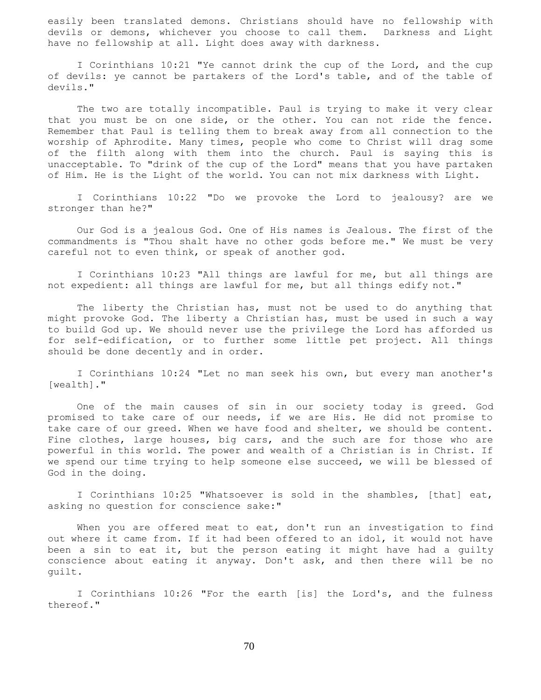easily been translated demons. Christians should have no fellowship with devils or demons, whichever you choose to call them. Darkness and Light have no fellowship at all. Light does away with darkness.

 I Corinthians 10:21 "Ye cannot drink the cup of the Lord, and the cup of devils: ye cannot be partakers of the Lord's table, and of the table of devils."

 The two are totally incompatible. Paul is trying to make it very clear that you must be on one side, or the other. You can not ride the fence. Remember that Paul is telling them to break away from all connection to the worship of Aphrodite. Many times, people who come to Christ will drag some of the filth along with them into the church. Paul is saying this is unacceptable. To "drink of the cup of the Lord" means that you have partaken of Him. He is the Light of the world. You can not mix darkness with Light.

 I Corinthians 10:22 "Do we provoke the Lord to jealousy? are we stronger than he?"

 Our God is a jealous God. One of His names is Jealous. The first of the commandments is "Thou shalt have no other gods before me." We must be very careful not to even think, or speak of another god.

 I Corinthians 10:23 "All things are lawful for me, but all things are not expedient: all things are lawful for me, but all things edify not."

The liberty the Christian has, must not be used to do anything that might provoke God. The liberty a Christian has, must be used in such a way to build God up. We should never use the privilege the Lord has afforded us for self-edification, or to further some little pet project. All things should be done decently and in order.

 I Corinthians 10:24 "Let no man seek his own, but every man another's [wealth]."

 One of the main causes of sin in our society today is greed. God promised to take care of our needs, if we are His. He did not promise to take care of our greed. When we have food and shelter, we should be content. Fine clothes, large houses, big cars, and the such are for those who are powerful in this world. The power and wealth of a Christian is in Christ. If we spend our time trying to help someone else succeed, we will be blessed of God in the doing.

 I Corinthians 10:25 "Whatsoever is sold in the shambles, [that] eat, asking no question for conscience sake:"

When you are offered meat to eat, don't run an investigation to find out where it came from. If it had been offered to an idol, it would not have been a sin to eat it, but the person eating it might have had a guilty conscience about eating it anyway. Don't ask, and then there will be no guilt.

 I Corinthians 10:26 "For the earth [is] the Lord's, and the fulness thereof."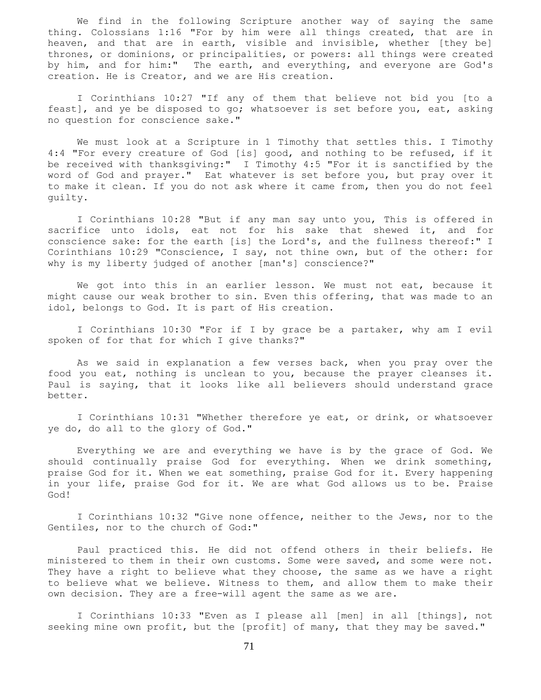We find in the following Scripture another way of saying the same thing. Colossians 1:16 "For by him were all things created, that are in heaven, and that are in earth, visible and invisible, whether [they be] thrones, or dominions, or principalities, or powers: all things were created by him, and for him:" The earth, and everything, and everyone are God's creation. He is Creator, and we are His creation.

 I Corinthians 10:27 "If any of them that believe not bid you [to a feast], and ye be disposed to go; whatsoever is set before you, eat, asking no question for conscience sake."

 We must look at a Scripture in 1 Timothy that settles this. I Timothy 4:4 "For every creature of God [is] good, and nothing to be refused, if it be received with thanksgiving:" I Timothy 4:5 "For it is sanctified by the word of God and prayer." Eat whatever is set before you, but pray over it to make it clean. If you do not ask where it came from, then you do not feel guilty.

 I Corinthians 10:28 "But if any man say unto you, This is offered in sacrifice unto idols, eat not for his sake that shewed it, and for conscience sake: for the earth [is] the Lord's, and the fullness thereof:" I Corinthians 10:29 "Conscience, I say, not thine own, but of the other: for why is my liberty judged of another [man's] conscience?"

 We got into this in an earlier lesson. We must not eat, because it might cause our weak brother to sin. Even this offering, that was made to an idol, belongs to God. It is part of His creation.

 I Corinthians 10:30 "For if I by grace be a partaker, why am I evil spoken of for that for which I give thanks?"

 As we said in explanation a few verses back, when you pray over the food you eat, nothing is unclean to you, because the prayer cleanses it. Paul is saying, that it looks like all believers should understand grace better.

 I Corinthians 10:31 "Whether therefore ye eat, or drink, or whatsoever ye do, do all to the glory of God."

 Everything we are and everything we have is by the grace of God. We should continually praise God for everything. When we drink something, praise God for it. When we eat something, praise God for it. Every happening in your life, praise God for it. We are what God allows us to be. Praise God!

 I Corinthians 10:32 "Give none offence, neither to the Jews, nor to the Gentiles, nor to the church of God:"

 Paul practiced this. He did not offend others in their beliefs. He ministered to them in their own customs. Some were saved, and some were not. They have a right to believe what they choose, the same as we have a right to believe what we believe. Witness to them, and allow them to make their own decision. They are a free-will agent the same as we are.

 I Corinthians 10:33 "Even as I please all [men] in all [things], not seeking mine own profit, but the [profit] of many, that they may be saved."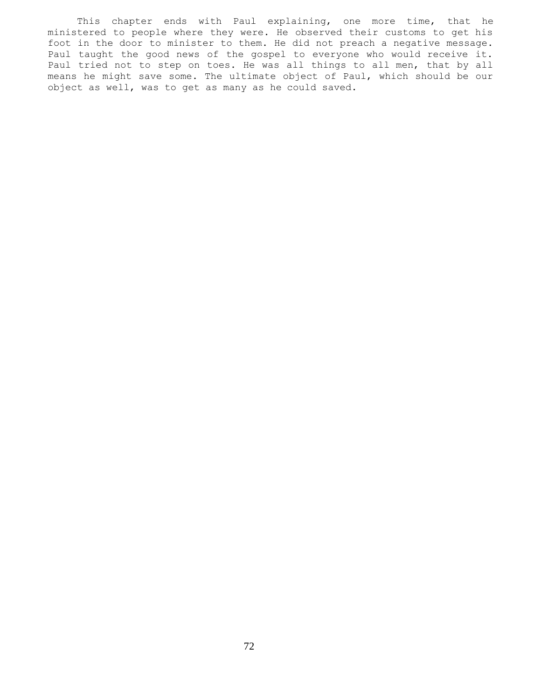This chapter ends with Paul explaining, one more time, that he ministered to people where they were. He observed their customs to get his foot in the door to minister to them. He did not preach a negative message. Paul taught the good news of the gospel to everyone who would receive it. Paul tried not to step on toes. He was all things to all men, that by all means he might save some. The ultimate object of Paul, which should be our object as well, was to get as many as he could saved.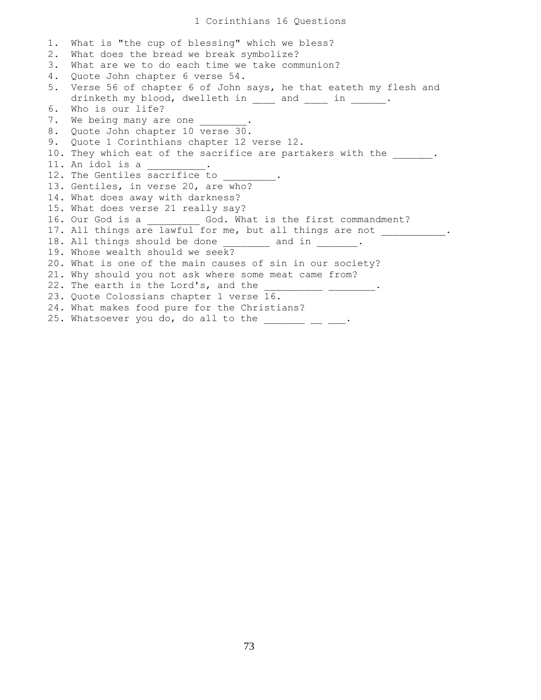1. What is "the cup of blessing" which we bless? 2. What does the bread we break symbolize? 3. What are we to do each time we take communion? 4. Quote John chapter 6 verse 54. 5. Verse 56 of chapter 6 of John says, he that eateth my flesh and drinketh my blood, dwelleth in and in . 6. Who is our life? 7. We being many are one 8. Quote John chapter 10 verse 30. 9. Quote 1 Corinthians chapter 12 verse 12. 10. They which eat of the sacrifice are partakers with the \_\_\_\_\_\_. 11. An idol is a \_\_\_\_\_\_\_\_\_\_. 12. The Gentiles sacrifice to 13. Gentiles, in verse 20, are who? 14. What does away with darkness? 15. What does verse 21 really say? 16. Our God is a \_\_\_\_\_\_\_\_\_\_ God. What is the first commandment? 17. All things are lawful for me, but all things are not \_\_\_\_\_\_\_\_\_\_\_\_. 18. All things should be done \_\_\_\_\_\_\_\_ and in \_\_\_\_\_\_\_. 19. Whose wealth should we seek? 20. What is one of the main causes of sin in our society? 21. Why should you not ask where some meat came from? 22. The earth is the Lord's, and the 23. Quote Colossians chapter 1 verse 16. 24. What makes food pure for the Christians? 25. Whatsoever you do, do all to the  $\frac{1}{2}$   $\frac{1}{2}$   $\frac{1}{2}$ .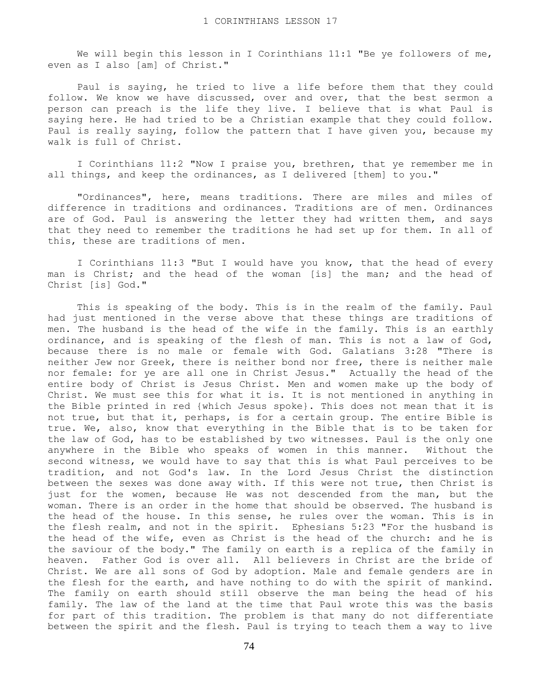We will begin this lesson in I Corinthians 11:1 "Be ye followers of me, even as I also [am] of Christ."

 Paul is saying, he tried to live a life before them that they could follow. We know we have discussed, over and over, that the best sermon a person can preach is the life they live. I believe that is what Paul is saying here. He had tried to be a Christian example that they could follow. Paul is really saying, follow the pattern that I have given you, because my walk is full of Christ.

 I Corinthians 11:2 "Now I praise you, brethren, that ye remember me in all things, and keep the ordinances, as I delivered [them] to you."

 "Ordinances", here, means traditions. There are miles and miles of difference in traditions and ordinances. Traditions are of men. Ordinances are of God. Paul is answering the letter they had written them, and says that they need to remember the traditions he had set up for them. In all of this, these are traditions of men.

 I Corinthians 11:3 "But I would have you know, that the head of every man is Christ; and the head of the woman [is] the man; and the head of Christ [is] God."

 This is speaking of the body. This is in the realm of the family. Paul had just mentioned in the verse above that these things are traditions of men. The husband is the head of the wife in the family. This is an earthly ordinance, and is speaking of the flesh of man. This is not a law of God, because there is no male or female with God. Galatians 3:28 "There is neither Jew nor Greek, there is neither bond nor free, there is neither male nor female: for ye are all one in Christ Jesus." Actually the head of the entire body of Christ is Jesus Christ. Men and women make up the body of Christ. We must see this for what it is. It is not mentioned in anything in the Bible printed in red {which Jesus spoke}. This does not mean that it is not true, but that it, perhaps, is for a certain group. The entire Bible is true. We, also, know that everything in the Bible that is to be taken for the law of God, has to be established by two witnesses. Paul is the only one anywhere in the Bible who speaks of women in this manner. Without the second witness, we would have to say that this is what Paul perceives to be tradition, and not God's law. In the Lord Jesus Christ the distinction between the sexes was done away with. If this were not true, then Christ is just for the women, because He was not descended from the man, but the woman. There is an order in the home that should be observed. The husband is the head of the house. In this sense, he rules over the woman. This is in the flesh realm, and not in the spirit. Ephesians 5:23 "For the husband is the head of the wife, even as Christ is the head of the church: and he is the saviour of the body." The family on earth is a replica of the family in heaven. Father God is over all. All believers in Christ are the bride of Christ. We are all sons of God by adoption. Male and female genders are in the flesh for the earth, and have nothing to do with the spirit of mankind. The family on earth should still observe the man being the head of his family. The law of the land at the time that Paul wrote this was the basis for part of this tradition. The problem is that many do not differentiate between the spirit and the flesh. Paul is trying to teach them a way to live

74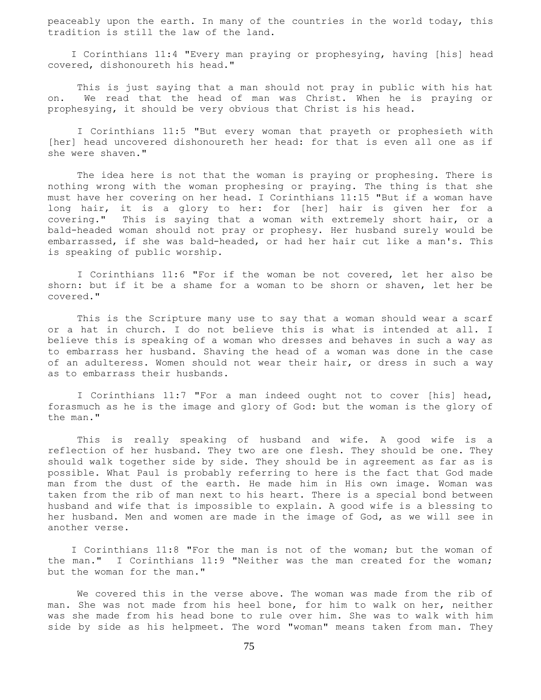peaceably upon the earth. In many of the countries in the world today, this tradition is still the law of the land.

 I Corinthians 11:4 "Every man praying or prophesying, having [his] head covered, dishonoureth his head."

 This is just saying that a man should not pray in public with his hat on. We read that the head of man was Christ. When he is praying or prophesying, it should be very obvious that Christ is his head.

 I Corinthians 11:5 "But every woman that prayeth or prophesieth with [her] head uncovered dishonoureth her head: for that is even all one as if she were shaven."

 The idea here is not that the woman is praying or prophesing. There is nothing wrong with the woman prophesing or praying. The thing is that she must have her covering on her head. I Corinthians 11:15 "But if a woman have long hair, it is a glory to her: for [her] hair is given her for a covering." This is saying that a woman with extremely short hair, or a bald-headed woman should not pray or prophesy. Her husband surely would be embarrassed, if she was bald-headed, or had her hair cut like a man's. This is speaking of public worship.

 I Corinthians 11:6 "For if the woman be not covered, let her also be shorn: but if it be a shame for a woman to be shorn or shaven, let her be covered."

 This is the Scripture many use to say that a woman should wear a scarf or a hat in church. I do not believe this is what is intended at all. I believe this is speaking of a woman who dresses and behaves in such a way as to embarrass her husband. Shaving the head of a woman was done in the case of an adulteress. Women should not wear their hair, or dress in such a way as to embarrass their husbands.

 I Corinthians 11:7 "For a man indeed ought not to cover [his] head, forasmuch as he is the image and glory of God: but the woman is the glory of the man."

 This is really speaking of husband and wife. A good wife is a reflection of her husband. They two are one flesh. They should be one. They should walk together side by side. They should be in agreement as far as is possible. What Paul is probably referring to here is the fact that God made man from the dust of the earth. He made him in His own image. Woman was taken from the rib of man next to his heart. There is a special bond between husband and wife that is impossible to explain. A good wife is a blessing to her husband. Men and women are made in the image of God, as we will see in another verse.

 I Corinthians 11:8 "For the man is not of the woman; but the woman of the man." I Corinthians 11:9 "Neither was the man created for the woman; but the woman for the man."

 We covered this in the verse above. The woman was made from the rib of man. She was not made from his heel bone, for him to walk on her, neither was she made from his head bone to rule over him. She was to walk with him side by side as his helpmeet. The word "woman" means taken from man. They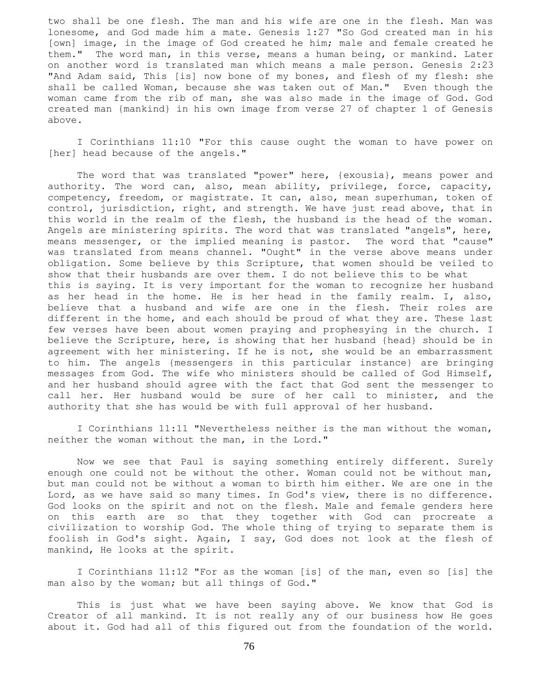two shall be one flesh. The man and his wife are one in the flesh. Man was lonesome, and God made him a mate. Genesis 1:27 "So God created man in his [own] image, in the image of God created he him; male and female created he them." The word man, in this verse, means a human being, or mankind. Later on another word is translated man which means a male person. Genesis 2:23 "And Adam said, This [is] now bone of my bones, and flesh of my flesh: she shall be called Woman, because she was taken out of Man." Even though the woman came from the rib of man, she was also made in the image of God. God created man {mankind} in his own image from verse 27 of chapter 1 of Genesis above.

 I Corinthians 11:10 "For this cause ought the woman to have power on [her] head because of the angels."

 The word that was translated "power" here, {exousia}, means power and authority. The word can, also, mean ability, privilege, force, capacity, competency, freedom, or magistrate. It can, also, mean superhuman, token of control, jurisdiction, right, and strength. We have just read above, that in this world in the realm of the flesh, the husband is the head of the woman. Angels are ministering spirits. The word that was translated "angels", here, means messenger, or the implied meaning is pastor. The word that "cause" was translated from means channel. "Ought" in the verse above means under obligation. Some believe by this Scripture, that women should be veiled to show that their husbands are over them. I do not believe this to be what this is saying. It is very important for the woman to recognize her husband as her head in the home. He is her head in the family realm. I, also, believe that a husband and wife are one in the flesh. Their roles are different in the home, and each should be proud of what they are. These last few verses have been about women praying and prophesying in the church. I believe the Scripture, here, is showing that her husband {head} should be in agreement with her ministering. If he is not, she would be an embarrassment to him. The angels {messengers in this particular instance} are bringing messages from God. The wife who ministers should be called of God Himself, and her husband should agree with the fact that God sent the messenger to call her. Her husband would be sure of her call to minister, and the authority that she has would be with full approval of her husband.

 I Corinthians 11:11 "Nevertheless neither is the man without the woman, neither the woman without the man, in the Lord."

 Now we see that Paul is saying something entirely different. Surely enough one could not be without the other. Woman could not be without man, but man could not be without a woman to birth him either. We are one in the Lord, as we have said so many times. In God's view, there is no difference. God looks on the spirit and not on the flesh. Male and female genders here on this earth are so that they together with God can procreate a civilization to worship God. The whole thing of trying to separate them is foolish in God's sight. Again, I say, God does not look at the flesh of mankind, He looks at the spirit.

 I Corinthians 11:12 "For as the woman [is] of the man, even so [is] the man also by the woman; but all things of God."

 This is just what we have been saying above. We know that God is Creator of all mankind. It is not really any of our business how He goes about it. God had all of this figured out from the foundation of the world.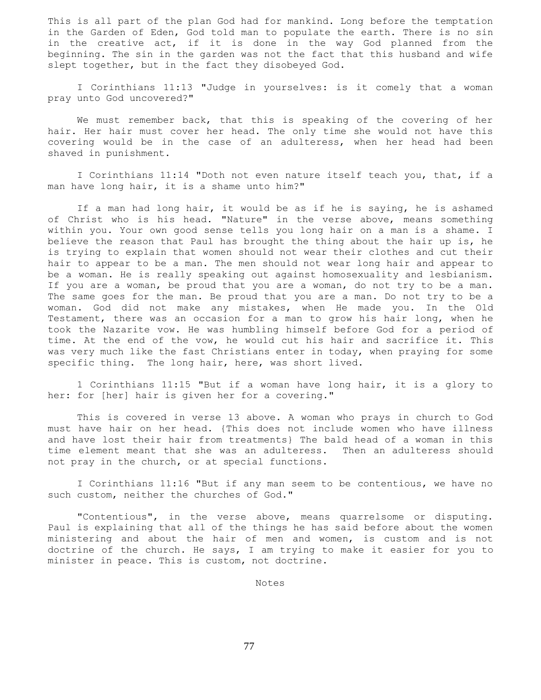This is all part of the plan God had for mankind. Long before the temptation in the Garden of Eden, God told man to populate the earth. There is no sin in the creative act, if it is done in the way God planned from the beginning. The sin in the garden was not the fact that this husband and wife slept together, but in the fact they disobeyed God.

 I Corinthians 11:13 "Judge in yourselves: is it comely that a woman pray unto God uncovered?"

 We must remember back, that this is speaking of the covering of her hair. Her hair must cover her head. The only time she would not have this covering would be in the case of an adulteress, when her head had been shaved in punishment.

 I Corinthians 11:14 "Doth not even nature itself teach you, that, if a man have long hair, it is a shame unto him?"

 If a man had long hair, it would be as if he is saying, he is ashamed of Christ who is his head. "Nature" in the verse above, means something within you. Your own good sense tells you long hair on a man is a shame. I believe the reason that Paul has brought the thing about the hair up is, he is trying to explain that women should not wear their clothes and cut their hair to appear to be a man. The men should not wear long hair and appear to be a woman. He is really speaking out against homosexuality and lesbianism. If you are a woman, be proud that you are a woman, do not try to be a man. The same goes for the man. Be proud that you are a man. Do not try to be a woman. God did not make any mistakes, when He made you. In the Old Testament, there was an occasion for a man to grow his hair long, when he took the Nazarite vow. He was humbling himself before God for a period of time. At the end of the vow, he would cut his hair and sacrifice it. This was very much like the fast Christians enter in today, when praying for some specific thing. The long hair, here, was short lived.

 1 Corinthians 11:15 "But if a woman have long hair, it is a glory to her: for [her] hair is given her for a covering."

 This is covered in verse 13 above. A woman who prays in church to God must have hair on her head. {This does not include women who have illness and have lost their hair from treatments} The bald head of a woman in this time element meant that she was an adulteress. Then an adulteress should not pray in the church, or at special functions.

 I Corinthians 11:16 "But if any man seem to be contentious, we have no such custom, neither the churches of God."

 "Contentious", in the verse above, means quarrelsome or disputing. Paul is explaining that all of the things he has said before about the women ministering and about the hair of men and women, is custom and is not doctrine of the church. He says, I am trying to make it easier for you to minister in peace. This is custom, not doctrine.

Notes

77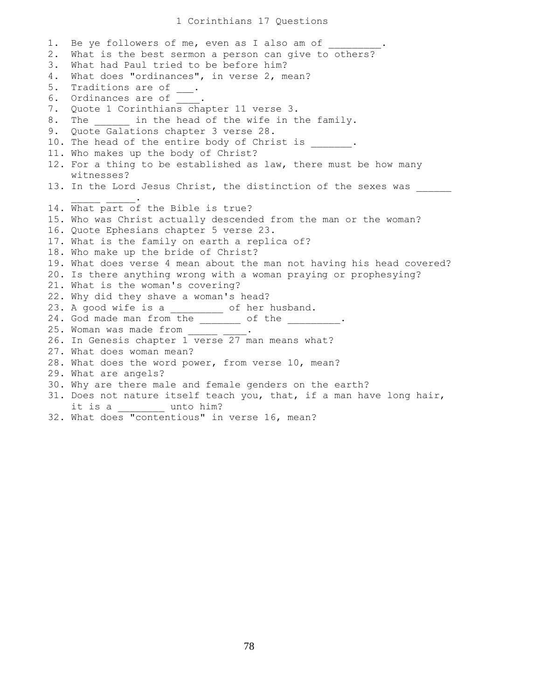## 1 Corinthians 17 Questions

1. Be ye followers of me, even as I also am of 2. What is the best sermon a person can give to others? 3. What had Paul tried to be before him? 4. What does "ordinances", in verse 2, mean? 5. Traditions are of \_\_\_. 6. Ordinances are of  $\overline{\phantom{a}}$  . 7. Quote 1 Corinthians chapter 11 verse 3. 8. The  $\qquad$  in the head of the wife in the family. 9. Quote Galations chapter 3 verse 28. 10. The head of the entire body of Christ is \_\_\_\_\_\_. 11. Who makes up the body of Christ? 12. For a thing to be established as law, there must be how many witnesses? 13. In the Lord Jesus Christ, the distinction of the sexes was  $\mathcal{L}=\mathcal{L}=\mathcal{L}=\mathcal{L}=\mathcal{L}=\mathcal{L}$ 14. What part of the Bible is true? 15. Who was Christ actually descended from the man or the woman? 16. Quote Ephesians chapter 5 verse 23. 17. What is the family on earth a replica of? 18. Who make up the bride of Christ? 19. What does verse 4 mean about the man not having his head covered? 20. Is there anything wrong with a woman praying or prophesying? 21. What is the woman's covering? 22. Why did they shave a woman's head? 23. A good wife is a \_\_\_\_\_\_\_\_\_\_ of her husband. 24. God made man from the \_\_\_\_\_\_\_ of the \_\_\_\_\_\_\_\_\_. 25. Woman was made from 26. In Genesis chapter 1 verse 27 man means what? 27. What does woman mean? 28. What does the word power, from verse 10, mean? 29. What are angels? 30. Why are there male and female genders on the earth? 31. Does not nature itself teach you, that, if a man have long hair, it is a \_\_\_\_\_\_ unto him? 32. What does "contentious" in verse 16, mean?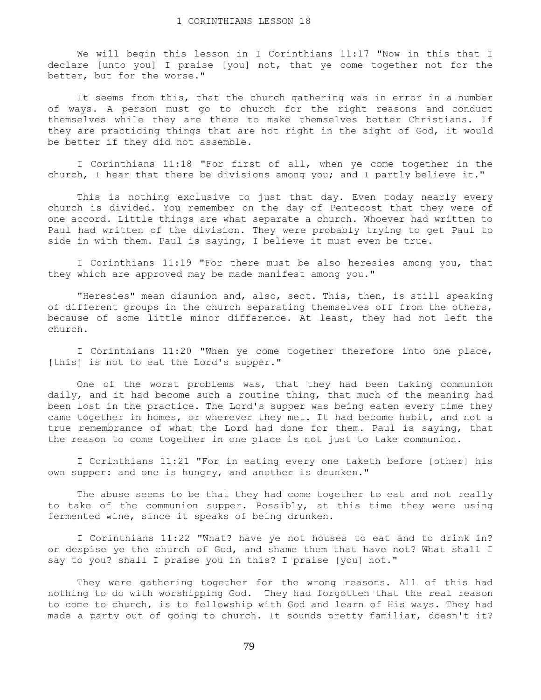We will begin this lesson in I Corinthians 11:17 "Now in this that I declare [unto you] I praise [you] not, that ye come together not for the better, but for the worse."

 It seems from this, that the church gathering was in error in a number of ways. A person must go to church for the right reasons and conduct themselves while they are there to make themselves better Christians. If they are practicing things that are not right in the sight of God, it would be better if they did not assemble.

 I Corinthians 11:18 "For first of all, when ye come together in the church, I hear that there be divisions among you; and I partly believe it."

 This is nothing exclusive to just that day. Even today nearly every church is divided. You remember on the day of Pentecost that they were of one accord. Little things are what separate a church. Whoever had written to Paul had written of the division. They were probably trying to get Paul to side in with them. Paul is saying, I believe it must even be true.

 I Corinthians 11:19 "For there must be also heresies among you, that they which are approved may be made manifest among you."

 "Heresies" mean disunion and, also, sect. This, then, is still speaking of different groups in the church separating themselves off from the others, because of some little minor difference. At least, they had not left the church.

 I Corinthians 11:20 "When ye come together therefore into one place, [this] is not to eat the Lord's supper."

 One of the worst problems was, that they had been taking communion daily, and it had become such a routine thing, that much of the meaning had been lost in the practice. The Lord's supper was being eaten every time they came together in homes, or wherever they met. It had become habit, and not a true remembrance of what the Lord had done for them. Paul is saying, that the reason to come together in one place is not just to take communion.

 I Corinthians 11:21 "For in eating every one taketh before [other] his own supper: and one is hungry, and another is drunken."

The abuse seems to be that they had come together to eat and not really to take of the communion supper. Possibly, at this time they were using fermented wine, since it speaks of being drunken.

 I Corinthians 11:22 "What? have ye not houses to eat and to drink in? or despise ye the church of God, and shame them that have not? What shall I say to you? shall I praise you in this? I praise [you] not."

 They were gathering together for the wrong reasons. All of this had nothing to do with worshipping God. They had forgotten that the real reason to come to church, is to fellowship with God and learn of His ways. They had made a party out of going to church. It sounds pretty familiar, doesn't it?

79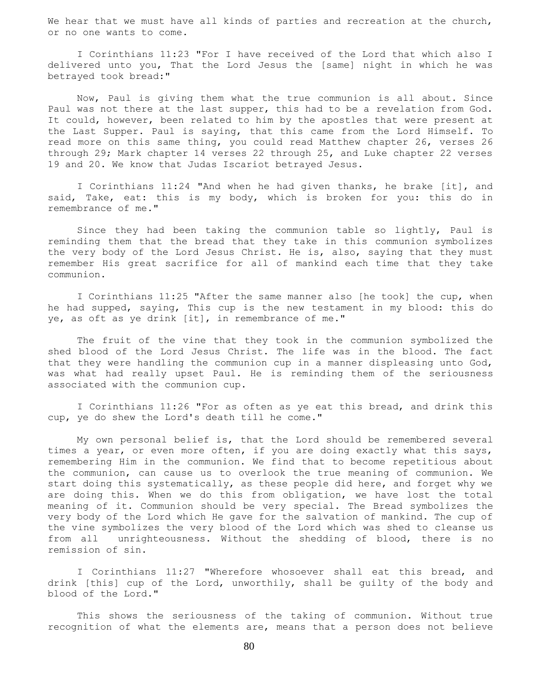We hear that we must have all kinds of parties and recreation at the church, or no one wants to come.

 I Corinthians 11:23 "For I have received of the Lord that which also I delivered unto you, That the Lord Jesus the [same] night in which he was betrayed took bread:"

 Now, Paul is giving them what the true communion is all about. Since Paul was not there at the last supper, this had to be a revelation from God. It could, however, been related to him by the apostles that were present at the Last Supper. Paul is saying, that this came from the Lord Himself. To read more on this same thing, you could read Matthew chapter 26, verses 26 through 29; Mark chapter 14 verses 22 through 25, and Luke chapter 22 verses 19 and 20. We know that Judas Iscariot betrayed Jesus.

 I Corinthians 11:24 "And when he had given thanks, he brake [it], and said, Take, eat: this is my body, which is broken for you: this do in remembrance of me."

 Since they had been taking the communion table so lightly, Paul is reminding them that the bread that they take in this communion symbolizes the very body of the Lord Jesus Christ. He is, also, saying that they must remember His great sacrifice for all of mankind each time that they take communion.

 I Corinthians 11:25 "After the same manner also [he took] the cup, when he had supped, saying, This cup is the new testament in my blood: this do ye, as oft as ye drink [it], in remembrance of me."

 The fruit of the vine that they took in the communion symbolized the shed blood of the Lord Jesus Christ. The life was in the blood. The fact that they were handling the communion cup in a manner displeasing unto God, was what had really upset Paul. He is reminding them of the seriousness associated with the communion cup.

 I Corinthians 11:26 "For as often as ye eat this bread, and drink this cup, ye do shew the Lord's death till he come."

 My own personal belief is, that the Lord should be remembered several times a year, or even more often, if you are doing exactly what this says, remembering Him in the communion. We find that to become repetitious about the communion, can cause us to overlook the true meaning of communion. We start doing this systematically, as these people did here, and forget why we are doing this. When we do this from obligation, we have lost the total meaning of it. Communion should be very special. The Bread symbolizes the very body of the Lord which He gave for the salvation of mankind. The cup of the vine symbolizes the very blood of the Lord which was shed to cleanse us from all unrighteousness. Without the shedding of blood, there is no remission of sin.

 I Corinthians 11:27 "Wherefore whosoever shall eat this bread, and drink [this] cup of the Lord, unworthily, shall be guilty of the body and blood of the Lord."

 This shows the seriousness of the taking of communion. Without true recognition of what the elements are, means that a person does not believe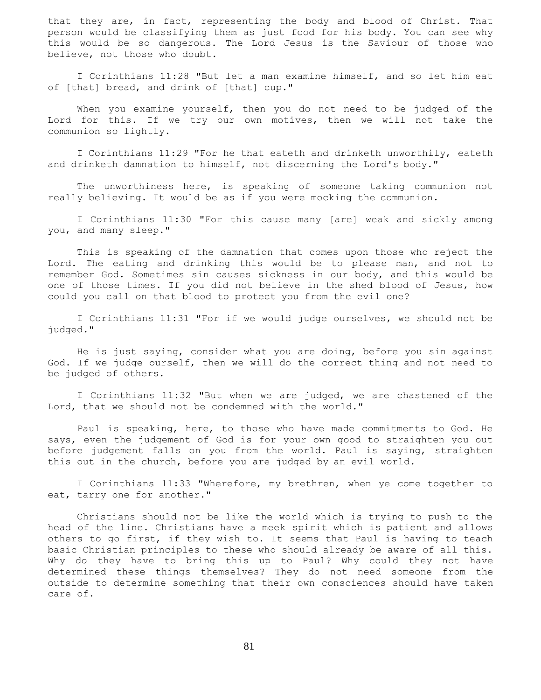that they are, in fact, representing the body and blood of Christ. That person would be classifying them as just food for his body. You can see why this would be so dangerous. The Lord Jesus is the Saviour of those who believe, not those who doubt.

 I Corinthians 11:28 "But let a man examine himself, and so let him eat of [that] bread, and drink of [that] cup."

 When you examine yourself, then you do not need to be judged of the Lord for this. If we try our own motives, then we will not take the communion so lightly.

 I Corinthians 11:29 "For he that eateth and drinketh unworthily, eateth and drinketh damnation to himself, not discerning the Lord's body."

 The unworthiness here, is speaking of someone taking communion not really believing. It would be as if you were mocking the communion.

 I Corinthians 11:30 "For this cause many [are] weak and sickly among you, and many sleep."

 This is speaking of the damnation that comes upon those who reject the Lord. The eating and drinking this would be to please man, and not to remember God. Sometimes sin causes sickness in our body, and this would be one of those times. If you did not believe in the shed blood of Jesus, how could you call on that blood to protect you from the evil one?

 I Corinthians 11:31 "For if we would judge ourselves, we should not be judged."

 He is just saying, consider what you are doing, before you sin against God. If we judge ourself, then we will do the correct thing and not need to be judged of others.

 I Corinthians 11:32 "But when we are judged, we are chastened of the Lord, that we should not be condemned with the world."

 Paul is speaking, here, to those who have made commitments to God. He says, even the judgement of God is for your own good to straighten you out before judgement falls on you from the world. Paul is saying, straighten this out in the church, before you are judged by an evil world.

 I Corinthians 11:33 "Wherefore, my brethren, when ye come together to eat, tarry one for another."

 Christians should not be like the world which is trying to push to the head of the line. Christians have a meek spirit which is patient and allows others to go first, if they wish to. It seems that Paul is having to teach basic Christian principles to these who should already be aware of all this. Why do they have to bring this up to Paul? Why could they not have determined these things themselves? They do not need someone from the outside to determine something that their own consciences should have taken care of.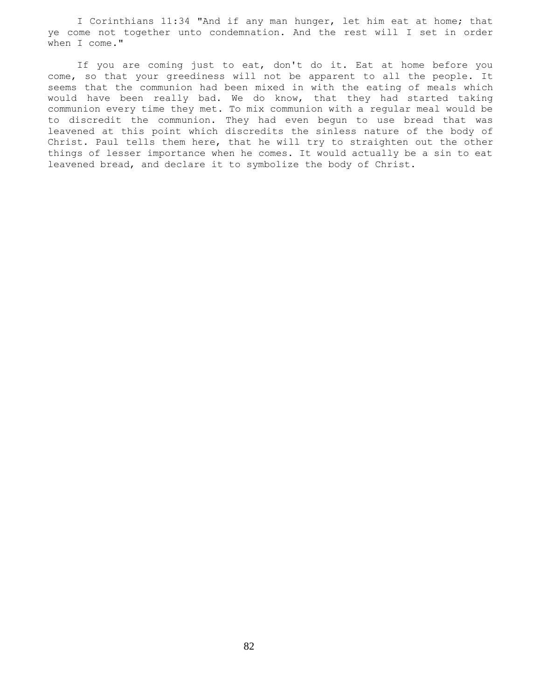I Corinthians 11:34 "And if any man hunger, let him eat at home; that ye come not together unto condemnation. And the rest will I set in order when I come."

 If you are coming just to eat, don't do it. Eat at home before you come, so that your greediness will not be apparent to all the people. It seems that the communion had been mixed in with the eating of meals which would have been really bad. We do know, that they had started taking communion every time they met. To mix communion with a regular meal would be to discredit the communion. They had even begun to use bread that was leavened at this point which discredits the sinless nature of the body of Christ. Paul tells them here, that he will try to straighten out the other things of lesser importance when he comes. It would actually be a sin to eat leavened bread, and declare it to symbolize the body of Christ.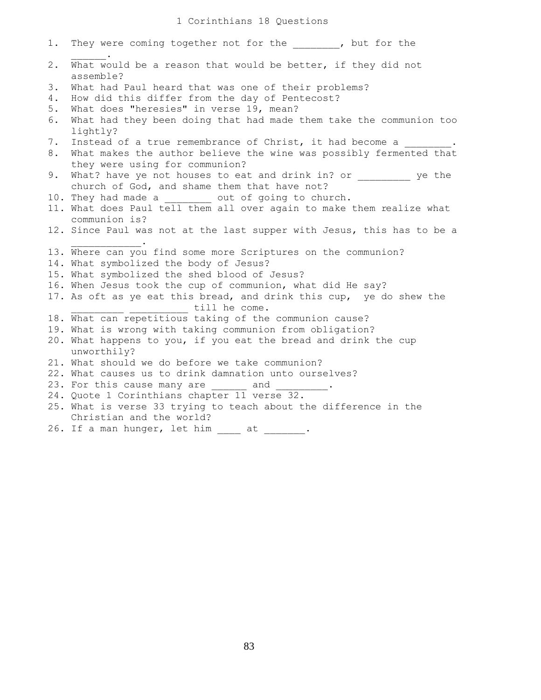| 1.    | They were coming together not for the ______, but for the                                               |
|-------|---------------------------------------------------------------------------------------------------------|
| $2$ . | What would be a reason that would be better, if they did not<br>assemble?                               |
| 3.    | What had Paul heard that was one of their problems?                                                     |
| 4.    | How did this differ from the day of Pentecost?                                                          |
| 5.    | What does "heresies" in verse 19, mean?                                                                 |
| 6.    | What had they been doing that had made them take the communion too<br>lightly?                          |
| 7.    | Instead of a true remembrance of Christ, it had become a _______ .                                      |
| 8.    | What makes the author believe the wine was possibly fermented that<br>they were using for communion?    |
| 9.    | What? have ye not houses to eat and drink in? or ye the<br>church of God, and shame them that have not? |
|       | 10. They had made a ________ out of going to church.                                                    |
|       | 11. What does Paul tell them all over again to make them realize what                                   |
|       | communion is?                                                                                           |
|       | 12. Since Paul was not at the last supper with Jesus, this has to be a                                  |
|       | 13. Where can you find some more Scriptures on the communion?                                           |
|       | 14. What symbolized the body of Jesus?                                                                  |
|       | 15. What symbolized the shed blood of Jesus?                                                            |
|       | 16. When Jesus took the cup of communion, what did He say?                                              |
|       | 17. As oft as ye eat this bread, and drink this cup, ye do shew the                                     |
|       | till he come.                                                                                           |
|       | 18. What can repetitious taking of the communion cause?                                                 |
|       | 19. What is wrong with taking communion from obligation?                                                |
|       | 20. What happens to you, if you eat the bread and drink the cup                                         |
|       | unworthily?                                                                                             |
|       | 21. What should we do before we take communion?                                                         |
|       | 22. What causes us to drink damnation unto ourselves?                                                   |
|       | 23. For this cause many are and .                                                                       |
|       | 24. Quote 1 Corinthians chapter 11 verse 32.                                                            |
|       | 25. What is verse 33 trying to teach about the difference in the                                        |
|       | Christian and the world?                                                                                |
|       | 26. If a man hunger, let him at                                                                         |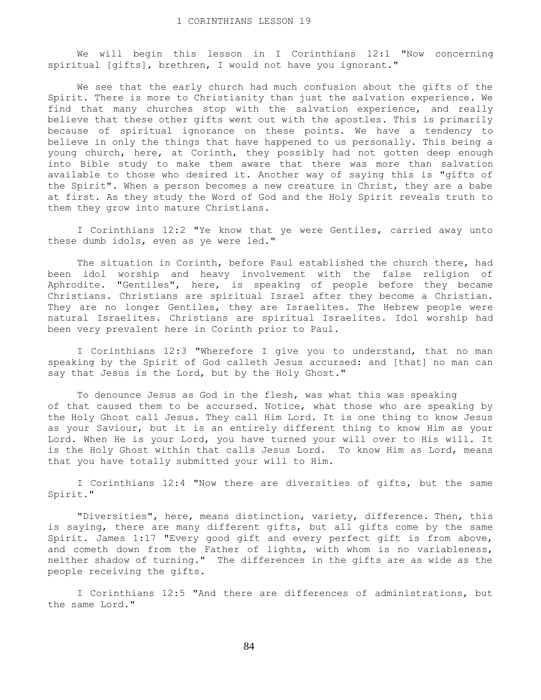We will begin this lesson in I Corinthians 12:1 "Now concerning spiritual [gifts], brethren, I would not have you ignorant."

 We see that the early church had much confusion about the gifts of the Spirit. There is more to Christianity than just the salvation experience. We find that many churches stop with the salvation experience, and really believe that these other gifts went out with the apostles. This is primarily because of spiritual ignorance on these points. We have a tendency to believe in only the things that have happened to us personally. This being a young church, here, at Corinth, they possibly had not gotten deep enough into Bible study to make them aware that there was more than salvation available to those who desired it. Another way of saying this is "gifts of the Spirit". When a person becomes a new creature in Christ, they are a babe at first. As they study the Word of God and the Holy Spirit reveals truth to them they grow into mature Christians.

 I Corinthians 12:2 "Ye know that ye were Gentiles, carried away unto these dumb idols, even as ye were led."

 The situation in Corinth, before Paul established the church there, had been idol worship and heavy involvement with the false religion of Aphrodite. "Gentiles", here, is speaking of people before they became Christians. Christians are spiritual Israel after they become a Christian. They are no longer Gentiles, they are Israelites. The Hebrew people were natural Israelites. Christians are spiritual Israelites. Idol worship had been very prevalent here in Corinth prior to Paul.

 I Corinthians 12:3 "Wherefore I give you to understand, that no man speaking by the Spirit of God calleth Jesus accursed: and [that] no man can say that Jesus is the Lord, but by the Holy Ghost."

 To denounce Jesus as God in the flesh, was what this was speaking of that caused them to be accursed. Notice, what those who are speaking by the Holy Ghost call Jesus. They call Him Lord. It is one thing to know Jesus as your Saviour, but it is an entirely different thing to know Him as your Lord. When He is your Lord, you have turned your will over to His will. It is the Holy Ghost within that calls Jesus Lord. To know Him as Lord, means that you have totally submitted your will to Him.

 I Corinthians 12:4 "Now there are diversities of gifts, but the same Spirit."

 "Diversities", here, means distinction, variety, difference. Then, this is saying, there are many different gifts, but all gifts come by the same Spirit. James 1:17 "Every good gift and every perfect gift is from above, and cometh down from the Father of lights, with whom is no variableness, neither shadow of turning." The differences in the gifts are as wide as the people receiving the gifts.

 I Corinthians 12:5 "And there are differences of administrations, but the same Lord."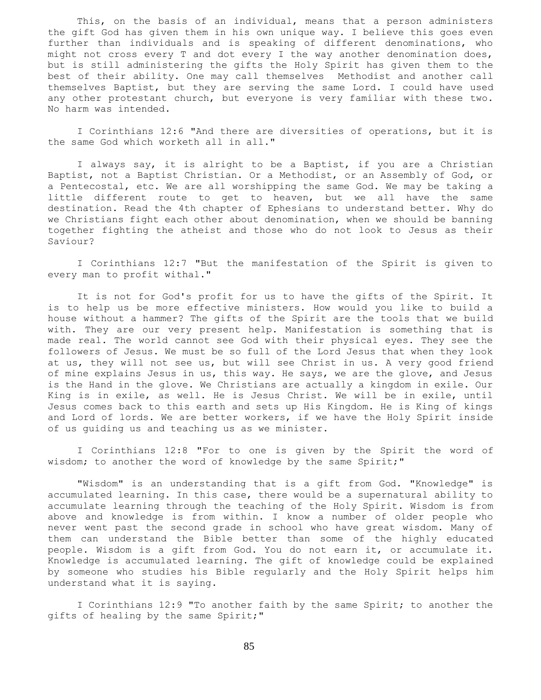This, on the basis of an individual, means that a person administers the gift God has given them in his own unique way. I believe this goes even further than individuals and is speaking of different denominations, who might not cross every T and dot every I the way another denomination does, but is still administering the gifts the Holy Spirit has given them to the best of their ability. One may call themselves Methodist and another call themselves Baptist, but they are serving the same Lord. I could have used any other protestant church, but everyone is very familiar with these two. No harm was intended.

 I Corinthians 12:6 "And there are diversities of operations, but it is the same God which worketh all in all."

 I always say, it is alright to be a Baptist, if you are a Christian Baptist, not a Baptist Christian. Or a Methodist, or an Assembly of God, or a Pentecostal, etc. We are all worshipping the same God. We may be taking a little different route to get to heaven, but we all have the same destination. Read the 4th chapter of Ephesians to understand better. Why do we Christians fight each other about denomination, when we should be banning together fighting the atheist and those who do not look to Jesus as their Saviour?

 I Corinthians 12:7 "But the manifestation of the Spirit is given to every man to profit withal."

 It is not for God's profit for us to have the gifts of the Spirit. It is to help us be more effective ministers. How would you like to build a house without a hammer? The gifts of the Spirit are the tools that we build with. They are our very present help. Manifestation is something that is made real. The world cannot see God with their physical eyes. They see the followers of Jesus. We must be so full of the Lord Jesus that when they look at us, they will not see us, but will see Christ in us. A very good friend of mine explains Jesus in us, this way. He says, we are the glove, and Jesus is the Hand in the glove. We Christians are actually a kingdom in exile. Our King is in exile, as well. He is Jesus Christ. We will be in exile, until Jesus comes back to this earth and sets up His Kingdom. He is King of kings and Lord of lords. We are better workers, if we have the Holy Spirit inside of us guiding us and teaching us as we minister.

 I Corinthians 12:8 "For to one is given by the Spirit the word of wisdom; to another the word of knowledge by the same Spirit;"

 "Wisdom" is an understanding that is a gift from God. "Knowledge" is accumulated learning. In this case, there would be a supernatural ability to accumulate learning through the teaching of the Holy Spirit. Wisdom is from above and knowledge is from within. I know a number of older people who never went past the second grade in school who have great wisdom. Many of them can understand the Bible better than some of the highly educated people. Wisdom is a gift from God. You do not earn it, or accumulate it. Knowledge is accumulated learning. The gift of knowledge could be explained by someone who studies his Bible regularly and the Holy Spirit helps him understand what it is saying.

 I Corinthians 12:9 "To another faith by the same Spirit; to another the gifts of healing by the same Spirit;"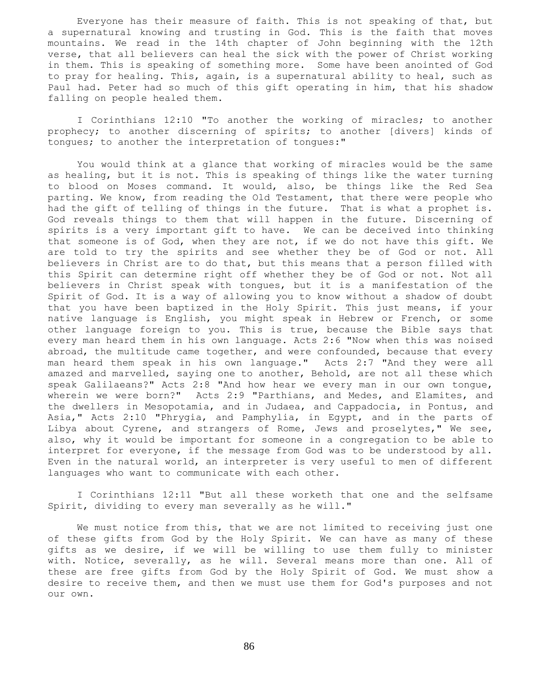Everyone has their measure of faith. This is not speaking of that, but a supernatural knowing and trusting in God. This is the faith that moves mountains. We read in the 14th chapter of John beginning with the 12th verse, that all believers can heal the sick with the power of Christ working in them. This is speaking of something more. Some have been anointed of God to pray for healing. This, again, is a supernatural ability to heal, such as Paul had. Peter had so much of this gift operating in him, that his shadow falling on people healed them.

 I Corinthians 12:10 "To another the working of miracles; to another prophecy; to another discerning of spirits; to another [divers] kinds of tongues; to another the interpretation of tongues:"

 You would think at a glance that working of miracles would be the same as healing, but it is not. This is speaking of things like the water turning to blood on Moses command. It would, also, be things like the Red Sea parting. We know, from reading the Old Testament, that there were people who had the gift of telling of things in the future. That is what a prophet is. God reveals things to them that will happen in the future. Discerning of spirits is a very important gift to have. We can be deceived into thinking that someone is of God, when they are not, if we do not have this gift. We are told to try the spirits and see whether they be of God or not. All believers in Christ are to do that, but this means that a person filled with this Spirit can determine right off whether they be of God or not. Not all believers in Christ speak with tongues, but it is a manifestation of the Spirit of God. It is a way of allowing you to know without a shadow of doubt that you have been baptized in the Holy Spirit. This just means, if your native language is English, you might speak in Hebrew or French, or some other language foreign to you. This is true, because the Bible says that every man heard them in his own language. Acts 2:6 "Now when this was noised abroad, the multitude came together, and were confounded, because that every man heard them speak in his own language." Acts 2:7 "And they were all amazed and marvelled, saying one to another, Behold, are not all these which speak Galilaeans?" Acts 2:8 "And how hear we every man in our own tongue, wherein we were born?" Acts 2:9 "Parthians, and Medes, and Elamites, and the dwellers in Mesopotamia, and in Judaea, and Cappadocia, in Pontus, and Asia," Acts 2:10 "Phrygia, and Pamphylia, in Egypt, and in the parts of Libya about Cyrene, and strangers of Rome, Jews and proselytes," We see, also, why it would be important for someone in a congregation to be able to interpret for everyone, if the message from God was to be understood by all. Even in the natural world, an interpreter is very useful to men of different languages who want to communicate with each other.

 I Corinthians 12:11 "But all these worketh that one and the selfsame Spirit, dividing to every man severally as he will."

 We must notice from this, that we are not limited to receiving just one of these gifts from God by the Holy Spirit. We can have as many of these gifts as we desire, if we will be willing to use them fully to minister with. Notice, severally, as he will. Several means more than one. All of these are free gifts from God by the Holy Spirit of God. We must show a desire to receive them, and then we must use them for God's purposes and not our own.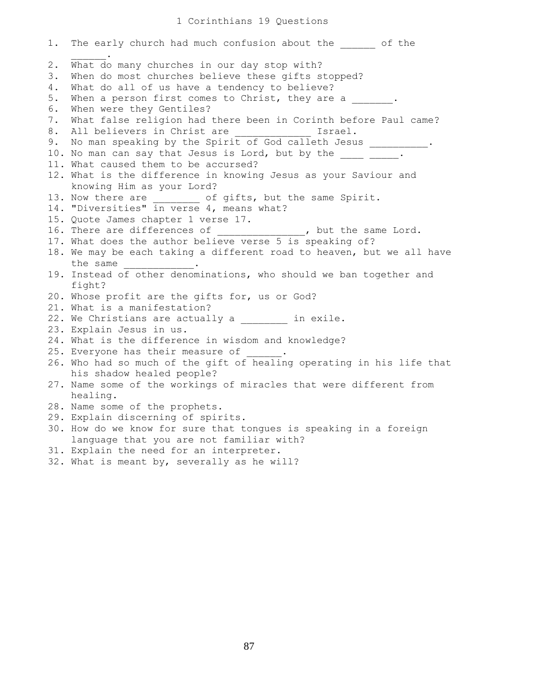## 1 Corinthians 19 Questions

1. The early church had much confusion about the  $\qquad$  of the  $\mathcal{L}=\mathcal{L}^{\mathcal{L}}$ 2. What do many churches in our day stop with? 3. When do most churches believe these gifts stopped? 4. What do all of us have a tendency to believe? 5. When a person first comes to Christ, they are a  $\blacksquare$ . 6. When were they Gentiles? 7. What false religion had there been in Corinth before Paul came? 8. All believers in Christ are  $\qquad \qquad$  Israel. 9. No man speaking by the Spirit of God calleth Jesus \_\_\_\_\_\_\_\_\_. 10. No man can say that Jesus is Lord, but by the  $\frac{1}{\sqrt{2}}$ 11. What caused them to be accursed? 12. What is the difference in knowing Jesus as your Saviour and knowing Him as your Lord? 13. Now there are \_\_\_\_\_\_\_\_ of gifts, but the same Spirit. 14. "Diversities" in verse 4, means what? 15. Quote James chapter 1 verse 17. 16. There are differences of \_\_\_\_\_\_\_\_\_\_\_\_\_\_\_, but the same Lord. 17. What does the author believe verse 5 is speaking of? 18. We may be each taking a different road to heaven, but we all have the same 19. Instead of other denominations, who should we ban together and fight? 20. Whose profit are the gifts for, us or God? 21. What is a manifestation? 22. We Christians are actually a \_\_\_\_\_\_\_ in exile. 23. Explain Jesus in us. 24. What is the difference in wisdom and knowledge? 25. Everyone has their measure of 26. Who had so much of the gift of healing operating in his life that his shadow healed people? 27. Name some of the workings of miracles that were different from healing. 28. Name some of the prophets. 29. Explain discerning of spirits. 30. How do we know for sure that tongues is speaking in a foreign language that you are not familiar with? 31. Explain the need for an interpreter. 32. What is meant by, severally as he will?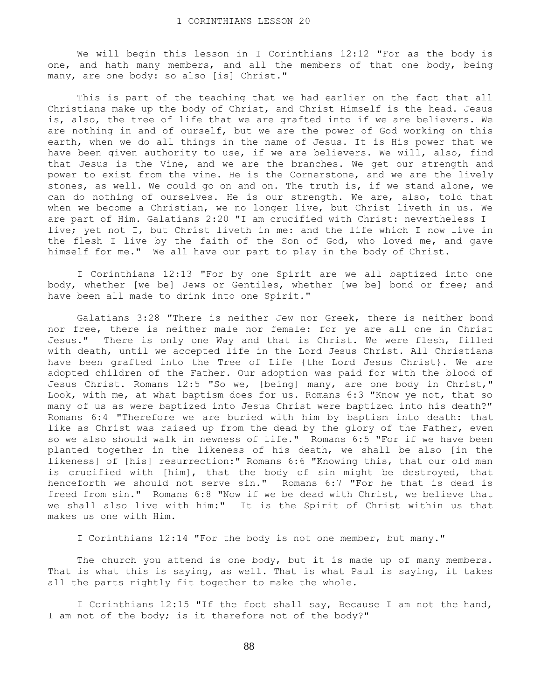We will begin this lesson in I Corinthians 12:12 "For as the body is one, and hath many members, and all the members of that one body, being many, are one body: so also [is] Christ."

 This is part of the teaching that we had earlier on the fact that all Christians make up the body of Christ, and Christ Himself is the head. Jesus is, also, the tree of life that we are grafted into if we are believers. We are nothing in and of ourself, but we are the power of God working on this earth, when we do all things in the name of Jesus. It is His power that we have been given authority to use, if we are believers. We will, also, find that Jesus is the Vine, and we are the branches. We get our strength and power to exist from the vine. He is the Cornerstone, and we are the lively stones, as well. We could go on and on. The truth is, if we stand alone, we can do nothing of ourselves. He is our strength. We are, also, told that when we become a Christian, we no longer live, but Christ liveth in us. We are part of Him. Galatians 2:20 "I am crucified with Christ: nevertheless I live; yet not I, but Christ liveth in me: and the life which I now live in the flesh I live by the faith of the Son of God, who loved me, and gave himself for me." We all have our part to play in the body of Christ.

 I Corinthians 12:13 "For by one Spirit are we all baptized into one body, whether [we be] Jews or Gentiles, whether [we be] bond or free; and have been all made to drink into one Spirit."

 Galatians 3:28 "There is neither Jew nor Greek, there is neither bond nor free, there is neither male nor female: for ye are all one in Christ Jesus." There is only one Way and that is Christ. We were flesh, filled with death, until we accepted life in the Lord Jesus Christ. All Christians have been grafted into the Tree of Life {the Lord Jesus Christ}. We are adopted children of the Father. Our adoption was paid for with the blood of Jesus Christ. Romans 12:5 "So we, [being] many, are one body in Christ," Look, with me, at what baptism does for us. Romans 6:3 "Know ye not, that so many of us as were baptized into Jesus Christ were baptized into his death?" Romans 6:4 "Therefore we are buried with him by baptism into death: that like as Christ was raised up from the dead by the glory of the Father, even so we also should walk in newness of life." Romans 6:5 "For if we have been planted together in the likeness of his death, we shall be also [in the likeness] of [his] resurrection:" Romans 6:6 "Knowing this, that our old man is crucified with [him], that the body of sin might be destroyed, that henceforth we should not serve sin." Romans 6:7 "For he that is dead is freed from sin." Romans 6:8 "Now if we be dead with Christ, we believe that we shall also live with him:" It is the Spirit of Christ within us that makes us one with Him.

I Corinthians 12:14 "For the body is not one member, but many."

The church you attend is one body, but it is made up of many members. That is what this is saying, as well. That is what Paul is saying, it takes all the parts rightly fit together to make the whole.

 I Corinthians 12:15 "If the foot shall say, Because I am not the hand, I am not of the body; is it therefore not of the body?"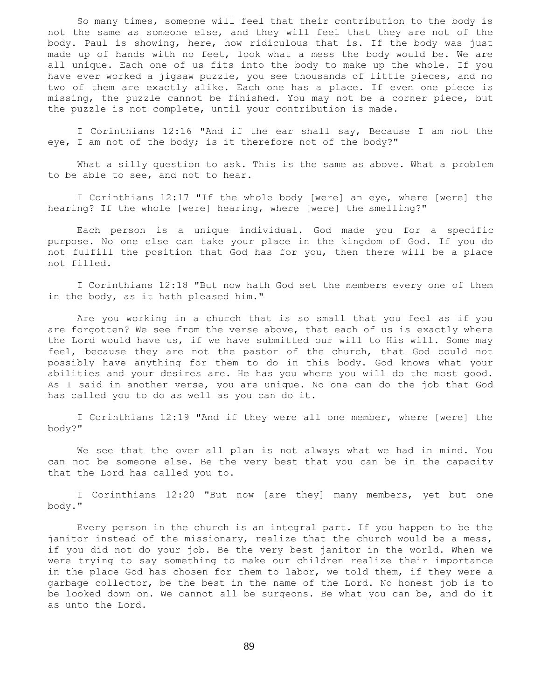So many times, someone will feel that their contribution to the body is not the same as someone else, and they will feel that they are not of the body. Paul is showing, here, how ridiculous that is. If the body was just made up of hands with no feet, look what a mess the body would be. We are all unique. Each one of us fits into the body to make up the whole. If you have ever worked a jigsaw puzzle, you see thousands of little pieces, and no two of them are exactly alike. Each one has a place. If even one piece is missing, the puzzle cannot be finished. You may not be a corner piece, but the puzzle is not complete, until your contribution is made.

 I Corinthians 12:16 "And if the ear shall say, Because I am not the eye, I am not of the body; is it therefore not of the body?"

 What a silly question to ask. This is the same as above. What a problem to be able to see, and not to hear.

 I Corinthians 12:17 "If the whole body [were] an eye, where [were] the hearing? If the whole [were] hearing, where [were] the smelling?"

 Each person is a unique individual. God made you for a specific purpose. No one else can take your place in the kingdom of God. If you do not fulfill the position that God has for you, then there will be a place not filled.

 I Corinthians 12:18 "But now hath God set the members every one of them in the body, as it hath pleased him."

 Are you working in a church that is so small that you feel as if you are forgotten? We see from the verse above, that each of us is exactly where the Lord would have us, if we have submitted our will to His will. Some may feel, because they are not the pastor of the church, that God could not possibly have anything for them to do in this body. God knows what your abilities and your desires are. He has you where you will do the most good. As I said in another verse, you are unique. No one can do the job that God has called you to do as well as you can do it.

 I Corinthians 12:19 "And if they were all one member, where [were] the body?"

 We see that the over all plan is not always what we had in mind. You can not be someone else. Be the very best that you can be in the capacity that the Lord has called you to.

 I Corinthians 12:20 "But now [are they] many members, yet but one body."

 Every person in the church is an integral part. If you happen to be the janitor instead of the missionary, realize that the church would be a mess, if you did not do your job. Be the very best janitor in the world. When we were trying to say something to make our children realize their importance in the place God has chosen for them to labor, we told them, if they were a garbage collector, be the best in the name of the Lord. No honest job is to be looked down on. We cannot all be surgeons. Be what you can be, and do it as unto the Lord.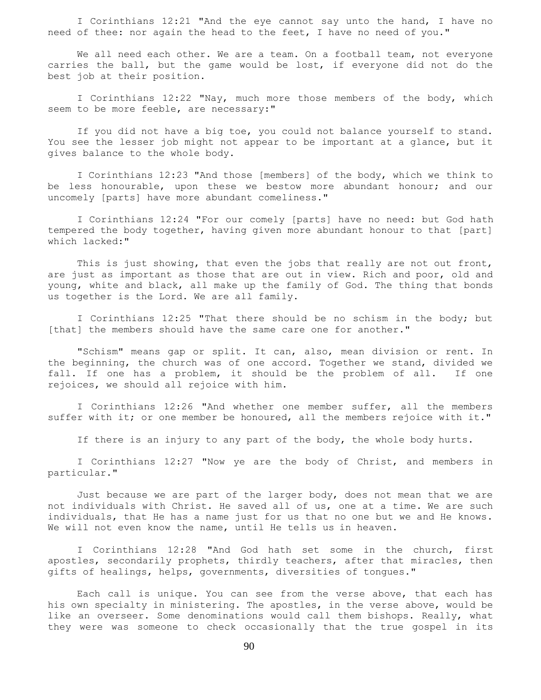I Corinthians 12:21 "And the eye cannot say unto the hand, I have no need of thee: nor again the head to the feet, I have no need of you."

We all need each other. We are a team. On a football team, not everyone carries the ball, but the game would be lost, if everyone did not do the best job at their position.

 I Corinthians 12:22 "Nay, much more those members of the body, which seem to be more feeble, are necessary:"

 If you did not have a big toe, you could not balance yourself to stand. You see the lesser job might not appear to be important at a glance, but it gives balance to the whole body.

 I Corinthians 12:23 "And those [members] of the body, which we think to be less honourable, upon these we bestow more abundant honour; and our uncomely [parts] have more abundant comeliness."

 I Corinthians 12:24 "For our comely [parts] have no need: but God hath tempered the body together, having given more abundant honour to that [part] which lacked:"

 This is just showing, that even the jobs that really are not out front, are just as important as those that are out in view. Rich and poor, old and young, white and black, all make up the family of God. The thing that bonds us together is the Lord. We are all family.

 I Corinthians 12:25 "That there should be no schism in the body; but [that] the members should have the same care one for another."

 "Schism" means gap or split. It can, also, mean division or rent. In the beginning, the church was of one accord. Together we stand, divided we fall. If one has a problem, it should be the problem of all. If one rejoices, we should all rejoice with him.

 I Corinthians 12:26 "And whether one member suffer, all the members suffer with it; or one member be honoured, all the members rejoice with it."

If there is an injury to any part of the body, the whole body hurts.

 I Corinthians 12:27 "Now ye are the body of Christ, and members in particular."

 Just because we are part of the larger body, does not mean that we are not individuals with Christ. He saved all of us, one at a time. We are such individuals, that He has a name just for us that no one but we and He knows. We will not even know the name, until He tells us in heaven.

 I Corinthians 12:28 "And God hath set some in the church, first apostles, secondarily prophets, thirdly teachers, after that miracles, then gifts of healings, helps, governments, diversities of tongues."

 Each call is unique. You can see from the verse above, that each has his own specialty in ministering. The apostles, in the verse above, would be like an overseer. Some denominations would call them bishops. Really, what they were was someone to check occasionally that the true gospel in its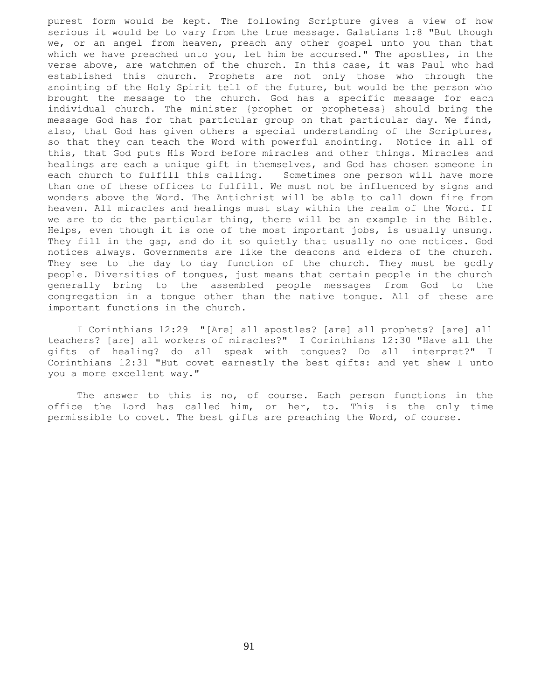purest form would be kept. The following Scripture gives a view of how serious it would be to vary from the true message. Galatians 1:8 "But though we, or an angel from heaven, preach any other gospel unto you than that which we have preached unto you, let him be accursed." The apostles, in the verse above, are watchmen of the church. In this case, it was Paul who had established this church. Prophets are not only those who through the anointing of the Holy Spirit tell of the future, but would be the person who brought the message to the church. God has a specific message for each individual church. The minister {prophet or prophetess} should bring the message God has for that particular group on that particular day. We find, also, that God has given others a special understanding of the Scriptures, so that they can teach the Word with powerful anointing. Notice in all of this, that God puts His Word before miracles and other things. Miracles and healings are each a unique gift in themselves, and God has chosen someone in each church to fulfill this calling. Sometimes one person will have more than one of these offices to fulfill. We must not be influenced by signs and wonders above the Word. The Antichrist will be able to call down fire from heaven. All miracles and healings must stay within the realm of the Word. If we are to do the particular thing, there will be an example in the Bible. Helps, even though it is one of the most important jobs, is usually unsung. They fill in the gap, and do it so quietly that usually no one notices. God notices always. Governments are like the deacons and elders of the church. They see to the day to day function of the church. They must be godly people. Diversities of tongues, just means that certain people in the church generally bring to the assembled people messages from God to the congregation in a tongue other than the native tongue. All of these are important functions in the church.

 I Corinthians 12:29 "[Are] all apostles? [are] all prophets? [are] all teachers? [are] all workers of miracles?" I Corinthians 12:30 "Have all the gifts of healing? do all speak with tongues? Do all interpret?" I Corinthians 12:31 "But covet earnestly the best gifts: and yet shew I unto you a more excellent way."

 The answer to this is no, of course. Each person functions in the office the Lord has called him, or her, to. This is the only time permissible to covet. The best gifts are preaching the Word, of course.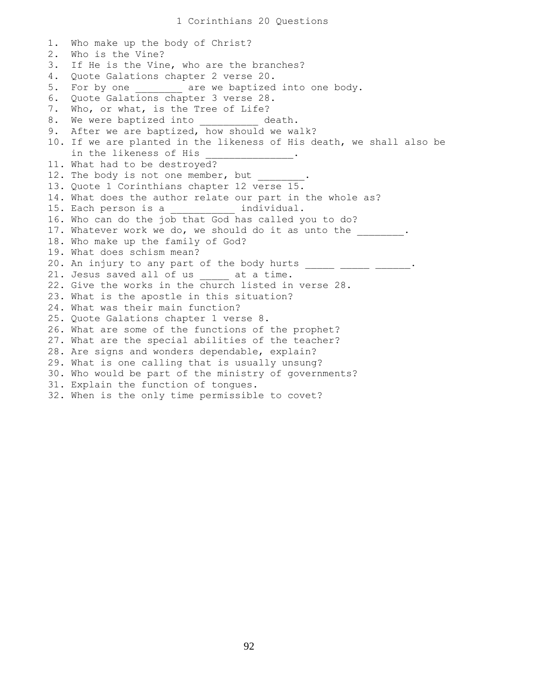1. Who make up the body of Christ? 2. Who is the Vine? 3. If He is the Vine, who are the branches? 4. Quote Galations chapter 2 verse 20. 5. For by one \_\_\_\_\_\_\_ are we baptized into one body. 6. Quote Galations chapter 3 verse 28. 7. Who, or what, is the Tree of Life? 8. We were baptized into \_\_\_\_\_\_\_\_\_\_ death. 9. After we are baptized, how should we walk? 10. If we are planted in the likeness of His death, we shall also be in the likeness of His \_\_\_\_\_\_\_\_\_\_\_\_\_\_\_. 11. What had to be destroyed? 12. The body is not one member, but 13. Quote 1 Corinthians chapter 12 verse 15. 14. What does the author relate our part in the whole as? 15. Each person is a \_\_\_\_\_\_\_\_\_\_\_ individual. 16. Who can do the job that God has called you to do? 17. Whatever work we do, we should do it as unto the  $\qquad \qquad$ . 18. Who make up the family of God? 19. What does schism mean? 20. An injury to any part of the body hurts  $\frac{1}{\sqrt{2}}$   $\frac{1}{\sqrt{2}}$   $\cdots$ 21. Jesus saved all of us \_\_\_\_\_ at a time. 22. Give the works in the church listed in verse 28. 23. What is the apostle in this situation? 24. What was their main function? 25. Quote Galations chapter 1 verse 8. 26. What are some of the functions of the prophet? 27. What are the special abilities of the teacher? 28. Are signs and wonders dependable, explain? 29. What is one calling that is usually unsung? 30. Who would be part of the ministry of governments? 31. Explain the function of tongues. 32. When is the only time permissible to covet?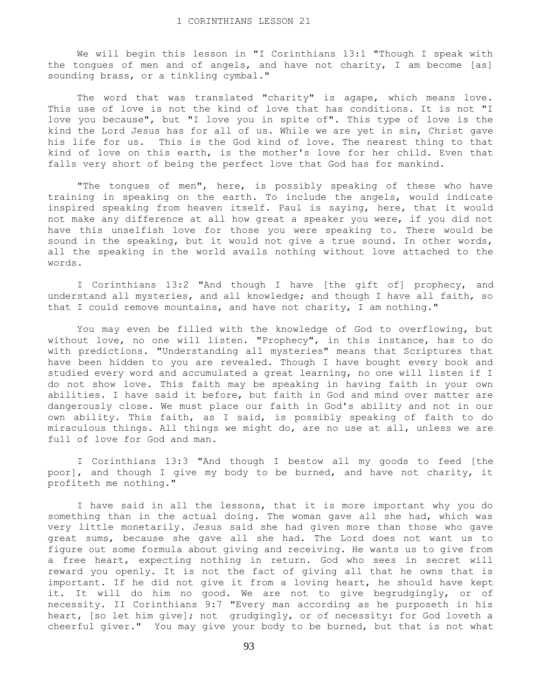We will begin this lesson in "I Corinthians 13:1 "Though I speak with the tongues of men and of angels, and have not charity, I am become [as] sounding brass, or a tinkling cymbal."

The word that was translated "charity" is agape, which means love. This use of love is not the kind of love that has conditions. It is not "I love you because", but "I love you in spite of". This type of love is the kind the Lord Jesus has for all of us. While we are yet in sin, Christ gave his life for us. This is the God kind of love. The nearest thing to that kind of love on this earth, is the mother's love for her child. Even that falls very short of being the perfect love that God has for mankind.

 "The tongues of men", here, is possibly speaking of these who have training in speaking on the earth. To include the angels, would indicate inspired speaking from heaven itself. Paul is saying, here, that it would not make any difference at all how great a speaker you were, if you did not have this unselfish love for those you were speaking to. There would be sound in the speaking, but it would not give a true sound. In other words, all the speaking in the world avails nothing without love attached to the words.

 I Corinthians 13:2 "And though I have [the gift of] prophecy, and understand all mysteries, and all knowledge; and though I have all faith, so that I could remove mountains, and have not charity, I am nothing."

 You may even be filled with the knowledge of God to overflowing, but without love, no one will listen. "Prophecy", in this instance, has to do with predictions. "Understanding all mysteries" means that Scriptures that have been hidden to you are revealed. Though I have bought every book and studied every word and accumulated a great learning, no one will listen if I do not show love. This faith may be speaking in having faith in your own abilities. I have said it before, but faith in God and mind over matter are dangerously close. We must place our faith in God's ability and not in our own ability. This faith, as I said, is possibly speaking of faith to do miraculous things. All things we might do, are no use at all, unless we are full of love for God and man.

 I Corinthians 13:3 "And though I bestow all my goods to feed [the poor], and though I give my body to be burned, and have not charity, it profiteth me nothing."

I have said in all the lessons, that it is more important why you do something than in the actual doing. The woman gave all she had, which was very little monetarily. Jesus said she had given more than those who gave great sums, because she gave all she had. The Lord does not want us to figure out some formula about giving and receiving. He wants us to give from a free heart, expecting nothing in return. God who sees in secret will reward you openly. It is not the fact of giving all that he owns that is important. If he did not give it from a loving heart, he should have kept it. It will do him no good. We are not to give begrudgingly, or of necessity. II Corinthians 9:7 "Every man according as he purposeth in his heart, [so let him give]; not grudgingly, or of necessity: for God loveth a cheerful giver." You may give your body to be burned, but that is not what

93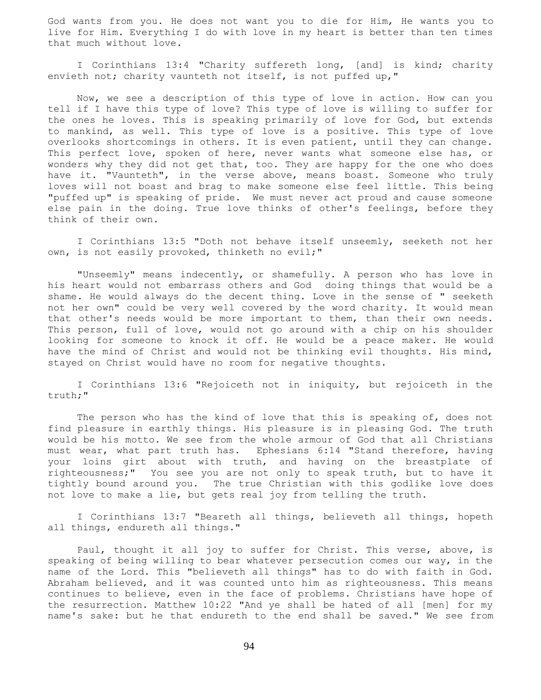God wants from you. He does not want you to die for Him, He wants you to live for Him. Everything I do with love in my heart is better than ten times that much without love.

 I Corinthians 13:4 "Charity suffereth long, [and] is kind; charity envieth not; charity vaunteth not itself, is not puffed up,"

 Now, we see a description of this type of love in action. How can you tell if I have this type of love? This type of love is willing to suffer for the ones he loves. This is speaking primarily of love for God, but extends to mankind, as well. This type of love is a positive. This type of love overlooks shortcomings in others. It is even patient, until they can change. This perfect love, spoken of here, never wants what someone else has, or wonders why they did not get that, too. They are happy for the one who does have it. "Vaunteth", in the verse above, means boast. Someone who truly loves will not boast and brag to make someone else feel little. This being "puffed up" is speaking of pride. We must never act proud and cause someone else pain in the doing. True love thinks of other's feelings, before they think of their own.

 I Corinthians 13:5 "Doth not behave itself unseemly, seeketh not her own, is not easily provoked, thinketh no evil;"

 "Unseemly" means indecently, or shamefully. A person who has love in his heart would not embarrass others and God doing things that would be a shame. He would always do the decent thing. Love in the sense of " seeketh not her own" could be very well covered by the word charity. It would mean that other's needs would be more important to them, than their own needs. This person, full of love, would not go around with a chip on his shoulder looking for someone to knock it off. He would be a peace maker. He would have the mind of Christ and would not be thinking evil thoughts. His mind, stayed on Christ would have no room for negative thoughts.

 I Corinthians 13:6 "Rejoiceth not in iniquity, but rejoiceth in the truth;"

 The person who has the kind of love that this is speaking of, does not find pleasure in earthly things. His pleasure is in pleasing God. The truth would be his motto. We see from the whole armour of God that all Christians must wear, what part truth has. Ephesians 6:14 "Stand therefore, having your loins girt about with truth, and having on the breastplate of righteousness;" You see you are not only to speak truth, but to have it tightly bound around you. The true Christian with this godlike love does not love to make a lie, but gets real joy from telling the truth.

 I Corinthians 13:7 "Beareth all things, believeth all things, hopeth all things, endureth all things."

Paul, thought it all joy to suffer for Christ. This verse, above, is speaking of being willing to bear whatever persecution comes our way, in the name of the Lord. This "believeth all things" has to do with faith in God. Abraham believed, and it was counted unto him as righteousness. This means continues to believe, even in the face of problems. Christians have hope of the resurrection. Matthew 10:22 "And ye shall be hated of all [men] for my name's sake: but he that endureth to the end shall be saved." We see from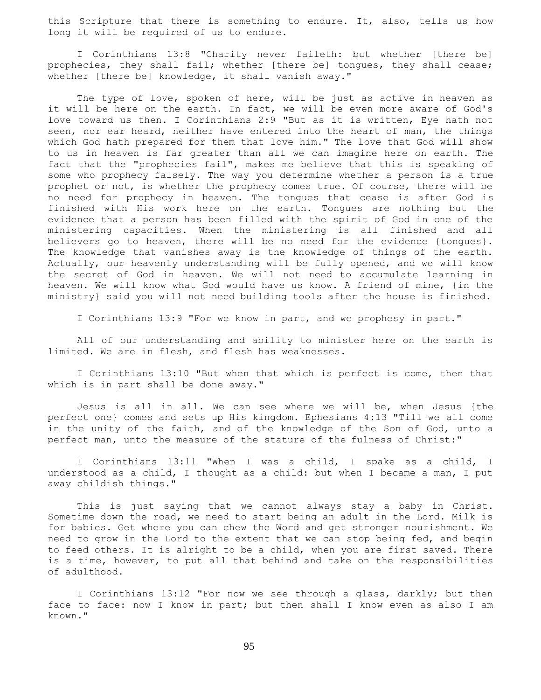this Scripture that there is something to endure. It, also, tells us how long it will be required of us to endure.

 I Corinthians 13:8 "Charity never faileth: but whether [there be] prophecies, they shall fail; whether [there be] tongues, they shall cease; whether [there be] knowledge, it shall vanish away."

The type of love, spoken of here, will be just as active in heaven as it will be here on the earth. In fact, we will be even more aware of God's love toward us then. I Corinthians 2:9 "But as it is written, Eye hath not seen, nor ear heard, neither have entered into the heart of man, the things which God hath prepared for them that love him." The love that God will show to us in heaven is far greater than all we can imagine here on earth. The fact that the "prophecies fail", makes me believe that this is speaking of some who prophecy falsely. The way you determine whether a person is a true prophet or not, is whether the prophecy comes true. Of course, there will be no need for prophecy in heaven. The tongues that cease is after God is finished with His work here on the earth. Tongues are nothing but the evidence that a person has been filled with the spirit of God in one of the ministering capacities. When the ministering is all finished and all believers go to heaven, there will be no need for the evidence {tongues}. The knowledge that vanishes away is the knowledge of things of the earth. Actually, our heavenly understanding will be fully opened, and we will know the secret of God in heaven. We will not need to accumulate learning in heaven. We will know what God would have us know. A friend of mine, {in the ministry} said you will not need building tools after the house is finished.

I Corinthians 13:9 "For we know in part, and we prophesy in part."

 All of our understanding and ability to minister here on the earth is limited. We are in flesh, and flesh has weaknesses.

 I Corinthians 13:10 "But when that which is perfect is come, then that which is in part shall be done away."

 Jesus is all in all. We can see where we will be, when Jesus {the perfect one} comes and sets up His kingdom. Ephesians 4:13 "Till we all come in the unity of the faith, and of the knowledge of the Son of God, unto a perfect man, unto the measure of the stature of the fulness of Christ:"

 I Corinthians 13:11 "When I was a child, I spake as a child, I understood as a child, I thought as a child: but when I became a man, I put away childish things."

 This is just saying that we cannot always stay a baby in Christ. Sometime down the road, we need to start being an adult in the Lord. Milk is for babies. Get where you can chew the Word and get stronger nourishment. We need to grow in the Lord to the extent that we can stop being fed, and begin to feed others. It is alright to be a child, when you are first saved. There is a time, however, to put all that behind and take on the responsibilities of adulthood.

 I Corinthians 13:12 "For now we see through a glass, darkly; but then face to face: now I know in part; but then shall I know even as also I am known."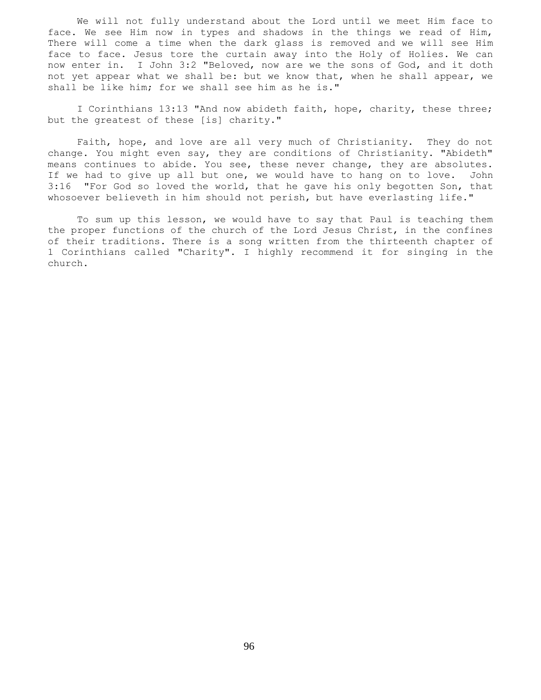We will not fully understand about the Lord until we meet Him face to face. We see Him now in types and shadows in the things we read of Him, There will come a time when the dark glass is removed and we will see Him face to face. Jesus tore the curtain away into the Holy of Holies. We can now enter in. I John 3:2 "Beloved, now are we the sons of God, and it doth not yet appear what we shall be: but we know that, when he shall appear, we shall be like him; for we shall see him as he is."

 I Corinthians 13:13 "And now abideth faith, hope, charity, these three; but the greatest of these [is] charity."

 Faith, hope, and love are all very much of Christianity. They do not change. You might even say, they are conditions of Christianity. "Abideth" means continues to abide. You see, these never change, they are absolutes. If we had to give up all but one, we would have to hang on to love. John 3:16 "For God so loved the world, that he gave his only begotten Son, that whosoever believeth in him should not perish, but have everlasting life."

 To sum up this lesson, we would have to say that Paul is teaching them the proper functions of the church of the Lord Jesus Christ, in the confines of their traditions. There is a song written from the thirteenth chapter of 1 Corinthians called "Charity". I highly recommend it for singing in the church.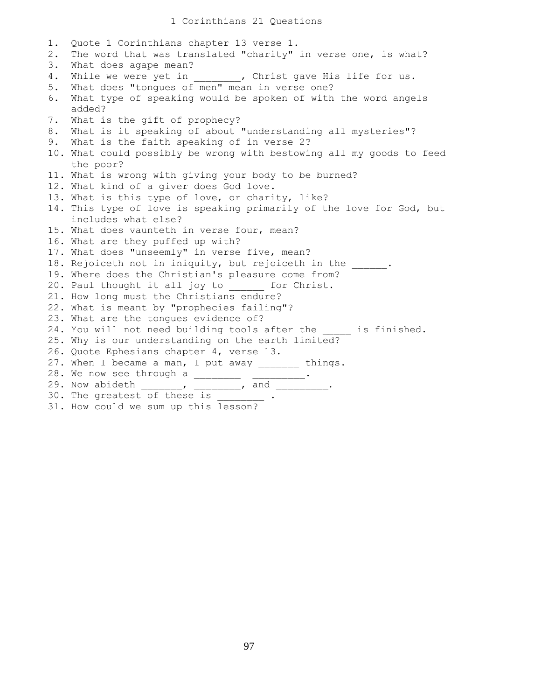## 1 Corinthians 21 Questions

1. Quote 1 Corinthians chapter 13 verse 1. 2. The word that was translated "charity" in verse one, is what? 3. What does agape mean? 4. While we were yet in  $\qquad \qquad$ , Christ gave His life for us. 5. What does "tongues of men" mean in verse one? 6. What type of speaking would be spoken of with the word angels added? 7. What is the gift of prophecy? 8. What is it speaking of about "understanding all mysteries"? 9. What is the faith speaking of in verse 2? 10. What could possibly be wrong with bestowing all my goods to feed the poor? 11. What is wrong with giving your body to be burned? 12. What kind of a giver does God love. 13. What is this type of love, or charity, like? 14. This type of love is speaking primarily of the love for God, but includes what else? 15. What does vaunteth in verse four, mean? 16. What are they puffed up with? 17. What does "unseemly" in verse five, mean? 18. Rejoiceth not in iniquity, but rejoiceth in the \_\_\_\_\_\_. 19. Where does the Christian's pleasure come from? 20. Paul thought it all joy to for Christ. 21. How long must the Christians endure? 22. What is meant by "prophecies failing"? 23. What are the tongues evidence of? 24. You will not need building tools after the \_\_\_\_\_ is finished. 25. Why is our understanding on the earth limited? 26. Quote Ephesians chapter 4, verse 13. 27. When I became a man, I put away things. 28. We now see through a \_\_\_\_\_\_\_\_\_ \_\_\_\_\_\_\_\_\_\_. 29. Now abideth 1. The set of the set of the set of the set of the set of the set of the set of the set of the s 30. The greatest of these is  $\qquad \qquad$ 31. How could we sum up this lesson?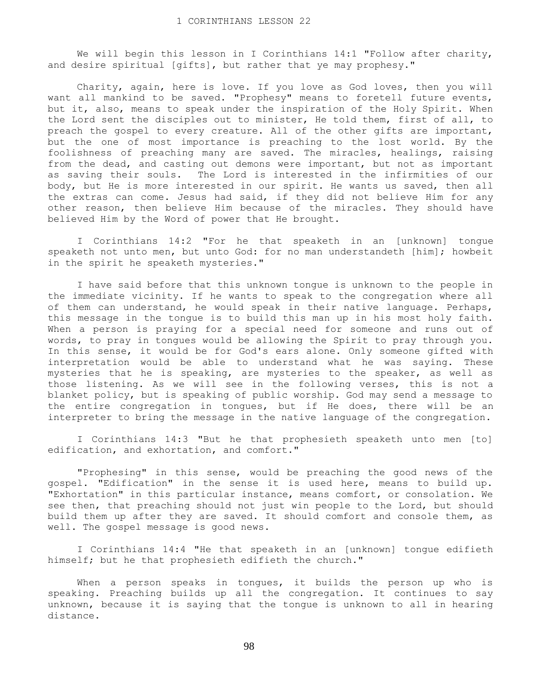We will begin this lesson in I Corinthians 14:1 "Follow after charity, and desire spiritual [gifts], but rather that ye may prophesy."

 Charity, again, here is love. If you love as God loves, then you will want all mankind to be saved. "Prophesy" means to foretell future events, but it, also, means to speak under the inspiration of the Holy Spirit. When the Lord sent the disciples out to minister, He told them, first of all, to preach the gospel to every creature. All of the other gifts are important, but the one of most importance is preaching to the lost world. By the foolishness of preaching many are saved. The miracles, healings, raising from the dead, and casting out demons were important, but not as important as saving their souls. The Lord is interested in the infirmities of our body, but He is more interested in our spirit. He wants us saved, then all the extras can come. Jesus had said, if they did not believe Him for any other reason, then believe Him because of the miracles. They should have believed Him by the Word of power that He brought.

 I Corinthians 14:2 "For he that speaketh in an [unknown] tongue speaketh not unto men, but unto God: for no man understandeth [him]; howbeit in the spirit he speaketh mysteries."

 I have said before that this unknown tongue is unknown to the people in the immediate vicinity. If he wants to speak to the congregation where all of them can understand, he would speak in their native language. Perhaps, this message in the tongue is to build this man up in his most holy faith. When a person is praying for a special need for someone and runs out of words, to pray in tongues would be allowing the Spirit to pray through you. In this sense, it would be for God's ears alone. Only someone gifted with interpretation would be able to understand what he was saying. These mysteries that he is speaking, are mysteries to the speaker, as well as those listening. As we will see in the following verses, this is not a blanket policy, but is speaking of public worship. God may send a message to the entire congregation in tongues, but if He does, there will be an interpreter to bring the message in the native language of the congregation.

 I Corinthians 14:3 "But he that prophesieth speaketh unto men [to] edification, and exhortation, and comfort."

 "Prophesing" in this sense, would be preaching the good news of the gospel. "Edification" in the sense it is used here, means to build up. "Exhortation" in this particular instance, means comfort, or consolation. We see then, that preaching should not just win people to the Lord, but should build them up after they are saved. It should comfort and console them, as well. The gospel message is good news.

 I Corinthians 14:4 "He that speaketh in an [unknown] tongue edifieth himself; but he that prophesieth edifieth the church."

When a person speaks in tongues, it builds the person up who is speaking. Preaching builds up all the congregation. It continues to say unknown, because it is saying that the tongue is unknown to all in hearing distance.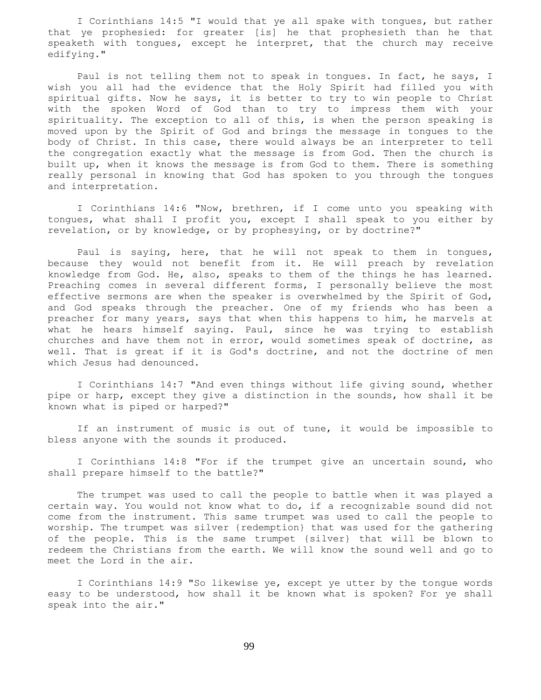I Corinthians 14:5 "I would that ye all spake with tongues, but rather that ye prophesied: for greater [is] he that prophesieth than he that speaketh with tongues, except he interpret, that the church may receive edifying."

 Paul is not telling them not to speak in tongues. In fact, he says, I wish you all had the evidence that the Holy Spirit had filled you with spiritual gifts. Now he says, it is better to try to win people to Christ with the spoken Word of God than to try to impress them with your spirituality. The exception to all of this, is when the person speaking is moved upon by the Spirit of God and brings the message in tongues to the body of Christ. In this case, there would always be an interpreter to tell the congregation exactly what the message is from God. Then the church is built up, when it knows the message is from God to them. There is something really personal in knowing that God has spoken to you through the tongues and interpretation.

 I Corinthians 14:6 "Now, brethren, if I come unto you speaking with tongues, what shall I profit you, except I shall speak to you either by revelation, or by knowledge, or by prophesying, or by doctrine?"

 Paul is saying, here, that he will not speak to them in tongues, because they would not benefit from it. He will preach by revelation knowledge from God. He, also, speaks to them of the things he has learned. Preaching comes in several different forms, I personally believe the most effective sermons are when the speaker is overwhelmed by the Spirit of God, and God speaks through the preacher. One of my friends who has been a preacher for many years, says that when this happens to him, he marvels at what he hears himself saying. Paul, since he was trying to establish churches and have them not in error, would sometimes speak of doctrine, as well. That is great if it is God's doctrine, and not the doctrine of men which Jesus had denounced.

 I Corinthians 14:7 "And even things without life giving sound, whether pipe or harp, except they give a distinction in the sounds, how shall it be known what is piped or harped?"

 If an instrument of music is out of tune, it would be impossible to bless anyone with the sounds it produced.

 I Corinthians 14:8 "For if the trumpet give an uncertain sound, who shall prepare himself to the battle?"

 The trumpet was used to call the people to battle when it was played a certain way. You would not know what to do, if a recognizable sound did not come from the instrument. This same trumpet was used to call the people to worship. The trumpet was silver {redemption} that was used for the gathering of the people. This is the same trumpet {silver} that will be blown to redeem the Christians from the earth. We will know the sound well and go to meet the Lord in the air.

 I Corinthians 14:9 "So likewise ye, except ye utter by the tongue words easy to be understood, how shall it be known what is spoken? For ye shall speak into the air."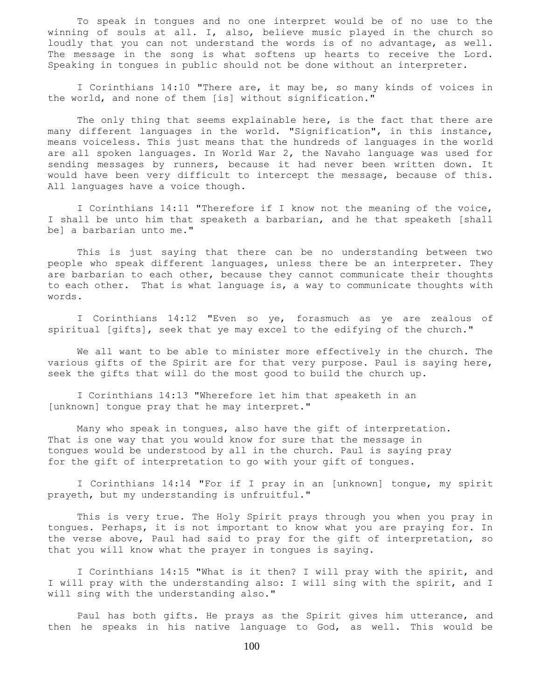To speak in tongues and no one interpret would be of no use to the winning of souls at all. I, also, believe music played in the church so loudly that you can not understand the words is of no advantage, as well. The message in the song is what softens up hearts to receive the Lord. Speaking in tongues in public should not be done without an interpreter.

 I Corinthians 14:10 "There are, it may be, so many kinds of voices in the world, and none of them [is] without signification."

 The only thing that seems explainable here, is the fact that there are many different languages in the world. "Signification", in this instance, means voiceless. This just means that the hundreds of languages in the world are all spoken languages. In World War 2, the Navaho language was used for sending messages by runners, because it had never been written down. It would have been very difficult to intercept the message, because of this. All languages have a voice though.

 I Corinthians 14:11 "Therefore if I know not the meaning of the voice, I shall be unto him that speaketh a barbarian, and he that speaketh [shall be] a barbarian unto me."

 This is just saying that there can be no understanding between two people who speak different languages, unless there be an interpreter. They are barbarian to each other, because they cannot communicate their thoughts to each other. That is what language is, a way to communicate thoughts with words.

 I Corinthians 14:12 "Even so ye, forasmuch as ye are zealous of spiritual [gifts], seek that ye may excel to the edifying of the church."

 We all want to be able to minister more effectively in the church. The various gifts of the Spirit are for that very purpose. Paul is saying here, seek the gifts that will do the most good to build the church up.

 I Corinthians 14:13 "Wherefore let him that speaketh in an [unknown] tongue pray that he may interpret."

 Many who speak in tongues, also have the gift of interpretation. That is one way that you would know for sure that the message in tongues would be understood by all in the church. Paul is saying pray for the gift of interpretation to go with your gift of tongues.

 I Corinthians 14:14 "For if I pray in an [unknown] tongue, my spirit prayeth, but my understanding is unfruitful."

 This is very true. The Holy Spirit prays through you when you pray in tongues. Perhaps, it is not important to know what you are praying for. In the verse above, Paul had said to pray for the gift of interpretation, so that you will know what the prayer in tongues is saying.

 I Corinthians 14:15 "What is it then? I will pray with the spirit, and I will pray with the understanding also: I will sing with the spirit, and I will sing with the understanding also."

 Paul has both gifts. He prays as the Spirit gives him utterance, and then he speaks in his native language to God, as well. This would be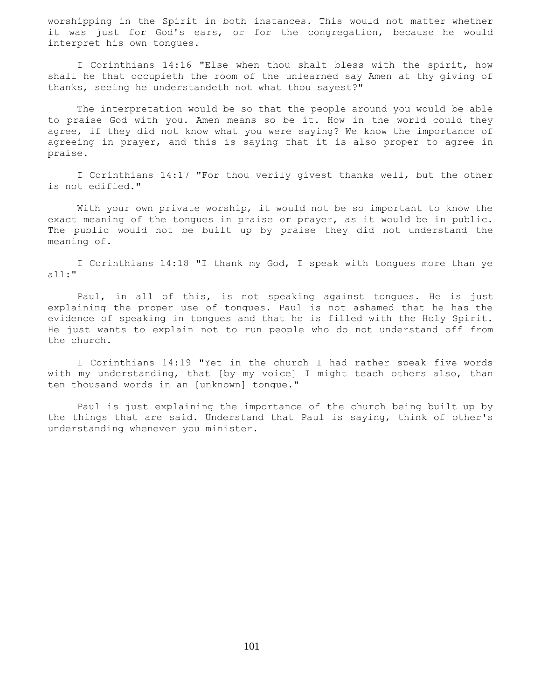worshipping in the Spirit in both instances. This would not matter whether it was just for God's ears, or for the congregation, because he would interpret his own tongues.

 I Corinthians 14:16 "Else when thou shalt bless with the spirit, how shall he that occupieth the room of the unlearned say Amen at thy giving of thanks, seeing he understandeth not what thou sayest?"

 The interpretation would be so that the people around you would be able to praise God with you. Amen means so be it. How in the world could they agree, if they did not know what you were saying? We know the importance of agreeing in prayer, and this is saying that it is also proper to agree in praise.

 I Corinthians 14:17 "For thou verily givest thanks well, but the other is not edified."

With your own private worship, it would not be so important to know the exact meaning of the tongues in praise or prayer, as it would be in public. The public would not be built up by praise they did not understand the meaning of.

 I Corinthians 14:18 "I thank my God, I speak with tongues more than ye all:"

 Paul, in all of this, is not speaking against tongues. He is just explaining the proper use of tongues. Paul is not ashamed that he has the evidence of speaking in tongues and that he is filled with the Holy Spirit. He just wants to explain not to run people who do not understand off from the church.

 I Corinthians 14:19 "Yet in the church I had rather speak five words with my understanding, that [by my voice] I might teach others also, than ten thousand words in an [unknown] tongue."

 Paul is just explaining the importance of the church being built up by the things that are said. Understand that Paul is saying, think of other's understanding whenever you minister.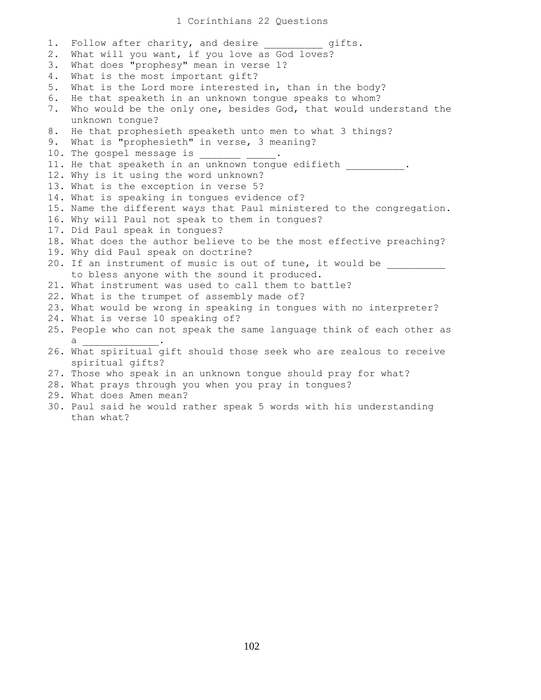1. Follow after charity, and desire entits. 2. What will you want, if you love as God loves? 3. What does "prophesy" mean in verse 1? 4. What is the most important gift? 5. What is the Lord more interested in, than in the body? 6. He that speaketh in an unknown tongue speaks to whom? 7. Who would be the only one, besides God, that would understand the unknown tongue? 8. He that prophesieth speaketh unto men to what 3 things? 9. What is "prophesieth" in verse, 3 meaning? 10. The gospel message is \_\_\_\_ 11. He that speaketh in an unknown tongue edifieth . 12. Why is it using the word unknown? 13. What is the exception in verse 5? 14. What is speaking in tongues evidence of? 15. Name the different ways that Paul ministered to the congregation. 16. Why will Paul not speak to them in tongues? 17. Did Paul speak in tongues? 18. What does the author believe to be the most effective preaching? 19. Why did Paul speak on doctrine? 20. If an instrument of music is out of tune, it would be to bless anyone with the sound it produced. 21. What instrument was used to call them to battle? 22. What is the trumpet of assembly made of? 23. What would be wrong in speaking in tongues with no interpreter? 24. What is verse 10 speaking of? 25. People who can not speak the same language think of each other as  $a$ 26. What spiritual gift should those seek who are zealous to receive spiritual gifts? 27. Those who speak in an unknown tongue should pray for what? 28. What prays through you when you pray in tongues? 29. What does Amen mean? 30. Paul said he would rather speak 5 words with his understanding than what?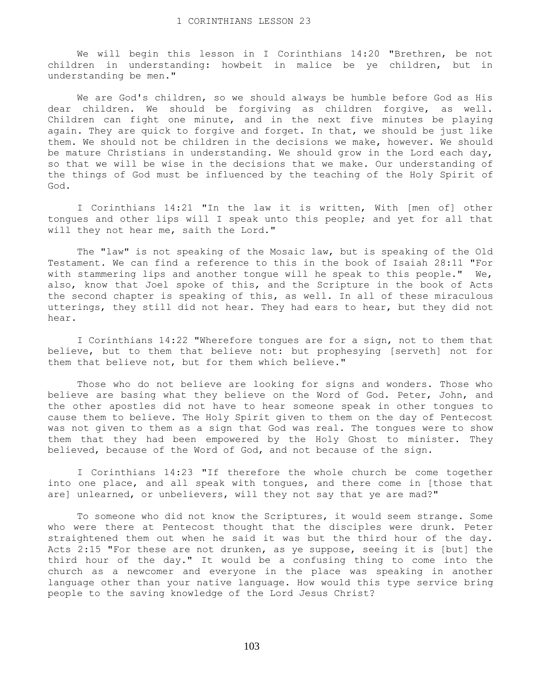We will begin this lesson in I Corinthians 14:20 "Brethren, be not children in understanding: howbeit in malice be ye children, but in understanding be men."

 We are God's children, so we should always be humble before God as His dear children. We should be forgiving as children forgive, as well. Children can fight one minute, and in the next five minutes be playing again. They are quick to forgive and forget. In that, we should be just like them. We should not be children in the decisions we make, however. We should be mature Christians in understanding. We should grow in the Lord each day, so that we will be wise in the decisions that we make. Our understanding of the things of God must be influenced by the teaching of the Holy Spirit of God.

 I Corinthians 14:21 "In the law it is written, With [men of] other tongues and other lips will I speak unto this people; and yet for all that will they not hear me, saith the Lord."

 The "law" is not speaking of the Mosaic law, but is speaking of the Old Testament. We can find a reference to this in the book of Isaiah 28:11 "For with stammering lips and another tongue will he speak to this people." We, also, know that Joel spoke of this, and the Scripture in the book of Acts the second chapter is speaking of this, as well. In all of these miraculous utterings, they still did not hear. They had ears to hear, but they did not hear.

 I Corinthians 14:22 "Wherefore tongues are for a sign, not to them that believe, but to them that believe not: but prophesying [serveth] not for them that believe not, but for them which believe."

 Those who do not believe are looking for signs and wonders. Those who believe are basing what they believe on the Word of God. Peter, John, and the other apostles did not have to hear someone speak in other tongues to cause them to believe. The Holy Spirit given to them on the day of Pentecost was not given to them as a sign that God was real. The tongues were to show them that they had been empowered by the Holy Ghost to minister. They believed, because of the Word of God, and not because of the sign.

 I Corinthians 14:23 "If therefore the whole church be come together into one place, and all speak with tongues, and there come in [those that are] unlearned, or unbelievers, will they not say that ye are mad?"

 To someone who did not know the Scriptures, it would seem strange. Some who were there at Pentecost thought that the disciples were drunk. Peter straightened them out when he said it was but the third hour of the day. Acts 2:15 "For these are not drunken, as ye suppose, seeing it is [but] the third hour of the day." It would be a confusing thing to come into the church as a newcomer and everyone in the place was speaking in another language other than your native language. How would this type service bring people to the saving knowledge of the Lord Jesus Christ?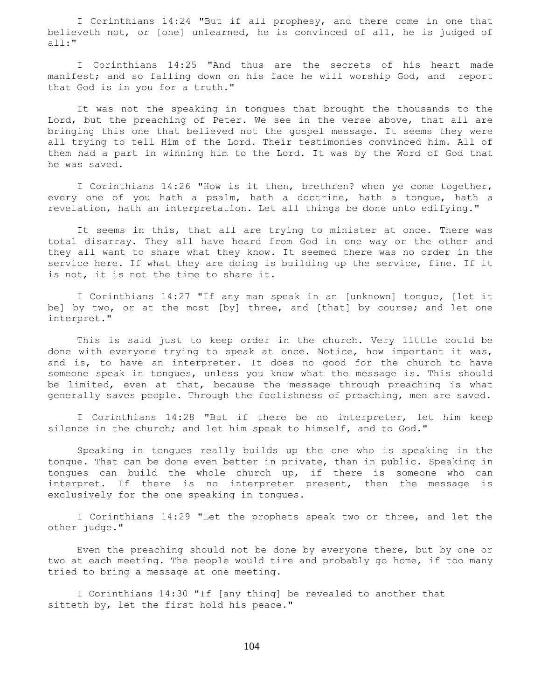I Corinthians 14:24 "But if all prophesy, and there come in one that believeth not, or [one] unlearned, he is convinced of all, he is judged of all:"

 I Corinthians 14:25 "And thus are the secrets of his heart made manifest; and so falling down on his face he will worship God, and report that God is in you for a truth."

 It was not the speaking in tongues that brought the thousands to the Lord, but the preaching of Peter. We see in the verse above, that all are bringing this one that believed not the gospel message. It seems they were all trying to tell Him of the Lord. Their testimonies convinced him. All of them had a part in winning him to the Lord. It was by the Word of God that he was saved.

 I Corinthians 14:26 "How is it then, brethren? when ye come together, every one of you hath a psalm, hath a doctrine, hath a tongue, hath a revelation, hath an interpretation. Let all things be done unto edifying."

 It seems in this, that all are trying to minister at once. There was total disarray. They all have heard from God in one way or the other and they all want to share what they know. It seemed there was no order in the service here. If what they are doing is building up the service, fine. If it is not, it is not the time to share it.

 I Corinthians 14:27 "If any man speak in an [unknown] tongue, [let it be] by two, or at the most [by] three, and [that] by course; and let one interpret."

 This is said just to keep order in the church. Very little could be done with everyone trying to speak at once. Notice, how important it was, and is, to have an interpreter. It does no good for the church to have someone speak in tongues, unless you know what the message is. This should be limited, even at that, because the message through preaching is what generally saves people. Through the foolishness of preaching, men are saved.

 I Corinthians 14:28 "But if there be no interpreter, let him keep silence in the church; and let him speak to himself, and to God."

 Speaking in tongues really builds up the one who is speaking in the tongue. That can be done even better in private, than in public. Speaking in tongues can build the whole church up, if there is someone who can interpret. If there is no interpreter present, then the message is exclusively for the one speaking in tongues.

 I Corinthians 14:29 "Let the prophets speak two or three, and let the other judge."

 Even the preaching should not be done by everyone there, but by one or two at each meeting. The people would tire and probably go home, if too many tried to bring a message at one meeting.

 I Corinthians 14:30 "If [any thing] be revealed to another that sitteth by, let the first hold his peace."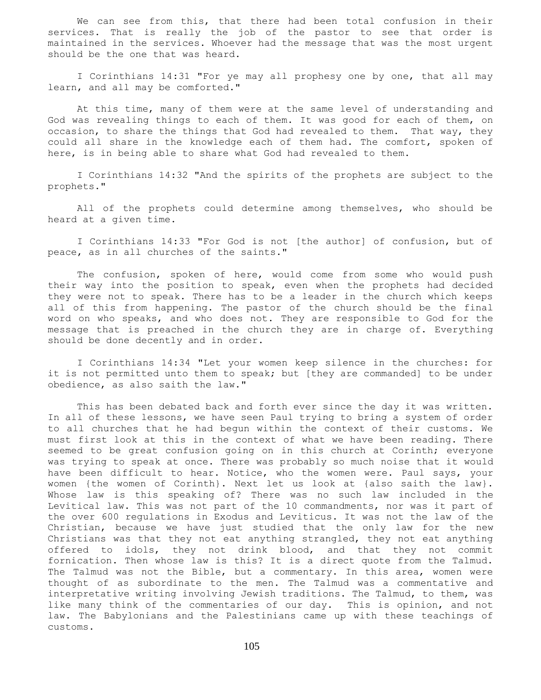We can see from this, that there had been total confusion in their services. That is really the job of the pastor to see that order is maintained in the services. Whoever had the message that was the most urgent should be the one that was heard.

 I Corinthians 14:31 "For ye may all prophesy one by one, that all may learn, and all may be comforted."

 At this time, many of them were at the same level of understanding and God was revealing things to each of them. It was good for each of them, on occasion, to share the things that God had revealed to them. That way, they could all share in the knowledge each of them had. The comfort, spoken of here, is in being able to share what God had revealed to them.

 I Corinthians 14:32 "And the spirits of the prophets are subject to the prophets."

 All of the prophets could determine among themselves, who should be heard at a given time.

 I Corinthians 14:33 "For God is not [the author] of confusion, but of peace, as in all churches of the saints."

 The confusion, spoken of here, would come from some who would push their way into the position to speak, even when the prophets had decided they were not to speak. There has to be a leader in the church which keeps all of this from happening. The pastor of the church should be the final word on who speaks, and who does not. They are responsible to God for the message that is preached in the church they are in charge of. Everything should be done decently and in order.

 I Corinthians 14:34 "Let your women keep silence in the churches: for it is not permitted unto them to speak; but [they are commanded] to be under obedience, as also saith the law."

 This has been debated back and forth ever since the day it was written. In all of these lessons, we have seen Paul trying to bring a system of order to all churches that he had begun within the context of their customs. We must first look at this in the context of what we have been reading. There seemed to be great confusion going on in this church at Corinth; everyone was trying to speak at once. There was probably so much noise that it would have been difficult to hear. Notice, who the women were. Paul says, your women {the women of Corinth}. Next let us look at {also saith the law}. Whose law is this speaking of? There was no such law included in the Levitical law. This was not part of the 10 commandments, nor was it part of the over 600 regulations in Exodus and Leviticus. It was not the law of the Christian, because we have just studied that the only law for the new Christians was that they not eat anything strangled, they not eat anything offered to idols, they not drink blood, and that they not commit fornication. Then whose law is this? It is a direct quote from the Talmud. The Talmud was not the Bible, but a commentary. In this area, women were thought of as subordinate to the men. The Talmud was a commentative and interpretative writing involving Jewish traditions. The Talmud, to them, was like many think of the commentaries of our day. This is opinion, and not law. The Babylonians and the Palestinians came up with these teachings of customs.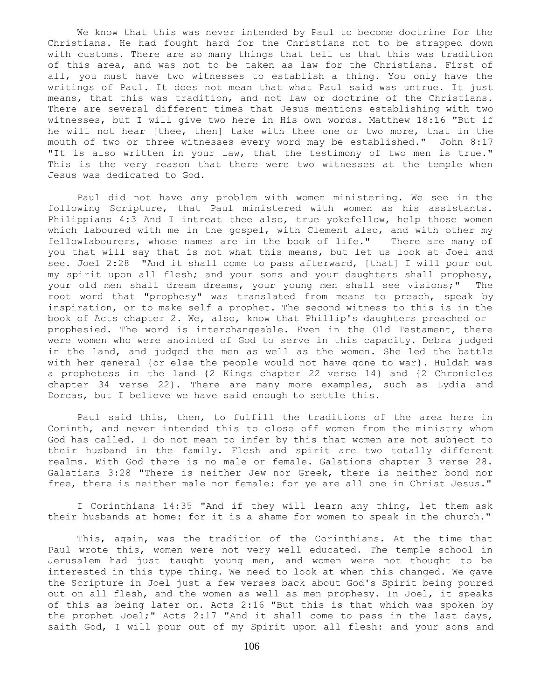We know that this was never intended by Paul to become doctrine for the Christians. He had fought hard for the Christians not to be strapped down with customs. There are so many things that tell us that this was tradition of this area, and was not to be taken as law for the Christians. First of all, you must have two witnesses to establish a thing. You only have the writings of Paul. It does not mean that what Paul said was untrue. It just means, that this was tradition, and not law or doctrine of the Christians. There are several different times that Jesus mentions establishing with two witnesses, but I will give two here in His own words. Matthew 18:16 "But if he will not hear [thee, then] take with thee one or two more, that in the mouth of two or three witnesses every word may be established." John 8:17 "It is also written in your law, that the testimony of two men is true." This is the very reason that there were two witnesses at the temple when Jesus was dedicated to God.

 Paul did not have any problem with women ministering. We see in the following Scripture, that Paul ministered with women as his assistants. Philippians 4:3 And I intreat thee also, true yokefellow, help those women which laboured with me in the gospel, with Clement also, and with other my fellowlabourers, whose names are in the book of life." There are many of you that will say that is not what this means, but let us look at Joel and see. Joel 2:28 "And it shall come to pass afterward, [that] I will pour out my spirit upon all flesh; and your sons and your daughters shall prophesy, your old men shall dream dreams, your young men shall see visions;" The root word that "prophesy" was translated from means to preach, speak by inspiration, or to make self a prophet. The second witness to this is in the book of Acts chapter 2. We, also, know that Phillip's daughters preached or prophesied. The word is interchangeable. Even in the Old Testament, there were women who were anointed of God to serve in this capacity. Debra judged in the land, and judged the men as well as the women. She led the battle with her general {or else the people would not have gone to war}. Huldah was a prophetess in the land {2 Kings chapter 22 verse 14} and {2 Chronicles chapter 34 verse 22}. There are many more examples, such as Lydia and Dorcas, but I believe we have said enough to settle this.

 Paul said this, then, to fulfill the traditions of the area here in Corinth, and never intended this to close off women from the ministry whom God has called. I do not mean to infer by this that women are not subject to their husband in the family. Flesh and spirit are two totally different realms. With God there is no male or female. Galations chapter 3 verse 28. Galatians 3:28 "There is neither Jew nor Greek, there is neither bond nor free, there is neither male nor female: for ye are all one in Christ Jesus."

 I Corinthians 14:35 "And if they will learn any thing, let them ask their husbands at home: for it is a shame for women to speak in the church."

 This, again, was the tradition of the Corinthians. At the time that Paul wrote this, women were not very well educated. The temple school in Jerusalem had just taught young men, and women were not thought to be interested in this type thing. We need to look at when this changed. We gave the Scripture in Joel just a few verses back about God's Spirit being poured out on all flesh, and the women as well as men prophesy. In Joel, it speaks of this as being later on. Acts 2:16 "But this is that which was spoken by the prophet Joel;" Acts 2:17 "And it shall come to pass in the last days, saith God, I will pour out of my Spirit upon all flesh: and your sons and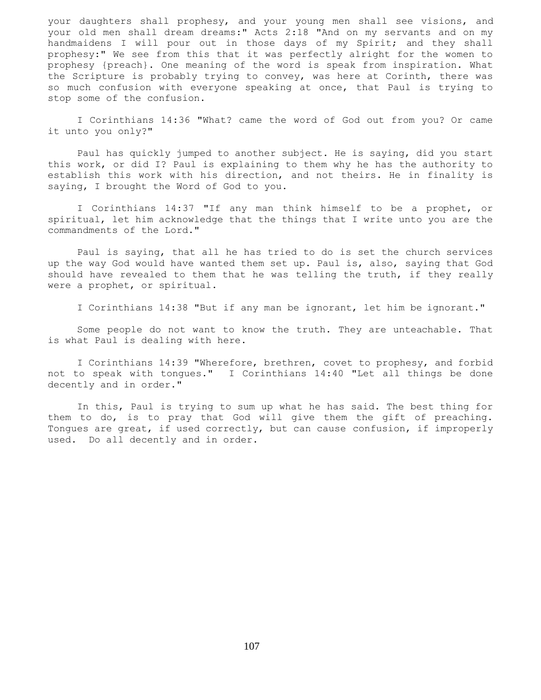your daughters shall prophesy, and your young men shall see visions, and your old men shall dream dreams:" Acts 2:18 "And on my servants and on my handmaidens I will pour out in those days of my Spirit; and they shall prophesy:" We see from this that it was perfectly alright for the women to prophesy {preach}. One meaning of the word is speak from inspiration. What the Scripture is probably trying to convey, was here at Corinth, there was so much confusion with everyone speaking at once, that Paul is trying to stop some of the confusion.

 I Corinthians 14:36 "What? came the word of God out from you? Or came it unto you only?"

 Paul has quickly jumped to another subject. He is saying, did you start this work, or did I? Paul is explaining to them why he has the authority to establish this work with his direction, and not theirs. He in finality is saying, I brought the Word of God to you.

 I Corinthians 14:37 "If any man think himself to be a prophet, or spiritual, let him acknowledge that the things that I write unto you are the commandments of the Lord."

 Paul is saying, that all he has tried to do is set the church services up the way God would have wanted them set up. Paul is, also, saying that God should have revealed to them that he was telling the truth, if they really were a prophet, or spiritual.

I Corinthians 14:38 "But if any man be ignorant, let him be ignorant."

 Some people do not want to know the truth. They are unteachable. That is what Paul is dealing with here.

 I Corinthians 14:39 "Wherefore, brethren, covet to prophesy, and forbid not to speak with tongues." I Corinthians 14:40 "Let all things be done decently and in order."

 In this, Paul is trying to sum up what he has said. The best thing for them to do, is to pray that God will give them the gift of preaching. Tongues are great, if used correctly, but can cause confusion, if improperly used. Do all decently and in order.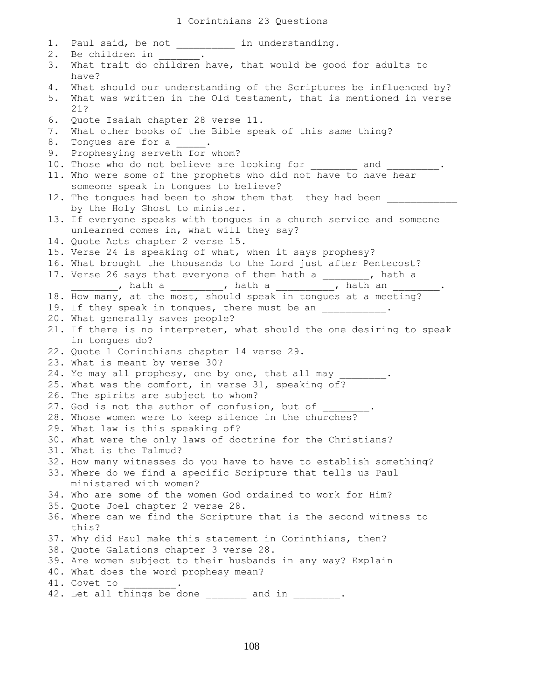1. Paul said, be not \_\_\_\_\_\_\_\_\_\_\_ in understanding. 2. Be children in 3. What trait do children have, that would be good for adults to have? 4. What should our understanding of the Scriptures be influenced by? 5. What was written in the Old testament, that is mentioned in verse 21? 6. Quote Isaiah chapter 28 verse 11. 7. What other books of the Bible speak of this same thing? 8. Tonques are for a  $\qquad \qquad$ 9. Prophesying serveth for whom? 10. Those who do not believe are looking for and 11. Who were some of the prophets who did not have to have hear someone speak in tongues to believe? 12. The tongues had been to show them that they had been by the Holy Ghost to minister. 13. If everyone speaks with tongues in a church service and someone unlearned comes in, what will they say? 14. Quote Acts chapter 2 verse 15. 15. Verse 24 is speaking of what, when it says prophesy? 16. What brought the thousands to the Lord just after Pentecost? 17. Verse 26 says that everyone of them hath a \_\_\_\_\_\_\_\_, hath a \_\_, hath a \_\_\_\_\_\_\_\_\_, hath a \_\_\_\_\_\_\_\_\_\_, hath an 18. How many, at the most, should speak in tongues at a meeting? 19. If they speak in tongues, there must be an  $\blacksquare$ 20. What generally saves people? 21. If there is no interpreter, what should the one desiring to speak in tongues do? 22. Quote 1 Corinthians chapter 14 verse 29. 23. What is meant by verse 30? 24. Ye may all prophesy, one by one, that all may 25. What was the comfort, in verse 31, speaking of? 26. The spirits are subject to whom? 27. God is not the author of confusion, but of 28. Whose women were to keep silence in the churches? 29. What law is this speaking of? 30. What were the only laws of doctrine for the Christians? 31. What is the Talmud? 32. How many witnesses do you have to have to establish something? 33. Where do we find a specific Scripture that tells us Paul ministered with women? 34. Who are some of the women God ordained to work for Him? 35. Quote Joel chapter 2 verse 28. 36. Where can we find the Scripture that is the second witness to this? 37. Why did Paul make this statement in Corinthians, then? 38. Quote Galations chapter 3 verse 28. 39. Are women subject to their husbands in any way? Explain 40. What does the word prophesy mean? 41. Covet to 42. Let all things be done and in  $\qquad \qquad$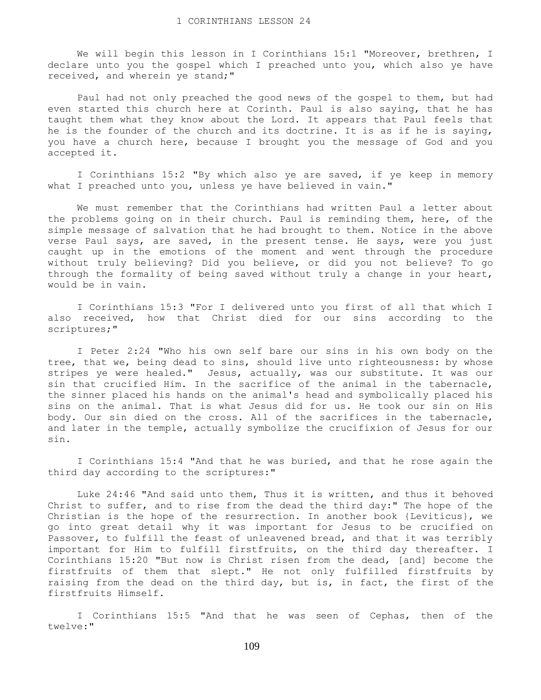We will begin this lesson in I Corinthians 15:1 "Moreover, brethren, I declare unto you the gospel which I preached unto you, which also ye have received, and wherein ye stand;"

 Paul had not only preached the good news of the gospel to them, but had even started this church here at Corinth. Paul is also saying, that he has taught them what they know about the Lord. It appears that Paul feels that he is the founder of the church and its doctrine. It is as if he is saying, you have a church here, because I brought you the message of God and you accepted it.

 I Corinthians 15:2 "By which also ye are saved, if ye keep in memory what I preached unto you, unless ye have believed in vain."

 We must remember that the Corinthians had written Paul a letter about the problems going on in their church. Paul is reminding them, here, of the simple message of salvation that he had brought to them. Notice in the above verse Paul says, are saved, in the present tense. He says, were you just caught up in the emotions of the moment and went through the procedure without truly believing? Did you believe, or did you not believe? To go through the formality of being saved without truly a change in your heart, would be in vain.

 I Corinthians 15:3 "For I delivered unto you first of all that which I also received, how that Christ died for our sins according to the scriptures;"

 I Peter 2:24 "Who his own self bare our sins in his own body on the tree, that we, being dead to sins, should live unto righteousness: by whose stripes ye were healed." Jesus, actually, was our substitute. It was our sin that crucified Him. In the sacrifice of the animal in the tabernacle, the sinner placed his hands on the animal's head and symbolically placed his sins on the animal. That is what Jesus did for us. He took our sin on His body. Our sin died on the cross. All of the sacrifices in the tabernacle, and later in the temple, actually symbolize the crucifixion of Jesus for our sin.

 I Corinthians 15:4 "And that he was buried, and that he rose again the third day according to the scriptures:"

 Luke 24:46 "And said unto them, Thus it is written, and thus it behoved Christ to suffer, and to rise from the dead the third day:" The hope of the Christian is the hope of the resurrection. In another book {Leviticus}, we go into great detail why it was important for Jesus to be crucified on Passover, to fulfill the feast of unleavened bread, and that it was terribly important for Him to fulfill firstfruits, on the third day thereafter. I Corinthians 15:20 "But now is Christ risen from the dead, [and] become the firstfruits of them that slept." He not only fulfilled firstfruits by raising from the dead on the third day, but is, in fact, the first of the firstfruits Himself.

 I Corinthians 15:5 "And that he was seen of Cephas, then of the twelve:"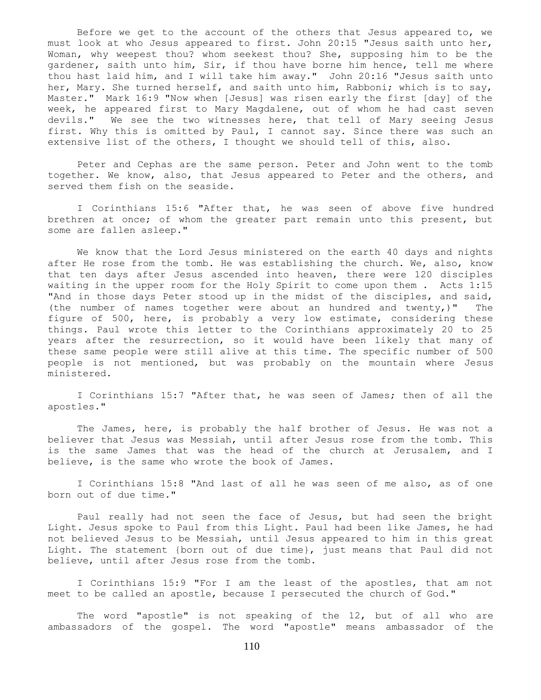Before we get to the account of the others that Jesus appeared to, we must look at who Jesus appeared to first. John 20:15 "Jesus saith unto her, Woman, why weepest thou? whom seekest thou? She, supposing him to be the gardener, saith unto him, Sir, if thou have borne him hence, tell me where thou hast laid him, and I will take him away." John 20:16 "Jesus saith unto her, Mary. She turned herself, and saith unto him, Rabboni; which is to say, Master." Mark 16:9 "Now when [Jesus] was risen early the first [day] of the week, he appeared first to Mary Magdalene, out of whom he had cast seven devils." We see the two witnesses here, that tell of Mary seeing Jesus first. Why this is omitted by Paul, I cannot say. Since there was such an extensive list of the others, I thought we should tell of this, also.

 Peter and Cephas are the same person. Peter and John went to the tomb together. We know, also, that Jesus appeared to Peter and the others, and served them fish on the seaside.

 I Corinthians 15:6 "After that, he was seen of above five hundred brethren at once; of whom the greater part remain unto this present, but some are fallen asleep."

 We know that the Lord Jesus ministered on the earth 40 days and nights after He rose from the tomb. He was establishing the church. We, also, know that ten days after Jesus ascended into heaven, there were 120 disciples waiting in the upper room for the Holy Spirit to come upon them . Acts 1:15 "And in those days Peter stood up in the midst of the disciples, and said, (the number of names together were about an hundred and twenty,)" The figure of 500, here, is probably a very low estimate, considering these things. Paul wrote this letter to the Corinthians approximately 20 to 25 years after the resurrection, so it would have been likely that many of these same people were still alive at this time. The specific number of 500 people is not mentioned, but was probably on the mountain where Jesus ministered.

 I Corinthians 15:7 "After that, he was seen of James; then of all the apostles."

 The James, here, is probably the half brother of Jesus. He was not a believer that Jesus was Messiah, until after Jesus rose from the tomb. This is the same James that was the head of the church at Jerusalem, and I believe, is the same who wrote the book of James.

 I Corinthians 15:8 "And last of all he was seen of me also, as of one born out of due time."

 Paul really had not seen the face of Jesus, but had seen the bright Light. Jesus spoke to Paul from this Light. Paul had been like James, he had not believed Jesus to be Messiah, until Jesus appeared to him in this great Light. The statement {born out of due time}, just means that Paul did not believe, until after Jesus rose from the tomb.

I Corinthians 15:9 "For I am the least of the apostles, that am not meet to be called an apostle, because I persecuted the church of God."

The word "apostle" is not speaking of the 12, but of all who are ambassadors of the gospel. The word "apostle" means ambassador of the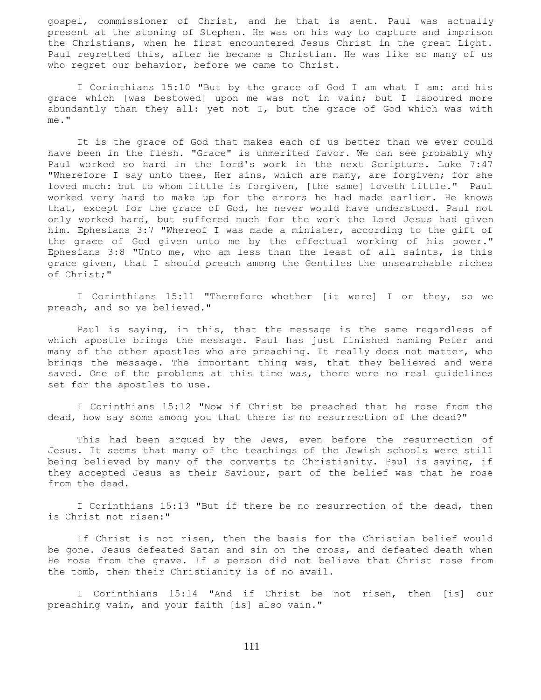gospel, commissioner of Christ, and he that is sent. Paul was actually present at the stoning of Stephen. He was on his way to capture and imprison the Christians, when he first encountered Jesus Christ in the great Light. Paul regretted this, after he became a Christian. He was like so many of us who regret our behavior, before we came to Christ.

 I Corinthians 15:10 "But by the grace of God I am what I am: and his grace which [was bestowed] upon me was not in vain; but I laboured more abundantly than they all: yet not I, but the grace of God which was with me."

 It is the grace of God that makes each of us better than we ever could have been in the flesh. "Grace" is unmerited favor. We can see probably why Paul worked so hard in the Lord's work in the next Scripture. Luke 7:47 "Wherefore I say unto thee, Her sins, which are many, are forgiven; for she loved much: but to whom little is forgiven, [the same] loveth little." Paul worked very hard to make up for the errors he had made earlier. He knows that, except for the grace of God, he never would have understood. Paul not only worked hard, but suffered much for the work the Lord Jesus had given him. Ephesians 3:7 "Whereof I was made a minister, according to the gift of the grace of God given unto me by the effectual working of his power." Ephesians 3:8 "Unto me, who am less than the least of all saints, is this grace given, that I should preach among the Gentiles the unsearchable riches of Christ;"

 I Corinthians 15:11 "Therefore whether [it were] I or they, so we preach, and so ye believed."

 Paul is saying, in this, that the message is the same regardless of which apostle brings the message. Paul has just finished naming Peter and many of the other apostles who are preaching. It really does not matter, who brings the message. The important thing was, that they believed and were saved. One of the problems at this time was, there were no real guidelines set for the apostles to use.

 I Corinthians 15:12 "Now if Christ be preached that he rose from the dead, how say some among you that there is no resurrection of the dead?"

This had been argued by the Jews, even before the resurrection of Jesus. It seems that many of the teachings of the Jewish schools were still being believed by many of the converts to Christianity. Paul is saying, if they accepted Jesus as their Saviour, part of the belief was that he rose from the dead.

 I Corinthians 15:13 "But if there be no resurrection of the dead, then is Christ not risen:"

 If Christ is not risen, then the basis for the Christian belief would be gone. Jesus defeated Satan and sin on the cross, and defeated death when He rose from the grave. If a person did not believe that Christ rose from the tomb, then their Christianity is of no avail.

 I Corinthians 15:14 "And if Christ be not risen, then [is] our preaching vain, and your faith [is] also vain."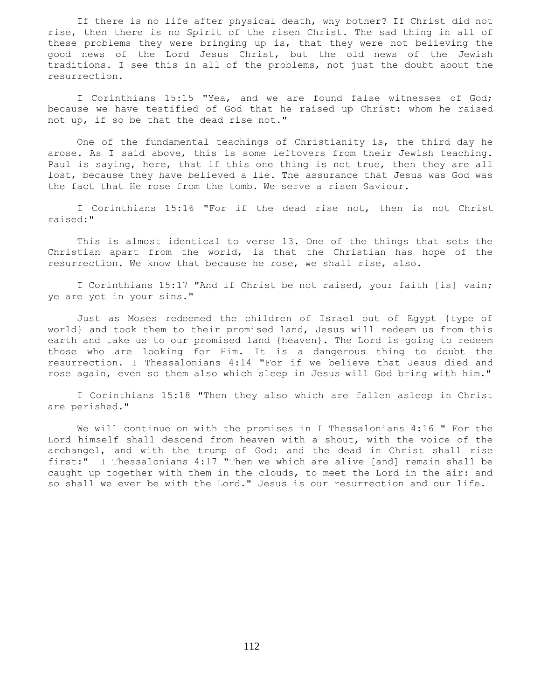If there is no life after physical death, why bother? If Christ did not rise, then there is no Spirit of the risen Christ. The sad thing in all of these problems they were bringing up is, that they were not believing the good news of the Lord Jesus Christ, but the old news of the Jewish traditions. I see this in all of the problems, not just the doubt about the resurrection.

 I Corinthians 15:15 "Yea, and we are found false witnesses of God; because we have testified of God that he raised up Christ: whom he raised not up, if so be that the dead rise not."

 One of the fundamental teachings of Christianity is, the third day he arose. As I said above, this is some leftovers from their Jewish teaching. Paul is saying, here, that if this one thing is not true, then they are all lost, because they have believed a lie. The assurance that Jesus was God was the fact that He rose from the tomb. We serve a risen Saviour.

 I Corinthians 15:16 "For if the dead rise not, then is not Christ raised:"

 This is almost identical to verse 13. One of the things that sets the Christian apart from the world, is that the Christian has hope of the resurrection. We know that because he rose, we shall rise, also.

 I Corinthians 15:17 "And if Christ be not raised, your faith [is] vain; ye are yet in your sins."

 Just as Moses redeemed the children of Israel out of Egypt {type of world} and took them to their promised land, Jesus will redeem us from this earth and take us to our promised land {heaven}. The Lord is going to redeem those who are looking for Him. It is a dangerous thing to doubt the resurrection. I Thessalonians 4:14 "For if we believe that Jesus died and rose again, even so them also which sleep in Jesus will God bring with him."

 I Corinthians 15:18 "Then they also which are fallen asleep in Christ are perished."

We will continue on with the promises in I Thessalonians 4:16 " For the Lord himself shall descend from heaven with a shout, with the voice of the archangel, and with the trump of God: and the dead in Christ shall rise first:" I Thessalonians 4:17 "Then we which are alive [and] remain shall be caught up together with them in the clouds, to meet the Lord in the air: and so shall we ever be with the Lord." Jesus is our resurrection and our life.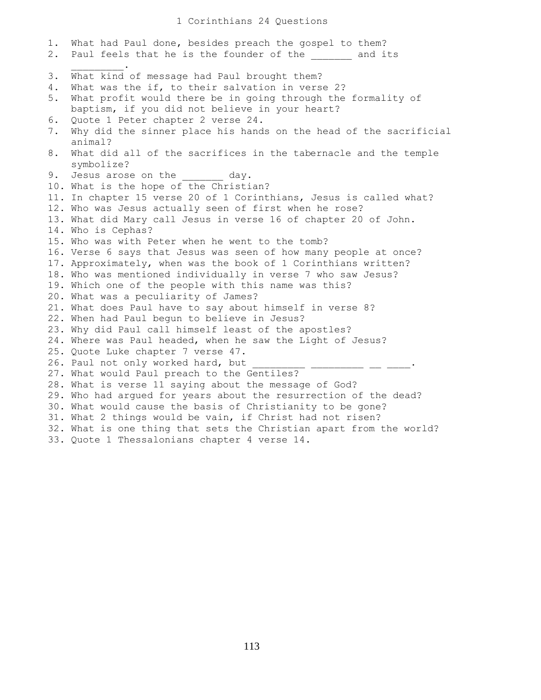## 1 Corinthians 24 Questions

1. What had Paul done, besides preach the gospel to them? 2. Paul feels that he is the founder of the and its  $\frac{1}{2}$  ,  $\frac{1}{2}$  ,  $\frac{1}{2}$  ,  $\frac{1}{2}$  ,  $\frac{1}{2}$ 3. What kind of message had Paul brought them? 4. What was the if, to their salvation in verse 2? 5. What profit would there be in going through the formality of baptism, if you did not believe in your heart? 6. Quote 1 Peter chapter 2 verse 24. 7. Why did the sinner place his hands on the head of the sacrificial animal? 8. What did all of the sacrifices in the tabernacle and the temple symbolize? 9. Jesus arose on the day. 10. What is the hope of the Christian? 11. In chapter 15 verse 20 of 1 Corinthians, Jesus is called what? 12. Who was Jesus actually seen of first when he rose? 13. What did Mary call Jesus in verse 16 of chapter 20 of John. 14. Who is Cephas? 15. Who was with Peter when he went to the tomb? 16. Verse 6 says that Jesus was seen of how many people at once? 17. Approximately, when was the book of 1 Corinthians written? 18. Who was mentioned individually in verse 7 who saw Jesus? 19. Which one of the people with this name was this? 20. What was a peculiarity of James? 21. What does Paul have to say about himself in verse 8? 22. When had Paul begun to believe in Jesus? 23. Why did Paul call himself least of the apostles? 24. Where was Paul headed, when he saw the Light of Jesus? 25. Quote Luke chapter 7 verse 47. 26. Paul not only worked hard, but \_\_\_\_\_\_\_\_\_\_\_ \_\_\_\_\_\_\_\_\_ \_\_ \_\_\_\_. 27. What would Paul preach to the Gentiles? 28. What is verse 11 saying about the message of God? 29. Who had argued for years about the resurrection of the dead? 30. What would cause the basis of Christianity to be gone? 31. What 2 things would be vain, if Christ had not risen? 32. What is one thing that sets the Christian apart from the world? 33. Quote 1 Thessalonians chapter 4 verse 14.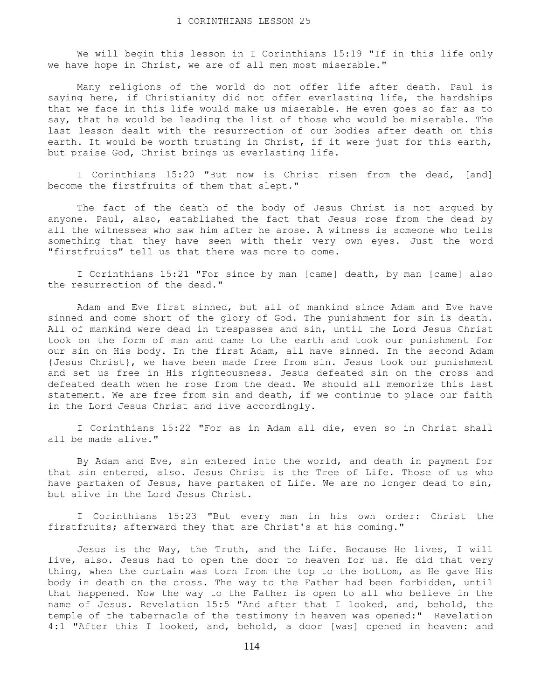We will begin this lesson in I Corinthians 15:19 "If in this life only we have hope in Christ, we are of all men most miserable."

 Many religions of the world do not offer life after death. Paul is saying here, if Christianity did not offer everlasting life, the hardships that we face in this life would make us miserable. He even goes so far as to say, that he would be leading the list of those who would be miserable. The last lesson dealt with the resurrection of our bodies after death on this earth. It would be worth trusting in Christ, if it were just for this earth, but praise God, Christ brings us everlasting life.

 I Corinthians 15:20 "But now is Christ risen from the dead, [and] become the firstfruits of them that slept."

 The fact of the death of the body of Jesus Christ is not argued by anyone. Paul, also, established the fact that Jesus rose from the dead by all the witnesses who saw him after he arose. A witness is someone who tells something that they have seen with their very own eyes. Just the word "firstfruits" tell us that there was more to come.

 I Corinthians 15:21 "For since by man [came] death, by man [came] also the resurrection of the dead."

 Adam and Eve first sinned, but all of mankind since Adam and Eve have sinned and come short of the glory of God. The punishment for sin is death. All of mankind were dead in trespasses and sin, until the Lord Jesus Christ took on the form of man and came to the earth and took our punishment for our sin on His body. In the first Adam, all have sinned. In the second Adam {Jesus Christ}, we have been made free from sin. Jesus took our punishment and set us free in His righteousness. Jesus defeated sin on the cross and defeated death when he rose from the dead. We should all memorize this last statement. We are free from sin and death, if we continue to place our faith in the Lord Jesus Christ and live accordingly.

 I Corinthians 15:22 "For as in Adam all die, even so in Christ shall all be made alive."

 By Adam and Eve, sin entered into the world, and death in payment for that sin entered, also. Jesus Christ is the Tree of Life. Those of us who have partaken of Jesus, have partaken of Life. We are no longer dead to sin, but alive in the Lord Jesus Christ.

 I Corinthians 15:23 "But every man in his own order: Christ the firstfruits; afterward they that are Christ's at his coming."

 Jesus is the Way, the Truth, and the Life. Because He lives, I will live, also. Jesus had to open the door to heaven for us. He did that very thing, when the curtain was torn from the top to the bottom, as He gave His body in death on the cross. The way to the Father had been forbidden, until that happened. Now the way to the Father is open to all who believe in the name of Jesus. Revelation 15:5 "And after that I looked, and, behold, the temple of the tabernacle of the testimony in heaven was opened:" Revelation 4:1 "After this I looked, and, behold, a door [was] opened in heaven: and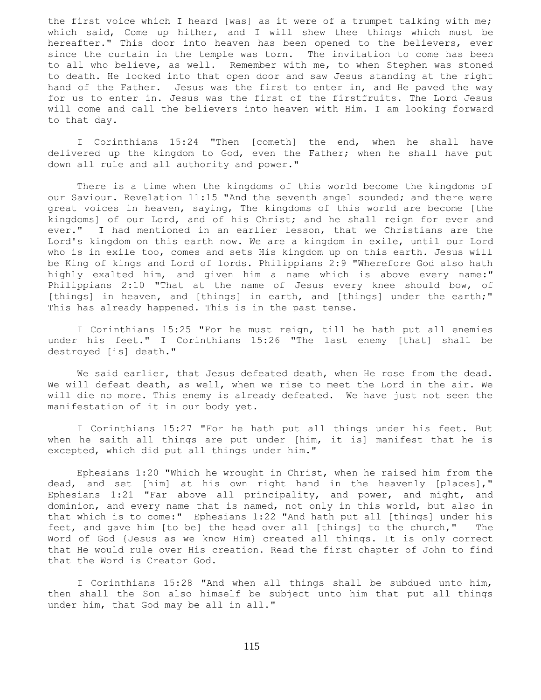the first voice which I heard [was] as it were of a trumpet talking with me; which said, Come up hither, and I will shew thee things which must be hereafter." This door into heaven has been opened to the believers, ever since the curtain in the temple was torn. The invitation to come has been to all who believe, as well. Remember with me, to when Stephen was stoned to death. He looked into that open door and saw Jesus standing at the right hand of the Father. Jesus was the first to enter in, and He paved the way for us to enter in. Jesus was the first of the firstfruits. The Lord Jesus will come and call the believers into heaven with Him. I am looking forward to that day.

 I Corinthians 15:24 "Then [cometh] the end, when he shall have delivered up the kingdom to God, even the Father; when he shall have put down all rule and all authority and power."

 There is a time when the kingdoms of this world become the kingdoms of our Saviour. Revelation 11:15 "And the seventh angel sounded; and there were great voices in heaven, saying, The kingdoms of this world are become [the kingdoms] of our Lord, and of his Christ; and he shall reign for ever and ever." I had mentioned in an earlier lesson, that we Christians are the Lord's kingdom on this earth now. We are a kingdom in exile, until our Lord who is in exile too, comes and sets His kingdom up on this earth. Jesus will be King of kings and Lord of lords. Philippians 2:9 "Wherefore God also hath highly exalted him, and given him a name which is above every name:" Philippians 2:10 "That at the name of Jesus every knee should bow, of [things] in heaven, and [things] in earth, and [things] under the earth;" This has already happened. This is in the past tense.

 I Corinthians 15:25 "For he must reign, till he hath put all enemies under his feet." I Corinthians 15:26 "The last enemy [that] shall be destroyed [is] death."

 We said earlier, that Jesus defeated death, when He rose from the dead. We will defeat death, as well, when we rise to meet the Lord in the air. We will die no more. This enemy is already defeated. We have just not seen the manifestation of it in our body yet.

 I Corinthians 15:27 "For he hath put all things under his feet. But when he saith all things are put under [him, it is] manifest that he is excepted, which did put all things under him."

 Ephesians 1:20 "Which he wrought in Christ, when he raised him from the dead, and set [him] at his own right hand in the heavenly [places]," Ephesians 1:21 "Far above all principality, and power, and might, and dominion, and every name that is named, not only in this world, but also in that which is to come:" Ephesians 1:22 "And hath put all [things] under his feet, and gave him [to be] the head over all [things] to the church," The Word of God {Jesus as we know Him} created all things. It is only correct that He would rule over His creation. Read the first chapter of John to find that the Word is Creator God.

 I Corinthians 15:28 "And when all things shall be subdued unto him, then shall the Son also himself be subject unto him that put all things under him, that God may be all in all."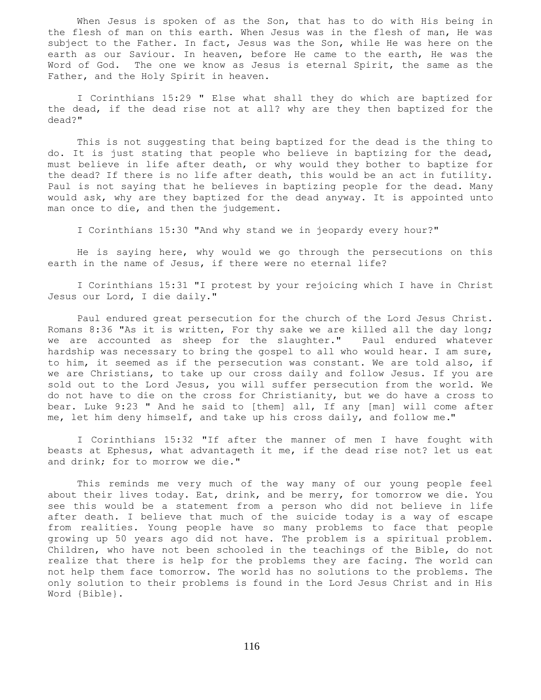When Jesus is spoken of as the Son, that has to do with His being in the flesh of man on this earth. When Jesus was in the flesh of man, He was subject to the Father. In fact, Jesus was the Son, while He was here on the earth as our Saviour. In heaven, before He came to the earth, He was the Word of God. The one we know as Jesus is eternal Spirit, the same as the Father, and the Holy Spirit in heaven.

 I Corinthians 15:29 " Else what shall they do which are baptized for the dead, if the dead rise not at all? why are they then baptized for the dead?"

 This is not suggesting that being baptized for the dead is the thing to do. It is just stating that people who believe in baptizing for the dead, must believe in life after death, or why would they bother to baptize for the dead? If there is no life after death, this would be an act in futility. Paul is not saying that he believes in baptizing people for the dead. Many would ask, why are they baptized for the dead anyway. It is appointed unto man once to die, and then the judgement.

I Corinthians 15:30 "And why stand we in jeopardy every hour?"

 He is saying here, why would we go through the persecutions on this earth in the name of Jesus, if there were no eternal life?

 I Corinthians 15:31 "I protest by your rejoicing which I have in Christ Jesus our Lord, I die daily."

 Paul endured great persecution for the church of the Lord Jesus Christ. Romans 8:36 "As it is written, For thy sake we are killed all the day long; we are accounted as sheep for the slaughter." Paul endured whatever hardship was necessary to bring the gospel to all who would hear. I am sure, to him, it seemed as if the persecution was constant. We are told also, if we are Christians, to take up our cross daily and follow Jesus. If you are sold out to the Lord Jesus, you will suffer persecution from the world. We do not have to die on the cross for Christianity, but we do have a cross to bear. Luke 9:23 " And he said to [them] all, If any [man] will come after me, let him deny himself, and take up his cross daily, and follow me."

 I Corinthians 15:32 "If after the manner of men I have fought with beasts at Ephesus, what advantageth it me, if the dead rise not? let us eat and drink; for to morrow we die."

 This reminds me very much of the way many of our young people feel about their lives today. Eat, drink, and be merry, for tomorrow we die. You see this would be a statement from a person who did not believe in life after death. I believe that much of the suicide today is a way of escape from realities. Young people have so many problems to face that people growing up 50 years ago did not have. The problem is a spiritual problem. Children, who have not been schooled in the teachings of the Bible, do not realize that there is help for the problems they are facing. The world can not help them face tomorrow. The world has no solutions to the problems. The only solution to their problems is found in the Lord Jesus Christ and in His Word {Bible}.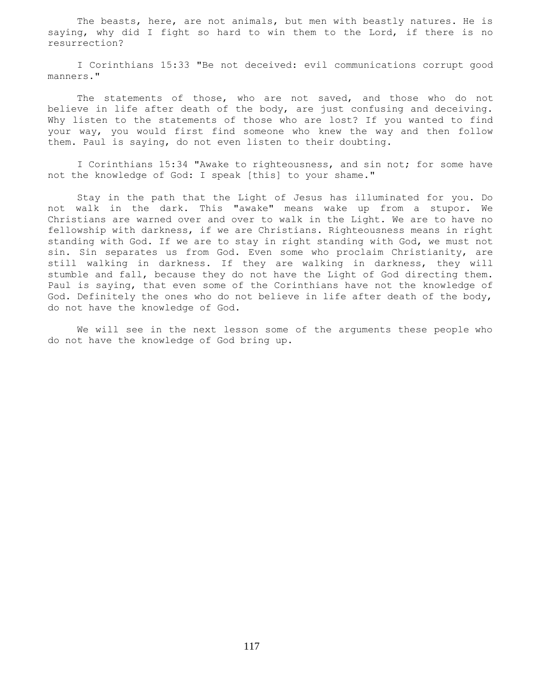The beasts, here, are not animals, but men with beastly natures. He is saying, why did I fight so hard to win them to the Lord, if there is no resurrection?

 I Corinthians 15:33 "Be not deceived: evil communications corrupt good manners."

The statements of those, who are not saved, and those who do not believe in life after death of the body, are just confusing and deceiving. Why listen to the statements of those who are lost? If you wanted to find your way, you would first find someone who knew the way and then follow them. Paul is saying, do not even listen to their doubting.

 I Corinthians 15:34 "Awake to righteousness, and sin not; for some have not the knowledge of God: I speak [this] to your shame."

 Stay in the path that the Light of Jesus has illuminated for you. Do not walk in the dark. This "awake" means wake up from a stupor. We Christians are warned over and over to walk in the Light. We are to have no fellowship with darkness, if we are Christians. Righteousness means in right standing with God. If we are to stay in right standing with God, we must not sin. Sin separates us from God. Even some who proclaim Christianity, are still walking in darkness. If they are walking in darkness, they will stumble and fall, because they do not have the Light of God directing them. Paul is saying, that even some of the Corinthians have not the knowledge of God. Definitely the ones who do not believe in life after death of the body, do not have the knowledge of God.

 We will see in the next lesson some of the arguments these people who do not have the knowledge of God bring up.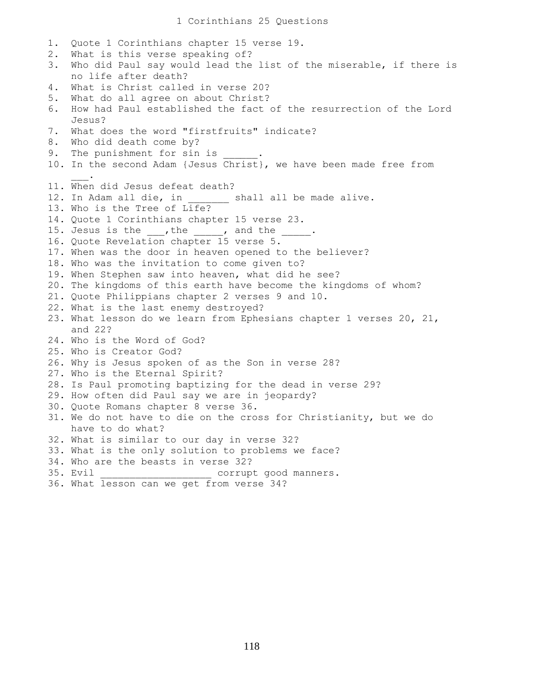1. Quote 1 Corinthians chapter 15 verse 19. 2. What is this verse speaking of? 3. Who did Paul say would lead the list of the miserable, if there is no life after death? 4. What is Christ called in verse 20? 5. What do all agree on about Christ? 6. How had Paul established the fact of the resurrection of the Lord Jesus? 7. What does the word "firstfruits" indicate? 8. Who did death come by? 9. The punishment for sin is 10. In the second Adam {Jesus Christ}, we have been made free from  $\mathcal{L}=\mathcal{L}^{\mathcal{L}}$ 11. When did Jesus defeat death? 12. In Adam all die, in \_\_\_\_\_\_\_\_ shall all be made alive. 13. Who is the Tree of Life? 14. Quote 1 Corinthians chapter 15 verse 23. 15. Jesus is the  $\_\_\_\prime$ , the  $\_\_\_\_\prime$  and the  $\_\_\_\_\$ . 16. Quote Revelation chapter 15 verse 5. 17. When was the door in heaven opened to the believer? 18. Who was the invitation to come given to? 19. When Stephen saw into heaven, what did he see? 20. The kingdoms of this earth have become the kingdoms of whom? 21. Quote Philippians chapter 2 verses 9 and 10. 22. What is the last enemy destroyed? 23. What lesson do we learn from Ephesians chapter 1 verses 20, 21, and 22? 24. Who is the Word of God? 25. Who is Creator God? 26. Why is Jesus spoken of as the Son in verse 28? 27. Who is the Eternal Spirit? 28. Is Paul promoting baptizing for the dead in verse 29? 29. How often did Paul say we are in jeopardy? 30. Quote Romans chapter 8 verse 36. 31. We do not have to die on the cross for Christianity, but we do have to do what? 32. What is similar to our day in verse 32? 33. What is the only solution to problems we face? 34. Who are the beasts in verse 32? 35. Evil extended to the corrupt good manners.

36. What lesson can we get from verse 34?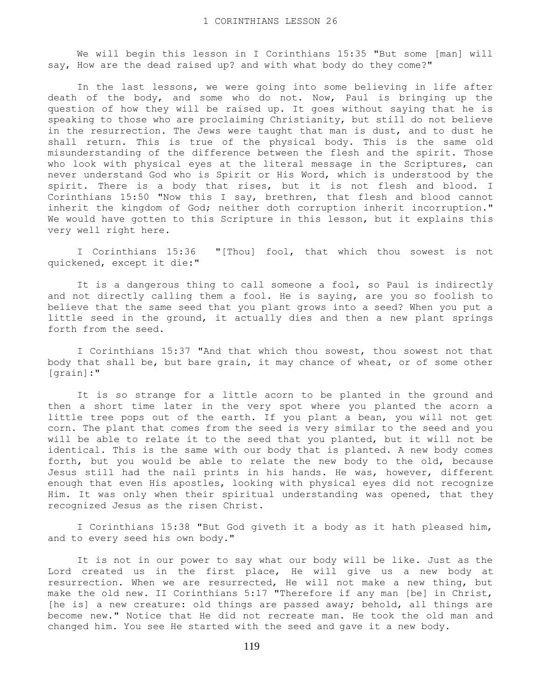We will begin this lesson in I Corinthians 15:35 "But some [man] will say, How are the dead raised up? and with what body do they come?"

 In the last lessons, we were going into some believing in life after death of the body, and some who do not. Now, Paul is bringing up the question of how they will be raised up. It goes without saying that he is speaking to those who are proclaiming Christianity, but still do not believe in the resurrection. The Jews were taught that man is dust, and to dust he shall return. This is true of the physical body. This is the same old misunderstanding of the difference between the flesh and the spirit. Those who look with physical eyes at the literal message in the Scriptures, can never understand God who is Spirit or His Word, which is understood by the spirit. There is a body that rises, but it is not flesh and blood. I Corinthians 15:50 "Now this I say, brethren, that flesh and blood cannot inherit the kingdom of God; neither doth corruption inherit incorruption." We would have gotten to this Scripture in this lesson, but it explains this very well right here.

 I Corinthians 15:36 "[Thou] fool, that which thou sowest is not quickened, except it die:"

It is a dangerous thing to call someone a fool, so Paul is indirectly and not directly calling them a fool. He is saying, are you so foolish to believe that the same seed that you plant grows into a seed? When you put a little seed in the ground, it actually dies and then a new plant springs forth from the seed.

 I Corinthians 15:37 "And that which thou sowest, thou sowest not that body that shall be, but bare grain, it may chance of wheat, or of some other [grain]:"

 It is so strange for a little acorn to be planted in the ground and then a short time later in the very spot where you planted the acorn a little tree pops out of the earth. If you plant a bean, you will not get corn. The plant that comes from the seed is very similar to the seed and you will be able to relate it to the seed that you planted, but it will not be identical. This is the same with our body that is planted. A new body comes forth, but you would be able to relate the new body to the old, because Jesus still had the nail prints in his hands. He was, however, different enough that even His apostles, looking with physical eyes did not recognize Him. It was only when their spiritual understanding was opened, that they recognized Jesus as the risen Christ.

 I Corinthians 15:38 "But God giveth it a body as it hath pleased him, and to every seed his own body."

 It is not in our power to say what our body will be like. Just as the Lord created us in the first place, He will give us a new body at resurrection. When we are resurrected, He will not make a new thing, but make the old new. II Corinthians 5:17 "Therefore if any man [be] in Christ, [he is] a new creature: old things are passed away; behold, all things are become new." Notice that He did not recreate man. He took the old man and changed him. You see He started with the seed and gave it a new body.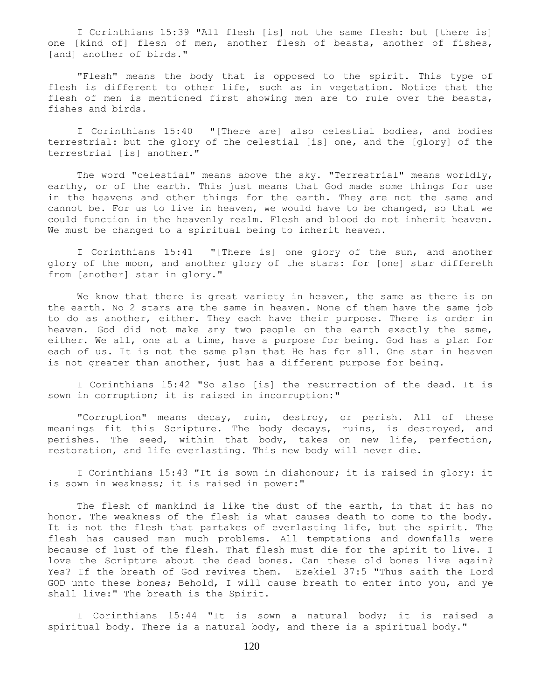I Corinthians 15:39 "All flesh [is] not the same flesh: but [there is] one [kind of] flesh of men, another flesh of beasts, another of fishes, [and] another of birds."

 "Flesh" means the body that is opposed to the spirit. This type of flesh is different to other life, such as in vegetation. Notice that the flesh of men is mentioned first showing men are to rule over the beasts, fishes and birds.

 I Corinthians 15:40 "[There are] also celestial bodies, and bodies terrestrial: but the glory of the celestial [is] one, and the [glory] of the terrestrial [is] another."

 The word "celestial" means above the sky. "Terrestrial" means worldly, earthy, or of the earth. This just means that God made some things for use in the heavens and other things for the earth. They are not the same and cannot be. For us to live in heaven, we would have to be changed, so that we could function in the heavenly realm. Flesh and blood do not inherit heaven. We must be changed to a spiritual being to inherit heaven.

 I Corinthians 15:41 "[There is] one glory of the sun, and another glory of the moon, and another glory of the stars: for [one] star differeth from [another] star in glory."

 We know that there is great variety in heaven, the same as there is on the earth. No 2 stars are the same in heaven. None of them have the same job to do as another, either. They each have their purpose. There is order in heaven. God did not make any two people on the earth exactly the same, either. We all, one at a time, have a purpose for being. God has a plan for each of us. It is not the same plan that He has for all. One star in heaven is not greater than another, just has a different purpose for being.

 I Corinthians 15:42 "So also [is] the resurrection of the dead. It is sown in corruption; it is raised in incorruption:"

 "Corruption" means decay, ruin, destroy, or perish. All of these meanings fit this Scripture. The body decays, ruins, is destroyed, and perishes. The seed, within that body, takes on new life, perfection, restoration, and life everlasting. This new body will never die.

 I Corinthians 15:43 "It is sown in dishonour; it is raised in glory: it is sown in weakness; it is raised in power:"

 The flesh of mankind is like the dust of the earth, in that it has no honor. The weakness of the flesh is what causes death to come to the body. It is not the flesh that partakes of everlasting life, but the spirit. The flesh has caused man much problems. All temptations and downfalls were because of lust of the flesh. That flesh must die for the spirit to live. I love the Scripture about the dead bones. Can these old bones live again? Yes? If the breath of God revives them. Ezekiel 37:5 "Thus saith the Lord GOD unto these bones; Behold, I will cause breath to enter into you, and ye shall live:" The breath is the Spirit.

 I Corinthians 15:44 "It is sown a natural body; it is raised a spiritual body. There is a natural body, and there is a spiritual body."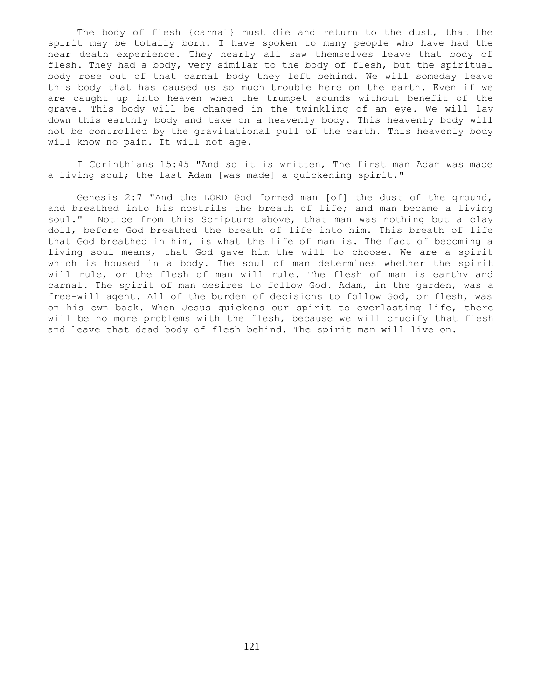The body of flesh {carnal} must die and return to the dust, that the spirit may be totally born. I have spoken to many people who have had the near death experience. They nearly all saw themselves leave that body of flesh. They had a body, very similar to the body of flesh, but the spiritual body rose out of that carnal body they left behind. We will someday leave this body that has caused us so much trouble here on the earth. Even if we are caught up into heaven when the trumpet sounds without benefit of the grave. This body will be changed in the twinkling of an eye. We will lay down this earthly body and take on a heavenly body. This heavenly body will not be controlled by the gravitational pull of the earth. This heavenly body will know no pain. It will not age.

 I Corinthians 15:45 "And so it is written, The first man Adam was made a living soul; the last Adam [was made] a quickening spirit."

 Genesis 2:7 "And the LORD God formed man [of] the dust of the ground, and breathed into his nostrils the breath of life; and man became a living soul." Notice from this Scripture above, that man was nothing but a clay doll, before God breathed the breath of life into him. This breath of life that God breathed in him, is what the life of man is. The fact of becoming a living soul means, that God gave him the will to choose. We are a spirit which is housed in a body. The soul of man determines whether the spirit will rule, or the flesh of man will rule. The flesh of man is earthy and carnal. The spirit of man desires to follow God. Adam, in the garden, was a free-will agent. All of the burden of decisions to follow God, or flesh, was on his own back. When Jesus quickens our spirit to everlasting life, there will be no more problems with the flesh, because we will crucify that flesh and leave that dead body of flesh behind. The spirit man will live on.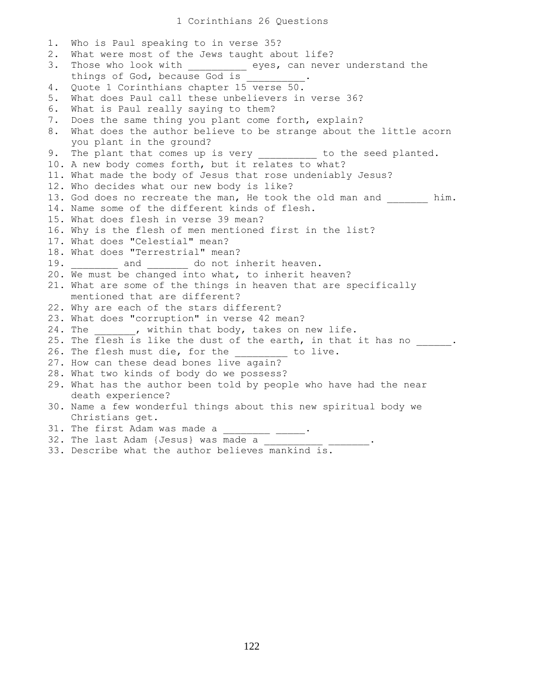1. Who is Paul speaking to in verse 35? 2. What were most of the Jews taught about life? 3. Those who look with eyes, can never understand the things of God, because God is 4. Quote 1 Corinthians chapter 15 verse 50. 5. What does Paul call these unbelievers in verse 36? 6. What is Paul really saying to them? 7. Does the same thing you plant come forth, explain? 8. What does the author believe to be strange about the little acorn you plant in the ground? 9. The plant that comes up is very \_\_\_\_\_\_\_\_\_\_ to the seed planted. 10. A new body comes forth, but it relates to what? 11. What made the body of Jesus that rose undeniably Jesus? 12. Who decides what our new body is like? 13. God does no recreate the man, He took the old man and him. 14. Name some of the different kinds of flesh. 15. What does flesh in verse 39 mean? 16. Why is the flesh of men mentioned first in the list? 17. What does "Celestial" mean? 18. What does "Terrestrial" mean? 19. **and** do not inherit heaven. 20. We must be changed into what, to inherit heaven? 21. What are some of the things in heaven that are specifically mentioned that are different? 22. Why are each of the stars different? 23. What does "corruption" in verse 42 mean? 24. The \_\_\_\_\_\_, within that body, takes on new life. 25. The  $\overline{\text{flesh}}$  is like the dust of the earth, in that it has no \_\_\_\_\_. 26. The flesh must die, for the to live. 27. How can these dead bones live again? 28. What two kinds of body do we possess? 29. What has the author been told by people who have had the near death experience? 30. Name a few wonderful things about this new spiritual body we Christians get. 31. The first Adam was made a \_\_\_\_ 32. The last Adam {Jesus} was made a 33. Describe what the author believes mankind is.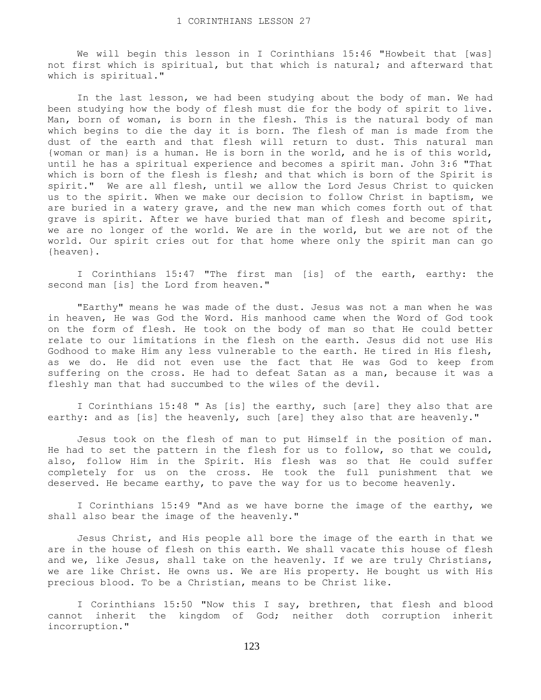We will begin this lesson in I Corinthians 15:46 "Howbeit that [was] not first which is spiritual, but that which is natural; and afterward that which is spiritual."

 In the last lesson, we had been studying about the body of man. We had been studying how the body of flesh must die for the body of spirit to live. Man, born of woman, is born in the flesh. This is the natural body of man which begins to die the day it is born. The flesh of man is made from the dust of the earth and that flesh will return to dust. This natural man {woman or man} is a human. He is born in the world, and he is of this world, until he has a spiritual experience and becomes a spirit man. John 3:6 "That which is born of the flesh is flesh; and that which is born of the Spirit is spirit." We are all flesh, until we allow the Lord Jesus Christ to quicken us to the spirit. When we make our decision to follow Christ in baptism, we are buried in a watery grave, and the new man which comes forth out of that grave is spirit. After we have buried that man of flesh and become spirit, we are no longer of the world. We are in the world, but we are not of the world. Our spirit cries out for that home where only the spirit man can go {heaven}.

 I Corinthians 15:47 "The first man [is] of the earth, earthy: the second man [is] the Lord from heaven."

 "Earthy" means he was made of the dust. Jesus was not a man when he was in heaven, He was God the Word. His manhood came when the Word of God took on the form of flesh. He took on the body of man so that He could better relate to our limitations in the flesh on the earth. Jesus did not use His Godhood to make Him any less vulnerable to the earth. He tired in His flesh, as we do. He did not even use the fact that He was God to keep from suffering on the cross. He had to defeat Satan as a man, because it was a fleshly man that had succumbed to the wiles of the devil.

 I Corinthians 15:48 " As [is] the earthy, such [are] they also that are earthy: and as [is] the heavenly, such [are] they also that are heavenly."

 Jesus took on the flesh of man to put Himself in the position of man. He had to set the pattern in the flesh for us to follow, so that we could, also, follow Him in the Spirit. His flesh was so that He could suffer completely for us on the cross. He took the full punishment that we deserved. He became earthy, to pave the way for us to become heavenly.

I Corinthians 15:49 "And as we have borne the image of the earthy, we shall also bear the image of the heavenly."

 Jesus Christ, and His people all bore the image of the earth in that we are in the house of flesh on this earth. We shall vacate this house of flesh and we, like Jesus, shall take on the heavenly. If we are truly Christians, we are like Christ. He owns us. We are His property. He bought us with His precious blood. To be a Christian, means to be Christ like.

 I Corinthians 15:50 "Now this I say, brethren, that flesh and blood cannot inherit the kingdom of God; neither doth corruption inherit incorruption."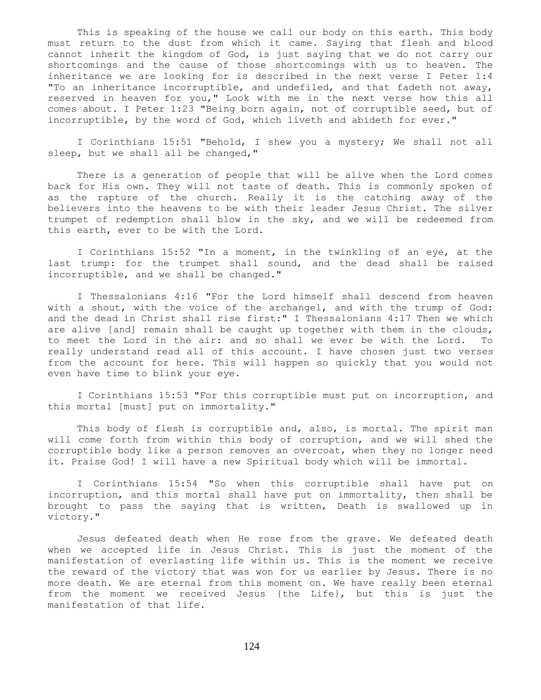This is speaking of the house we call our body on this earth. This body must return to the dust from which it came. Saying that flesh and blood cannot inherit the kingdom of God, is just saying that we do not carry our shortcomings and the cause of those shortcomings with us to heaven. The inheritance we are looking for is described in the next verse I Peter 1:4 "To an inheritance incorruptible, and undefiled, and that fadeth not away, reserved in heaven for you," Look with me in the next verse how this all comes about. I Peter 1:23 "Being born again, not of corruptible seed, but of incorruptible, by the word of God, which liveth and abideth for ever."

 I Corinthians 15:51 "Behold, I shew you a mystery; We shall not all sleep, but we shall all be changed,"

 There is a generation of people that will be alive when the Lord comes back for His own. They will not taste of death. This is commonly spoken of as the rapture of the church. Really it is the catching away of the believers into the heavens to be with their leader Jesus Christ. The silver trumpet of redemption shall blow in the sky, and we will be redeemed from this earth, ever to be with the Lord.

 I Corinthians 15:52 "In a moment, in the twinkling of an eye, at the last trump: for the trumpet shall sound, and the dead shall be raised incorruptible, and we shall be changed."

 I Thessalonians 4:16 "For the Lord himself shall descend from heaven with a shout, with the voice of the archangel, and with the trump of God: and the dead in Christ shall rise first:" I Thessalonians 4:17 Then we which are alive [and] remain shall be caught up together with them in the clouds, to meet the Lord in the air: and so shall we ever be with the Lord. To really understand read all of this account. I have chosen just two verses from the account for here. This will happen so quickly that you would not even have time to blink your eye.

 I Corinthians 15:53 "For this corruptible must put on incorruption, and this mortal [must] put on immortality."

 This body of flesh is corruptible and, also, is mortal. The spirit man will come forth from within this body of corruption, and we will shed the corruptible body like a person removes an overcoat, when they no longer need it. Praise God! I will have a new Spiritual body which will be immortal.

 I Corinthians 15:54 "So when this corruptible shall have put on incorruption, and this mortal shall have put on immortality, then shall be brought to pass the saying that is written, Death is swallowed up in victory."

 Jesus defeated death when He rose from the grave. We defeated death when we accepted life in Jesus Christ. This is just the moment of the manifestation of everlasting life within us. This is the moment we receive the reward of the victory that was won for us earlier by Jesus. There is no more death. We are eternal from this moment on. We have really been eternal from the moment we received Jesus {the Life}, but this is just the manifestation of that life.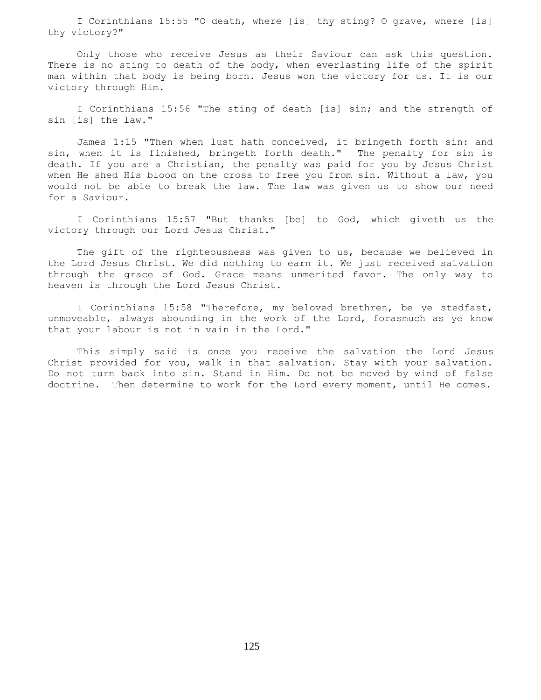I Corinthians 15:55 "O death, where [is] thy sting? O grave, where [is] thy victory?"

 Only those who receive Jesus as their Saviour can ask this question. There is no sting to death of the body, when everlasting life of the spirit man within that body is being born. Jesus won the victory for us. It is our victory through Him.

 I Corinthians 15:56 "The sting of death [is] sin; and the strength of sin [is] the law."

 James 1:15 "Then when lust hath conceived, it bringeth forth sin: and sin, when it is finished, bringeth forth death." The penalty for sin is death. If you are a Christian, the penalty was paid for you by Jesus Christ when He shed His blood on the cross to free you from sin. Without a law, you would not be able to break the law. The law was given us to show our need for a Saviour.

 I Corinthians 15:57 "But thanks [be] to God, which giveth us the victory through our Lord Jesus Christ."

The gift of the righteousness was given to us, because we believed in the Lord Jesus Christ. We did nothing to earn it. We just received salvation through the grace of God. Grace means unmerited favor. The only way to heaven is through the Lord Jesus Christ.

 I Corinthians 15:58 "Therefore, my beloved brethren, be ye stedfast, unmoveable, always abounding in the work of the Lord, forasmuch as ye know that your labour is not in vain in the Lord."

 This simply said is once you receive the salvation the Lord Jesus Christ provided for you, walk in that salvation. Stay with your salvation. Do not turn back into sin. Stand in Him. Do not be moved by wind of false doctrine. Then determine to work for the Lord every moment, until He comes.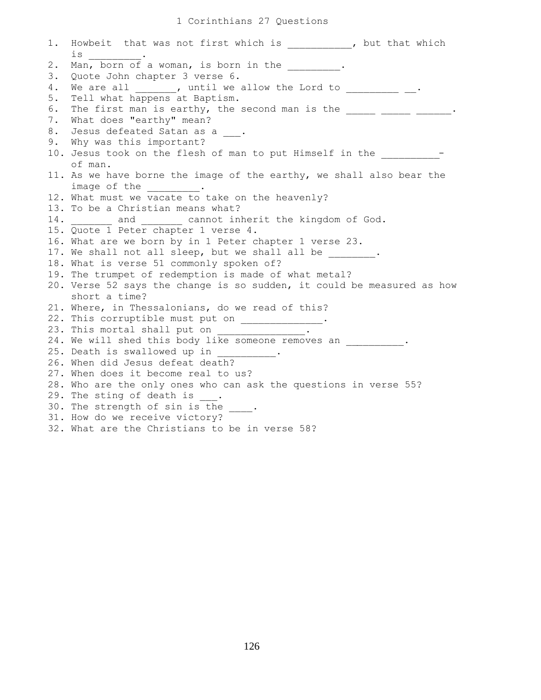## 1 Corinthians 27 Questions

1. Howbeit that was not first which is  $\qquad \qquad$ , but that which is \_\_\_\_\_\_\_\_\_. 2. Man, born of a woman, is born in the  $\qquad \qquad$ 3. Quote John chapter 3 verse 6. 4. We are all \_\_\_\_\_\_\_, until we allow the Lord to \_\_\_\_\_\_\_\_\_ \_\_. 5. Tell what happens at Baptism. 6. The first man is earthy, the second man is the  $\frac{1}{\sqrt{1-\frac{1}{n}}}$   $\frac{1}{\sqrt{1-\frac{1}{n}}}$ . 7. What does "earthy" mean? 8. Jesus defeated Satan as a  $\qquad$ . 9. Why was this important? 10. Jesus took on the flesh of man to put Himself in the \_\_\_\_\_\_\_\_\_\_ of man. 11. As we have borne the image of the earthy, we shall also bear the image of the 12. What must we vacate to take on the heavenly? 13. To be a Christian means what? 14. \_\_\_\_\_\_\_ and \_\_\_\_\_\_ cannot inherit the kingdom of God. 15. Quote 1 Peter chapter 1 verse 4. 16. What are we born by in 1 Peter chapter 1 verse 23. 17. We shall not all sleep, but we shall all be  $\qquad \qquad$ 18. What is verse 51 commonly spoken of? 19. The trumpet of redemption is made of what metal? 20. Verse 52 says the change is so sudden, it could be measured as how short a time? 21. Where, in Thessalonians, do we read of this? 22. This corruptible must put on \_\_\_\_\_\_\_\_\_\_\_\_\_\_. 23. This mortal shall put on 24. We will shed this body like someone removes an  $\cdot$ . 25. Death is swallowed up in 26. When did Jesus defeat death? 27. When does it become real to us? 28. Who are the only ones who can ask the questions in verse 55? 29. The sting of death is  $\_\_$ . 30. The strength of sin is the 31. How do we receive victory? 32. What are the Christians to be in verse 58?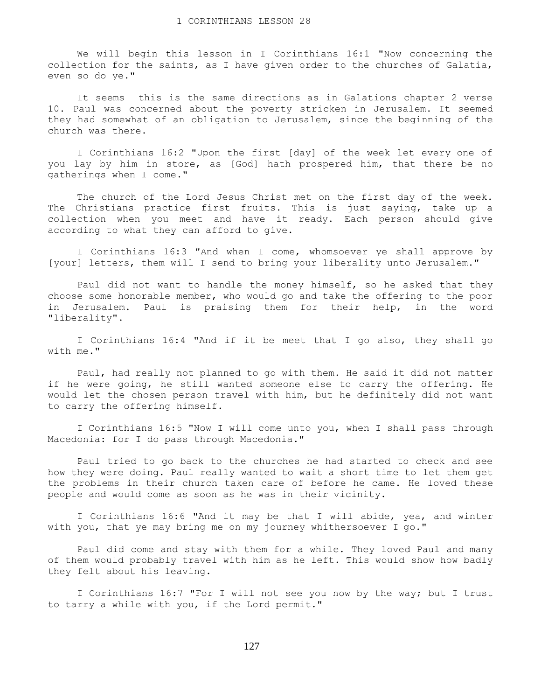We will begin this lesson in I Corinthians 16:1 "Now concerning the collection for the saints, as I have given order to the churches of Galatia, even so do ye."

 It seems this is the same directions as in Galations chapter 2 verse 10. Paul was concerned about the poverty stricken in Jerusalem. It seemed they had somewhat of an obligation to Jerusalem, since the beginning of the church was there.

 I Corinthians 16:2 "Upon the first [day] of the week let every one of you lay by him in store, as [God] hath prospered him, that there be no gatherings when I come."

 The church of the Lord Jesus Christ met on the first day of the week. The Christians practice first fruits. This is just saying, take up a collection when you meet and have it ready. Each person should give according to what they can afford to give.

 I Corinthians 16:3 "And when I come, whomsoever ye shall approve by [your] letters, them will I send to bring your liberality unto Jerusalem."

 Paul did not want to handle the money himself, so he asked that they choose some honorable member, who would go and take the offering to the poor in Jerusalem. Paul is praising them for their help, in the word "liberality".

 I Corinthians 16:4 "And if it be meet that I go also, they shall go with me."

 Paul, had really not planned to go with them. He said it did not matter if he were going, he still wanted someone else to carry the offering. He would let the chosen person travel with him, but he definitely did not want to carry the offering himself.

 I Corinthians 16:5 "Now I will come unto you, when I shall pass through Macedonia: for I do pass through Macedonia."

 Paul tried to go back to the churches he had started to check and see how they were doing. Paul really wanted to wait a short time to let them get the problems in their church taken care of before he came. He loved these people and would come as soon as he was in their vicinity.

 I Corinthians 16:6 "And it may be that I will abide, yea, and winter with you, that ye may bring me on my journey whithersoever I go."

 Paul did come and stay with them for a while. They loved Paul and many of them would probably travel with him as he left. This would show how badly they felt about his leaving.

 I Corinthians 16:7 "For I will not see you now by the way; but I trust to tarry a while with you, if the Lord permit."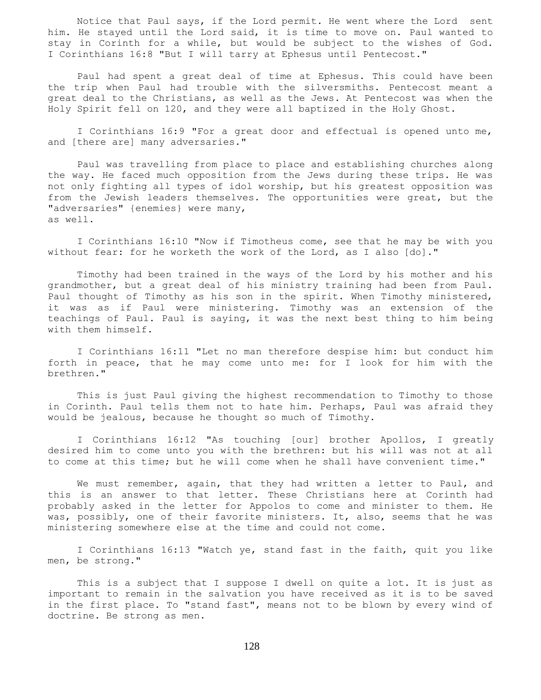Notice that Paul says, if the Lord permit. He went where the Lord sent him. He stayed until the Lord said, it is time to move on. Paul wanted to stay in Corinth for a while, but would be subject to the wishes of God. I Corinthians 16:8 "But I will tarry at Ephesus until Pentecost."

 Paul had spent a great deal of time at Ephesus. This could have been the trip when Paul had trouble with the silversmiths. Pentecost meant a great deal to the Christians, as well as the Jews. At Pentecost was when the Holy Spirit fell on 120, and they were all baptized in the Holy Ghost.

 I Corinthians 16:9 "For a great door and effectual is opened unto me, and [there are] many adversaries."

 Paul was travelling from place to place and establishing churches along the way. He faced much opposition from the Jews during these trips. He was not only fighting all types of idol worship, but his greatest opposition was from the Jewish leaders themselves. The opportunities were great, but the "adversaries" {enemies} were many, as well.

 I Corinthians 16:10 "Now if Timotheus come, see that he may be with you without fear: for he worketh the work of the Lord, as I also [do]."

 Timothy had been trained in the ways of the Lord by his mother and his grandmother, but a great deal of his ministry training had been from Paul. Paul thought of Timothy as his son in the spirit. When Timothy ministered, it was as if Paul were ministering. Timothy was an extension of the teachings of Paul. Paul is saying, it was the next best thing to him being with them himself.

 I Corinthians 16:11 "Let no man therefore despise him: but conduct him forth in peace, that he may come unto me: for I look for him with the brethren."

 This is just Paul giving the highest recommendation to Timothy to those in Corinth. Paul tells them not to hate him. Perhaps, Paul was afraid they would be jealous, because he thought so much of Timothy.

 I Corinthians 16:12 "As touching [our] brother Apollos, I greatly desired him to come unto you with the brethren: but his will was not at all to come at this time; but he will come when he shall have convenient time."

We must remember, again, that they had written a letter to Paul, and this is an answer to that letter. These Christians here at Corinth had probably asked in the letter for Appolos to come and minister to them. He was, possibly, one of their favorite ministers. It, also, seems that he was ministering somewhere else at the time and could not come.

 I Corinthians 16:13 "Watch ye, stand fast in the faith, quit you like men, be strong."

 This is a subject that I suppose I dwell on quite a lot. It is just as important to remain in the salvation you have received as it is to be saved in the first place. To "stand fast", means not to be blown by every wind of doctrine. Be strong as men.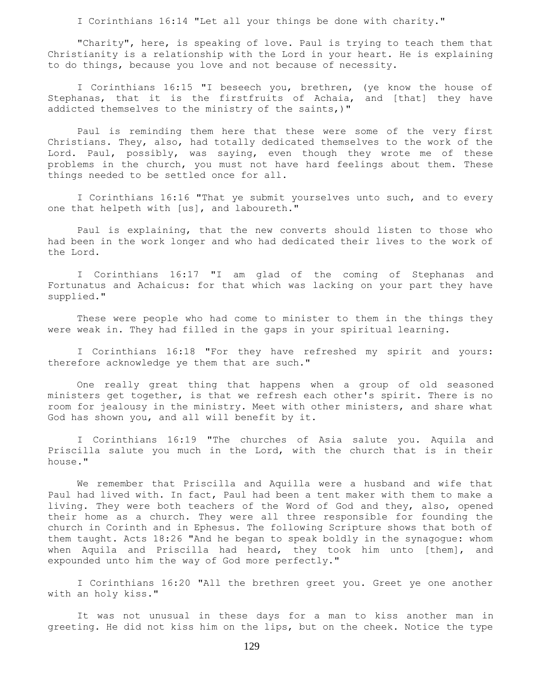I Corinthians 16:14 "Let all your things be done with charity."

 "Charity", here, is speaking of love. Paul is trying to teach them that Christianity is a relationship with the Lord in your heart. He is explaining to do things, because you love and not because of necessity.

I Corinthians 16:15 "I beseech you, brethren, (ye know the house of Stephanas, that it is the firstfruits of Achaia, and [that] they have addicted themselves to the ministry of the saints,)"

 Paul is reminding them here that these were some of the very first Christians. They, also, had totally dedicated themselves to the work of the Lord. Paul, possibly, was saying, even though they wrote me of these problems in the church, you must not have hard feelings about them. These things needed to be settled once for all.

 I Corinthians 16:16 "That ye submit yourselves unto such, and to every one that helpeth with [us], and laboureth."

 Paul is explaining, that the new converts should listen to those who had been in the work longer and who had dedicated their lives to the work of the Lord.

 I Corinthians 16:17 "I am glad of the coming of Stephanas and Fortunatus and Achaicus: for that which was lacking on your part they have supplied."

 These were people who had come to minister to them in the things they were weak in. They had filled in the gaps in your spiritual learning.

 I Corinthians 16:18 "For they have refreshed my spirit and yours: therefore acknowledge ye them that are such."

 One really great thing that happens when a group of old seasoned ministers get together, is that we refresh each other's spirit. There is no room for jealousy in the ministry. Meet with other ministers, and share what God has shown you, and all will benefit by it.

 I Corinthians 16:19 "The churches of Asia salute you. Aquila and Priscilla salute you much in the Lord, with the church that is in their house."

 We remember that Priscilla and Aquilla were a husband and wife that Paul had lived with. In fact, Paul had been a tent maker with them to make a living. They were both teachers of the Word of God and they, also, opened their home as a church. They were all three responsible for founding the church in Corinth and in Ephesus. The following Scripture shows that both of them taught. Acts 18:26 "And he began to speak boldly in the synagogue: whom when Aquila and Priscilla had heard, they took him unto [them], and expounded unto him the way of God more perfectly."

 I Corinthians 16:20 "All the brethren greet you. Greet ye one another with an holy kiss."

 It was not unusual in these days for a man to kiss another man in greeting. He did not kiss him on the lips, but on the cheek. Notice the type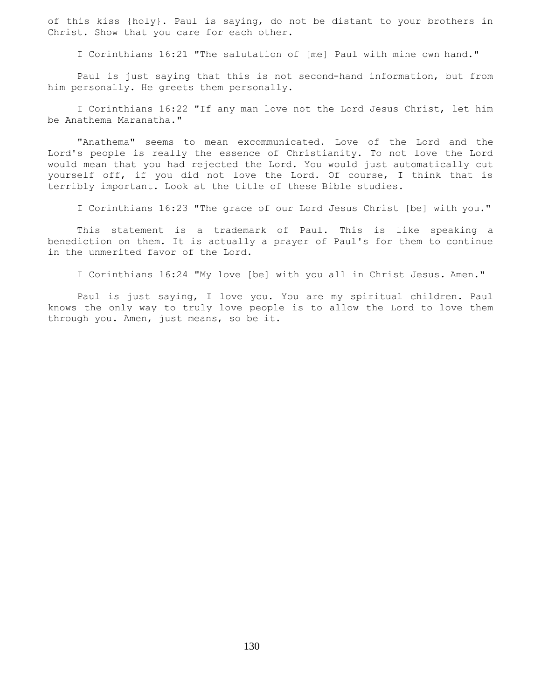of this kiss {holy}. Paul is saying, do not be distant to your brothers in Christ. Show that you care for each other.

I Corinthians 16:21 "The salutation of [me] Paul with mine own hand."

 Paul is just saying that this is not second-hand information, but from him personally. He greets them personally.

 I Corinthians 16:22 "If any man love not the Lord Jesus Christ, let him be Anathema Maranatha."

 "Anathema" seems to mean excommunicated. Love of the Lord and the Lord's people is really the essence of Christianity. To not love the Lord would mean that you had rejected the Lord. You would just automatically cut yourself off, if you did not love the Lord. Of course, I think that is terribly important. Look at the title of these Bible studies.

I Corinthians 16:23 "The grace of our Lord Jesus Christ [be] with you."

 This statement is a trademark of Paul. This is like speaking a benediction on them. It is actually a prayer of Paul's for them to continue in the unmerited favor of the Lord.

I Corinthians 16:24 "My love [be] with you all in Christ Jesus. Amen."

 Paul is just saying, I love you. You are my spiritual children. Paul knows the only way to truly love people is to allow the Lord to love them through you. Amen, just means, so be it.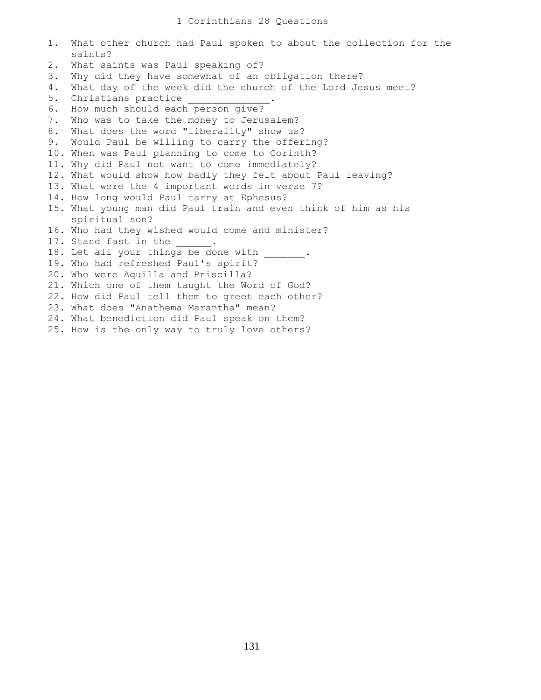| 1.    | What other church had Paul spoken to about the collection for the<br>saints? |
|-------|------------------------------------------------------------------------------|
| $2$ . | What saints was Paul speaking of?                                            |
| 3.    | Why did they have somewhat of an obligation there?                           |
| 4.    | What day of the week did the church of the Lord Jesus meet?                  |
| 5.    | Christians practice                                                          |
| 6.    | How much should each person give?                                            |
| 7.    | Who was to take the money to Jerusalem?                                      |
| 8.    | What does the word "liberality" show us?                                     |
| 9.    | Would Paul be willing to carry the offering?                                 |
|       | 10. When was Paul planning to come to Corinth?                               |
|       | 11. Why did Paul not want to come immediately?                               |
|       | 12. What would show how badly they felt about Paul leaving?                  |
|       | 13. What were the 4 important words in verse 7?                              |
|       | 14. How long would Paul tarry at Ephesus?                                    |
|       | 15. What young man did Paul train and even think of him as his               |
|       | spiritual son?                                                               |
|       | 16. Who had they wished would come and minister?                             |
|       | 17. Stand fast in the                                                        |
|       | 18. Let all your things be done with                                         |
|       | 19. Who had refreshed Paul's spirit?                                         |
|       | 20. Who were Aquilla and Priscilla?                                          |
|       | 21. Which one of them taught the Word of God?                                |
|       | 22. How did Paul tell them to greet each other?                              |
|       | 23. What does "Anathema Marantha" mean?                                      |
|       | 24. What benediction did Paul speak on them?                                 |
|       | 25. How is the only way to truly love others?                                |
|       |                                                                              |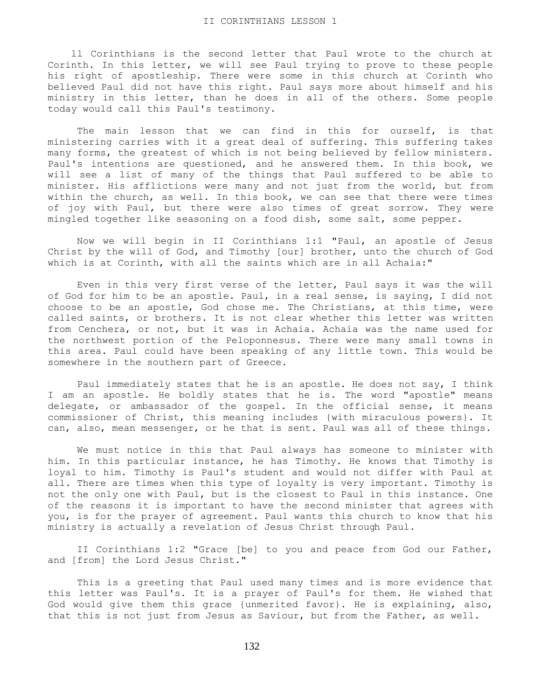ll Corinthians is the second letter that Paul wrote to the church at Corinth. In this letter, we will see Paul trying to prove to these people his right of apostleship. There were some in this church at Corinth who believed Paul did not have this right. Paul says more about himself and his ministry in this letter, than he does in all of the others. Some people today would call this Paul's testimony.

The main lesson that we can find in this for ourself, is that ministering carries with it a great deal of suffering. This suffering takes many forms, the greatest of which is not being believed by fellow ministers. Paul's intentions are questioned, and he answered them. In this book, we will see a list of many of the things that Paul suffered to be able to minister. His afflictions were many and not just from the world, but from within the church, as well. In this book, we can see that there were times of joy with Paul, but there were also times of great sorrow. They were mingled together like seasoning on a food dish, some salt, some pepper.

 Now we will begin in II Corinthians 1:1 "Paul, an apostle of Jesus Christ by the will of God, and Timothy [our] brother, unto the church of God which is at Corinth, with all the saints which are in all Achaia:"

 Even in this very first verse of the letter, Paul says it was the will of God for him to be an apostle. Paul, in a real sense, is saying, I did not choose to be an apostle, God chose me. The Christians, at this time, were called saints, or brothers. It is not clear whether this letter was written from Cenchera, or not, but it was in Achaia. Achaia was the name used for the northwest portion of the Peloponnesus. There were many small towns in this area. Paul could have been speaking of any little town. This would be somewhere in the southern part of Greece.

 Paul immediately states that he is an apostle. He does not say, I think I am an apostle. He boldly states that he is. The word "apostle" means delegate, or ambassador of the gospel. In the official sense, it means commissioner of Christ, this meaning includes {with miraculous powers}. It can, also, mean messenger, or he that is sent. Paul was all of these things.

 We must notice in this that Paul always has someone to minister with him. In this particular instance, he has Timothy. He knows that Timothy is loyal to him. Timothy is Paul's student and would not differ with Paul at all. There are times when this type of loyalty is very important. Timothy is not the only one with Paul, but is the closest to Paul in this instance. One of the reasons it is important to have the second minister that agrees with you, is for the prayer of agreement. Paul wants this church to know that his ministry is actually a revelation of Jesus Christ through Paul.

 II Corinthians 1:2 "Grace [be] to you and peace from God our Father, and [from] the Lord Jesus Christ."

 This is a greeting that Paul used many times and is more evidence that this letter was Paul's. It is a prayer of Paul's for them. He wished that God would give them this grace {unmerited favor}. He is explaining, also, that this is not just from Jesus as Saviour, but from the Father, as well.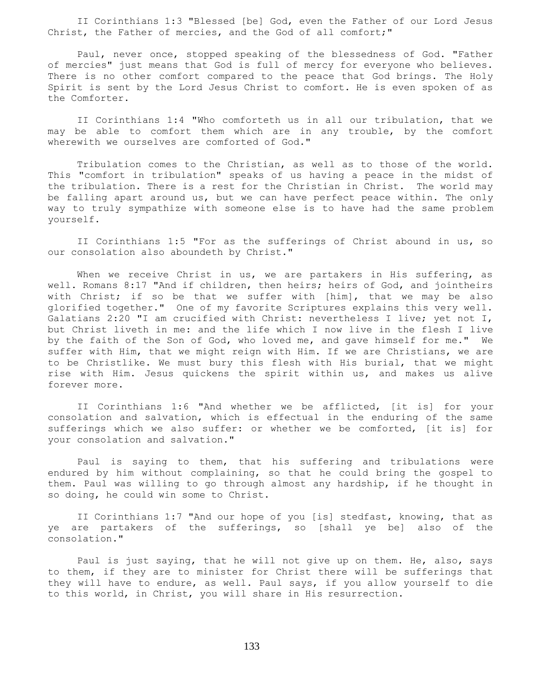II Corinthians 1:3 "Blessed [be] God, even the Father of our Lord Jesus Christ, the Father of mercies, and the God of all comfort;"

 Paul, never once, stopped speaking of the blessedness of God. "Father of mercies" just means that God is full of mercy for everyone who believes. There is no other comfort compared to the peace that God brings. The Holy Spirit is sent by the Lord Jesus Christ to comfort. He is even spoken of as the Comforter.

 II Corinthians 1:4 "Who comforteth us in all our tribulation, that we may be able to comfort them which are in any trouble, by the comfort wherewith we ourselves are comforted of God."

 Tribulation comes to the Christian, as well as to those of the world. This "comfort in tribulation" speaks of us having a peace in the midst of the tribulation. There is a rest for the Christian in Christ. The world may be falling apart around us, but we can have perfect peace within. The only way to truly sympathize with someone else is to have had the same problem yourself.

 II Corinthians 1:5 "For as the sufferings of Christ abound in us, so our consolation also aboundeth by Christ."

When we receive Christ in us, we are partakers in His suffering, as well. Romans 8:17 "And if children, then heirs; heirs of God, and jointheirs with Christ; if so be that we suffer with [him], that we may be also glorified together." One of my favorite Scriptures explains this very well. Galatians 2:20 "I am crucified with Christ: nevertheless I live; yet not I, but Christ liveth in me: and the life which I now live in the flesh I live by the faith of the Son of God, who loved me, and gave himself for me." We suffer with Him, that we might reign with Him. If we are Christians, we are to be Christlike. We must bury this flesh with His burial, that we might rise with Him. Jesus quickens the spirit within us, and makes us alive forever more.

 II Corinthians 1:6 "And whether we be afflicted, [it is] for your consolation and salvation, which is effectual in the enduring of the same sufferings which we also suffer: or whether we be comforted, [it is] for your consolation and salvation."

 Paul is saying to them, that his suffering and tribulations were endured by him without complaining, so that he could bring the gospel to them. Paul was willing to go through almost any hardship, if he thought in so doing, he could win some to Christ.

 II Corinthians 1:7 "And our hope of you [is] stedfast, knowing, that as ye are partakers of the sufferings, so [shall ye be] also of the consolation."

 Paul is just saying, that he will not give up on them. He, also, says to them, if they are to minister for Christ there will be sufferings that they will have to endure, as well. Paul says, if you allow yourself to die to this world, in Christ, you will share in His resurrection.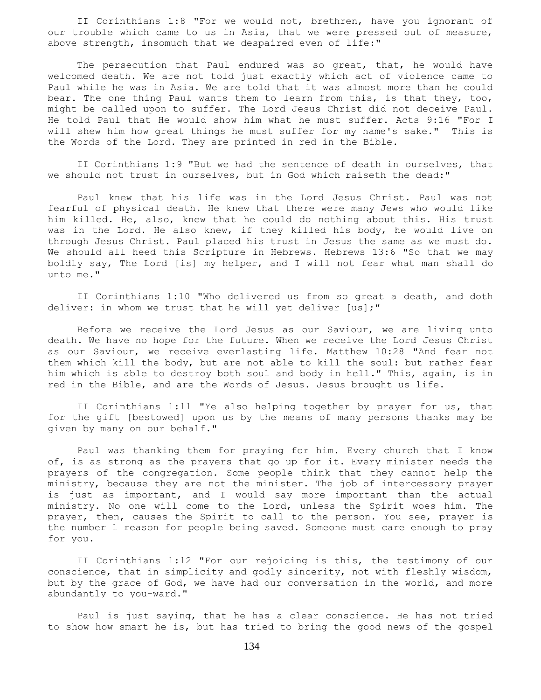II Corinthians 1:8 "For we would not, brethren, have you ignorant of our trouble which came to us in Asia, that we were pressed out of measure, above strength, insomuch that we despaired even of life:"

The persecution that Paul endured was so great, that, he would have welcomed death. We are not told just exactly which act of violence came to Paul while he was in Asia. We are told that it was almost more than he could bear. The one thing Paul wants them to learn from this, is that they, too, might be called upon to suffer. The Lord Jesus Christ did not deceive Paul. He told Paul that He would show him what he must suffer. Acts 9:16 "For I will shew him how great things he must suffer for my name's sake." This is the Words of the Lord. They are printed in red in the Bible.

 II Corinthians 1:9 "But we had the sentence of death in ourselves, that we should not trust in ourselves, but in God which raiseth the dead:"

 Paul knew that his life was in the Lord Jesus Christ. Paul was not fearful of physical death. He knew that there were many Jews who would like him killed. He, also, knew that he could do nothing about this. His trust was in the Lord. He also knew, if they killed his body, he would live on through Jesus Christ. Paul placed his trust in Jesus the same as we must do. We should all heed this Scripture in Hebrews. Hebrews 13:6 "So that we may boldly say, The Lord [is] my helper, and I will not fear what man shall do unto me."

 II Corinthians 1:10 "Who delivered us from so great a death, and doth deliver: in whom we trust that he will yet deliver [us];"

 Before we receive the Lord Jesus as our Saviour, we are living unto death. We have no hope for the future. When we receive the Lord Jesus Christ as our Saviour, we receive everlasting life. Matthew 10:28 "And fear not them which kill the body, but are not able to kill the soul: but rather fear him which is able to destroy both soul and body in hell." This, again, is in red in the Bible, and are the Words of Jesus. Jesus brought us life.

 II Corinthians 1:11 "Ye also helping together by prayer for us, that for the gift [bestowed] upon us by the means of many persons thanks may be given by many on our behalf."

 Paul was thanking them for praying for him. Every church that I know of, is as strong as the prayers that go up for it. Every minister needs the prayers of the congregation. Some people think that they cannot help the ministry, because they are not the minister. The job of intercessory prayer is just as important, and I would say more important than the actual ministry. No one will come to the Lord, unless the Spirit woes him. The prayer, then, causes the Spirit to call to the person. You see, prayer is the number 1 reason for people being saved. Someone must care enough to pray for you.

 II Corinthians 1:12 "For our rejoicing is this, the testimony of our conscience, that in simplicity and godly sincerity, not with fleshly wisdom, but by the grace of God, we have had our conversation in the world, and more abundantly to you-ward."

 Paul is just saying, that he has a clear conscience. He has not tried to show how smart he is, but has tried to bring the good news of the gospel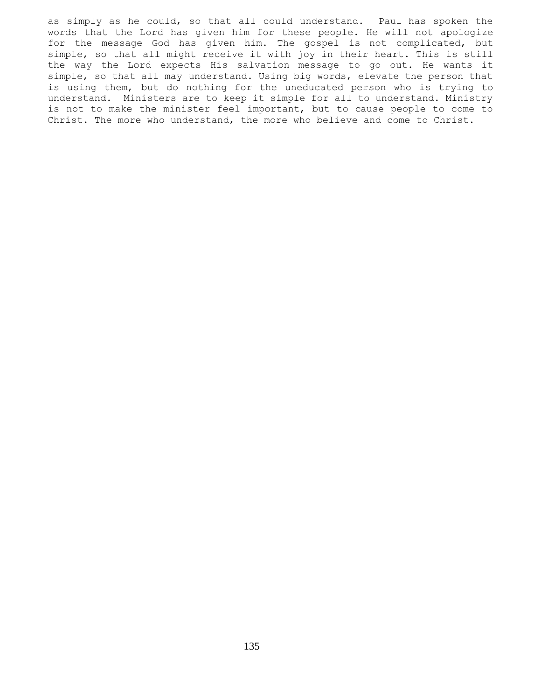as simply as he could, so that all could understand. Paul has spoken the words that the Lord has given him for these people. He will not apologize for the message God has given him. The gospel is not complicated, but simple, so that all might receive it with joy in their heart. This is still the way the Lord expects His salvation message to go out. He wants it simple, so that all may understand. Using big words, elevate the person that is using them, but do nothing for the uneducated person who is trying to understand. Ministers are to keep it simple for all to understand. Ministry is not to make the minister feel important, but to cause people to come to Christ. The more who understand, the more who believe and come to Christ.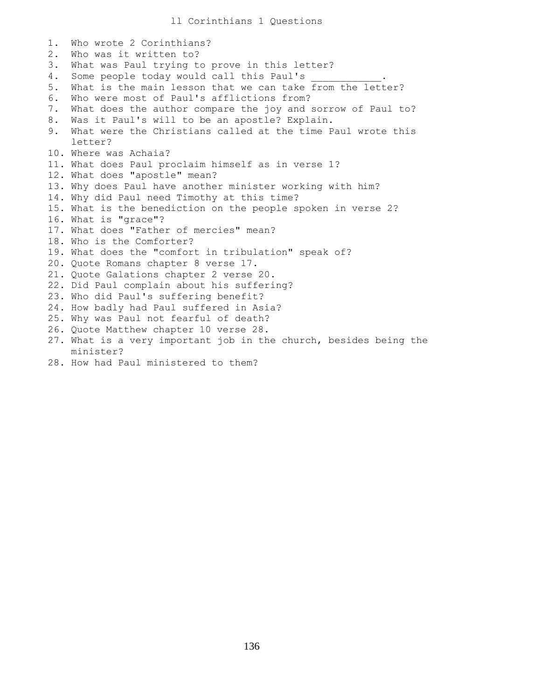1. Who wrote 2 Corinthians? 2. Who was it written to? 3. What was Paul trying to prove in this letter? 4. Some people today would call this Paul's 5. What is the main lesson that we can take from the letter? 6. Who were most of Paul's afflictions from? 7. What does the author compare the joy and sorrow of Paul to? 8. Was it Paul's will to be an apostle? Explain. 9. What were the Christians called at the time Paul wrote this letter? 10. Where was Achaia? 11. What does Paul proclaim himself as in verse 1? 12. What does "apostle" mean? 13. Why does Paul have another minister working with him? 14. Why did Paul need Timothy at this time? 15. What is the benediction on the people spoken in verse 2? 16. What is "grace"? 17. What does "Father of mercies" mean? 18. Who is the Comforter? 19. What does the "comfort in tribulation" speak of? 20. Quote Romans chapter 8 verse 17. 21. Quote Galations chapter 2 verse 20. 22. Did Paul complain about his suffering? 23. Who did Paul's suffering benefit? 24. How badly had Paul suffered in Asia? 25. Why was Paul not fearful of death? 26. Quote Matthew chapter 10 verse 28. 27. What is a very important job in the church, besides being the minister? 28. How had Paul ministered to them?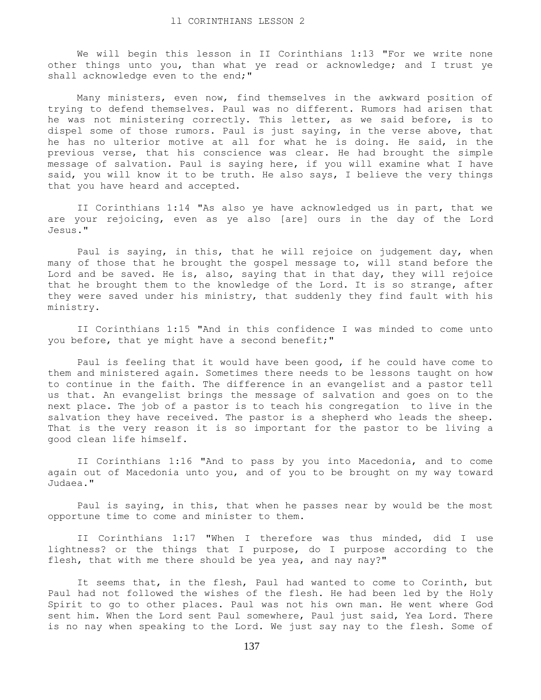We will begin this lesson in II Corinthians 1:13 "For we write none other things unto you, than what ye read or acknowledge; and I trust ye shall acknowledge even to the end;"

 Many ministers, even now, find themselves in the awkward position of trying to defend themselves. Paul was no different. Rumors had arisen that he was not ministering correctly. This letter, as we said before, is to dispel some of those rumors. Paul is just saying, in the verse above, that he has no ulterior motive at all for what he is doing. He said, in the previous verse, that his conscience was clear. He had brought the simple message of salvation. Paul is saying here, if you will examine what I have said, you will know it to be truth. He also says, I believe the very things that you have heard and accepted.

 II Corinthians 1:14 "As also ye have acknowledged us in part, that we are your rejoicing, even as ye also [are] ours in the day of the Lord Jesus."

 Paul is saying, in this, that he will rejoice on judgement day, when many of those that he brought the gospel message to, will stand before the Lord and be saved. He is, also, saying that in that day, they will rejoice that he brought them to the knowledge of the Lord. It is so strange, after they were saved under his ministry, that suddenly they find fault with his ministry.

 II Corinthians 1:15 "And in this confidence I was minded to come unto you before, that ye might have a second benefit;"

 Paul is feeling that it would have been good, if he could have come to them and ministered again. Sometimes there needs to be lessons taught on how to continue in the faith. The difference in an evangelist and a pastor tell us that. An evangelist brings the message of salvation and goes on to the next place. The job of a pastor is to teach his congregation to live in the salvation they have received. The pastor is a shepherd who leads the sheep. That is the very reason it is so important for the pastor to be living a good clean life himself.

 II Corinthians 1:16 "And to pass by you into Macedonia, and to come again out of Macedonia unto you, and of you to be brought on my way toward Judaea."

 Paul is saying, in this, that when he passes near by would be the most opportune time to come and minister to them.

 II Corinthians 1:17 "When I therefore was thus minded, did I use lightness? or the things that I purpose, do I purpose according to the flesh, that with me there should be yea yea, and nay nay?"

 It seems that, in the flesh, Paul had wanted to come to Corinth, but Paul had not followed the wishes of the flesh. He had been led by the Holy Spirit to go to other places. Paul was not his own man. He went where God sent him. When the Lord sent Paul somewhere, Paul just said, Yea Lord. There is no nay when speaking to the Lord. We just say nay to the flesh. Some of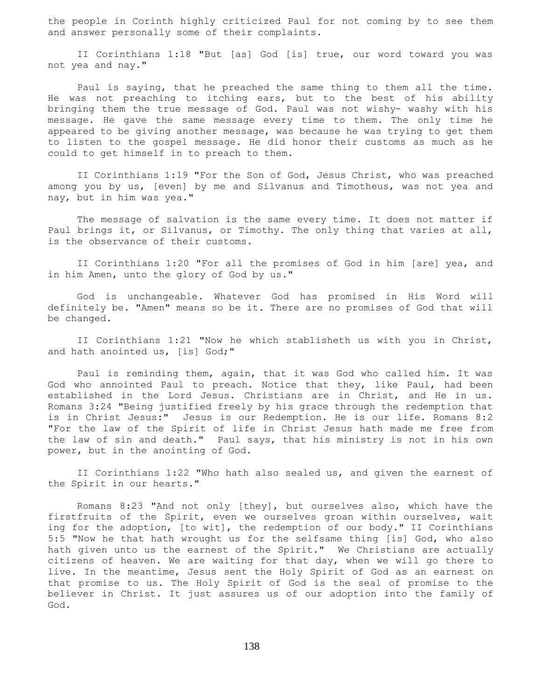the people in Corinth highly criticized Paul for not coming by to see them and answer personally some of their complaints.

 II Corinthians 1:18 "But [as] God [is] true, our word toward you was not yea and nay."

 Paul is saying, that he preached the same thing to them all the time. He was not preaching to itching ears, but to the best of his ability bringing them the true message of God. Paul was not wishy- washy with his message. He gave the same message every time to them. The only time he appeared to be giving another message, was because he was trying to get them to listen to the gospel message. He did honor their customs as much as he could to get himself in to preach to them.

 II Corinthians 1:19 "For the Son of God, Jesus Christ, who was preached among you by us, [even] by me and Silvanus and Timotheus, was not yea and nay, but in him was yea."

 The message of salvation is the same every time. It does not matter if Paul brings it, or Silvanus, or Timothy. The only thing that varies at all, is the observance of their customs.

 II Corinthians 1:20 "For all the promises of God in him [are] yea, and in him Amen, unto the glory of God by us."

 God is unchangeable. Whatever God has promised in His Word will definitely be. "Amen" means so be it. There are no promises of God that will be changed.

 II Corinthians 1:21 "Now he which stablisheth us with you in Christ, and hath anointed us, [is] God;"

 Paul is reminding them, again, that it was God who called him. It was God who annointed Paul to preach. Notice that they, like Paul, had been established in the Lord Jesus. Christians are in Christ, and He in us. Romans 3:24 "Being justified freely by his grace through the redemption that is in Christ Jesus:" Jesus is our Redemption. He is our life. Romans 8:2 "For the law of the Spirit of life in Christ Jesus hath made me free from the law of sin and death." Paul says, that his ministry is not in his own power, but in the anointing of God.

 II Corinthians 1:22 "Who hath also sealed us, and given the earnest of the Spirit in our hearts."

 Romans 8:23 "And not only [they], but ourselves also, which have the firstfruits of the Spirit, even we ourselves groan within ourselves, wait ing for the adoption, [to wit], the redemption of our body." II Corinthians 5:5 "Now he that hath wrought us for the selfsame thing [is] God, who also hath given unto us the earnest of the Spirit." We Christians are actually citizens of heaven. We are waiting for that day, when we will go there to live. In the meantime, Jesus sent the Holy Spirit of God as an earnest on that promise to us. The Holy Spirit of God is the seal of promise to the believer in Christ. It just assures us of our adoption into the family of God.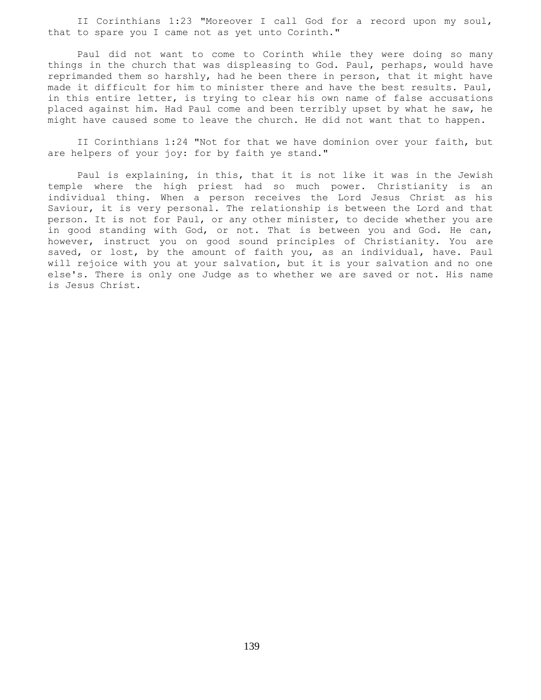II Corinthians 1:23 "Moreover I call God for a record upon my soul, that to spare you I came not as yet unto Corinth."

 Paul did not want to come to Corinth while they were doing so many things in the church that was displeasing to God. Paul, perhaps, would have reprimanded them so harshly, had he been there in person, that it might have made it difficult for him to minister there and have the best results. Paul, in this entire letter, is trying to clear his own name of false accusations placed against him. Had Paul come and been terribly upset by what he saw, he might have caused some to leave the church. He did not want that to happen.

 II Corinthians 1:24 "Not for that we have dominion over your faith, but are helpers of your joy: for by faith ye stand."

 Paul is explaining, in this, that it is not like it was in the Jewish temple where the high priest had so much power. Christianity is an individual thing. When a person receives the Lord Jesus Christ as his Saviour, it is very personal. The relationship is between the Lord and that person. It is not for Paul, or any other minister, to decide whether you are in good standing with God, or not. That is between you and God. He can, however, instruct you on good sound principles of Christianity. You are saved, or lost, by the amount of faith you, as an individual, have. Paul will rejoice with you at your salvation, but it is your salvation and no one else's. There is only one Judge as to whether we are saved or not. His name is Jesus Christ.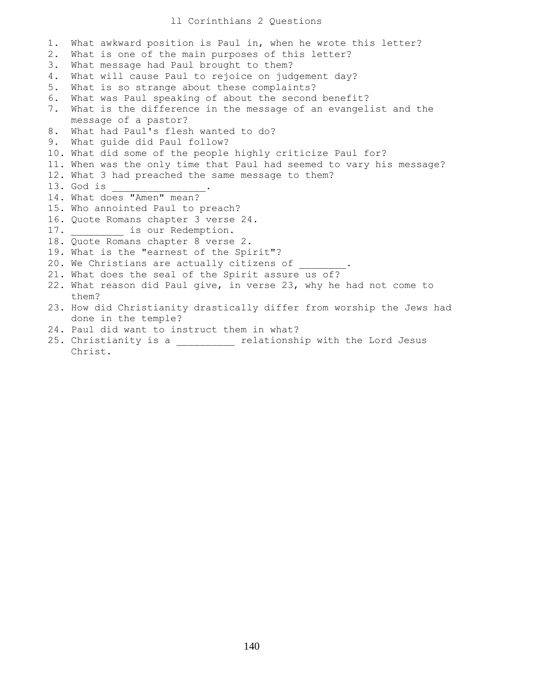## ll Corinthians 2 Questions

1. What awkward position is Paul in, when he wrote this letter? 2. What is one of the main purposes of this letter? 3. What message had Paul brought to them? 4. What will cause Paul to rejoice on judgement day? 5. What is so strange about these complaints? 6. What was Paul speaking of about the second benefit? 7. What is the difference in the message of an evangelist and the message of a pastor? 8. What had Paul's flesh wanted to do? 9. What guide did Paul follow? 10. What did some of the people highly criticize Paul for? 11. When was the only time that Paul had seemed to vary his message? 12. What 3 had preached the same message to them? 13. God is \_\_\_\_\_\_\_\_\_\_\_\_\_\_\_\_. 14. What does "Amen" mean? 15. Who annointed Paul to preach? 16. Quote Romans chapter 3 verse 24. 17. **is our Redemption.** 18. Quote Romans chapter 8 verse 2. 19. What is the "earnest of the Spirit"? 20. We Christians are actually citizens of 21. What does the seal of the Spirit assure us of? 22. What reason did Paul give, in verse 23, why he had not come to them? 23. How did Christianity drastically differ from worship the Jews had done in the temple? 24. Paul did want to instruct them in what? 25. Christianity is a \_\_\_\_\_\_\_\_\_\_ relationship with the Lord Jesus

Christ.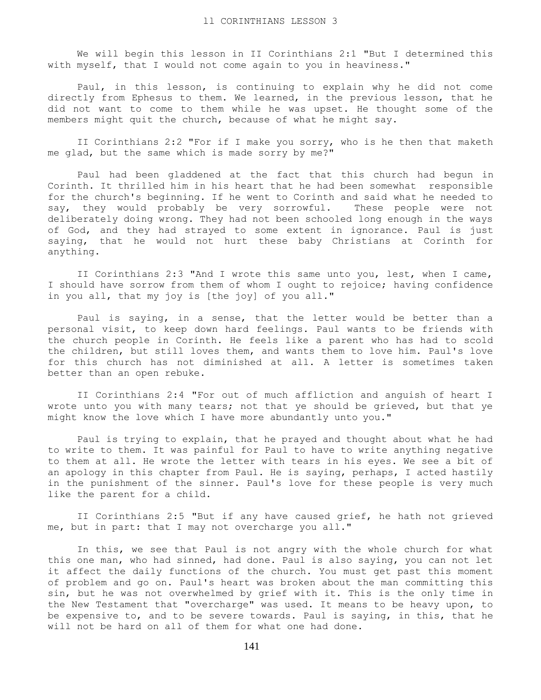We will begin this lesson in II Corinthians 2:1 "But I determined this with myself, that I would not come again to you in heaviness."

 Paul, in this lesson, is continuing to explain why he did not come directly from Ephesus to them. We learned, in the previous lesson, that he did not want to come to them while he was upset. He thought some of the members might quit the church, because of what he might say.

 II Corinthians 2:2 "For if I make you sorry, who is he then that maketh me glad, but the same which is made sorry by me?"

 Paul had been gladdened at the fact that this church had begun in Corinth. It thrilled him in his heart that he had been somewhat responsible for the church's beginning. If he went to Corinth and said what he needed to say, they would probably be very sorrowful. These people were not deliberately doing wrong. They had not been schooled long enough in the ways of God, and they had strayed to some extent in ignorance. Paul is just saying, that he would not hurt these baby Christians at Corinth for anything.

 II Corinthians 2:3 "And I wrote this same unto you, lest, when I came, I should have sorrow from them of whom I ought to rejoice; having confidence in you all, that my joy is [the joy] of you all."

 Paul is saying, in a sense, that the letter would be better than a personal visit, to keep down hard feelings. Paul wants to be friends with the church people in Corinth. He feels like a parent who has had to scold the children, but still loves them, and wants them to love him. Paul's love for this church has not diminished at all. A letter is sometimes taken better than an open rebuke.

 II Corinthians 2:4 "For out of much affliction and anguish of heart I wrote unto you with many tears; not that ye should be grieved, but that ye might know the love which I have more abundantly unto you."

 Paul is trying to explain, that he prayed and thought about what he had to write to them. It was painful for Paul to have to write anything negative to them at all. He wrote the letter with tears in his eyes. We see a bit of an apology in this chapter from Paul. He is saying, perhaps, I acted hastily in the punishment of the sinner. Paul's love for these people is very much like the parent for a child.

 II Corinthians 2:5 "But if any have caused grief, he hath not grieved me, but in part: that I may not overcharge you all."

 In this, we see that Paul is not angry with the whole church for what this one man, who had sinned, had done. Paul is also saying, you can not let it affect the daily functions of the church. You must get past this moment of problem and go on. Paul's heart was broken about the man committing this sin, but he was not overwhelmed by grief with it. This is the only time in the New Testament that "overcharge" was used. It means to be heavy upon, to be expensive to, and to be severe towards. Paul is saying, in this, that he will not be hard on all of them for what one had done.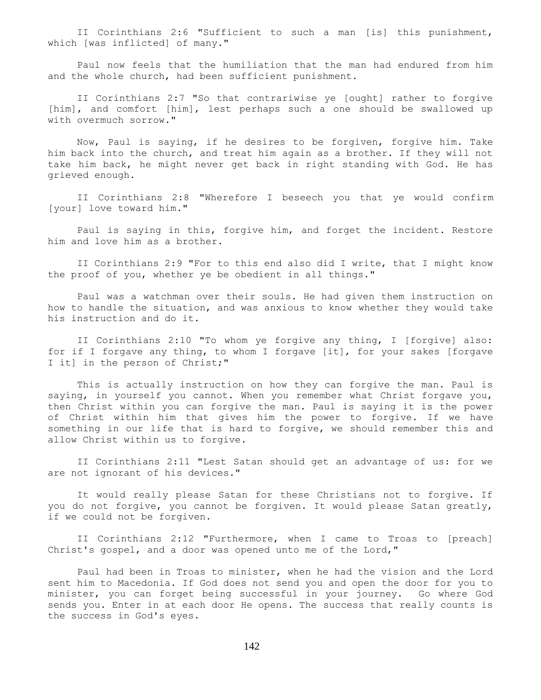II Corinthians 2:6 "Sufficient to such a man [is] this punishment, which [was inflicted] of many."

 Paul now feels that the humiliation that the man had endured from him and the whole church, had been sufficient punishment.

 II Corinthians 2:7 "So that contrariwise ye [ought] rather to forgive [him], and comfort [him], lest perhaps such a one should be swallowed up with overmuch sorrow."

 Now, Paul is saying, if he desires to be forgiven, forgive him. Take him back into the church, and treat him again as a brother. If they will not take him back, he might never get back in right standing with God. He has grieved enough.

 II Corinthians 2:8 "Wherefore I beseech you that ye would confirm [your] love toward him."

 Paul is saying in this, forgive him, and forget the incident. Restore him and love him as a brother.

 II Corinthians 2:9 "For to this end also did I write, that I might know the proof of you, whether ye be obedient in all things."

 Paul was a watchman over their souls. He had given them instruction on how to handle the situation, and was anxious to know whether they would take his instruction and do it.

 II Corinthians 2:10 "To whom ye forgive any thing, I [forgive] also: for if I forgave any thing, to whom I forgave [it], for your sakes [forgave I it] in the person of Christ;"

 This is actually instruction on how they can forgive the man. Paul is saying, in yourself you cannot. When you remember what Christ forgave you, then Christ within you can forgive the man. Paul is saying it is the power of Christ within him that gives him the power to forgive. If we have something in our life that is hard to forgive, we should remember this and allow Christ within us to forgive.

 II Corinthians 2:11 "Lest Satan should get an advantage of us: for we are not ignorant of his devices."

 It would really please Satan for these Christians not to forgive. If you do not forgive, you cannot be forgiven. It would please Satan greatly, if we could not be forgiven.

 II Corinthians 2:12 "Furthermore, when I came to Troas to [preach] Christ's gospel, and a door was opened unto me of the Lord,"

 Paul had been in Troas to minister, when he had the vision and the Lord sent him to Macedonia. If God does not send you and open the door for you to minister, you can forget being successful in your journey. Go where God sends you. Enter in at each door He opens. The success that really counts is the success in God's eyes.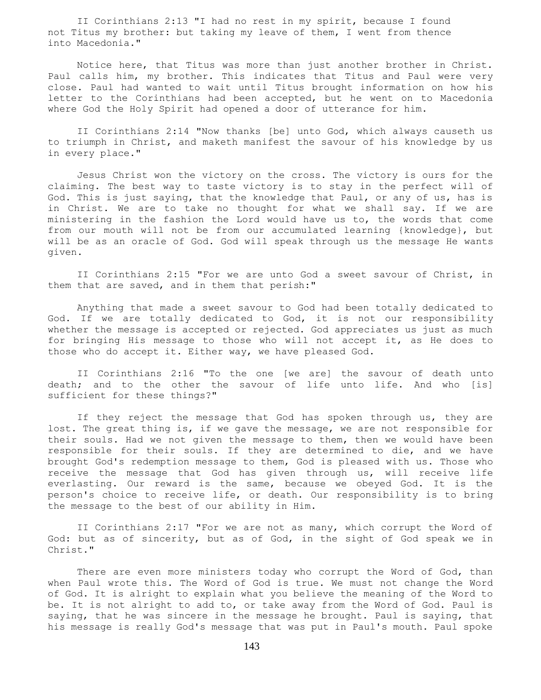II Corinthians 2:13 "I had no rest in my spirit, because I found not Titus my brother: but taking my leave of them, I went from thence into Macedonia."

 Notice here, that Titus was more than just another brother in Christ. Paul calls him, my brother. This indicates that Titus and Paul were very close. Paul had wanted to wait until Titus brought information on how his letter to the Corinthians had been accepted, but he went on to Macedonia where God the Holy Spirit had opened a door of utterance for him.

 II Corinthians 2:14 "Now thanks [be] unto God, which always causeth us to triumph in Christ, and maketh manifest the savour of his knowledge by us in every place."

 Jesus Christ won the victory on the cross. The victory is ours for the claiming. The best way to taste victory is to stay in the perfect will of God. This is just saying, that the knowledge that Paul, or any of us, has is in Christ. We are to take no thought for what we shall say. If we are ministering in the fashion the Lord would have us to, the words that come from our mouth will not be from our accumulated learning {knowledge}, but will be as an oracle of God. God will speak through us the message He wants given.

 II Corinthians 2:15 "For we are unto God a sweet savour of Christ, in them that are saved, and in them that perish:"

 Anything that made a sweet savour to God had been totally dedicated to God. If we are totally dedicated to God, it is not our responsibility whether the message is accepted or rejected. God appreciates us just as much for bringing His message to those who will not accept it, as He does to those who do accept it. Either way, we have pleased God.

 II Corinthians 2:16 "To the one [we are] the savour of death unto death; and to the other the savour of life unto life. And who [is] sufficient for these things?"

 If they reject the message that God has spoken through us, they are lost. The great thing is, if we gave the message, we are not responsible for their souls. Had we not given the message to them, then we would have been responsible for their souls. If they are determined to die, and we have brought God's redemption message to them, God is pleased with us. Those who receive the message that God has given through us, will receive life everlasting. Our reward is the same, because we obeyed God. It is the person's choice to receive life, or death. Our responsibility is to bring the message to the best of our ability in Him.

 II Corinthians 2:17 "For we are not as many, which corrupt the Word of God: but as of sincerity, but as of God, in the sight of God speak we in Christ."

There are even more ministers today who corrupt the Word of God, than when Paul wrote this. The Word of God is true. We must not change the Word of God. It is alright to explain what you believe the meaning of the Word to be. It is not alright to add to, or take away from the Word of God. Paul is saying, that he was sincere in the message he brought. Paul is saying, that his message is really God's message that was put in Paul's mouth. Paul spoke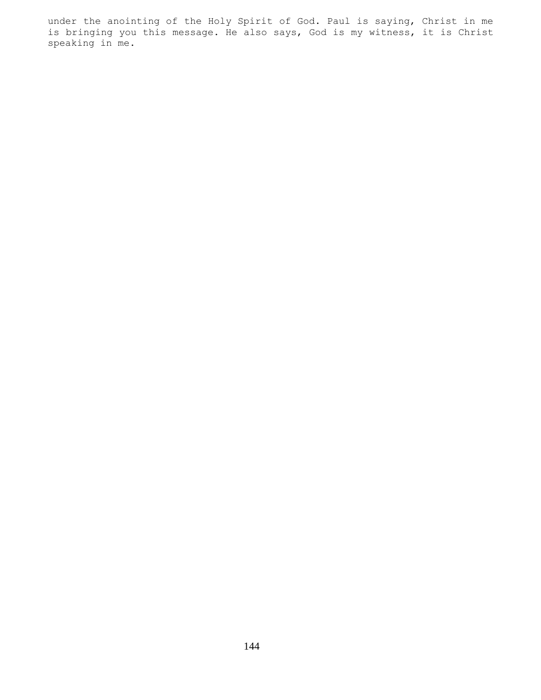under the anointing of the Holy Spirit of God. Paul is saying, Christ in me is bringing you this message. He also says, God is my witness, it is Christ speaking in me.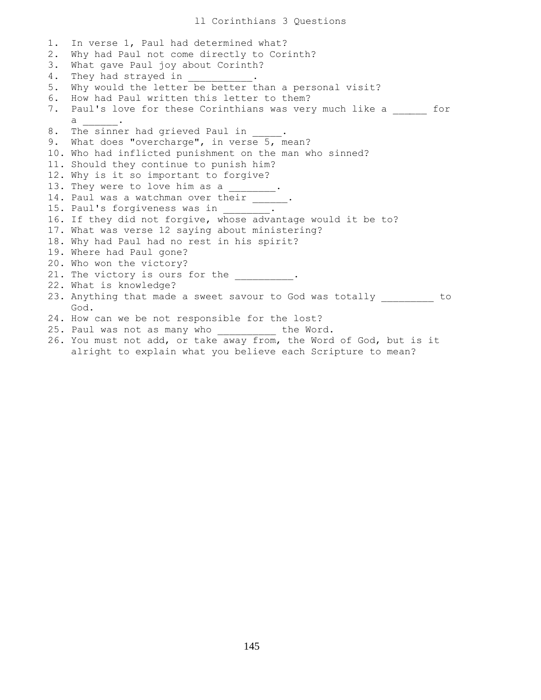1. In verse 1, Paul had determined what? 2. Why had Paul not come directly to Corinth? 3. What gave Paul joy about Corinth? 4. They had strayed in  $\qquad \qquad$ 5. Why would the letter be better than a personal visit? 6. How had Paul written this letter to them? 7. Paul's love for these Corinthians was very much like a \_\_\_\_\_\_ for  $\mathsf a$ 8. The sinner had grieved Paul in 9. What does "overcharge", in verse 5, mean? 10. Who had inflicted punishment on the man who sinned? 11. Should they continue to punish him? 12. Why is it so important to forgive? 13. They were to love him as a 14. Paul was a watchman over their \_\_\_\_\_\_. 15. Paul's forgiveness was in 16. If they did not forgive, whose advantage would it be to? 17. What was verse 12 saying about ministering? 18. Why had Paul had no rest in his spirit? 19. Where had Paul gone? 20. Who won the victory? 21. The victory is ours for the  $\cdots$ 22. What is knowledge? 23. Anything that made a sweet savour to God was totally \_\_\_\_\_\_\_\_\_ to God. 24. How can we be not responsible for the lost? 25. Paul was not as many who end the Word.

26. You must not add, or take away from, the Word of God, but is it alright to explain what you believe each Scripture to mean?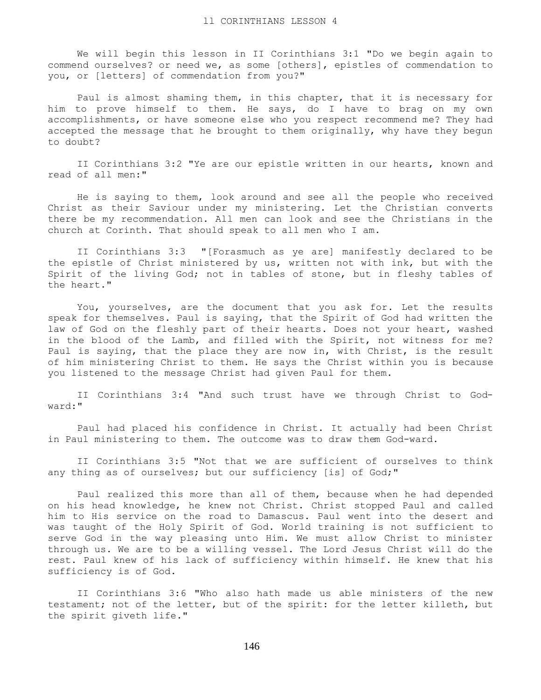We will begin this lesson in II Corinthians 3:1 "Do we begin again to commend ourselves? or need we, as some [others], epistles of commendation to you, or [letters] of commendation from you?"

 Paul is almost shaming them, in this chapter, that it is necessary for him to prove himself to them. He says, do I have to brag on my own accomplishments, or have someone else who you respect recommend me? They had accepted the message that he brought to them originally, why have they begun to doubt?

 II Corinthians 3:2 "Ye are our epistle written in our hearts, known and read of all men:"

 He is saying to them, look around and see all the people who received Christ as their Saviour under my ministering. Let the Christian converts there be my recommendation. All men can look and see the Christians in the church at Corinth. That should speak to all men who I am.

 II Corinthians 3:3 "[Forasmuch as ye are] manifestly declared to be the epistle of Christ ministered by us, written not with ink, but with the Spirit of the living God; not in tables of stone, but in fleshy tables of the heart."

 You, yourselves, are the document that you ask for. Let the results speak for themselves. Paul is saying, that the Spirit of God had written the law of God on the fleshly part of their hearts. Does not your heart, washed in the blood of the Lamb, and filled with the Spirit, not witness for me? Paul is saying, that the place they are now in, with Christ, is the result of him ministering Christ to them. He says the Christ within you is because you listened to the message Christ had given Paul for them.

 II Corinthians 3:4 "And such trust have we through Christ to Godward:"

 Paul had placed his confidence in Christ. It actually had been Christ in Paul ministering to them. The outcome was to draw them God-ward.

 II Corinthians 3:5 "Not that we are sufficient of ourselves to think any thing as of ourselves; but our sufficiency [is] of God;"

 Paul realized this more than all of them, because when he had depended on his head knowledge, he knew not Christ. Christ stopped Paul and called him to His service on the road to Damascus. Paul went into the desert and was taught of the Holy Spirit of God. World training is not sufficient to serve God in the way pleasing unto Him. We must allow Christ to minister through us. We are to be a willing vessel. The Lord Jesus Christ will do the rest. Paul knew of his lack of sufficiency within himself. He knew that his sufficiency is of God.

 II Corinthians 3:6 "Who also hath made us able ministers of the new testament; not of the letter, but of the spirit: for the letter killeth, but the spirit giveth life."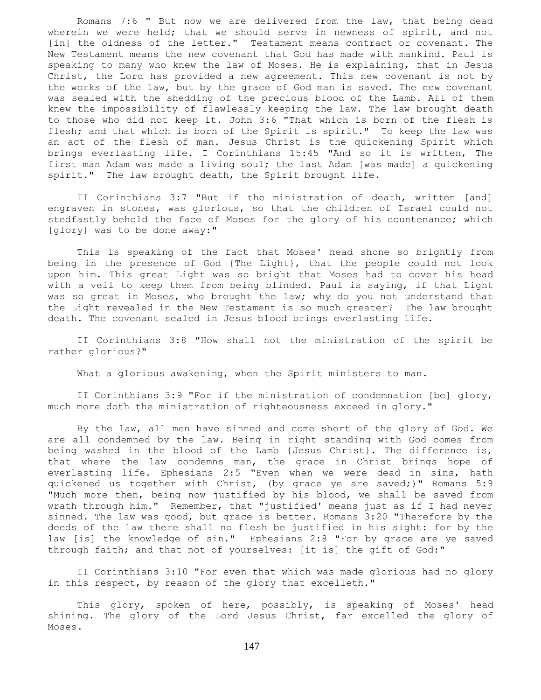Romans 7:6 " But now we are delivered from the law, that being dead wherein we were held; that we should serve in newness of spirit, and not [in] the oldness of the letter." Testament means contract or covenant. The New Testament means the new covenant that God has made with mankind. Paul is speaking to many who knew the law of Moses. He is explaining, that in Jesus Christ, the Lord has provided a new agreement. This new covenant is not by the works of the law, but by the grace of God man is saved. The new covenant was sealed with the shedding of the precious blood of the Lamb. All of them knew the impossibility of flawlessly keeping the law. The law brought death to those who did not keep it. John 3:6 "That which is born of the flesh is flesh; and that which is born of the Spirit is spirit." To keep the law was an act of the flesh of man. Jesus Christ is the quickening Spirit which brings everlasting life. I Corinthians 15:45 "And so it is written, The first man Adam was made a living soul; the last Adam [was made] a quickening spirit." The law brought death, the Spirit brought life.

 II Corinthians 3:7 "But if the ministration of death, written [and] engraven in stones, was glorious, so that the children of Israel could not stedfastly behold the face of Moses for the glory of his countenance; which [glory] was to be done away:"

 This is speaking of the fact that Moses' head shone so brightly from being in the presence of God {The Light}, that the people could not look upon him. This great Light was so bright that Moses had to cover his head with a veil to keep them from being blinded. Paul is saying, if that Light was so great in Moses, who brought the law; why do you not understand that the Light revealed in the New Testament is so much greater? The law brought death. The covenant sealed in Jesus blood brings everlasting life.

 II Corinthians 3:8 "How shall not the ministration of the spirit be rather glorious?"

What a glorious awakening, when the Spirit ministers to man.

 II Corinthians 3:9 "For if the ministration of condemnation [be] glory, much more doth the ministration of righteousness exceed in glory."

 By the law, all men have sinned and come short of the glory of God. We are all condemned by the law. Being in right standing with God comes from being washed in the blood of the Lamb {Jesus Christ}. The difference is, that where the law condemns man, the grace in Christ brings hope of everlasting life. Ephesians 2:5 "Even when we were dead in sins, hath quickened us together with Christ, (by grace ye are saved;)" Romans 5:9 "Much more then, being now justified by his blood, we shall be saved from wrath through him." Remember, that "justified' means just as if I had never sinned. The law was good, but grace is better. Romans 3:20 "Therefore by the deeds of the law there shall no flesh be justified in his sight: for by the law [is] the knowledge of sin." Ephesians 2:8 "For by grace are ye saved through faith; and that not of yourselves: [it is] the gift of God:"

 II Corinthians 3:10 "For even that which was made glorious had no glory in this respect, by reason of the glory that excelleth."

 This glory, spoken of here, possibly, is speaking of Moses' head shining. The glory of the Lord Jesus Christ, far excelled the glory of Moses.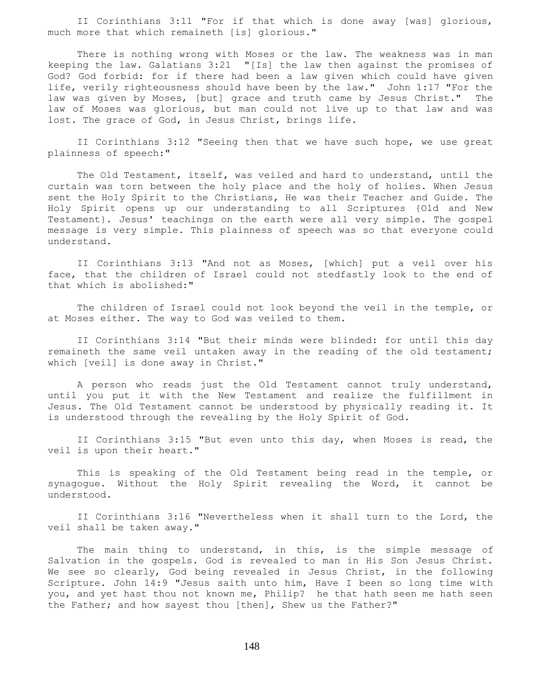II Corinthians 3:11 "For if that which is done away [was] glorious, much more that which remaineth [is] glorious."

 There is nothing wrong with Moses or the law. The weakness was in man keeping the law. Galatians 3:21 "[Is] the law then against the promises of God? God forbid: for if there had been a law given which could have given life, verily righteousness should have been by the law." John 1:17 "For the law was given by Moses, [but] grace and truth came by Jesus Christ." The law of Moses was glorious, but man could not live up to that law and was lost. The grace of God, in Jesus Christ, brings life.

 II Corinthians 3:12 "Seeing then that we have such hope, we use great plainness of speech:"

 The Old Testament, itself, was veiled and hard to understand, until the curtain was torn between the holy place and the holy of holies. When Jesus sent the Holy Spirit to the Christians, He was their Teacher and Guide. The Holy Spirit opens up our understanding to all Scriptures {Old and New Testament}. Jesus' teachings on the earth were all very simple. The gospel message is very simple. This plainness of speech was so that everyone could understand.

 II Corinthians 3:13 "And not as Moses, [which] put a veil over his face, that the children of Israel could not stedfastly look to the end of that which is abolished:"

 The children of Israel could not look beyond the veil in the temple, or at Moses either. The way to God was veiled to them.

 II Corinthians 3:14 "But their minds were blinded: for until this day remaineth the same veil untaken away in the reading of the old testament; which [veil] is done away in Christ."

 A person who reads just the Old Testament cannot truly understand, until you put it with the New Testament and realize the fulfillment in Jesus. The Old Testament cannot be understood by physically reading it. It is understood through the revealing by the Holy Spirit of God.

 II Corinthians 3:15 "But even unto this day, when Moses is read, the veil is upon their heart."

 This is speaking of the Old Testament being read in the temple, or synagogue. Without the Holy Spirit revealing the Word, it cannot be understood.

 II Corinthians 3:16 "Nevertheless when it shall turn to the Lord, the veil shall be taken away."

The main thing to understand, in this, is the simple message of Salvation in the gospels. God is revealed to man in His Son Jesus Christ. We see so clearly, God being revealed in Jesus Christ, in the following Scripture. John 14:9 "Jesus saith unto him, Have I been so long time with you, and yet hast thou not known me, Philip? he that hath seen me hath seen the Father; and how sayest thou [then], Shew us the Father?"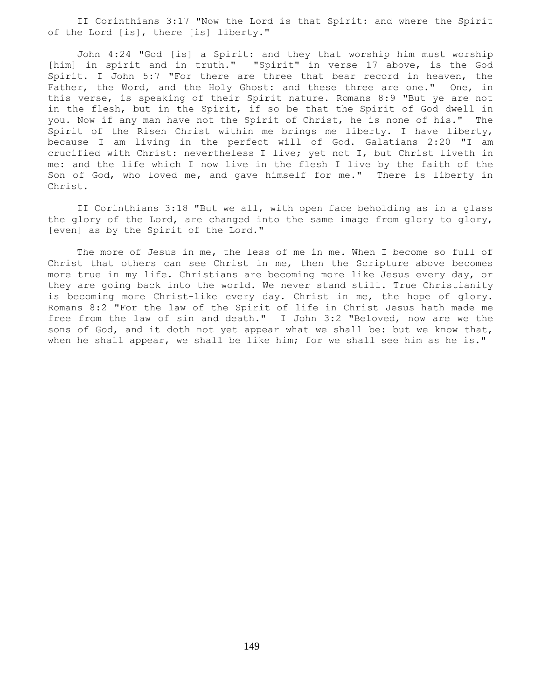II Corinthians 3:17 "Now the Lord is that Spirit: and where the Spirit of the Lord [is], there [is] liberty."

 John 4:24 "God [is] a Spirit: and they that worship him must worship [him] in spirit and in truth." "Spirit" in verse 17 above, is the God Spirit. I John 5:7 "For there are three that bear record in heaven, the Father, the Word, and the Holy Ghost: and these three are one." One, in this verse, is speaking of their Spirit nature. Romans 8:9 "But ye are not in the flesh, but in the Spirit, if so be that the Spirit of God dwell in you. Now if any man have not the Spirit of Christ, he is none of his." The Spirit of the Risen Christ within me brings me liberty. I have liberty, because I am living in the perfect will of God. Galatians 2:20 "I am crucified with Christ: nevertheless I live; yet not I, but Christ liveth in me: and the life which I now live in the flesh I live by the faith of the Son of God, who loved me, and gave himself for me." There is liberty in Christ.

 II Corinthians 3:18 "But we all, with open face beholding as in a glass the glory of the Lord, are changed into the same image from glory to glory, [even] as by the Spirit of the Lord."

The more of Jesus in me, the less of me in me. When I become so full of Christ that others can see Christ in me, then the Scripture above becomes more true in my life. Christians are becoming more like Jesus every day, or they are going back into the world. We never stand still. True Christianity is becoming more Christ-like every day. Christ in me, the hope of glory. Romans 8:2 "For the law of the Spirit of life in Christ Jesus hath made me free from the law of sin and death." I John 3:2 "Beloved, now are we the sons of God, and it doth not yet appear what we shall be: but we know that, when he shall appear, we shall be like him; for we shall see him as he is."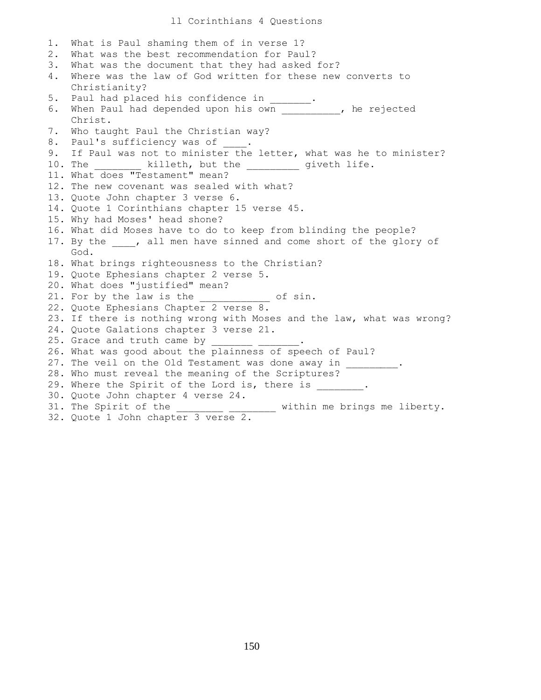## ll Corinthians 4 Questions

| 1.    | What is Paul shaming them of in verse 1?                                    |
|-------|-----------------------------------------------------------------------------|
| $2$ . | What was the best recommendation for Paul?                                  |
| 3.    | What was the document that they had asked for?                              |
| 4.    | Where was the law of God written for these new converts to                  |
|       | Christianity?                                                               |
| 5.    | Paul had placed his confidence in ______.                                   |
| 6.    | When Paul had depended upon his own __________, he rejected                 |
|       | Christ.                                                                     |
| 7.    | Who taught Paul the Christian way?                                          |
| 8.    | Paul's sufficiency was of _____.                                            |
| 9.    | If Paul was not to minister the letter, what was he to minister?            |
|       | 10. The __________ killeth, but the _________ giveth life.                  |
|       | 11. What does "Testament" mean?                                             |
|       | 12. The new covenant was sealed with what?                                  |
|       | 13. Quote John chapter 3 verse 6.                                           |
|       | 14. Quote 1 Corinthians chapter 15 verse 45.                                |
|       | 15. Why had Moses' head shone?                                              |
|       | 16. What did Moses have to do to keep from blinding the people?             |
|       | 17. By the , all men have sinned and come short of the glory of             |
|       | God.                                                                        |
|       | 18. What brings righteousness to the Christian?                             |
|       | 19. Quote Ephesians chapter 2 verse 5.                                      |
|       | 20. What does "justified" mean?                                             |
|       | 21. For by the law is the ___________ of sin.                               |
|       | 22. Quote Ephesians Chapter 2 verse 8.                                      |
|       | 23. If there is nothing wrong with Moses and the law, what was wrong?       |
|       | 24. Quote Galations chapter 3 verse 21.                                     |
|       | 25. Grace and truth came by                                                 |
|       | 26. What was good about the plainness of speech of Paul?                    |
|       | 27. The veil on the Old Testament was done away in .                        |
|       | 28. Who must reveal the meaning of the Scriptures?                          |
|       | 29. Where the Spirit of the Lord is, there is .                             |
|       | 30. Quote John chapter 4 verse 24.                                          |
|       | 31. The Spirit of the<br>----------- --------- within me brings me liberty. |
|       | 32. Quote 1 John chapter 3 verse 2.                                         |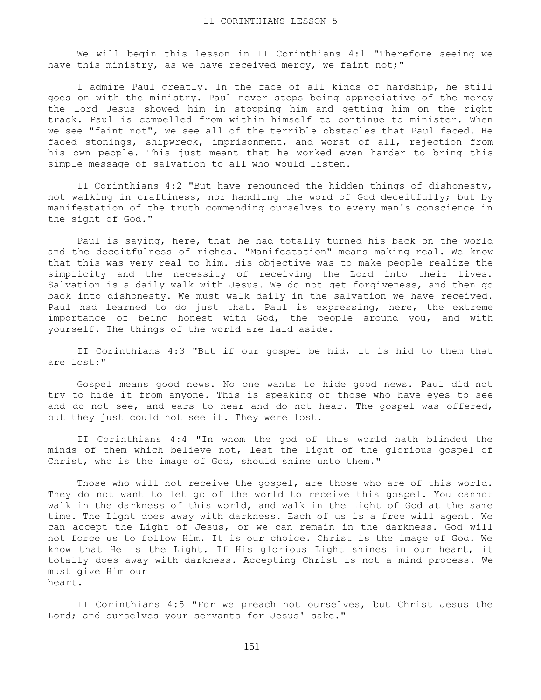We will begin this lesson in II Corinthians 4:1 "Therefore seeing we have this ministry, as we have received mercy, we faint not;"

 I admire Paul greatly. In the face of all kinds of hardship, he still goes on with the ministry. Paul never stops being appreciative of the mercy the Lord Jesus showed him in stopping him and getting him on the right track. Paul is compelled from within himself to continue to minister. When we see "faint not", we see all of the terrible obstacles that Paul faced. He faced stonings, shipwreck, imprisonment, and worst of all, rejection from his own people. This just meant that he worked even harder to bring this simple message of salvation to all who would listen.

 II Corinthians 4:2 "But have renounced the hidden things of dishonesty, not walking in craftiness, nor handling the word of God deceitfully; but by manifestation of the truth commending ourselves to every man's conscience in the sight of God."

 Paul is saying, here, that he had totally turned his back on the world and the deceitfulness of riches. "Manifestation" means making real. We know that this was very real to him. His objective was to make people realize the simplicity and the necessity of receiving the Lord into their lives. Salvation is a daily walk with Jesus. We do not get forgiveness, and then go back into dishonesty. We must walk daily in the salvation we have received. Paul had learned to do just that. Paul is expressing, here, the extreme importance of being honest with God, the people around you, and with yourself. The things of the world are laid aside.

 II Corinthians 4:3 "But if our gospel be hid, it is hid to them that are lost:"

 Gospel means good news. No one wants to hide good news. Paul did not try to hide it from anyone. This is speaking of those who have eyes to see and do not see, and ears to hear and do not hear. The gospel was offered, but they just could not see it. They were lost.

 II Corinthians 4:4 "In whom the god of this world hath blinded the minds of them which believe not, lest the light of the glorious gospel of Christ, who is the image of God, should shine unto them."

Those who will not receive the gospel, are those who are of this world. They do not want to let go of the world to receive this gospel. You cannot walk in the darkness of this world, and walk in the Light of God at the same time. The Light does away with darkness. Each of us is a free will agent. We can accept the Light of Jesus, or we can remain in the darkness. God will not force us to follow Him. It is our choice. Christ is the image of God. We know that He is the Light. If His glorious Light shines in our heart, it totally does away with darkness. Accepting Christ is not a mind process. We must give Him our heart.

 II Corinthians 4:5 "For we preach not ourselves, but Christ Jesus the Lord; and ourselves your servants for Jesus' sake."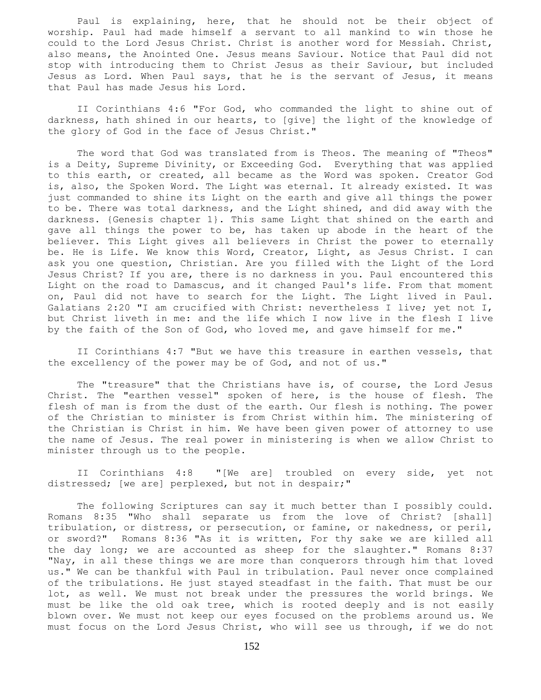Paul is explaining, here, that he should not be their object of worship. Paul had made himself a servant to all mankind to win those he could to the Lord Jesus Christ. Christ is another word for Messiah. Christ, also means, the Anointed One. Jesus means Saviour. Notice that Paul did not stop with introducing them to Christ Jesus as their Saviour, but included Jesus as Lord. When Paul says, that he is the servant of Jesus, it means that Paul has made Jesus his Lord.

 II Corinthians 4:6 "For God, who commanded the light to shine out of darkness, hath shined in our hearts, to [give] the light of the knowledge of the glory of God in the face of Jesus Christ."

 The word that God was translated from is Theos. The meaning of "Theos" is a Deity, Supreme Divinity, or Exceeding God. Everything that was applied to this earth, or created, all became as the Word was spoken. Creator God is, also, the Spoken Word. The Light was eternal. It already existed. It was just commanded to shine its Light on the earth and give all things the power to be. There was total darkness, and the Light shined, and did away with the darkness. {Genesis chapter 1}. This same Light that shined on the earth and gave all things the power to be, has taken up abode in the heart of the believer. This Light gives all believers in Christ the power to eternally be. He is Life. We know this Word, Creator, Light, as Jesus Christ. I can ask you one question, Christian. Are you filled with the Light of the Lord Jesus Christ? If you are, there is no darkness in you. Paul encountered this Light on the road to Damascus, and it changed Paul's life. From that moment on, Paul did not have to search for the Light. The Light lived in Paul. Galatians 2:20 "I am crucified with Christ: nevertheless I live; yet not I, but Christ liveth in me: and the life which I now live in the flesh I live by the faith of the Son of God, who loved me, and gave himself for me."

 II Corinthians 4:7 "But we have this treasure in earthen vessels, that the excellency of the power may be of God, and not of us."

 The "treasure" that the Christians have is, of course, the Lord Jesus Christ. The "earthen vessel" spoken of here, is the house of flesh. The flesh of man is from the dust of the earth. Our flesh is nothing. The power of the Christian to minister is from Christ within him. The ministering of the Christian is Christ in him. We have been given power of attorney to use the name of Jesus. The real power in ministering is when we allow Christ to minister through us to the people.

 II Corinthians 4:8 "[We are] troubled on every side, yet not distressed; [we are] perplexed, but not in despair;"

 The following Scriptures can say it much better than I possibly could. Romans 8:35 "Who shall separate us from the love of Christ? [shall] tribulation, or distress, or persecution, or famine, or nakedness, or peril, or sword?" Romans 8:36 "As it is written, For thy sake we are killed all the day long; we are accounted as sheep for the slaughter." Romans 8:37 "Nay, in all these things we are more than conquerors through him that loved us." We can be thankful with Paul in tribulation. Paul never once complained of the tribulations. He just stayed steadfast in the faith. That must be our lot, as well. We must not break under the pressures the world brings. We must be like the old oak tree, which is rooted deeply and is not easily blown over. We must not keep our eyes focused on the problems around us. We must focus on the Lord Jesus Christ, who will see us through, if we do not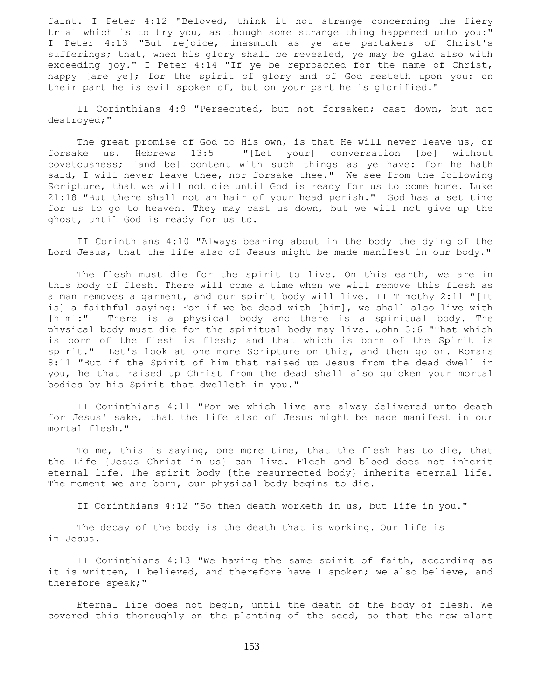faint. I Peter 4:12 "Beloved, think it not strange concerning the fiery trial which is to try you, as though some strange thing happened unto you:" I Peter 4:13 "But rejoice, inasmuch as ye are partakers of Christ's sufferings; that, when his glory shall be revealed, ye may be glad also with exceeding joy." I Peter 4:14 "If ye be reproached for the name of Christ, happy [are ye]; for the spirit of glory and of God resteth upon you: on their part he is evil spoken of, but on your part he is glorified."

 II Corinthians 4:9 "Persecuted, but not forsaken; cast down, but not destroyed;"

 The great promise of God to His own, is that He will never leave us, or forsake us. Hebrews 13:5 "[Let your] conversation [be] without covetousness; [and be] content with such things as ye have: for he hath said, I will never leave thee, nor forsake thee." We see from the following Scripture, that we will not die until God is ready for us to come home. Luke 21:18 "But there shall not an hair of your head perish." God has a set time for us to go to heaven. They may cast us down, but we will not give up the ghost, until God is ready for us to.

 II Corinthians 4:10 "Always bearing about in the body the dying of the Lord Jesus, that the life also of Jesus might be made manifest in our body."

 The flesh must die for the spirit to live. On this earth, we are in this body of flesh. There will come a time when we will remove this flesh as a man removes a garment, and our spirit body will live. II Timothy 2:11 "[It is] a faithful saying: For if we be dead with [him], we shall also live with [him]:" There is a physical body and there is a spiritual body. The physical body must die for the spiritual body may live. John 3:6 "That which is born of the flesh is flesh; and that which is born of the Spirit is spirit." Let's look at one more Scripture on this, and then go on. Romans 8:11 "But if the Spirit of him that raised up Jesus from the dead dwell in you, he that raised up Christ from the dead shall also quicken your mortal bodies by his Spirit that dwelleth in you."

 II Corinthians 4:11 "For we which live are alway delivered unto death for Jesus' sake, that the life also of Jesus might be made manifest in our mortal flesh."

 To me, this is saying, one more time, that the flesh has to die, that the Life {Jesus Christ in us} can live. Flesh and blood does not inherit eternal life. The spirit body {the resurrected body} inherits eternal life. The moment we are born, our physical body begins to die.

II Corinthians 4:12 "So then death worketh in us, but life in you."

 The decay of the body is the death that is working. Our life is in Jesus.

 II Corinthians 4:13 "We having the same spirit of faith, according as it is written, I believed, and therefore have I spoken; we also believe, and therefore speak;"

 Eternal life does not begin, until the death of the body of flesh. We covered this thoroughly on the planting of the seed, so that the new plant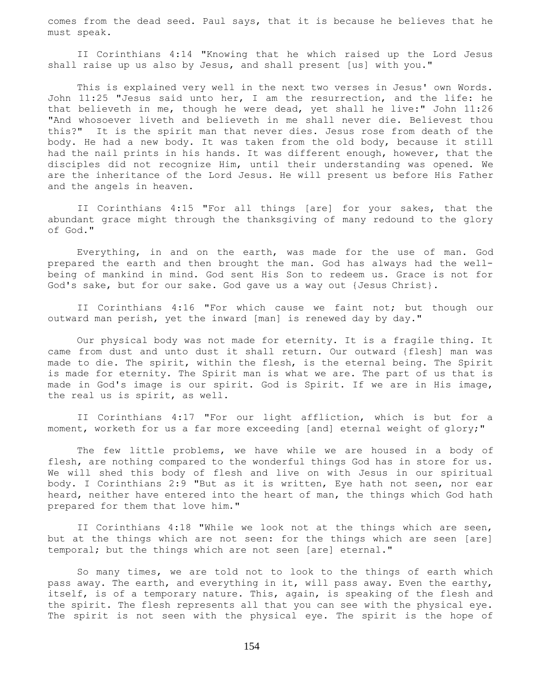comes from the dead seed. Paul says, that it is because he believes that he must speak.

 II Corinthians 4:14 "Knowing that he which raised up the Lord Jesus shall raise up us also by Jesus, and shall present [us] with you."

 This is explained very well in the next two verses in Jesus' own Words. John 11:25 "Jesus said unto her, I am the resurrection, and the life: he that believeth in me, though he were dead, yet shall he live:" John 11:26 "And whosoever liveth and believeth in me shall never die. Believest thou this?" It is the spirit man that never dies. Jesus rose from death of the body. He had a new body. It was taken from the old body, because it still had the nail prints in his hands. It was different enough, however, that the disciples did not recognize Him, until their understanding was opened. We are the inheritance of the Lord Jesus. He will present us before His Father and the angels in heaven.

 II Corinthians 4:15 "For all things [are] for your sakes, that the abundant grace might through the thanksgiving of many redound to the glory of God."

 Everything, in and on the earth, was made for the use of man. God prepared the earth and then brought the man. God has always had the wellbeing of mankind in mind. God sent His Son to redeem us. Grace is not for God's sake, but for our sake. God gave us a way out {Jesus Christ}.

 II Corinthians 4:16 "For which cause we faint not; but though our outward man perish, yet the inward [man] is renewed day by day."

 Our physical body was not made for eternity. It is a fragile thing. It came from dust and unto dust it shall return. Our outward {flesh] man was made to die. The spirit, within the flesh, is the eternal being. The Spirit is made for eternity. The Spirit man is what we are. The part of us that is made in God's image is our spirit. God is Spirit. If we are in His image, the real us is spirit, as well.

 II Corinthians 4:17 "For our light affliction, which is but for a moment, worketh for us a far more exceeding [and] eternal weight of glory;"

 The few little problems, we have while we are housed in a body of flesh, are nothing compared to the wonderful things God has in store for us. We will shed this body of flesh and live on with Jesus in our spiritual body. I Corinthians 2:9 "But as it is written, Eye hath not seen, nor ear heard, neither have entered into the heart of man, the things which God hath prepared for them that love him."

 II Corinthians 4:18 "While we look not at the things which are seen, but at the things which are not seen: for the things which are seen [are] temporal; but the things which are not seen [are] eternal."

 So many times, we are told not to look to the things of earth which pass away. The earth, and everything in it, will pass away. Even the earthy, itself, is of a temporary nature. This, again, is speaking of the flesh and the spirit. The flesh represents all that you can see with the physical eye. The spirit is not seen with the physical eye. The spirit is the hope of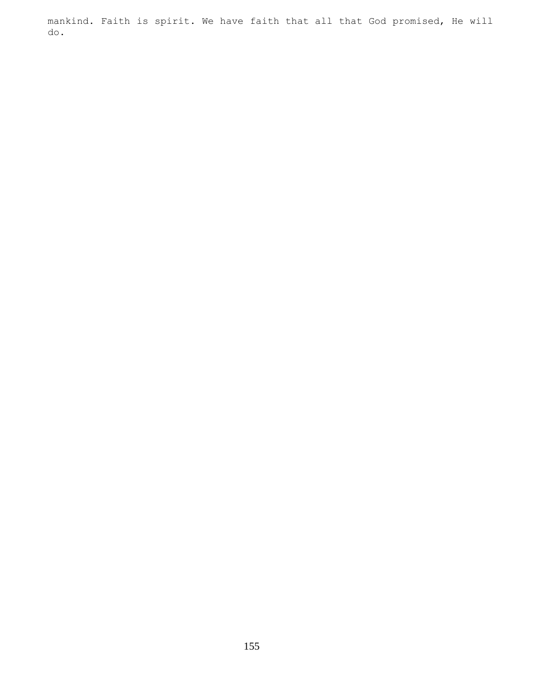mankind. Faith is spirit. We have faith that all that God promised, He will do.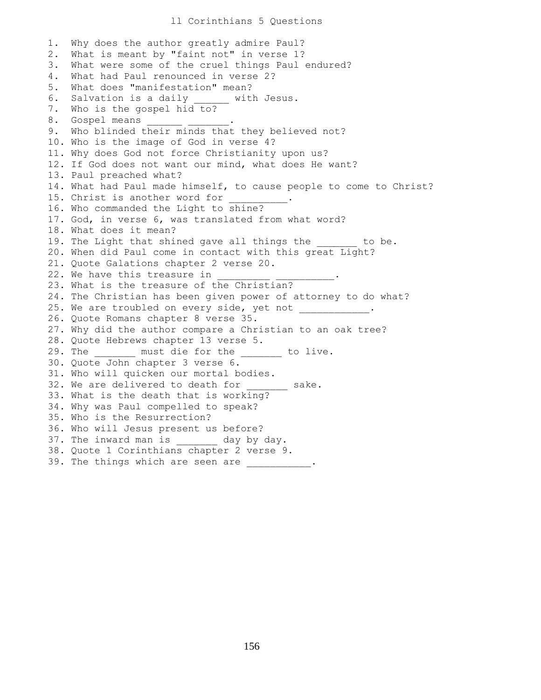## ll Corinthians 5 Questions

1. Why does the author greatly admire Paul? 2. What is meant by "faint not" in verse 1? 3. What were some of the cruel things Paul endured? 4. What had Paul renounced in verse 2? 5. What does "manifestation" mean? 6. Salvation is a daily \_\_\_\_\_\_ with Jesus. 7. Who is the gospel hid to? 8. Gospel means 9. Who blinded their minds that they believed not? 10. Who is the image of God in verse 4? 11. Why does God not force Christianity upon us? 12. If God does not want our mind, what does He want? 13. Paul preached what? 14. What had Paul made himself, to cause people to come to Christ? 15. Christ is another word for 16. Who commanded the Light to shine? 17. God, in verse 6, was translated from what word? 18. What does it mean? 19. The Light that shined gave all things the to be. 20. When did Paul come in contact with this great Light? 21. Quote Galations chapter 2 verse 20. 22. We have this treasure in 23. What is the treasure of the Christian? 24. The Christian has been given power of attorney to do what? 25. We are troubled on every side, yet not 26. Quote Romans chapter 8 verse 35. 27. Why did the author compare a Christian to an oak tree? 28. Quote Hebrews chapter 13 verse 5. 29. The \_\_\_\_\_\_\_ must die for the \_\_\_\_\_\_\_ to live. 30. Quote John chapter 3 verse 6. 31. Who will quicken our mortal bodies. 32. We are delivered to death for \_\_\_\_\_\_\_ sake. 33. What is the death that is working? 34. Why was Paul compelled to speak? 35. Who is the Resurrection? 36. Who will Jesus present us before? 37. The inward man is \_\_\_\_\_\_ day by day. 38. Quote 1 Corinthians chapter 2 verse 9. 39. The things which are seen are \_\_\_\_\_\_\_\_\_\_.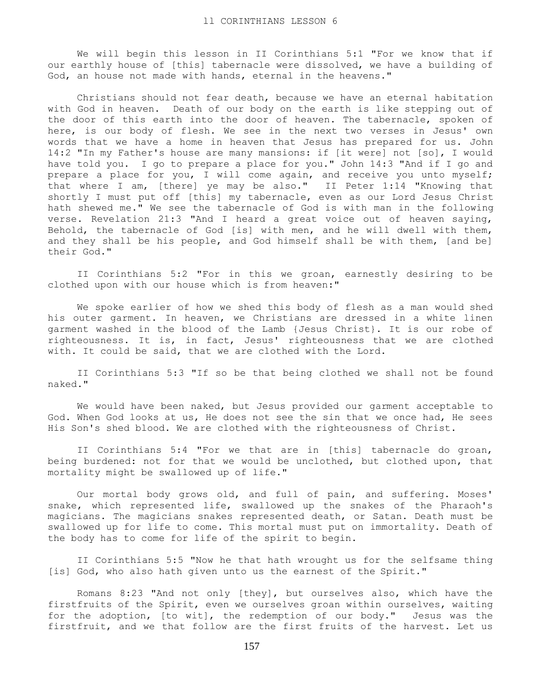We will begin this lesson in II Corinthians 5:1 "For we know that if our earthly house of [this] tabernacle were dissolved, we have a building of God, an house not made with hands, eternal in the heavens."

 Christians should not fear death, because we have an eternal habitation with God in heaven. Death of our body on the earth is like stepping out of the door of this earth into the door of heaven. The tabernacle, spoken of here, is our body of flesh. We see in the next two verses in Jesus' own words that we have a home in heaven that Jesus has prepared for us. John 14:2 "In my Father's house are many mansions: if [it were] not [so], I would have told you. I go to prepare a place for you." John 14:3 "And if I go and prepare a place for you, I will come again, and receive you unto myself; that where I am, [there] ye may be also." II Peter 1:14 "Knowing that shortly I must put off [this] my tabernacle, even as our Lord Jesus Christ hath shewed me." We see the tabernacle of God is with man in the following verse. Revelation 21:3 "And I heard a great voice out of heaven saying, Behold, the tabernacle of God [is] with men, and he will dwell with them, and they shall be his people, and God himself shall be with them, [and be] their God."

 II Corinthians 5:2 "For in this we groan, earnestly desiring to be clothed upon with our house which is from heaven:"

 We spoke earlier of how we shed this body of flesh as a man would shed his outer garment. In heaven, we Christians are dressed in a white linen garment washed in the blood of the Lamb {Jesus Christ}. It is our robe of righteousness. It is, in fact, Jesus' righteousness that we are clothed with. It could be said, that we are clothed with the Lord.

 II Corinthians 5:3 "If so be that being clothed we shall not be found naked."

 We would have been naked, but Jesus provided our garment acceptable to God. When God looks at us, He does not see the sin that we once had, He sees His Son's shed blood. We are clothed with the righteousness of Christ.

 II Corinthians 5:4 "For we that are in [this] tabernacle do groan, being burdened: not for that we would be unclothed, but clothed upon, that mortality might be swallowed up of life."

 Our mortal body grows old, and full of pain, and suffering. Moses' snake, which represented life, swallowed up the snakes of the Pharaoh's magicians. The magicians snakes represented death, or Satan. Death must be swallowed up for life to come. This mortal must put on immortality. Death of the body has to come for life of the spirit to begin.

 II Corinthians 5:5 "Now he that hath wrought us for the selfsame thing [is] God, who also hath given unto us the earnest of the Spirit."

 Romans 8:23 "And not only [they], but ourselves also, which have the firstfruits of the Spirit, even we ourselves groan within ourselves, waiting for the adoption, [to wit], the redemption of our body." Jesus was the firstfruit, and we that follow are the first fruits of the harvest. Let us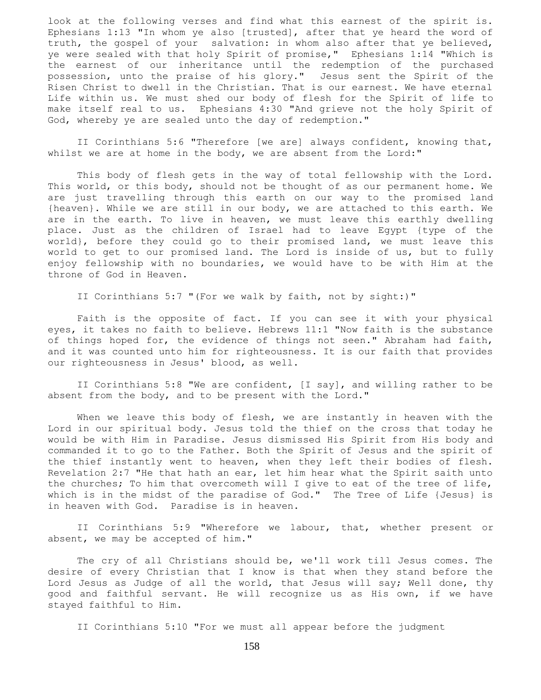look at the following verses and find what this earnest of the spirit is. Ephesians 1:13 "In whom ye also [trusted], after that ye heard the word of truth, the gospel of your salvation: in whom also after that ye believed, ye were sealed with that holy Spirit of promise," Ephesians 1:14 "Which is the earnest of our inheritance until the redemption of the purchased possession, unto the praise of his glory." Jesus sent the Spirit of the Risen Christ to dwell in the Christian. That is our earnest. We have eternal Life within us. We must shed our body of flesh for the Spirit of life to make itself real to us. Ephesians 4:30 "And grieve not the holy Spirit of God, whereby ye are sealed unto the day of redemption."

 II Corinthians 5:6 "Therefore [we are] always confident, knowing that, whilst we are at home in the body, we are absent from the Lord:"

 This body of flesh gets in the way of total fellowship with the Lord. This world, or this body, should not be thought of as our permanent home. We are just travelling through this earth on our way to the promised land {heaven}. While we are still in our body, we are attached to this earth. We are in the earth. To live in heaven, we must leave this earthly dwelling place. Just as the children of Israel had to leave Egypt {type of the world}, before they could go to their promised land, we must leave this world to get to our promised land. The Lord is inside of us, but to fully enjoy fellowship with no boundaries, we would have to be with Him at the throne of God in Heaven.

II Corinthians 5:7 "(For we walk by faith, not by sight:)"

 Faith is the opposite of fact. If you can see it with your physical eyes, it takes no faith to believe. Hebrews 11:1 "Now faith is the substance of things hoped for, the evidence of things not seen." Abraham had faith, and it was counted unto him for righteousness. It is our faith that provides our righteousness in Jesus' blood, as well.

 II Corinthians 5:8 "We are confident, [I say], and willing rather to be absent from the body, and to be present with the Lord."

 When we leave this body of flesh, we are instantly in heaven with the Lord in our spiritual body. Jesus told the thief on the cross that today he would be with Him in Paradise. Jesus dismissed His Spirit from His body and commanded it to go to the Father. Both the Spirit of Jesus and the spirit of the thief instantly went to heaven, when they left their bodies of flesh. Revelation 2:7 "He that hath an ear, let him hear what the Spirit saith unto the churches; To him that overcometh will I give to eat of the tree of life, which is in the midst of the paradise of God." The Tree of Life {Jesus} is in heaven with God. Paradise is in heaven.

 II Corinthians 5:9 "Wherefore we labour, that, whether present or absent, we may be accepted of him."

 The cry of all Christians should be, we'll work till Jesus comes. The desire of every Christian that I know is that when they stand before the Lord Jesus as Judge of all the world, that Jesus will say; Well done, thy good and faithful servant. He will recognize us as His own, if we have stayed faithful to Him.

II Corinthians 5:10 "For we must all appear before the judgment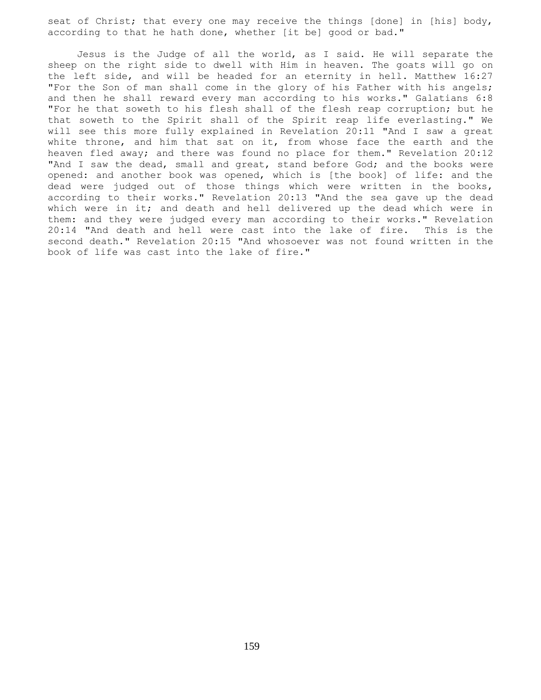seat of Christ; that every one may receive the things [done] in [his] body, according to that he hath done, whether [it be] good or bad."

 Jesus is the Judge of all the world, as I said. He will separate the sheep on the right side to dwell with Him in heaven. The goats will go on the left side, and will be headed for an eternity in hell. Matthew 16:27 "For the Son of man shall come in the glory of his Father with his angels; and then he shall reward every man according to his works." Galatians 6:8 "For he that soweth to his flesh shall of the flesh reap corruption; but he that soweth to the Spirit shall of the Spirit reap life everlasting." We will see this more fully explained in Revelation 20:11 "And I saw a great white throne, and him that sat on it, from whose face the earth and the heaven fled away; and there was found no place for them." Revelation 20:12 "And I saw the dead, small and great, stand before God; and the books were opened: and another book was opened, which is [the book] of life: and the dead were judged out of those things which were written in the books, according to their works." Revelation 20:13 "And the sea gave up the dead which were in it; and death and hell delivered up the dead which were in them: and they were judged every man according to their works." Revelation 20:14 "And death and hell were cast into the lake of fire. This is the second death." Revelation 20:15 "And whosoever was not found written in the book of life was cast into the lake of fire."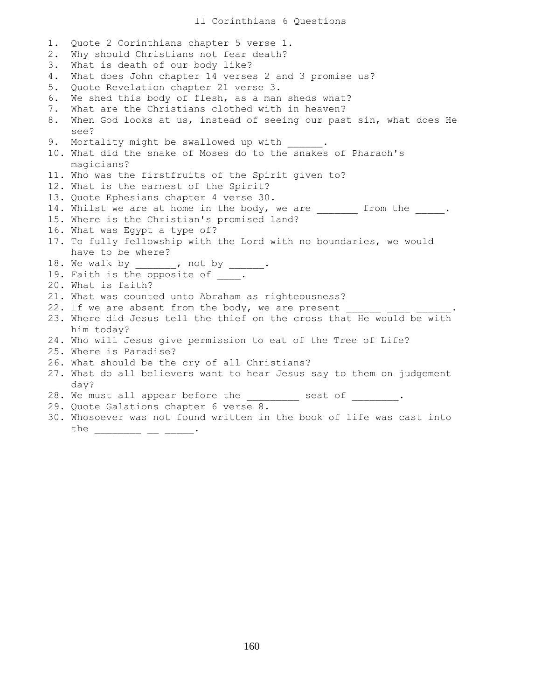1. Quote 2 Corinthians chapter 5 verse 1. 2. Why should Christians not fear death? 3. What is death of our body like? 4. What does John chapter 14 verses 2 and 3 promise us? 5. Quote Revelation chapter 21 verse 3. 6. We shed this body of flesh, as a man sheds what? 7. What are the Christians clothed with in heaven? 8. When God looks at us, instead of seeing our past sin, what does He see? 9. Mortality might be swallowed up with 10. What did the snake of Moses do to the snakes of Pharaoh's magicians? 11. Who was the firstfruits of the Spirit given to? 12. What is the earnest of the Spirit? 13. Quote Ephesians chapter 4 verse 30. 14. Whilst we are at home in the body, we are \_\_\_\_\_\_\_ from the \_\_\_\_\_. 15. Where is the Christian's promised land? 16. What was Egypt a type of? 17. To fully fellowship with the Lord with no boundaries, we would have to be where? 18. We walk by \_\_\_\_\_\_, not by \_\_\_\_\_. 19. Faith is the opposite of \_\_\_\_. 20. What is faith? 21. What was counted unto Abraham as righteousness? 22. If we are absent from the body, we are present 23. Where did Jesus tell the thief on the cross that He would be with him today? 24. Who will Jesus give permission to eat of the Tree of Life? 25. Where is Paradise? 26. What should be the cry of all Christians? 27. What do all believers want to hear Jesus say to them on judgement day? 28. We must all appear before the \_\_\_\_\_\_\_\_ seat of \_\_\_\_\_\_\_. 29. Quote Galations chapter 6 verse 8. 30. Whosoever was not found written in the book of life was cast into the \_\_\_\_\_\_\_\_ \_\_ \_\_\_ \_\_\_\_\_.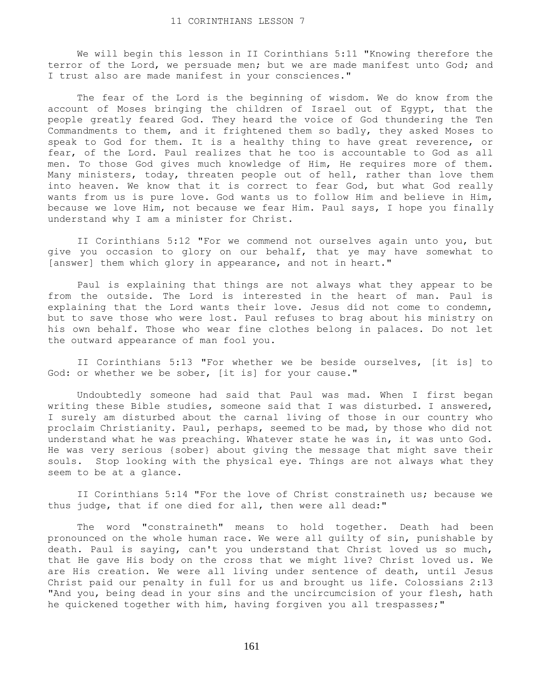We will begin this lesson in II Corinthians 5:11 "Knowing therefore the terror of the Lord, we persuade men; but we are made manifest unto God; and I trust also are made manifest in your consciences."

 The fear of the Lord is the beginning of wisdom. We do know from the account of Moses bringing the children of Israel out of Egypt, that the people greatly feared God. They heard the voice of God thundering the Ten Commandments to them, and it frightened them so badly, they asked Moses to speak to God for them. It is a healthy thing to have great reverence, or fear, of the Lord. Paul realizes that he too is accountable to God as all men. To those God gives much knowledge of Him, He requires more of them. Many ministers, today, threaten people out of hell, rather than love them into heaven. We know that it is correct to fear God, but what God really wants from us is pure love. God wants us to follow Him and believe in Him, because we love Him, not because we fear Him. Paul says, I hope you finally understand why I am a minister for Christ.

 II Corinthians 5:12 "For we commend not ourselves again unto you, but give you occasion to glory on our behalf, that ye may have somewhat to [answer] them which glory in appearance, and not in heart."

 Paul is explaining that things are not always what they appear to be from the outside. The Lord is interested in the heart of man. Paul is explaining that the Lord wants their love. Jesus did not come to condemn, but to save those who were lost. Paul refuses to brag about his ministry on his own behalf. Those who wear fine clothes belong in palaces. Do not let the outward appearance of man fool you.

 II Corinthians 5:13 "For whether we be beside ourselves, [it is] to God: or whether we be sober, [it is] for your cause."

 Undoubtedly someone had said that Paul was mad. When I first began writing these Bible studies, someone said that I was disturbed. I answered, I surely am disturbed about the carnal living of those in our country who proclaim Christianity. Paul, perhaps, seemed to be mad, by those who did not understand what he was preaching. Whatever state he was in, it was unto God. He was very serious {sober} about giving the message that might save their souls. Stop looking with the physical eye. Things are not always what they seem to be at a glance.

 II Corinthians 5:14 "For the love of Christ constraineth us; because we thus judge, that if one died for all, then were all dead:"

 The word "constraineth" means to hold together. Death had been pronounced on the whole human race. We were all guilty of sin, punishable by death. Paul is saying, can't you understand that Christ loved us so much, that He gave His body on the cross that we might live? Christ loved us. We are His creation. We were all living under sentence of death, until Jesus Christ paid our penalty in full for us and brought us life. Colossians 2:13 "And you, being dead in your sins and the uncircumcision of your flesh, hath he quickened together with him, having forgiven you all trespasses;"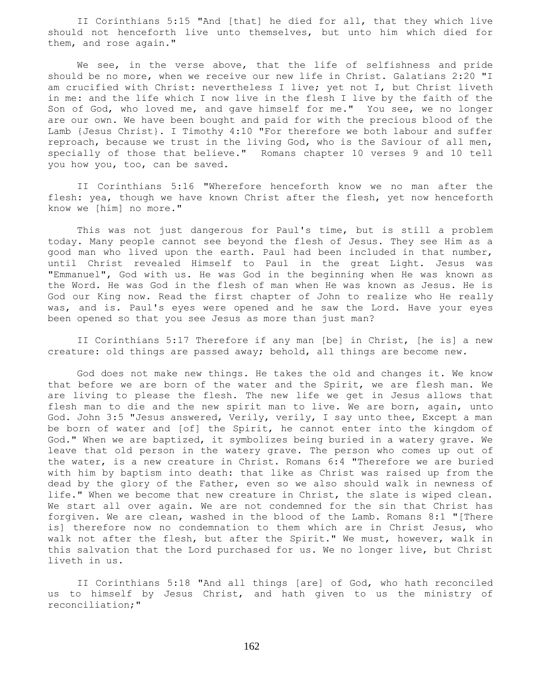II Corinthians 5:15 "And [that] he died for all, that they which live should not henceforth live unto themselves, but unto him which died for them, and rose again."

We see, in the verse above, that the life of selfishness and pride should be no more, when we receive our new life in Christ. Galatians 2:20 "I am crucified with Christ: nevertheless I live; yet not I, but Christ liveth in me: and the life which I now live in the flesh I live by the faith of the Son of God, who loved me, and gave himself for me." You see, we no longer are our own. We have been bought and paid for with the precious blood of the Lamb {Jesus Christ}. I Timothy 4:10 "For therefore we both labour and suffer reproach, because we trust in the living God, who is the Saviour of all men, specially of those that believe." Romans chapter 10 verses 9 and 10 tell you how you, too, can be saved.

 II Corinthians 5:16 "Wherefore henceforth know we no man after the flesh: yea, though we have known Christ after the flesh, yet now henceforth know we [him] no more."

 This was not just dangerous for Paul's time, but is still a problem today. Many people cannot see beyond the flesh of Jesus. They see Him as a good man who lived upon the earth. Paul had been included in that number, until Christ revealed Himself to Paul in the great Light. Jesus was "Emmanuel", God with us. He was God in the beginning when He was known as the Word. He was God in the flesh of man when He was known as Jesus. He is God our King now. Read the first chapter of John to realize who He really was, and is. Paul's eyes were opened and he saw the Lord. Have your eyes been opened so that you see Jesus as more than just man?

 II Corinthians 5:17 Therefore if any man [be] in Christ, [he is] a new creature: old things are passed away; behold, all things are become new.

 God does not make new things. He takes the old and changes it. We know that before we are born of the water and the Spirit, we are flesh man. We are living to please the flesh. The new life we get in Jesus allows that flesh man to die and the new spirit man to live. We are born, again, unto God. John 3:5 "Jesus answered, Verily, verily, I say unto thee, Except a man be born of water and [of] the Spirit, he cannot enter into the kingdom of God." When we are baptized, it symbolizes being buried in a watery grave. We leave that old person in the watery grave. The person who comes up out of the water, is a new creature in Christ. Romans 6:4 "Therefore we are buried with him by baptism into death: that like as Christ was raised up from the dead by the glory of the Father, even so we also should walk in newness of life." When we become that new creature in Christ, the slate is wiped clean. We start all over again. We are not condemned for the sin that Christ has forgiven. We are clean, washed in the blood of the Lamb. Romans 8:1 "[There is] therefore now no condemnation to them which are in Christ Jesus, who walk not after the flesh, but after the Spirit." We must, however, walk in this salvation that the Lord purchased for us. We no longer live, but Christ liveth in us.

 II Corinthians 5:18 "And all things [are] of God, who hath reconciled us to himself by Jesus Christ, and hath given to us the ministry of reconciliation;"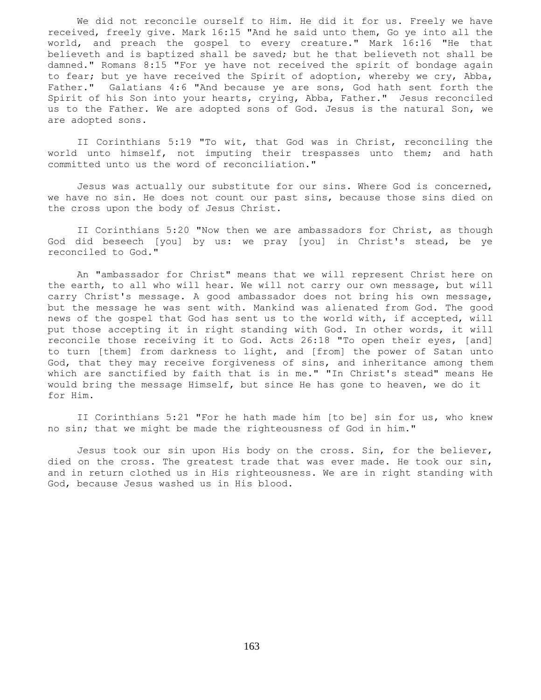We did not reconcile ourself to Him. He did it for us. Freely we have received, freely give. Mark 16:15 "And he said unto them, Go ye into all the world, and preach the gospel to every creature." Mark 16:16 "He that believeth and is baptized shall be saved; but he that believeth not shall be damned." Romans 8:15 "For ye have not received the spirit of bondage again to fear; but ye have received the Spirit of adoption, whereby we cry, Abba, Father." Galatians 4:6 "And because ye are sons, God hath sent forth the Spirit of his Son into your hearts, crying, Abba, Father." Jesus reconciled us to the Father. We are adopted sons of God. Jesus is the natural Son, we are adopted sons.

 II Corinthians 5:19 "To wit, that God was in Christ, reconciling the world unto himself, not imputing their trespasses unto them; and hath committed unto us the word of reconciliation."

 Jesus was actually our substitute for our sins. Where God is concerned, we have no sin. He does not count our past sins, because those sins died on the cross upon the body of Jesus Christ.

 II Corinthians 5:20 "Now then we are ambassadors for Christ, as though God did beseech [you] by us: we pray [you] in Christ's stead, be ye reconciled to God."

 An "ambassador for Christ" means that we will represent Christ here on the earth, to all who will hear. We will not carry our own message, but will carry Christ's message. A good ambassador does not bring his own message, but the message he was sent with. Mankind was alienated from God. The good news of the gospel that God has sent us to the world with, if accepted, will put those accepting it in right standing with God. In other words, it will reconcile those receiving it to God. Acts 26:18 "To open their eyes, [and] to turn [them] from darkness to light, and [from] the power of Satan unto God, that they may receive forgiveness of sins, and inheritance among them which are sanctified by faith that is in me." "In Christ's stead" means He would bring the message Himself, but since He has gone to heaven, we do it for Him.

 II Corinthians 5:21 "For he hath made him [to be] sin for us, who knew no sin; that we might be made the righteousness of God in him."

 Jesus took our sin upon His body on the cross. Sin, for the believer, died on the cross. The greatest trade that was ever made. He took our sin, and in return clothed us in His righteousness. We are in right standing with God, because Jesus washed us in His blood.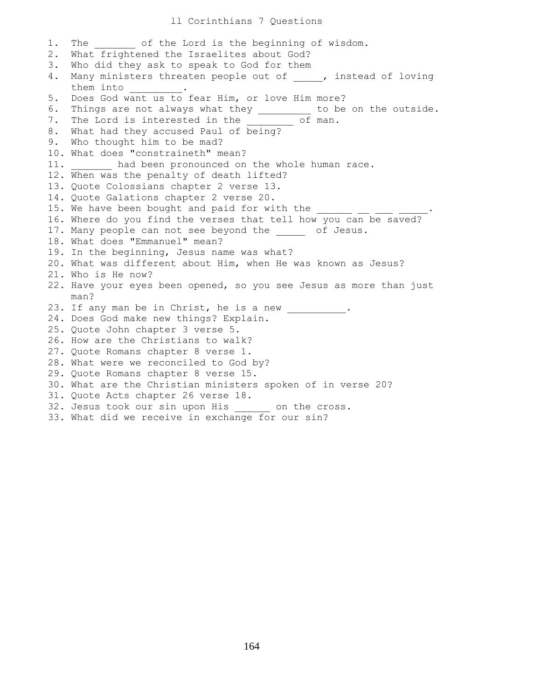## ll Corinthians 7 Questions

1. The of the Lord is the beginning of wisdom. 2. What frightened the Israelites about God? 3. Who did they ask to speak to God for them 4. Many ministers threaten people out of \_\_\_\_\_, instead of loving them into \_\_\_\_\_\_\_\_\_. 5. Does God want us to fear Him, or love Him more? 6. Things are not always what they \_\_\_\_\_\_\_\_\_ to be on the outside. 7. The Lord is interested in the \_\_\_\_\_\_\_\_ of man. 8. What had they accused Paul of being? 9. Who thought him to be mad? 10. What does "constraineth" mean? 11. had been pronounced on the whole human race. 12. When was the penalty of death lifted? 13. Quote Colossians chapter 2 verse 13. 14. Quote Galations chapter 2 verse 20. 15. We have been bought and paid for with the  $\frac{1}{\sqrt{2\pi}}$ 16. Where do you find the verses that tell how you can be saved? 17. Many people can not see beyond the \_\_\_\_\_ of Jesus. 18. What does "Emmanuel" mean? 19. In the beginning, Jesus name was what? 20. What was different about Him, when He was known as Jesus? 21. Who is He now? 22. Have your eyes been opened, so you see Jesus as more than just man? 23. If any man be in Christ, he is a new 24. Does God make new things? Explain. 25. Quote John chapter 3 verse 5. 26. How are the Christians to walk? 27. Quote Romans chapter 8 verse 1. 28. What were we reconciled to God by? 29. Quote Romans chapter 8 verse 15. 30. What are the Christian ministers spoken of in verse 20? 31. Quote Acts chapter 26 verse 18. 32. Jesus took our sin upon His \_\_\_\_\_\_ on the cross. 33. What did we receive in exchange for our sin?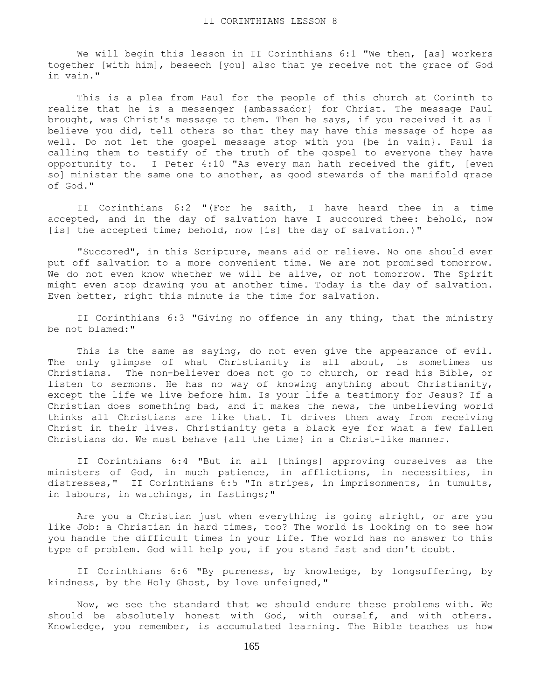We will begin this lesson in II Corinthians 6:1 "We then, [as] workers together [with him], beseech [you] also that ye receive not the grace of God in vain."

 This is a plea from Paul for the people of this church at Corinth to realize that he is a messenger {ambassador} for Christ. The message Paul brought, was Christ's message to them. Then he says, if you received it as I believe you did, tell others so that they may have this message of hope as well. Do not let the gospel message stop with you {be in vain}. Paul is calling them to testify of the truth of the gospel to everyone they have opportunity to. I Peter 4:10 "As every man hath received the gift, [even so] minister the same one to another, as good stewards of the manifold grace of God."

 II Corinthians 6:2 "(For he saith, I have heard thee in a time accepted, and in the day of salvation have I succoured thee: behold, now [is] the accepted time; behold, now [is] the day of salvation.)"

 "Succored", in this Scripture, means aid or relieve. No one should ever put off salvation to a more convenient time. We are not promised tomorrow. We do not even know whether we will be alive, or not tomorrow. The Spirit might even stop drawing you at another time. Today is the day of salvation. Even better, right this minute is the time for salvation.

 II Corinthians 6:3 "Giving no offence in any thing, that the ministry be not blamed:"

This is the same as saying, do not even give the appearance of evil. The only glimpse of what Christianity is all about, is sometimes us Christians. The non-believer does not go to church, or read his Bible, or listen to sermons. He has no way of knowing anything about Christianity, except the life we live before him. Is your life a testimony for Jesus? If a Christian does something bad, and it makes the news, the unbelieving world thinks all Christians are like that. It drives them away from receiving Christ in their lives. Christianity gets a black eye for what a few fallen Christians do. We must behave {all the time} in a Christ-like manner.

 II Corinthians 6:4 "But in all [things] approving ourselves as the ministers of God, in much patience, in afflictions, in necessities, in distresses," II Corinthians 6:5 "In stripes, in imprisonments, in tumults, in labours, in watchings, in fastings;"

 Are you a Christian just when everything is going alright, or are you like Job: a Christian in hard times, too? The world is looking on to see how you handle the difficult times in your life. The world has no answer to this type of problem. God will help you, if you stand fast and don't doubt.

 II Corinthians 6:6 "By pureness, by knowledge, by longsuffering, by kindness, by the Holy Ghost, by love unfeigned,"

 Now, we see the standard that we should endure these problems with. We should be absolutely honest with God, with ourself, and with others. Knowledge, you remember, is accumulated learning. The Bible teaches us how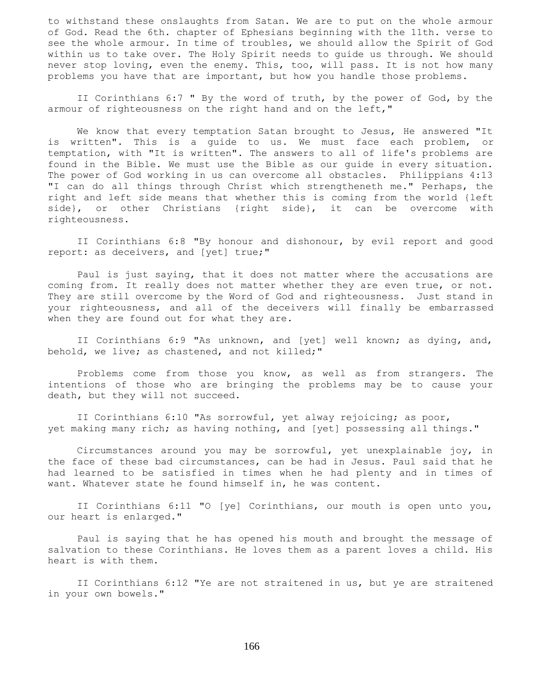to withstand these onslaughts from Satan. We are to put on the whole armour of God. Read the 6th. chapter of Ephesians beginning with the 11th. verse to see the whole armour. In time of troubles, we should allow the Spirit of God within us to take over. The Holy Spirit needs to guide us through. We should never stop loving, even the enemy. This, too, will pass. It is not how many problems you have that are important, but how you handle those problems.

 II Corinthians 6:7 " By the word of truth, by the power of God, by the armour of righteousness on the right hand and on the left,"

 We know that every temptation Satan brought to Jesus, He answered "It is written". This is a guide to us. We must face each problem, or temptation, with "It is written". The answers to all of life's problems are found in the Bible. We must use the Bible as our guide in every situation. The power of God working in us can overcome all obstacles. Philippians 4:13 "I can do all things through Christ which strengtheneth me." Perhaps, the right and left side means that whether this is coming from the world {left side}, or other Christians {right side}, it can be overcome with righteousness.

 II Corinthians 6:8 "By honour and dishonour, by evil report and good report: as deceivers, and [yet] true;"

 Paul is just saying, that it does not matter where the accusations are coming from. It really does not matter whether they are even true, or not. They are still overcome by the Word of God and righteousness. Just stand in your righteousness, and all of the deceivers will finally be embarrassed when they are found out for what they are.

 II Corinthians 6:9 "As unknown, and [yet] well known; as dying, and, behold, we live; as chastened, and not killed;"

 Problems come from those you know, as well as from strangers. The intentions of those who are bringing the problems may be to cause your death, but they will not succeed.

 II Corinthians 6:10 "As sorrowful, yet alway rejoicing; as poor, yet making many rich; as having nothing, and [yet] possessing all things."

 Circumstances around you may be sorrowful, yet unexplainable joy, in the face of these bad circumstances, can be had in Jesus. Paul said that he had learned to be satisfied in times when he had plenty and in times of want. Whatever state he found himself in, he was content.

 II Corinthians 6:11 "O [ye] Corinthians, our mouth is open unto you, our heart is enlarged."

 Paul is saying that he has opened his mouth and brought the message of salvation to these Corinthians. He loves them as a parent loves a child. His heart is with them.

 II Corinthians 6:12 "Ye are not straitened in us, but ye are straitened in your own bowels."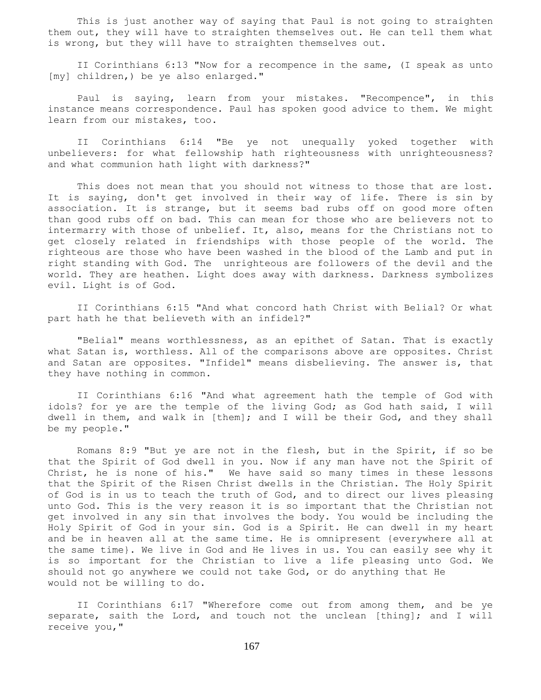This is just another way of saying that Paul is not going to straighten them out, they will have to straighten themselves out. He can tell them what is wrong, but they will have to straighten themselves out.

 II Corinthians 6:13 "Now for a recompence in the same, (I speak as unto [my] children,) be ye also enlarged."

 Paul is saying, learn from your mistakes. "Recompence", in this instance means correspondence. Paul has spoken good advice to them. We might learn from our mistakes, too.

 II Corinthians 6:14 "Be ye not unequally yoked together with unbelievers: for what fellowship hath righteousness with unrighteousness? and what communion hath light with darkness?"

This does not mean that you should not witness to those that are lost. It is saying, don't get involved in their way of life. There is sin by association. It is strange, but it seems bad rubs off on good more often than good rubs off on bad. This can mean for those who are believers not to intermarry with those of unbelief. It, also, means for the Christians not to get closely related in friendships with those people of the world. The righteous are those who have been washed in the blood of the Lamb and put in right standing with God. The unrighteous are followers of the devil and the world. They are heathen. Light does away with darkness. Darkness symbolizes evil. Light is of God.

 II Corinthians 6:15 "And what concord hath Christ with Belial? Or what part hath he that believeth with an infidel?"

 "Belial" means worthlessness, as an epithet of Satan. That is exactly what Satan is, worthless. All of the comparisons above are opposites. Christ and Satan are opposites. "Infidel" means disbelieving. The answer is, that they have nothing in common.

 II Corinthians 6:16 "And what agreement hath the temple of God with idols? for ye are the temple of the living God; as God hath said, I will dwell in them, and walk in [them]; and I will be their God, and they shall be my people."

 Romans 8:9 "But ye are not in the flesh, but in the Spirit, if so be that the Spirit of God dwell in you. Now if any man have not the Spirit of Christ, he is none of his." We have said so many times in these lessons that the Spirit of the Risen Christ dwells in the Christian. The Holy Spirit of God is in us to teach the truth of God, and to direct our lives pleasing unto God. This is the very reason it is so important that the Christian not get involved in any sin that involves the body. You would be including the Holy Spirit of God in your sin. God is a Spirit. He can dwell in my heart and be in heaven all at the same time. He is omnipresent {everywhere all at the same time}. We live in God and He lives in us. You can easily see why it is so important for the Christian to live a life pleasing unto God. We should not go anywhere we could not take God, or do anything that He would not be willing to do.

 II Corinthians 6:17 "Wherefore come out from among them, and be ye separate, saith the Lord, and touch not the unclean [thing]; and I will receive you,"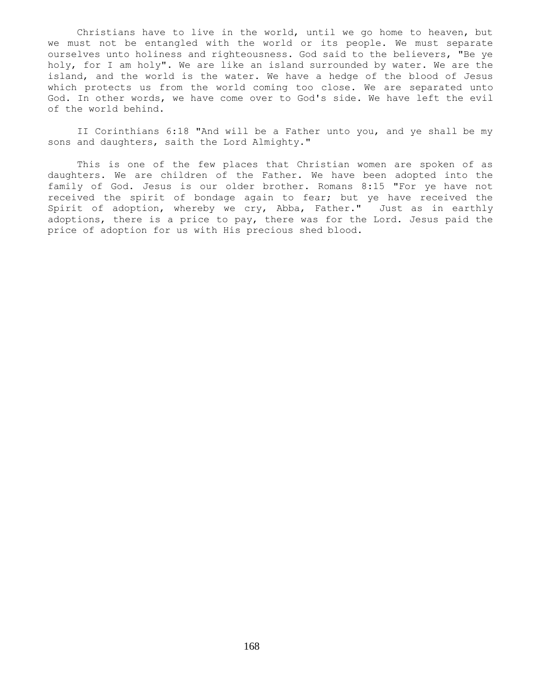Christians have to live in the world, until we go home to heaven, but we must not be entangled with the world or its people. We must separate ourselves unto holiness and righteousness. God said to the believers, "Be ye holy, for I am holy". We are like an island surrounded by water. We are the island, and the world is the water. We have a hedge of the blood of Jesus which protects us from the world coming too close. We are separated unto God. In other words, we have come over to God's side. We have left the evil of the world behind.

 II Corinthians 6:18 "And will be a Father unto you, and ye shall be my sons and daughters, saith the Lord Almighty."

 This is one of the few places that Christian women are spoken of as daughters. We are children of the Father. We have been adopted into the family of God. Jesus is our older brother. Romans 8:15 "For ye have not received the spirit of bondage again to fear; but ye have received the Spirit of adoption, whereby we cry, Abba, Father." Just as in earthly adoptions, there is a price to pay, there was for the Lord. Jesus paid the price of adoption for us with His precious shed blood.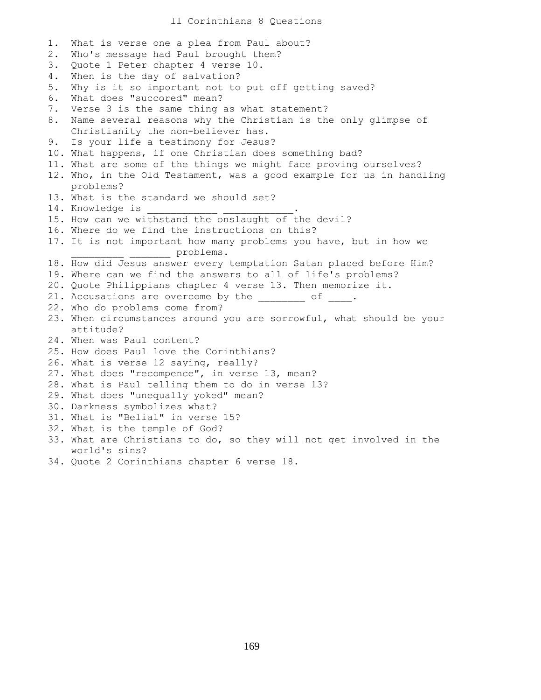1. What is verse one a plea from Paul about? 2. Who's message had Paul brought them? 3. Quote 1 Peter chapter 4 verse 10. 4. When is the day of salvation? 5. Why is it so important not to put off getting saved? 6. What does "succored" mean? 7. Verse 3 is the same thing as what statement? 8. Name several reasons why the Christian is the only glimpse of Christianity the non-believer has. 9. Is your life a testimony for Jesus? 10. What happens, if one Christian does something bad? 11. What are some of the things we might face proving ourselves? 12. Who, in the Old Testament, was a good example for us in handling problems? 13. What is the standard we should set? 14. Knowledge is 15. How can we withstand the onslaught of the devil? 16. Where do we find the instructions on this? 17. It is not important how many problems you have, but in how we \_\_\_\_\_\_\_\_\_ \_\_\_\_\_\_\_ problems. 18. How did Jesus answer every temptation Satan placed before Him? 19. Where can we find the answers to all of life's problems? 20. Quote Philippians chapter 4 verse 13. Then memorize it. 21. Accusations are overcome by the \_\_\_\_\_\_\_ of \_\_\_\_. 22. Who do problems come from? 23. When circumstances around you are sorrowful, what should be your attitude? 24. When was Paul content? 25. How does Paul love the Corinthians? 26. What is verse 12 saying, really? 27. What does "recompence", in verse 13, mean? 28. What is Paul telling them to do in verse 13? 29. What does "unequally yoked" mean? 30. Darkness symbolizes what? 31. What is "Belial" in verse 15? 32. What is the temple of God? 33. What are Christians to do, so they will not get involved in the world's sins? 34. Quote 2 Corinthians chapter 6 verse 18.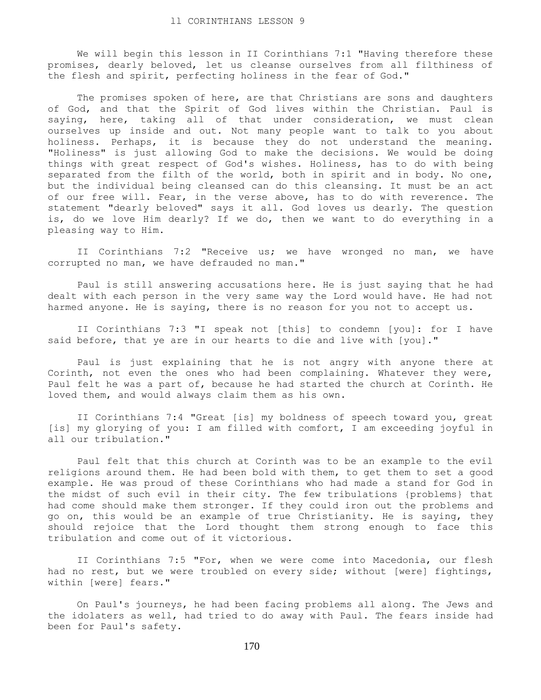We will begin this lesson in II Corinthians 7:1 "Having therefore these promises, dearly beloved, let us cleanse ourselves from all filthiness of the flesh and spirit, perfecting holiness in the fear of God."

The promises spoken of here, are that Christians are sons and daughters of God, and that the Spirit of God lives within the Christian. Paul is saying, here, taking all of that under consideration, we must clean ourselves up inside and out. Not many people want to talk to you about holiness. Perhaps, it is because they do not understand the meaning. "Holiness" is just allowing God to make the decisions. We would be doing things with great respect of God's wishes. Holiness, has to do with being separated from the filth of the world, both in spirit and in body. No one, but the individual being cleansed can do this cleansing. It must be an act of our free will. Fear, in the verse above, has to do with reverence. The statement "dearly beloved" says it all. God loves us dearly. The question is, do we love Him dearly? If we do, then we want to do everything in a pleasing way to Him.

II Corinthians 7:2 "Receive us; we have wronged no man, we have corrupted no man, we have defrauded no man."

 Paul is still answering accusations here. He is just saying that he had dealt with each person in the very same way the Lord would have. He had not harmed anyone. He is saying, there is no reason for you not to accept us.

 II Corinthians 7:3 "I speak not [this] to condemn [you]: for I have said before, that ye are in our hearts to die and live with [you]."

 Paul is just explaining that he is not angry with anyone there at Corinth, not even the ones who had been complaining. Whatever they were, Paul felt he was a part of, because he had started the church at Corinth. He loved them, and would always claim them as his own.

 II Corinthians 7:4 "Great [is] my boldness of speech toward you, great [is] my glorying of you: I am filled with comfort, I am exceeding joyful in all our tribulation."

 Paul felt that this church at Corinth was to be an example to the evil religions around them. He had been bold with them, to get them to set a good example. He was proud of these Corinthians who had made a stand for God in the midst of such evil in their city. The few tribulations {problems} that had come should make them stronger. If they could iron out the problems and go on, this would be an example of true Christianity. He is saying, they should rejoice that the Lord thought them strong enough to face this tribulation and come out of it victorious.

 II Corinthians 7:5 "For, when we were come into Macedonia, our flesh had no rest, but we were troubled on every side; without [were] fightings, within [were] fears."

 On Paul's journeys, he had been facing problems all along. The Jews and the idolaters as well, had tried to do away with Paul. The fears inside had been for Paul's safety.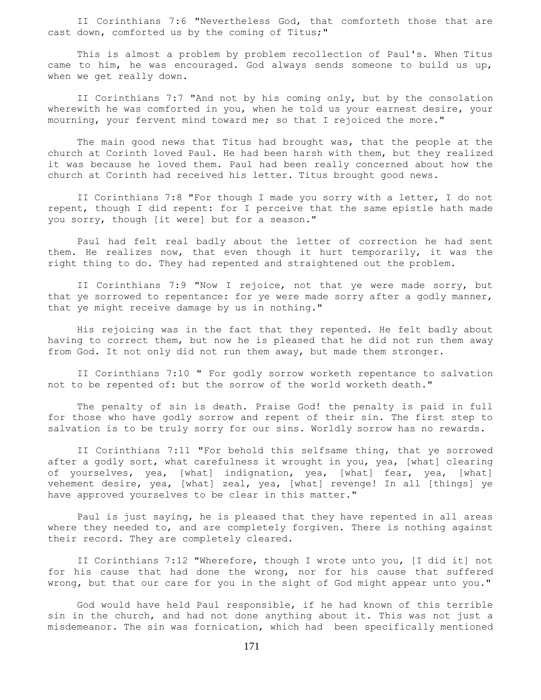II Corinthians 7:6 "Nevertheless God, that comforteth those that are cast down, comforted us by the coming of Titus;"

 This is almost a problem by problem recollection of Paul's. When Titus came to him, he was encouraged. God always sends someone to build us up, when we get really down.

 II Corinthians 7:7 "And not by his coming only, but by the consolation wherewith he was comforted in you, when he told us your earnest desire, your mourning, your fervent mind toward me; so that I rejoiced the more."

 The main good news that Titus had brought was, that the people at the church at Corinth loved Paul. He had been harsh with them, but they realized it was because he loved them. Paul had been really concerned about how the church at Corinth had received his letter. Titus brought good news.

 II Corinthians 7:8 "For though I made you sorry with a letter, I do not repent, though I did repent: for I perceive that the same epistle hath made you sorry, though [it were] but for a season."

 Paul had felt real badly about the letter of correction he had sent them. He realizes now, that even though it hurt temporarily, it was the right thing to do. They had repented and straightened out the problem.

 II Corinthians 7:9 "Now I rejoice, not that ye were made sorry, but that ye sorrowed to repentance: for ye were made sorry after a godly manner, that ye might receive damage by us in nothing."

 His rejoicing was in the fact that they repented. He felt badly about having to correct them, but now he is pleased that he did not run them away from God. It not only did not run them away, but made them stronger.

 II Corinthians 7:10 " For godly sorrow worketh repentance to salvation not to be repented of: but the sorrow of the world worketh death."

 The penalty of sin is death. Praise God! the penalty is paid in full for those who have godly sorrow and repent of their sin. The first step to salvation is to be truly sorry for our sins. Worldly sorrow has no rewards.

 II Corinthians 7:11 "For behold this selfsame thing, that ye sorrowed after a godly sort, what carefulness it wrought in you, yea, [what] clearing of yourselves, yea, [what] indignation, yea, [what] fear, yea, [what] vehement desire, yea, [what] zeal, yea, [what] revenge! In all [things] ye have approved yourselves to be clear in this matter."

 Paul is just saying, he is pleased that they have repented in all areas where they needed to, and are completely forgiven. There is nothing against their record. They are completely cleared.

 II Corinthians 7:12 "Wherefore, though I wrote unto you, [I did it] not for his cause that had done the wrong, nor for his cause that suffered wrong, but that our care for you in the sight of God might appear unto you."

 God would have held Paul responsible, if he had known of this terrible sin in the church, and had not done anything about it. This was not just a misdemeanor. The sin was fornication, which had been specifically mentioned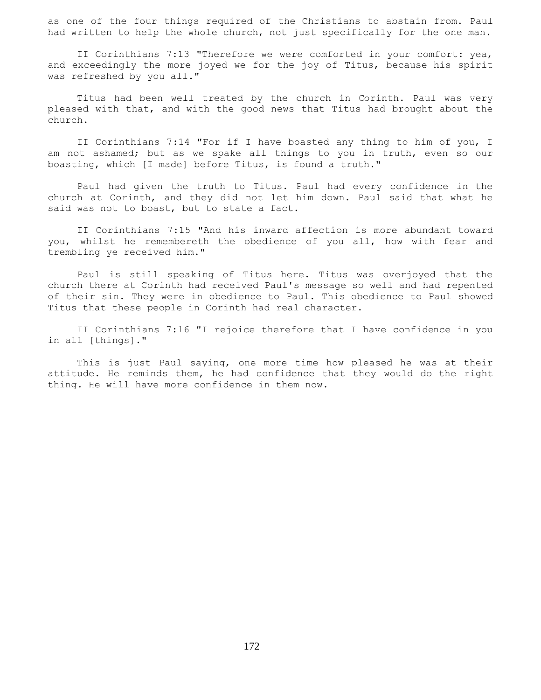as one of the four things required of the Christians to abstain from. Paul had written to help the whole church, not just specifically for the one man.

 II Corinthians 7:13 "Therefore we were comforted in your comfort: yea, and exceedingly the more joyed we for the joy of Titus, because his spirit was refreshed by you all."

 Titus had been well treated by the church in Corinth. Paul was very pleased with that, and with the good news that Titus had brought about the church.

 II Corinthians 7:14 "For if I have boasted any thing to him of you, I am not ashamed; but as we spake all things to you in truth, even so our boasting, which [I made] before Titus, is found a truth."

 Paul had given the truth to Titus. Paul had every confidence in the church at Corinth, and they did not let him down. Paul said that what he said was not to boast, but to state a fact.

 II Corinthians 7:15 "And his inward affection is more abundant toward you, whilst he remembereth the obedience of you all, how with fear and trembling ye received him."

 Paul is still speaking of Titus here. Titus was overjoyed that the church there at Corinth had received Paul's message so well and had repented of their sin. They were in obedience to Paul. This obedience to Paul showed Titus that these people in Corinth had real character.

 II Corinthians 7:16 "I rejoice therefore that I have confidence in you in all [things]."

 This is just Paul saying, one more time how pleased he was at their attitude. He reminds them, he had confidence that they would do the right thing. He will have more confidence in them now.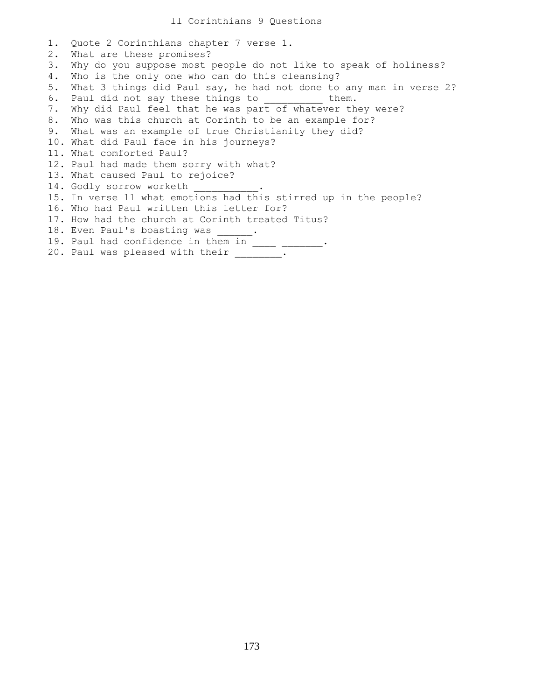1. Quote 2 Corinthians chapter 7 verse 1. 2. What are these promises? 3. Why do you suppose most people do not like to speak of holiness? 4. Who is the only one who can do this cleansing? 5. What 3 things did Paul say, he had not done to any man in verse 2? 6. Paul did not say these things to them. 7. Why did Paul feel that he was part of whatever they were? 8. Who was this church at Corinth to be an example for? 9. What was an example of true Christianity they did? 10. What did Paul face in his journeys? 11. What comforted Paul? 12. Paul had made them sorry with what? 13. What caused Paul to rejoice? 14. Godly sorrow worketh 15. In verse 11 what emotions had this stirred up in the people? 16. Who had Paul written this letter for? 17. How had the church at Corinth treated Titus? 18. Even Paul's boasting was \_\_\_\_\_\_. 19. Paul had confidence in them in \_\_\_\_ \_\_\_\_\_\_. 20. Paul was pleased with their \_\_\_\_\_\_\_.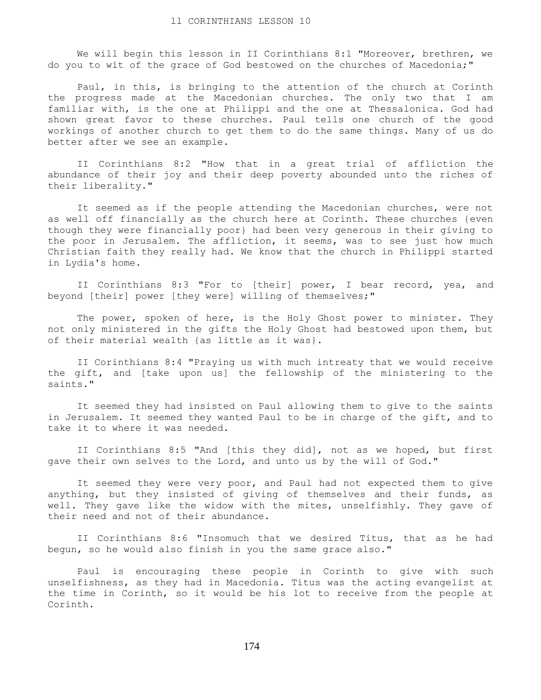We will begin this lesson in II Corinthians 8:1 "Moreover, brethren, we do you to wit of the grace of God bestowed on the churches of Macedonia;"

 Paul, in this, is bringing to the attention of the church at Corinth the progress made at the Macedonian churches. The only two that I am familiar with, is the one at Philippi and the one at Thessalonica. God had shown great favor to these churches. Paul tells one church of the good workings of another church to get them to do the same things. Many of us do better after we see an example.

 II Corinthians 8:2 "How that in a great trial of affliction the abundance of their joy and their deep poverty abounded unto the riches of their liberality."

 It seemed as if the people attending the Macedonian churches, were not as well off financially as the church here at Corinth. These churches {even though they were financially poor} had been very generous in their giving to the poor in Jerusalem. The affliction, it seems, was to see just how much Christian faith they really had. We know that the church in Philippi started in Lydia's home.

 II Corinthians 8:3 "For to [their] power, I bear record, yea, and beyond [their] power [they were] willing of themselves;"

The power, spoken of here, is the Holy Ghost power to minister. They not only ministered in the gifts the Holy Ghost had bestowed upon them, but of their material wealth {as little as it was}.

 II Corinthians 8:4 "Praying us with much intreaty that we would receive the gift, and [take upon us] the fellowship of the ministering to the saints."

 It seemed they had insisted on Paul allowing them to give to the saints in Jerusalem. It seemed they wanted Paul to be in charge of the gift, and to take it to where it was needed.

 II Corinthians 8:5 "And [this they did], not as we hoped, but first gave their own selves to the Lord, and unto us by the will of God."

 It seemed they were very poor, and Paul had not expected them to give anything, but they insisted of giving of themselves and their funds, as well. They gave like the widow with the mites, unselfishly. They gave of their need and not of their abundance.

 II Corinthians 8:6 "Insomuch that we desired Titus, that as he had begun, so he would also finish in you the same grace also."

 Paul is encouraging these people in Corinth to give with such unselfishness, as they had in Macedonia. Titus was the acting evangelist at the time in Corinth, so it would be his lot to receive from the people at Corinth.

174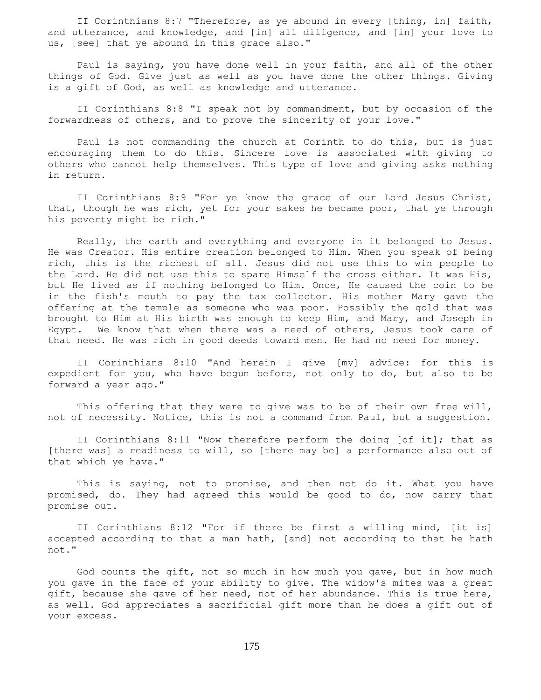II Corinthians 8:7 "Therefore, as ye abound in every [thing, in] faith, and utterance, and knowledge, and [in] all diligence, and [in] your love to us, [see] that ye abound in this grace also."

 Paul is saying, you have done well in your faith, and all of the other things of God. Give just as well as you have done the other things. Giving is a gift of God, as well as knowledge and utterance.

 II Corinthians 8:8 "I speak not by commandment, but by occasion of the forwardness of others, and to prove the sincerity of your love."

 Paul is not commanding the church at Corinth to do this, but is just encouraging them to do this. Sincere love is associated with giving to others who cannot help themselves. This type of love and giving asks nothing in return.

 II Corinthians 8:9 "For ye know the grace of our Lord Jesus Christ, that, though he was rich, yet for your sakes he became poor, that ye through his poverty might be rich."

 Really, the earth and everything and everyone in it belonged to Jesus. He was Creator. His entire creation belonged to Him. When you speak of being rich, this is the richest of all. Jesus did not use this to win people to the Lord. He did not use this to spare Himself the cross either. It was His, but He lived as if nothing belonged to Him. Once, He caused the coin to be in the fish's mouth to pay the tax collector. His mother Mary gave the offering at the temple as someone who was poor. Possibly the gold that was brought to Him at His birth was enough to keep Him, and Mary, and Joseph in Egypt. We know that when there was a need of others, Jesus took care of that need. He was rich in good deeds toward men. He had no need for money.

 II Corinthians 8:10 "And herein I give [my] advice: for this is expedient for you, who have begun before, not only to do, but also to be forward a year ago."

 This offering that they were to give was to be of their own free will, not of necessity. Notice, this is not a command from Paul, but a suggestion.

 II Corinthians 8:11 "Now therefore perform the doing [of it]; that as [there was] a readiness to will, so [there may be] a performance also out of that which ye have."

 This is saying, not to promise, and then not do it. What you have promised, do. They had agreed this would be good to do, now carry that promise out.

 II Corinthians 8:12 "For if there be first a willing mind, [it is] accepted according to that a man hath, [and] not according to that he hath not."

 God counts the gift, not so much in how much you gave, but in how much you gave in the face of your ability to give. The widow's mites was a great gift, because she gave of her need, not of her abundance. This is true here, as well. God appreciates a sacrificial gift more than he does a gift out of your excess.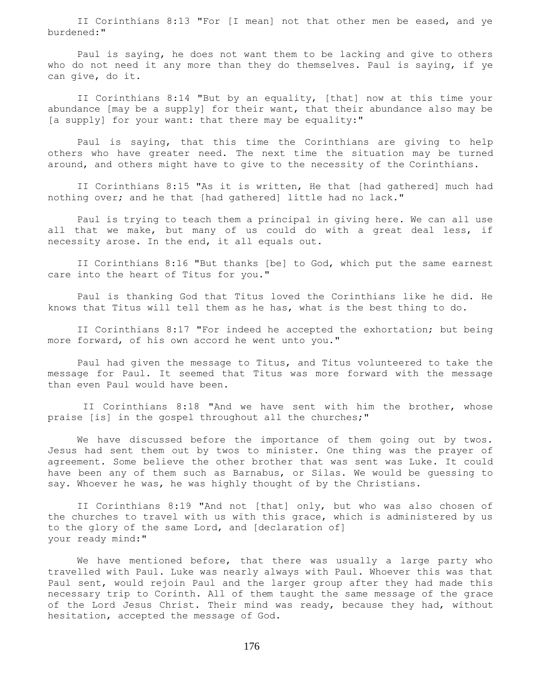II Corinthians 8:13 "For [I mean] not that other men be eased, and ye burdened:"

 Paul is saying, he does not want them to be lacking and give to others who do not need it any more than they do themselves. Paul is saying, if ye can give, do it.

 II Corinthians 8:14 "But by an equality, [that] now at this time your abundance [may be a supply] for their want, that their abundance also may be [a supply] for your want: that there may be equality:"

 Paul is saying, that this time the Corinthians are giving to help others who have greater need. The next time the situation may be turned around, and others might have to give to the necessity of the Corinthians.

 II Corinthians 8:15 "As it is written, He that [had gathered] much had nothing over; and he that [had gathered] little had no lack."

 Paul is trying to teach them a principal in giving here. We can all use all that we make, but many of us could do with a great deal less, if necessity arose. In the end, it all equals out.

 II Corinthians 8:16 "But thanks [be] to God, which put the same earnest care into the heart of Titus for you."

 Paul is thanking God that Titus loved the Corinthians like he did. He knows that Titus will tell them as he has, what is the best thing to do.

 II Corinthians 8:17 "For indeed he accepted the exhortation; but being more forward, of his own accord he went unto you."

 Paul had given the message to Titus, and Titus volunteered to take the message for Paul. It seemed that Titus was more forward with the message than even Paul would have been.

 II Corinthians 8:18 "And we have sent with him the brother, whose praise [is] in the gospel throughout all the churches;"

 We have discussed before the importance of them going out by twos. Jesus had sent them out by twos to minister. One thing was the prayer of agreement. Some believe the other brother that was sent was Luke. It could have been any of them such as Barnabus, or Silas. We would be guessing to say. Whoever he was, he was highly thought of by the Christians.

 II Corinthians 8:19 "And not [that] only, but who was also chosen of the churches to travel with us with this grace, which is administered by us to the glory of the same Lord, and [declaration of] your ready mind:"

 We have mentioned before, that there was usually a large party who travelled with Paul. Luke was nearly always with Paul. Whoever this was that Paul sent, would rejoin Paul and the larger group after they had made this necessary trip to Corinth. All of them taught the same message of the grace of the Lord Jesus Christ. Their mind was ready, because they had, without hesitation, accepted the message of God.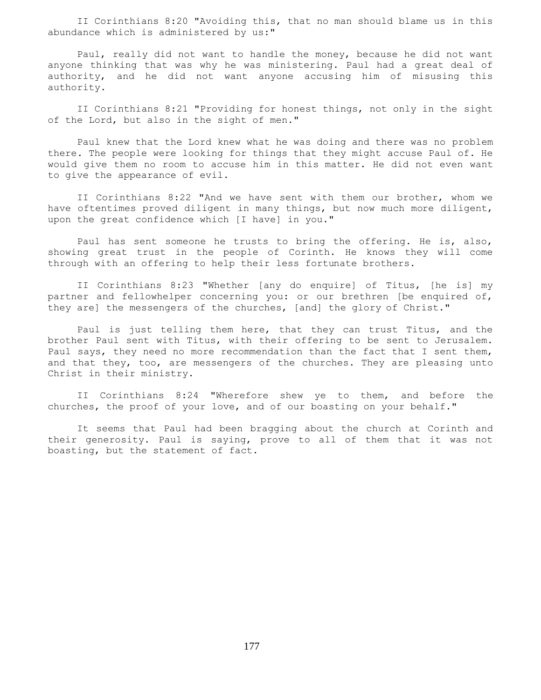II Corinthians 8:20 "Avoiding this, that no man should blame us in this abundance which is administered by us:"

 Paul, really did not want to handle the money, because he did not want anyone thinking that was why he was ministering. Paul had a great deal of authority, and he did not want anyone accusing him of misusing this authority.

 II Corinthians 8:21 "Providing for honest things, not only in the sight of the Lord, but also in the sight of men."

 Paul knew that the Lord knew what he was doing and there was no problem there. The people were looking for things that they might accuse Paul of. He would give them no room to accuse him in this matter. He did not even want to give the appearance of evil.

 II Corinthians 8:22 "And we have sent with them our brother, whom we have oftentimes proved diligent in many things, but now much more diligent, upon the great confidence which [I have] in you."

 Paul has sent someone he trusts to bring the offering. He is, also, showing great trust in the people of Corinth. He knows they will come through with an offering to help their less fortunate brothers.

 II Corinthians 8:23 "Whether [any do enquire] of Titus, [he is] my partner and fellowhelper concerning you: or our brethren [be enquired of, they are] the messengers of the churches, [and] the glory of Christ."

 Paul is just telling them here, that they can trust Titus, and the brother Paul sent with Titus, with their offering to be sent to Jerusalem. Paul says, they need no more recommendation than the fact that I sent them, and that they, too, are messengers of the churches. They are pleasing unto Christ in their ministry.

 II Corinthians 8:24 "Wherefore shew ye to them, and before the churches, the proof of your love, and of our boasting on your behalf."

 It seems that Paul had been bragging about the church at Corinth and their generosity. Paul is saying, prove to all of them that it was not boasting, but the statement of fact.

177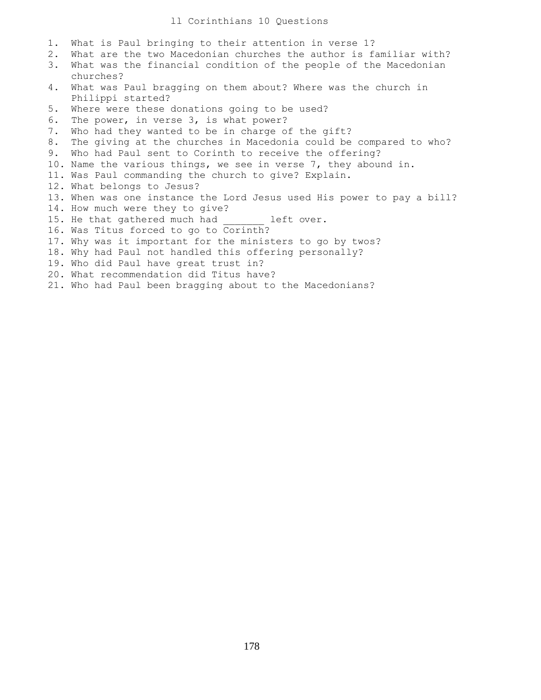## ll Corinthians 10 Questions

- 1. What is Paul bringing to their attention in verse 1?
- 2. What are the two Macedonian churches the author is familiar with?
- 3. What was the financial condition of the people of the Macedonian churches?
- 4. What was Paul bragging on them about? Where was the church in Philippi started?
- 5. Where were these donations going to be used?
- 6. The power, in verse 3, is what power?
- 7. Who had they wanted to be in charge of the gift?
- 8. The giving at the churches in Macedonia could be compared to who?
- 9. Who had Paul sent to Corinth to receive the offering?
- 10. Name the various things, we see in verse 7, they abound in.
- 11. Was Paul commanding the church to give? Explain.
- 12. What belongs to Jesus?
- 13. When was one instance the Lord Jesus used His power to pay a bill?
- 14. How much were they to give?
- 15. He that gathered much had left over.
- 16. Was Titus forced to go to Corinth?
- 17. Why was it important for the ministers to go by twos?
- 18. Why had Paul not handled this offering personally?
- 19. Who did Paul have great trust in?
- 20. What recommendation did Titus have?
- 21. Who had Paul been bragging about to the Macedonians?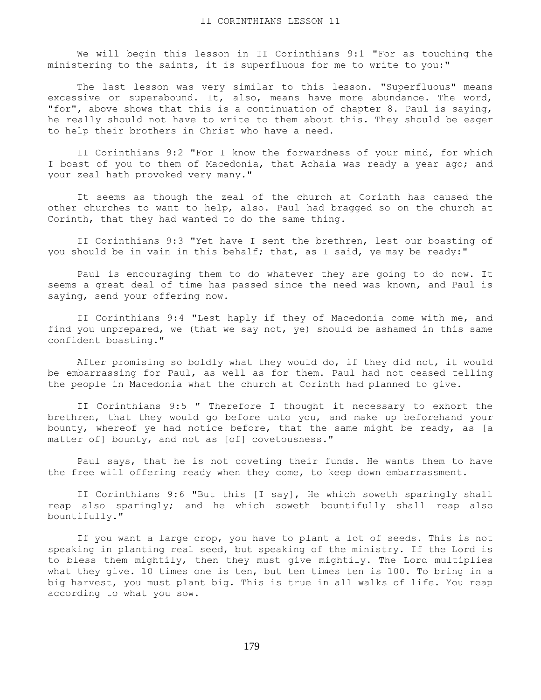We will begin this lesson in II Corinthians 9:1 "For as touching the ministering to the saints, it is superfluous for me to write to you:"

 The last lesson was very similar to this lesson. "Superfluous" means excessive or superabound. It, also, means have more abundance. The word, "for", above shows that this is a continuation of chapter 8. Paul is saying, he really should not have to write to them about this. They should be eager to help their brothers in Christ who have a need.

 II Corinthians 9:2 "For I know the forwardness of your mind, for which I boast of you to them of Macedonia, that Achaia was ready a year ago; and your zeal hath provoked very many."

 It seems as though the zeal of the church at Corinth has caused the other churches to want to help, also. Paul had bragged so on the church at Corinth, that they had wanted to do the same thing.

 II Corinthians 9:3 "Yet have I sent the brethren, lest our boasting of you should be in vain in this behalf; that, as I said, ye may be ready:"

 Paul is encouraging them to do whatever they are going to do now. It seems a great deal of time has passed since the need was known, and Paul is saying, send your offering now.

 II Corinthians 9:4 "Lest haply if they of Macedonia come with me, and find you unprepared, we (that we say not, ye) should be ashamed in this same confident boasting."

 After promising so boldly what they would do, if they did not, it would be embarrassing for Paul, as well as for them. Paul had not ceased telling the people in Macedonia what the church at Corinth had planned to give.

 II Corinthians 9:5 " Therefore I thought it necessary to exhort the brethren, that they would go before unto you, and make up beforehand your bounty, whereof ye had notice before, that the same might be ready, as [a matter of] bounty, and not as [of] covetousness."

 Paul says, that he is not coveting their funds. He wants them to have the free will offering ready when they come, to keep down embarrassment.

 II Corinthians 9:6 "But this [I say], He which soweth sparingly shall reap also sparingly; and he which soweth bountifully shall reap also bountifully."

 If you want a large crop, you have to plant a lot of seeds. This is not speaking in planting real seed, but speaking of the ministry. If the Lord is to bless them mightily, then they must give mightily. The Lord multiplies what they give. 10 times one is ten, but ten times ten is 100. To bring in a big harvest, you must plant big. This is true in all walks of life. You reap according to what you sow.

179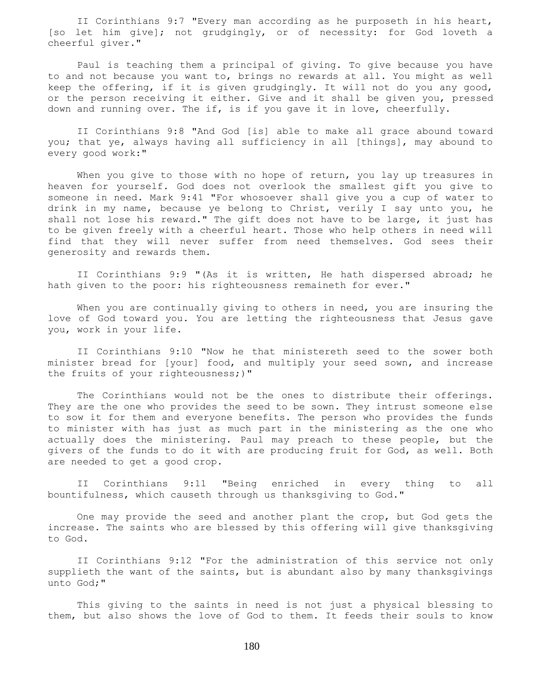II Corinthians 9:7 "Every man according as he purposeth in his heart, [so let him give]; not grudgingly, or of necessity: for God loveth a cheerful giver."

 Paul is teaching them a principal of giving. To give because you have to and not because you want to, brings no rewards at all. You might as well keep the offering, if it is given grudgingly. It will not do you any good, or the person receiving it either. Give and it shall be given you, pressed down and running over. The if, is if you gave it in love, cheerfully.

 II Corinthians 9:8 "And God [is] able to make all grace abound toward you; that ye, always having all sufficiency in all [things], may abound to every good work:"

When you give to those with no hope of return, you lay up treasures in heaven for yourself. God does not overlook the smallest gift you give to someone in need. Mark 9:41 "For whosoever shall give you a cup of water to drink in my name, because ye belong to Christ, verily I say unto you, he shall not lose his reward." The gift does not have to be large, it just has to be given freely with a cheerful heart. Those who help others in need will find that they will never suffer from need themselves. God sees their generosity and rewards them.

 II Corinthians 9:9 "(As it is written, He hath dispersed abroad; he hath given to the poor: his righteousness remaineth for ever."

 When you are continually giving to others in need, you are insuring the love of God toward you. You are letting the righteousness that Jesus gave you, work in your life.

 II Corinthians 9:10 "Now he that ministereth seed to the sower both minister bread for [your] food, and multiply your seed sown, and increase the fruits of your righteousness;)"

 The Corinthians would not be the ones to distribute their offerings. They are the one who provides the seed to be sown. They intrust someone else to sow it for them and everyone benefits. The person who provides the funds to minister with has just as much part in the ministering as the one who actually does the ministering. Paul may preach to these people, but the givers of the funds to do it with are producing fruit for God, as well. Both are needed to get a good crop.

 II Corinthians 9:11 "Being enriched in every thing to all bountifulness, which causeth through us thanksgiving to God."

 One may provide the seed and another plant the crop, but God gets the increase. The saints who are blessed by this offering will give thanksgiving to God.

 II Corinthians 9:12 "For the administration of this service not only supplieth the want of the saints, but is abundant also by many thanksgivings unto God;"

 This giving to the saints in need is not just a physical blessing to them, but also shows the love of God to them. It feeds their souls to know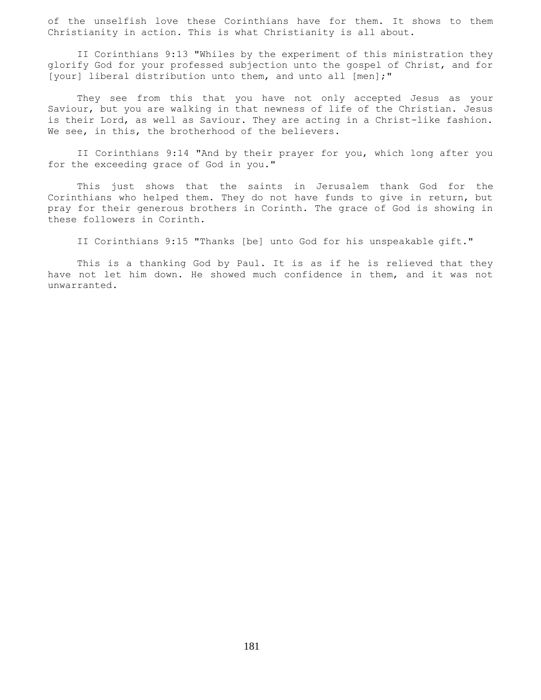of the unselfish love these Corinthians have for them. It shows to them Christianity in action. This is what Christianity is all about.

 II Corinthians 9:13 "Whiles by the experiment of this ministration they glorify God for your professed subjection unto the gospel of Christ, and for [your] liberal distribution unto them, and unto all [men];"

 They see from this that you have not only accepted Jesus as your Saviour, but you are walking in that newness of life of the Christian. Jesus is their Lord, as well as Saviour. They are acting in a Christ-like fashion. We see, in this, the brotherhood of the believers.

 II Corinthians 9:14 "And by their prayer for you, which long after you for the exceeding grace of God in you."

 This just shows that the saints in Jerusalem thank God for the Corinthians who helped them. They do not have funds to give in return, but pray for their generous brothers in Corinth. The grace of God is showing in these followers in Corinth.

II Corinthians 9:15 "Thanks [be] unto God for his unspeakable gift."

 This is a thanking God by Paul. It is as if he is relieved that they have not let him down. He showed much confidence in them, and it was not unwarranted.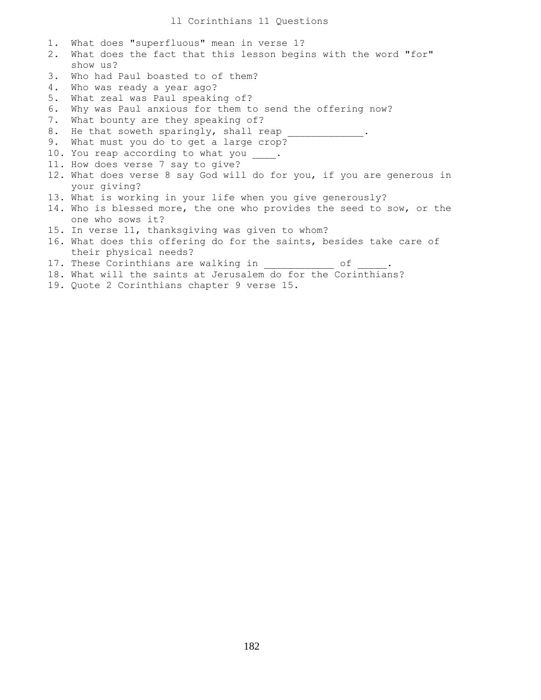| 1. | What does "superfluous" mean in verse 1?                              |
|----|-----------------------------------------------------------------------|
| 2. | What does the fact that this lesson begins with the word "for"        |
|    | show us?                                                              |
| 3. | Who had Paul boasted to of them?                                      |
| 4. | Who was ready a year ago?                                             |
| 5. | What zeal was Paul speaking of?                                       |
| 6. | Why was Paul anxious for them to send the offering now?               |
| 7. | What bounty are they speaking of?                                     |
| 8. |                                                                       |
| 9. | What must you do to get a large crop?                                 |
|    | 10. You reap according to what you .                                  |
|    | 11. How does verse 7 say to give?                                     |
|    | 12. What does verse 8 say God will do for you, if you are generous in |
|    | your giving?                                                          |
|    | 13. What is working in your life when you give generously?            |
|    | 14. Who is blessed more, the one who provides the seed to sow, or the |
|    | one who sows it?                                                      |
|    | 15. In verse 11, thanksgiving was given to whom?                      |
|    | 16. What does this offering do for the saints, besides take care of   |
|    | their physical needs?                                                 |
|    | 17. These Corinthians are walking in<br>оf                            |
|    | 18. What will the saints at Jerusalem do for the Corinthians?         |
|    | 19. Quote 2 Corinthians chapter 9 verse 15.                           |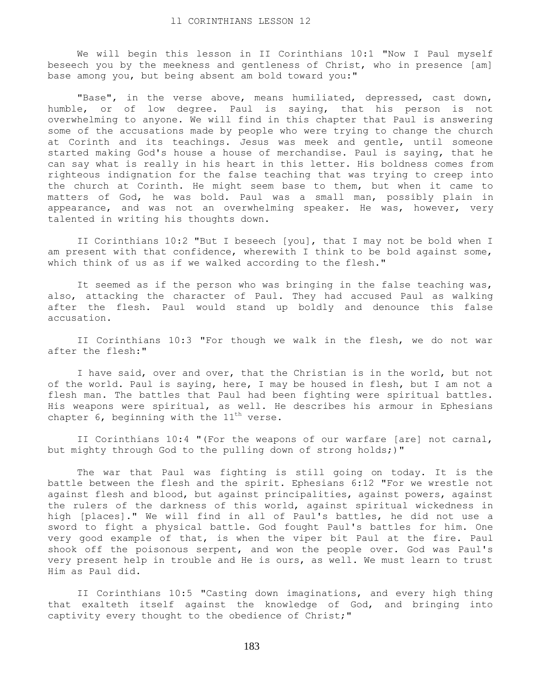We will begin this lesson in II Corinthians 10:1 "Now I Paul myself beseech you by the meekness and gentleness of Christ, who in presence [am] base among you, but being absent am bold toward you:"

"Base", in the verse above, means humiliated, depressed, cast down, humble, or of low degree. Paul is saying, that his person is not overwhelming to anyone. We will find in this chapter that Paul is answering some of the accusations made by people who were trying to change the church at Corinth and its teachings. Jesus was meek and gentle, until someone started making God's house a house of merchandise. Paul is saying, that he can say what is really in his heart in this letter. His boldness comes from righteous indignation for the false teaching that was trying to creep into the church at Corinth. He might seem base to them, but when it came to matters of God, he was bold. Paul was a small man, possibly plain in appearance, and was not an overwhelming speaker. He was, however, very talented in writing his thoughts down.

 II Corinthians 10:2 "But I beseech [you], that I may not be bold when I am present with that confidence, wherewith I think to be bold against some, which think of us as if we walked according to the flesh."

 It seemed as if the person who was bringing in the false teaching was, also, attacking the character of Paul. They had accused Paul as walking after the flesh. Paul would stand up boldly and denounce this false accusation.

 II Corinthians 10:3 "For though we walk in the flesh, we do not war after the flesh:"

 I have said, over and over, that the Christian is in the world, but not of the world. Paul is saying, here, I may be housed in flesh, but I am not a flesh man. The battles that Paul had been fighting were spiritual battles. His weapons were spiritual, as well. He describes his armour in Ephesians chapter 6, beginning with the  $11^{th}$  verse.

 II Corinthians 10:4 "(For the weapons of our warfare [are] not carnal, but mighty through God to the pulling down of strong holds;)"

 The war that Paul was fighting is still going on today. It is the battle between the flesh and the spirit. Ephesians 6:12 "For we wrestle not against flesh and blood, but against principalities, against powers, against the rulers of the darkness of this world, against spiritual wickedness in high [places]." We will find in all of Paul's battles, he did not use a sword to fight a physical battle. God fought Paul's battles for him. One very good example of that, is when the viper bit Paul at the fire. Paul shook off the poisonous serpent, and won the people over. God was Paul's very present help in trouble and He is ours, as well. We must learn to trust Him as Paul did.

 II Corinthians 10:5 "Casting down imaginations, and every high thing that exalteth itself against the knowledge of God, and bringing into captivity every thought to the obedience of Christ;"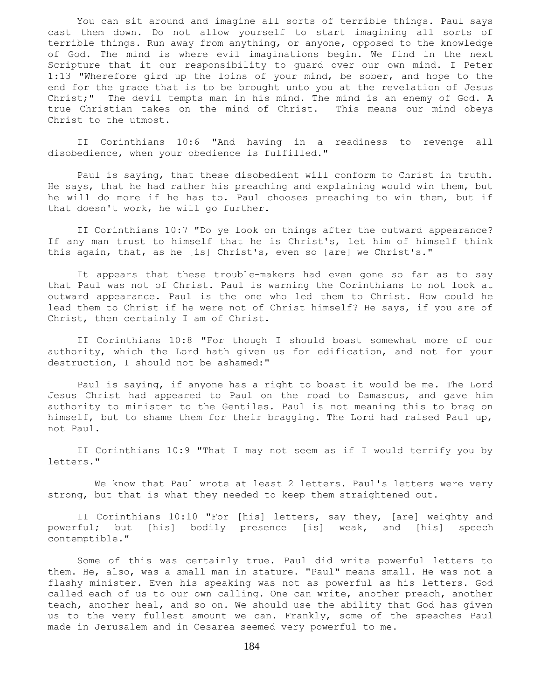You can sit around and imagine all sorts of terrible things. Paul says cast them down. Do not allow yourself to start imagining all sorts of terrible things. Run away from anything, or anyone, opposed to the knowledge of God. The mind is where evil imaginations begin. We find in the next Scripture that it our responsibility to guard over our own mind. I Peter 1:13 "Wherefore gird up the loins of your mind, be sober, and hope to the end for the grace that is to be brought unto you at the revelation of Jesus Christ;" The devil tempts man in his mind. The mind is an enemy of God. A true Christian takes on the mind of Christ. This means our mind obeys Christ to the utmost.

 II Corinthians 10:6 "And having in a readiness to revenge all disobedience, when your obedience is fulfilled."

 Paul is saying, that these disobedient will conform to Christ in truth. He says, that he had rather his preaching and explaining would win them, but he will do more if he has to. Paul chooses preaching to win them, but if that doesn't work, he will go further.

 II Corinthians 10:7 "Do ye look on things after the outward appearance? If any man trust to himself that he is Christ's, let him of himself think this again, that, as he [is] Christ's, even so [are] we Christ's."

 It appears that these trouble-makers had even gone so far as to say that Paul was not of Christ. Paul is warning the Corinthians to not look at outward appearance. Paul is the one who led them to Christ. How could he lead them to Christ if he were not of Christ himself? He says, if you are of Christ, then certainly I am of Christ.

 II Corinthians 10:8 "For though I should boast somewhat more of our authority, which the Lord hath given us for edification, and not for your destruction, I should not be ashamed:"

 Paul is saying, if anyone has a right to boast it would be me. The Lord Jesus Christ had appeared to Paul on the road to Damascus, and gave him authority to minister to the Gentiles. Paul is not meaning this to brag on himself, but to shame them for their bragging. The Lord had raised Paul up, not Paul.

 II Corinthians 10:9 "That I may not seem as if I would terrify you by letters."

We know that Paul wrote at least 2 letters. Paul's letters were very strong, but that is what they needed to keep them straightened out.

 II Corinthians 10:10 "For [his] letters, say they, [are] weighty and powerful; but [his] bodily presence [is] weak, and [his] speech contemptible."

 Some of this was certainly true. Paul did write powerful letters to them. He, also, was a small man in stature. "Paul" means small. He was not a flashy minister. Even his speaking was not as powerful as his letters. God called each of us to our own calling. One can write, another preach, another teach, another heal, and so on. We should use the ability that God has given us to the very fullest amount we can. Frankly, some of the speaches Paul made in Jerusalem and in Cesarea seemed very powerful to me.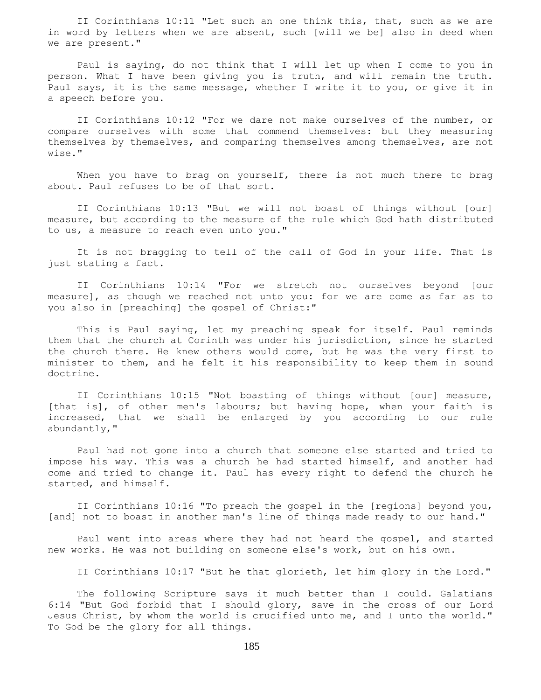II Corinthians 10:11 "Let such an one think this, that, such as we are in word by letters when we are absent, such [will we be] also in deed when we are present."

 Paul is saying, do not think that I will let up when I come to you in person. What I have been giving you is truth, and will remain the truth. Paul says, it is the same message, whether I write it to you, or give it in a speech before you.

 II Corinthians 10:12 "For we dare not make ourselves of the number, or compare ourselves with some that commend themselves: but they measuring themselves by themselves, and comparing themselves among themselves, are not wise."

When you have to brag on yourself, there is not much there to brag about. Paul refuses to be of that sort.

 II Corinthians 10:13 "But we will not boast of things without [our] measure, but according to the measure of the rule which God hath distributed to us, a measure to reach even unto you."

 It is not bragging to tell of the call of God in your life. That is just stating a fact.

 II Corinthians 10:14 "For we stretch not ourselves beyond [our measure], as though we reached not unto you: for we are come as far as to you also in [preaching] the gospel of Christ:"

 This is Paul saying, let my preaching speak for itself. Paul reminds them that the church at Corinth was under his jurisdiction, since he started the church there. He knew others would come, but he was the very first to minister to them, and he felt it his responsibility to keep them in sound doctrine.

 II Corinthians 10:15 "Not boasting of things without [our] measure, [that is], of other men's labours; but having hope, when your faith is increased, that we shall be enlarged by you according to our rule abundantly,"

 Paul had not gone into a church that someone else started and tried to impose his way. This was a church he had started himself, and another had come and tried to change it. Paul has every right to defend the church he started, and himself.

 II Corinthians 10:16 "To preach the gospel in the [regions] beyond you, [and] not to boast in another man's line of things made ready to our hand."

 Paul went into areas where they had not heard the gospel, and started new works. He was not building on someone else's work, but on his own.

II Corinthians 10:17 "But he that glorieth, let him glory in the Lord."

 The following Scripture says it much better than I could. Galatians 6:14 "But God forbid that I should glory, save in the cross of our Lord Jesus Christ, by whom the world is crucified unto me, and I unto the world." To God be the glory for all things.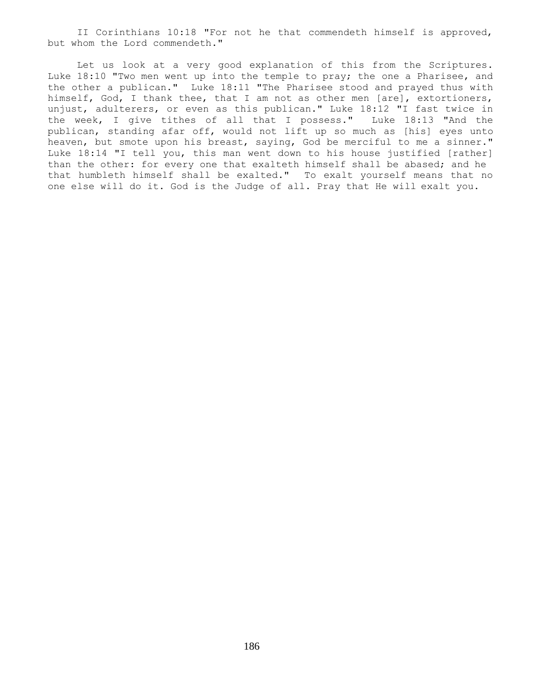II Corinthians 10:18 "For not he that commendeth himself is approved, but whom the Lord commendeth."

 Let us look at a very good explanation of this from the Scriptures. Luke 18:10 "Two men went up into the temple to pray; the one a Pharisee, and the other a publican." Luke 18:11 "The Pharisee stood and prayed thus with himself, God, I thank thee, that I am not as other men [are], extortioners, unjust, adulterers, or even as this publican." Luke 18:12 "I fast twice in the week, I give tithes of all that I possess." Luke 18:13 "And the publican, standing afar off, would not lift up so much as [his] eyes unto heaven, but smote upon his breast, saying, God be merciful to me a sinner." Luke 18:14 "I tell you, this man went down to his house justified [rather] than the other: for every one that exalteth himself shall be abased; and he that humbleth himself shall be exalted." To exalt yourself means that no one else will do it. God is the Judge of all. Pray that He will exalt you.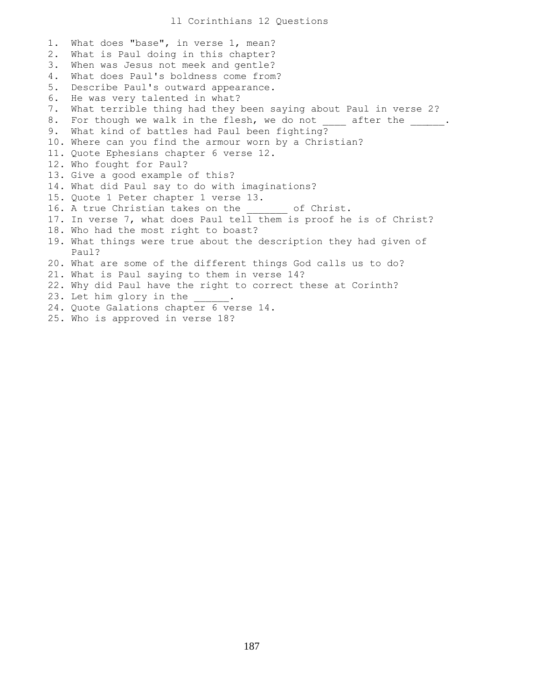1. What does "base", in verse 1, mean? 2. What is Paul doing in this chapter? 3. When was Jesus not meek and gentle? 4. What does Paul's boldness come from? 5. Describe Paul's outward appearance. 6. He was very talented in what? 7. What terrible thing had they been saying about Paul in verse 2? 8. For though we walk in the flesh, we do not \_\_\_\_ after the \_\_\_\_\_\_. 9. What kind of battles had Paul been fighting? 10. Where can you find the armour worn by a Christian? 11. Quote Ephesians chapter 6 verse 12. 12. Who fought for Paul? 13. Give a good example of this? 14. What did Paul say to do with imaginations? 15. Quote 1 Peter chapter 1 verse 13. 16. A true Christian takes on the of Christ. 17. In verse 7, what does Paul tell them is proof he is of Christ? 18. Who had the most right to boast? 19. What things were true about the description they had given of Paul? 20. What are some of the different things God calls us to do? 21. What is Paul saying to them in verse 14? 22. Why did Paul have the right to correct these at Corinth? 23. Let him glory in the 24. Quote Galations chapter 6 verse 14. 25. Who is approved in verse 18?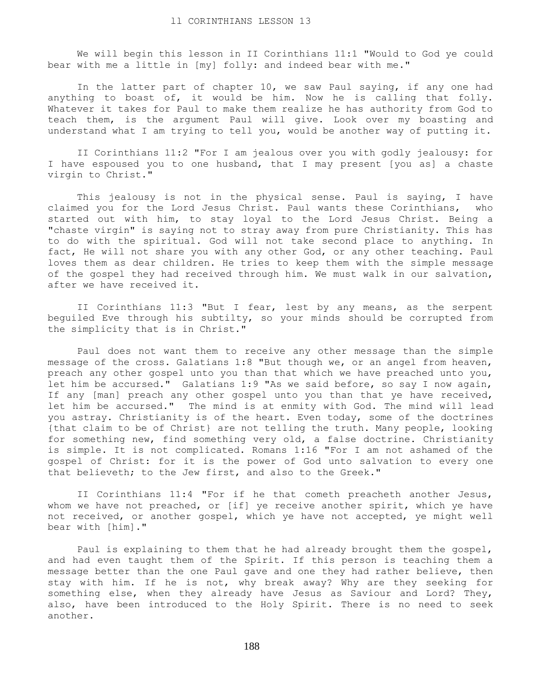We will begin this lesson in II Corinthians 11:1 "Would to God ye could bear with me a little in [my] folly: and indeed bear with me."

 In the latter part of chapter 10, we saw Paul saying, if any one had anything to boast of, it would be him. Now he is calling that folly. Whatever it takes for Paul to make them realize he has authority from God to teach them, is the argument Paul will give. Look over my boasting and understand what I am trying to tell you, would be another way of putting it.

 II Corinthians 11:2 "For I am jealous over you with godly jealousy: for I have espoused you to one husband, that I may present [you as] a chaste virgin to Christ."

 This jealousy is not in the physical sense. Paul is saying, I have claimed you for the Lord Jesus Christ. Paul wants these Corinthians, who started out with him, to stay loyal to the Lord Jesus Christ. Being a "chaste virgin" is saying not to stray away from pure Christianity. This has to do with the spiritual. God will not take second place to anything. In fact, He will not share you with any other God, or any other teaching. Paul loves them as dear children. He tries to keep them with the simple message of the gospel they had received through him. We must walk in our salvation, after we have received it.

 II Corinthians 11:3 "But I fear, lest by any means, as the serpent beguiled Eve through his subtilty, so your minds should be corrupted from the simplicity that is in Christ."

 Paul does not want them to receive any other message than the simple message of the cross. Galatians 1:8 "But though we, or an angel from heaven, preach any other gospel unto you than that which we have preached unto you, let him be accursed." Galatians 1:9 "As we said before, so say I now again, If any [man] preach any other gospel unto you than that ye have received, let him be accursed." The mind is at enmity with God. The mind will lead you astray. Christianity is of the heart. Even today, some of the doctrines {that claim to be of Christ} are not telling the truth. Many people, looking for something new, find something very old, a false doctrine. Christianity is simple. It is not complicated. Romans 1:16 "For I am not ashamed of the gospel of Christ: for it is the power of God unto salvation to every one that believeth; to the Jew first, and also to the Greek."

 II Corinthians 11:4 "For if he that cometh preacheth another Jesus, whom we have not preached, or [if] ye receive another spirit, which ye have not received, or another gospel, which ye have not accepted, ye might well bear with [him]."

 Paul is explaining to them that he had already brought them the gospel, and had even taught them of the Spirit. If this person is teaching them a message better than the one Paul gave and one they had rather believe, then stay with him. If he is not, why break away? Why are they seeking for something else, when they already have Jesus as Saviour and Lord? They, also, have been introduced to the Holy Spirit. There is no need to seek another.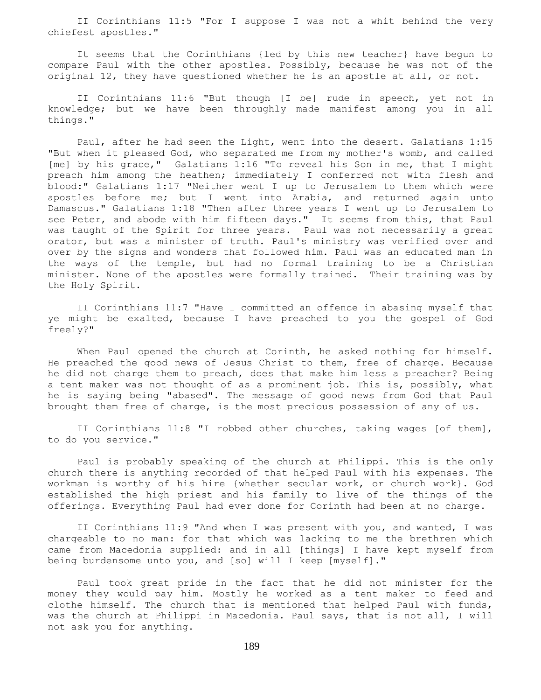II Corinthians 11:5 "For I suppose I was not a whit behind the very chiefest apostles."

 It seems that the Corinthians {led by this new teacher} have begun to compare Paul with the other apostles. Possibly, because he was not of the original 12, they have questioned whether he is an apostle at all, or not.

 II Corinthians 11:6 "But though [I be] rude in speech, yet not in knowledge; but we have been throughly made manifest among you in all things."

 Paul, after he had seen the Light, went into the desert. Galatians 1:15 "But when it pleased God, who separated me from my mother's womb, and called [me] by his grace," Galatians 1:16 "To reveal his Son in me, that I might preach him among the heathen; immediately I conferred not with flesh and blood:" Galatians 1:17 "Neither went I up to Jerusalem to them which were apostles before me; but I went into Arabia, and returned again unto Damascus." Galatians 1:18 "Then after three years I went up to Jerusalem to see Peter, and abode with him fifteen days." It seems from this, that Paul was taught of the Spirit for three years. Paul was not necessarily a great orator, but was a minister of truth. Paul's ministry was verified over and over by the signs and wonders that followed him. Paul was an educated man in the ways of the temple, but had no formal training to be a Christian minister. None of the apostles were formally trained. Their training was by the Holy Spirit.

 II Corinthians 11:7 "Have I committed an offence in abasing myself that ye might be exalted, because I have preached to you the gospel of God freely?"

When Paul opened the church at Corinth, he asked nothing for himself. He preached the good news of Jesus Christ to them, free of charge. Because he did not charge them to preach, does that make him less a preacher? Being a tent maker was not thought of as a prominent job. This is, possibly, what he is saying being "abased". The message of good news from God that Paul brought them free of charge, is the most precious possession of any of us.

 II Corinthians 11:8 "I robbed other churches, taking wages [of them], to do you service."

 Paul is probably speaking of the church at Philippi. This is the only church there is anything recorded of that helped Paul with his expenses. The workman is worthy of his hire {whether secular work, or church work}. God established the high priest and his family to live of the things of the offerings. Everything Paul had ever done for Corinth had been at no charge.

 II Corinthians 11:9 "And when I was present with you, and wanted, I was chargeable to no man: for that which was lacking to me the brethren which came from Macedonia supplied: and in all [things] I have kept myself from being burdensome unto you, and [so] will I keep [myself]."

 Paul took great pride in the fact that he did not minister for the money they would pay him. Mostly he worked as a tent maker to feed and clothe himself. The church that is mentioned that helped Paul with funds, was the church at Philippi in Macedonia. Paul says, that is not all, I will not ask you for anything.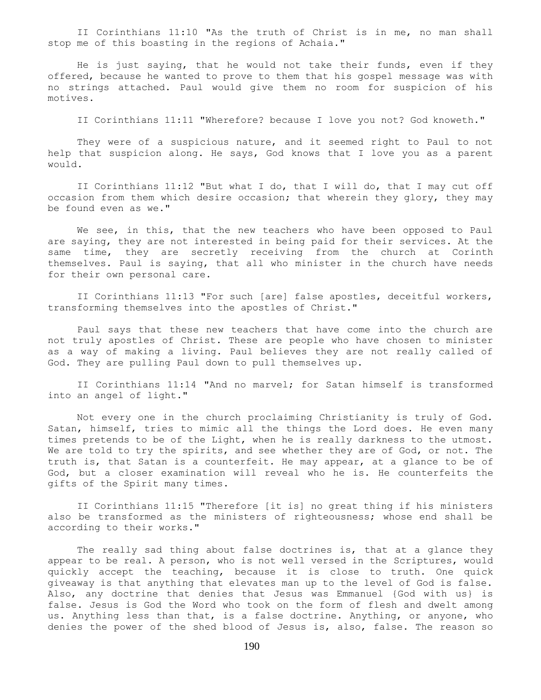II Corinthians 11:10 "As the truth of Christ is in me, no man shall stop me of this boasting in the regions of Achaia."

 He is just saying, that he would not take their funds, even if they offered, because he wanted to prove to them that his gospel message was with no strings attached. Paul would give them no room for suspicion of his motives.

II Corinthians 11:11 "Wherefore? because I love you not? God knoweth."

 They were of a suspicious nature, and it seemed right to Paul to not help that suspicion along. He says, God knows that I love you as a parent would.

 II Corinthians 11:12 "But what I do, that I will do, that I may cut off occasion from them which desire occasion; that wherein they glory, they may be found even as we."

We see, in this, that the new teachers who have been opposed to Paul are saying, they are not interested in being paid for their services. At the same time, they are secretly receiving from the church at Corinth themselves. Paul is saying, that all who minister in the church have needs for their own personal care.

 II Corinthians 11:13 "For such [are] false apostles, deceitful workers, transforming themselves into the apostles of Christ."

 Paul says that these new teachers that have come into the church are not truly apostles of Christ. These are people who have chosen to minister as a way of making a living. Paul believes they are not really called of God. They are pulling Paul down to pull themselves up.

 II Corinthians 11:14 "And no marvel; for Satan himself is transformed into an angel of light."

 Not every one in the church proclaiming Christianity is truly of God. Satan, himself, tries to mimic all the things the Lord does. He even many times pretends to be of the Light, when he is really darkness to the utmost. We are told to try the spirits, and see whether they are of God, or not. The truth is, that Satan is a counterfeit. He may appear, at a glance to be of God, but a closer examination will reveal who he is. He counterfeits the gifts of the Spirit many times.

 II Corinthians 11:15 "Therefore [it is] no great thing if his ministers also be transformed as the ministers of righteousness; whose end shall be according to their works."

The really sad thing about false doctrines is, that at a glance they appear to be real. A person, who is not well versed in the Scriptures, would quickly accept the teaching, because it is close to truth. One quick giveaway is that anything that elevates man up to the level of God is false. Also, any doctrine that denies that Jesus was Emmanuel {God with us} is false. Jesus is God the Word who took on the form of flesh and dwelt among us. Anything less than that, is a false doctrine. Anything, or anyone, who denies the power of the shed blood of Jesus is, also, false. The reason so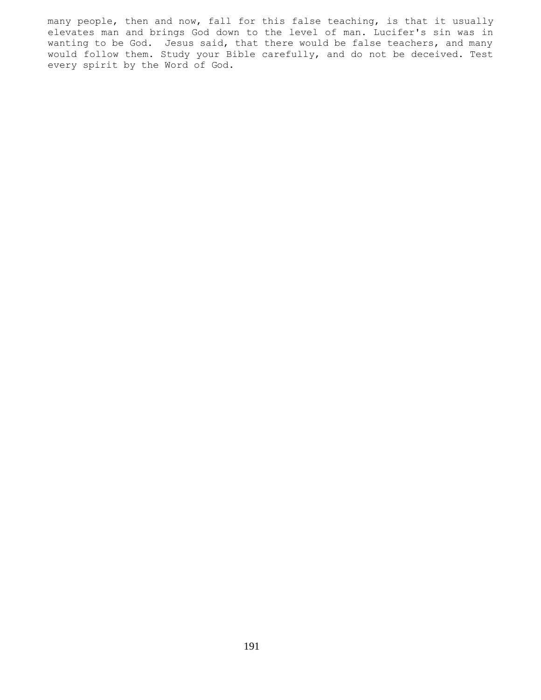many people, then and now, fall for this false teaching, is that it usually elevates man and brings God down to the level of man. Lucifer's sin was in wanting to be God. Jesus said, that there would be false teachers, and many would follow them. Study your Bible carefully, and do not be deceived. Test every spirit by the Word of God.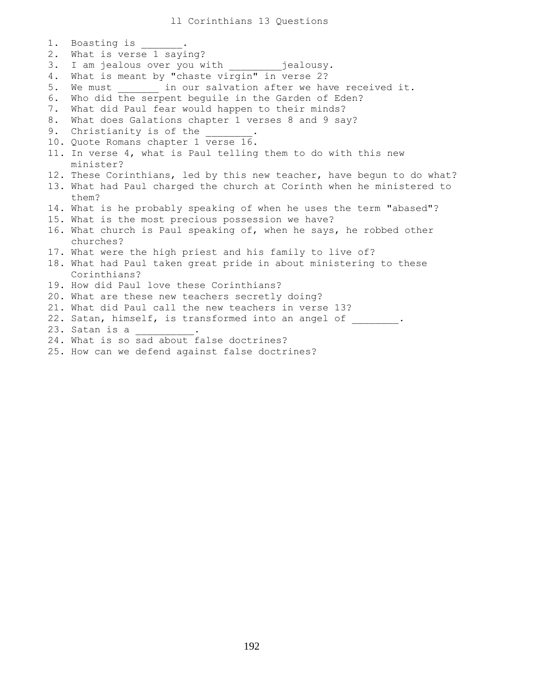ll Corinthians 13 Questions

1. Boasting is 2. What is verse 1 saying? 3. I am jealous over you with \_\_\_\_\_\_\_\_\_jealousy. 4. What is meant by "chaste virgin" in verse 2? 5. We must \_\_\_\_\_\_\_ in our salvation after we have received it. 6. Who did the serpent beguile in the Garden of Eden? 7. What did Paul fear would happen to their minds? 8. What does Galations chapter 1 verses 8 and 9 say? 9. Christianity is of the 10. Quote Romans chapter 1 verse 16. 11. In verse 4, what is Paul telling them to do with this new minister? 12. These Corinthians, led by this new teacher, have begun to do what? 13. What had Paul charged the church at Corinth when he ministered to them? 14. What is he probably speaking of when he uses the term "abased"? 15. What is the most precious possession we have? 16. What church is Paul speaking of, when he says, he robbed other churches? 17. What were the high priest and his family to live of? 18. What had Paul taken great pride in about ministering to these Corinthians? 19. How did Paul love these Corinthians? 20. What are these new teachers secretly doing? 21. What did Paul call the new teachers in verse 13? 22. Satan, himself, is transformed into an angel of \_\_\_\_\_\_\_. 23. Satan is a \_\_\_\_\_\_\_\_\_\_. 24. What is so sad about false doctrines?

25. How can we defend against false doctrines?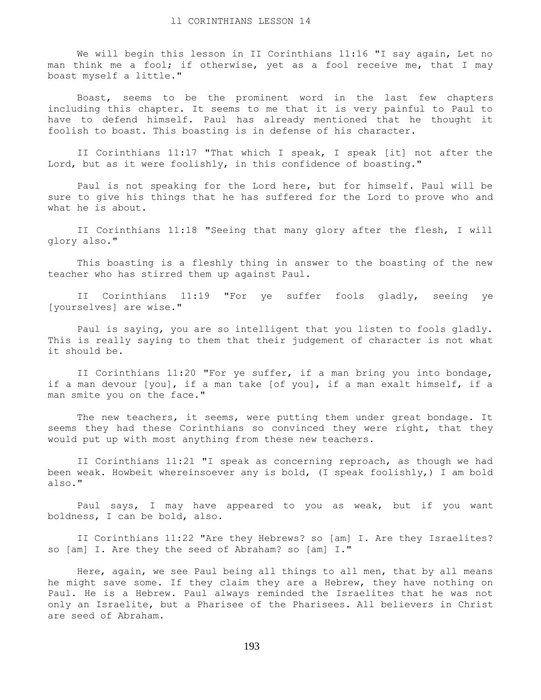We will begin this lesson in II Corinthians 11:16 "I say again, Let no man think me a fool; if otherwise, yet as a fool receive me, that I may boast myself a little."

 Boast, seems to be the prominent word in the last few chapters including this chapter. It seems to me that it is very painful to Paul to have to defend himself. Paul has already mentioned that he thought it foolish to boast. This boasting is in defense of his character.

 II Corinthians 11:17 "That which I speak, I speak [it] not after the Lord, but as it were foolishly, in this confidence of boasting."

 Paul is not speaking for the Lord here, but for himself. Paul will be sure to give his things that he has suffered for the Lord to prove who and what he is about.

 II Corinthians 11:18 "Seeing that many glory after the flesh, I will glory also."

 This boasting is a fleshly thing in answer to the boasting of the new teacher who has stirred them up against Paul.

 II Corinthians 11:19 "For ye suffer fools gladly, seeing ye [yourselves] are wise."

 Paul is saying, you are so intelligent that you listen to fools gladly. This is really saying to them that their judgement of character is not what it should be.

 II Corinthians 11:20 "For ye suffer, if a man bring you into bondage, if a man devour [you], if a man take [of you], if a man exalt himself, if a man smite you on the face."

 The new teachers, it seems, were putting them under great bondage. It seems they had these Corinthians so convinced they were right, that they would put up with most anything from these new teachers.

 II Corinthians 11:21 "I speak as concerning reproach, as though we had been weak. Howbeit whereinsoever any is bold, (I speak foolishly,) I am bold also."

 Paul says, I may have appeared to you as weak, but if you want boldness, I can be bold, also.

 II Corinthians 11:22 "Are they Hebrews? so [am] I. Are they Israelites? so [am] I. Are they the seed of Abraham? so [am] I."

 Here, again, we see Paul being all things to all men, that by all means he might save some. If they claim they are a Hebrew, they have nothing on Paul. He is a Hebrew. Paul always reminded the Israelites that he was not only an Israelite, but a Pharisee of the Pharisees. All believers in Christ are seed of Abraham.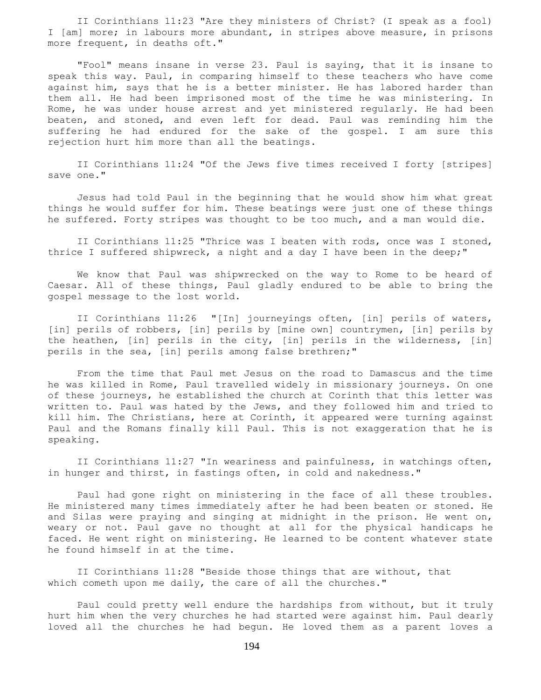II Corinthians 11:23 "Are they ministers of Christ? (I speak as a fool) I [am] more; in labours more abundant, in stripes above measure, in prisons more frequent, in deaths oft."

 "Fool" means insane in verse 23. Paul is saying, that it is insane to speak this way. Paul, in comparing himself to these teachers who have come against him, says that he is a better minister. He has labored harder than them all. He had been imprisoned most of the time he was ministering. In Rome, he was under house arrest and yet ministered regularly. He had been beaten, and stoned, and even left for dead. Paul was reminding him the suffering he had endured for the sake of the gospel. I am sure this rejection hurt him more than all the beatings.

 II Corinthians 11:24 "Of the Jews five times received I forty [stripes] save one."

 Jesus had told Paul in the beginning that he would show him what great things he would suffer for him. These beatings were just one of these things he suffered. Forty stripes was thought to be too much, and a man would die.

 II Corinthians 11:25 "Thrice was I beaten with rods, once was I stoned, thrice I suffered shipwreck, a night and a day I have been in the deep;"

 We know that Paul was shipwrecked on the way to Rome to be heard of Caesar. All of these things, Paul gladly endured to be able to bring the gospel message to the lost world.

 II Corinthians 11:26 "[In] journeyings often, [in] perils of waters, [in] perils of robbers, [in] perils by [mine own] countrymen, [in] perils by the heathen, [in] perils in the city, [in] perils in the wilderness, [in] perils in the sea, [in] perils among false brethren;"

 From the time that Paul met Jesus on the road to Damascus and the time he was killed in Rome, Paul travelled widely in missionary journeys. On one of these journeys, he established the church at Corinth that this letter was written to. Paul was hated by the Jews, and they followed him and tried to kill him. The Christians, here at Corinth, it appeared were turning against Paul and the Romans finally kill Paul. This is not exaggeration that he is speaking.

 II Corinthians 11:27 "In weariness and painfulness, in watchings often, in hunger and thirst, in fastings often, in cold and nakedness."

 Paul had gone right on ministering in the face of all these troubles. He ministered many times immediately after he had been beaten or stoned. He and Silas were praying and singing at midnight in the prison. He went on, weary or not. Paul gave no thought at all for the physical handicaps he faced. He went right on ministering. He learned to be content whatever state he found himself in at the time.

 II Corinthians 11:28 "Beside those things that are without, that which cometh upon me daily, the care of all the churches."

 Paul could pretty well endure the hardships from without, but it truly hurt him when the very churches he had started were against him. Paul dearly loved all the churches he had begun. He loved them as a parent loves a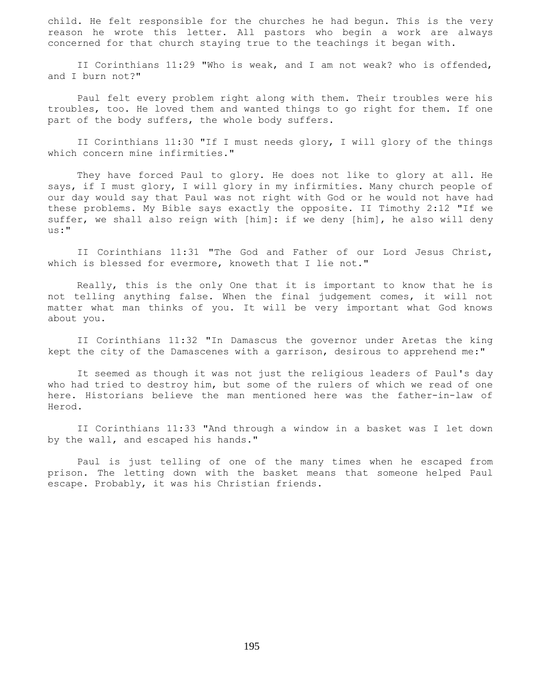child. He felt responsible for the churches he had begun. This is the very reason he wrote this letter. All pastors who begin a work are always concerned for that church staying true to the teachings it began with.

 II Corinthians 11:29 "Who is weak, and I am not weak? who is offended, and I burn not?"

 Paul felt every problem right along with them. Their troubles were his troubles, too. He loved them and wanted things to go right for them. If one part of the body suffers, the whole body suffers.

 II Corinthians 11:30 "If I must needs glory, I will glory of the things which concern mine infirmities."

 They have forced Paul to glory. He does not like to glory at all. He says, if I must glory, I will glory in my infirmities. Many church people of our day would say that Paul was not right with God or he would not have had these problems. My Bible says exactly the opposite. II Timothy 2:12 "If we suffer, we shall also reign with [him]: if we deny [him], he also will deny us:"

 II Corinthians 11:31 "The God and Father of our Lord Jesus Christ, which is blessed for evermore, knoweth that I lie not."

 Really, this is the only One that it is important to know that he is not telling anything false. When the final judgement comes, it will not matter what man thinks of you. It will be very important what God knows about you.

 II Corinthians 11:32 "In Damascus the governor under Aretas the king kept the city of the Damascenes with a garrison, desirous to apprehend me:"

 It seemed as though it was not just the religious leaders of Paul's day who had tried to destroy him, but some of the rulers of which we read of one here. Historians believe the man mentioned here was the father-in-law of Herod.

 II Corinthians 11:33 "And through a window in a basket was I let down by the wall, and escaped his hands."

 Paul is just telling of one of the many times when he escaped from prison. The letting down with the basket means that someone helped Paul escape. Probably, it was his Christian friends.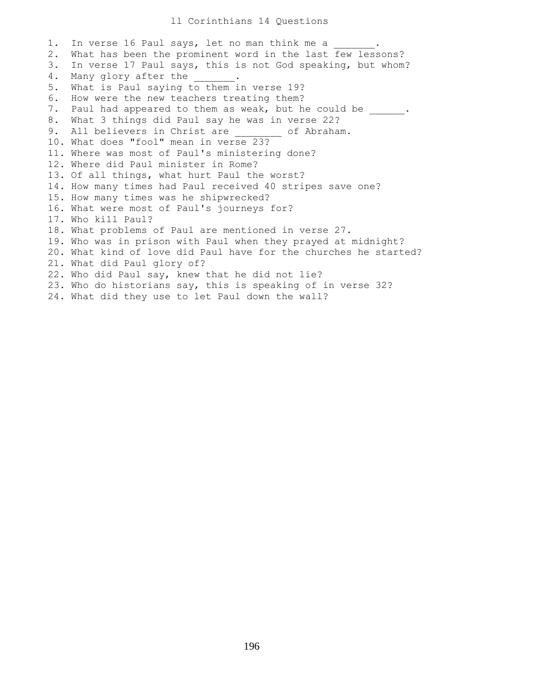1. In verse 16 Paul says, let no man think me a 2. What has been the prominent word in the last few lessons? 3. In verse 17 Paul says, this is not God speaking, but whom? 4. Many glory after the \_\_\_\_\_\_\_. 5. What is Paul saying to them in verse 19? 6. How were the new teachers treating them? 7. Paul had appeared to them as weak, but he could be \_\_\_\_\_\_. 8. What 3 things did Paul say he was in verse 22? 9. All believers in Christ are \_\_\_\_\_\_\_ of Abraham. 10. What does "fool" mean in verse 23? 11. Where was most of Paul's ministering done? 12. Where did Paul minister in Rome? 13. Of all things, what hurt Paul the worst? 14. How many times had Paul received 40 stripes save one? 15. How many times was he shipwrecked? 16. What were most of Paul's journeys for? 17. Who kill Paul? 18. What problems of Paul are mentioned in verse 27. 19. Who was in prison with Paul when they prayed at midnight? 20. What kind of love did Paul have for the churches he started? 21. What did Paul glory of? 22. Who did Paul say, knew that he did not lie? 23. Who do historians say, this is speaking of in verse 32? 24. What did they use to let Paul down the wall?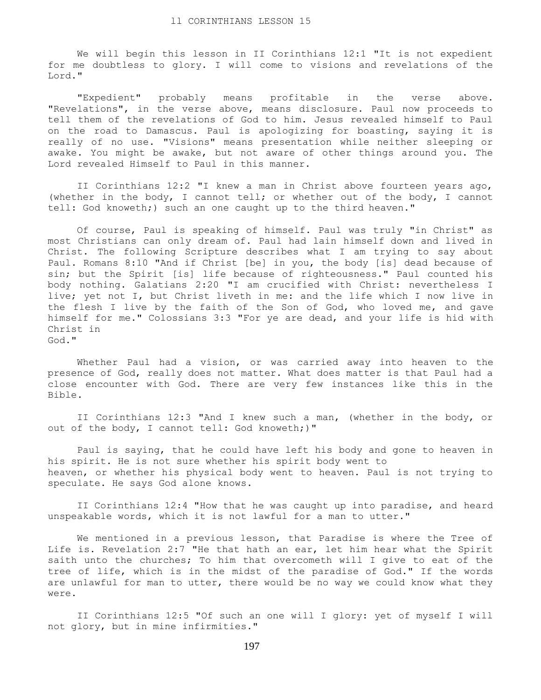We will begin this lesson in II Corinthians 12:1 "It is not expedient for me doubtless to glory. I will come to visions and revelations of the Lord."

 "Expedient" probably means profitable in the verse above. "Revelations", in the verse above, means disclosure. Paul now proceeds to tell them of the revelations of God to him. Jesus revealed himself to Paul on the road to Damascus. Paul is apologizing for boasting, saying it is really of no use. "Visions" means presentation while neither sleeping or awake. You might be awake, but not aware of other things around you. The Lord revealed Himself to Paul in this manner.

 II Corinthians 12:2 "I knew a man in Christ above fourteen years ago, (whether in the body, I cannot tell; or whether out of the body, I cannot tell: God knoweth;) such an one caught up to the third heaven."

 Of course, Paul is speaking of himself. Paul was truly "in Christ" as most Christians can only dream of. Paul had lain himself down and lived in Christ. The following Scripture describes what I am trying to say about Paul. Romans 8:10 "And if Christ [be] in you, the body [is] dead because of sin; but the Spirit [is] life because of righteousness." Paul counted his body nothing. Galatians 2:20 "I am crucified with Christ: nevertheless I live; yet not I, but Christ liveth in me: and the life which I now live in the flesh I live by the faith of the Son of God, who loved me, and gave himself for me." Colossians 3:3 "For ye are dead, and your life is hid with Christ in God."

 Whether Paul had a vision, or was carried away into heaven to the presence of God, really does not matter. What does matter is that Paul had a close encounter with God. There are very few instances like this in the Bible.

 II Corinthians 12:3 "And I knew such a man, (whether in the body, or out of the body, I cannot tell: God knoweth;)"

 Paul is saying, that he could have left his body and gone to heaven in his spirit. He is not sure whether his spirit body went to heaven, or whether his physical body went to heaven. Paul is not trying to speculate. He says God alone knows.

 II Corinthians 12:4 "How that he was caught up into paradise, and heard unspeakable words, which it is not lawful for a man to utter."

 We mentioned in a previous lesson, that Paradise is where the Tree of Life is. Revelation 2:7 "He that hath an ear, let him hear what the Spirit saith unto the churches; To him that overcometh will I give to eat of the tree of life, which is in the midst of the paradise of God." If the words are unlawful for man to utter, there would be no way we could know what they were.

 II Corinthians 12:5 "Of such an one will I glory: yet of myself I will not glory, but in mine infirmities."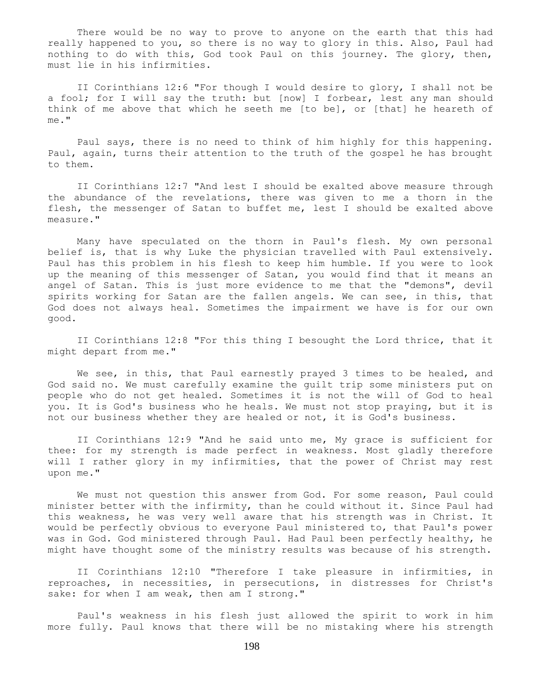There would be no way to prove to anyone on the earth that this had really happened to you, so there is no way to glory in this. Also, Paul had nothing to do with this, God took Paul on this journey. The glory, then, must lie in his infirmities.

 II Corinthians 12:6 "For though I would desire to glory, I shall not be a fool; for I will say the truth: but [now] I forbear, lest any man should think of me above that which he seeth me [to be], or [that] he heareth of me."

 Paul says, there is no need to think of him highly for this happening. Paul, again, turns their attention to the truth of the gospel he has brought to them.

 II Corinthians 12:7 "And lest I should be exalted above measure through the abundance of the revelations, there was given to me a thorn in the flesh, the messenger of Satan to buffet me, lest I should be exalted above measure."

 Many have speculated on the thorn in Paul's flesh. My own personal belief is, that is why Luke the physician travelled with Paul extensively. Paul has this problem in his flesh to keep him humble. If you were to look up the meaning of this messenger of Satan, you would find that it means an angel of Satan. This is just more evidence to me that the "demons", devil spirits working for Satan are the fallen angels. We can see, in this, that God does not always heal. Sometimes the impairment we have is for our own good.

 II Corinthians 12:8 "For this thing I besought the Lord thrice, that it might depart from me."

We see, in this, that Paul earnestly prayed 3 times to be healed, and God said no. We must carefully examine the guilt trip some ministers put on people who do not get healed. Sometimes it is not the will of God to heal you. It is God's business who he heals. We must not stop praying, but it is not our business whether they are healed or not, it is God's business.

 II Corinthians 12:9 "And he said unto me, My grace is sufficient for thee: for my strength is made perfect in weakness. Most gladly therefore will I rather glory in my infirmities, that the power of Christ may rest upon me."

 We must not question this answer from God. For some reason, Paul could minister better with the infirmity, than he could without it. Since Paul had this weakness, he was very well aware that his strength was in Christ. It would be perfectly obvious to everyone Paul ministered to, that Paul's power was in God. God ministered through Paul. Had Paul been perfectly healthy, he might have thought some of the ministry results was because of his strength.

 II Corinthians 12:10 "Therefore I take pleasure in infirmities, in reproaches, in necessities, in persecutions, in distresses for Christ's sake: for when I am weak, then am I strong."

 Paul's weakness in his flesh just allowed the spirit to work in him more fully. Paul knows that there will be no mistaking where his strength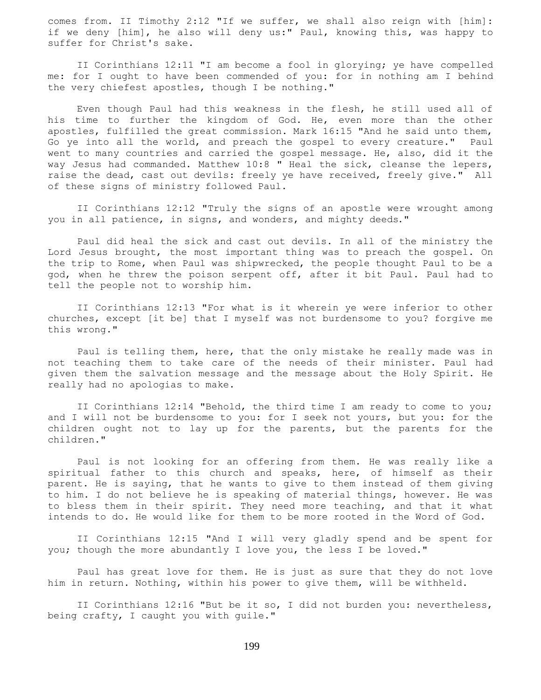comes from. II Timothy 2:12 "If we suffer, we shall also reign with [him]: if we deny [him], he also will deny us:" Paul, knowing this, was happy to suffer for Christ's sake.

 II Corinthians 12:11 "I am become a fool in glorying; ye have compelled me: for I ought to have been commended of you: for in nothing am I behind the very chiefest apostles, though I be nothing."

 Even though Paul had this weakness in the flesh, he still used all of his time to further the kingdom of God. He, even more than the other apostles, fulfilled the great commission. Mark 16:15 "And he said unto them, Go ye into all the world, and preach the gospel to every creature." Paul went to many countries and carried the gospel message. He, also, did it the way Jesus had commanded. Matthew 10:8 " Heal the sick, cleanse the lepers, raise the dead, cast out devils: freely ye have received, freely give." All of these signs of ministry followed Paul.

 II Corinthians 12:12 "Truly the signs of an apostle were wrought among you in all patience, in signs, and wonders, and mighty deeds."

 Paul did heal the sick and cast out devils. In all of the ministry the Lord Jesus brought, the most important thing was to preach the gospel. On the trip to Rome, when Paul was shipwrecked, the people thought Paul to be a god, when he threw the poison serpent off, after it bit Paul. Paul had to tell the people not to worship him.

 II Corinthians 12:13 "For what is it wherein ye were inferior to other churches, except [it be] that I myself was not burdensome to you? forgive me this wrong."

 Paul is telling them, here, that the only mistake he really made was in not teaching them to take care of the needs of their minister. Paul had given them the salvation message and the message about the Holy Spirit. He really had no apologias to make.

 II Corinthians 12:14 "Behold, the third time I am ready to come to you; and I will not be burdensome to you: for I seek not yours, but you: for the children ought not to lay up for the parents, but the parents for the children."

 Paul is not looking for an offering from them. He was really like a spiritual father to this church and speaks, here, of himself as their parent. He is saying, that he wants to give to them instead of them giving to him. I do not believe he is speaking of material things, however. He was to bless them in their spirit. They need more teaching, and that it what intends to do. He would like for them to be more rooted in the Word of God.

 II Corinthians 12:15 "And I will very gladly spend and be spent for you; though the more abundantly I love you, the less I be loved."

 Paul has great love for them. He is just as sure that they do not love him in return. Nothing, within his power to give them, will be withheld.

 II Corinthians 12:16 "But be it so, I did not burden you: nevertheless, being crafty, I caught you with guile."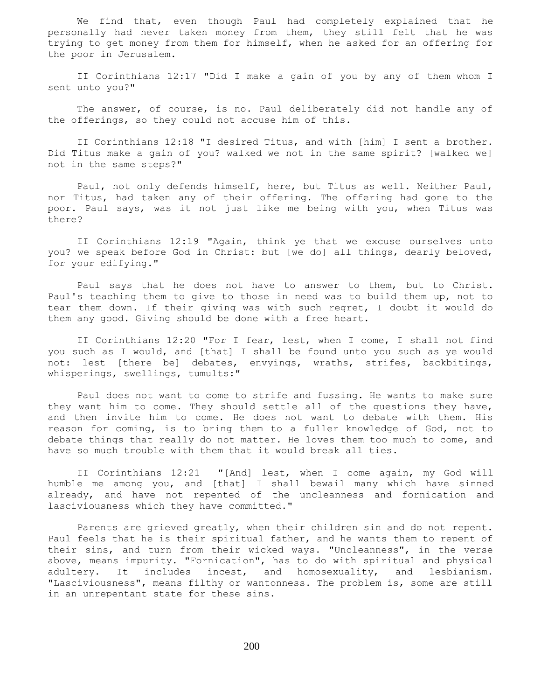We find that, even though Paul had completely explained that he personally had never taken money from them, they still felt that he was trying to get money from them for himself, when he asked for an offering for the poor in Jerusalem.

 II Corinthians 12:17 "Did I make a gain of you by any of them whom I sent unto you?"

 The answer, of course, is no. Paul deliberately did not handle any of the offerings, so they could not accuse him of this.

 II Corinthians 12:18 "I desired Titus, and with [him] I sent a brother. Did Titus make a gain of you? walked we not in the same spirit? [walked we] not in the same steps?"

 Paul, not only defends himself, here, but Titus as well. Neither Paul, nor Titus, had taken any of their offering. The offering had gone to the poor. Paul says, was it not just like me being with you, when Titus was there?

 II Corinthians 12:19 "Again, think ye that we excuse ourselves unto you? we speak before God in Christ: but [we do] all things, dearly beloved, for your edifying."

 Paul says that he does not have to answer to them, but to Christ. Paul's teaching them to give to those in need was to build them up, not to tear them down. If their giving was with such regret, I doubt it would do them any good. Giving should be done with a free heart.

 II Corinthians 12:20 "For I fear, lest, when I come, I shall not find you such as I would, and [that] I shall be found unto you such as ye would not: lest [there be] debates, envyings, wraths, strifes, backbitings, whisperings, swellings, tumults:"

 Paul does not want to come to strife and fussing. He wants to make sure they want him to come. They should settle all of the questions they have, and then invite him to come. He does not want to debate with them. His reason for coming, is to bring them to a fuller knowledge of God, not to debate things that really do not matter. He loves them too much to come, and have so much trouble with them that it would break all ties.

 II Corinthians 12:21 "[And] lest, when I come again, my God will humble me among you, and [that] I shall bewail many which have sinned already, and have not repented of the uncleanness and fornication and lasciviousness which they have committed."

 Parents are grieved greatly, when their children sin and do not repent. Paul feels that he is their spiritual father, and he wants them to repent of their sins, and turn from their wicked ways. "Uncleanness", in the verse above, means impurity. "Fornication", has to do with spiritual and physical adultery. It includes incest, and homosexuality, and lesbianism. "Lasciviousness", means filthy or wantonness. The problem is, some are still in an unrepentant state for these sins.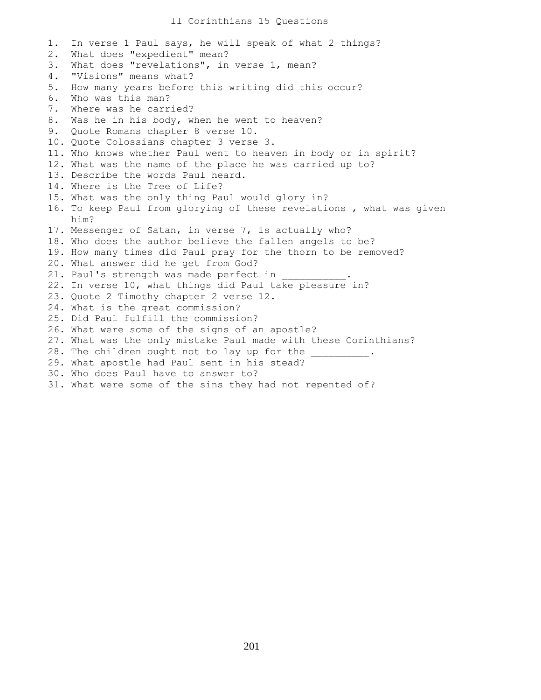## ll Corinthians 15 Questions

1. In verse 1 Paul says, he will speak of what 2 things? 2. What does "expedient" mean? 3. What does "revelations", in verse 1, mean? 4. "Visions" means what? 5. How many years before this writing did this occur? 6. Who was this man? 7. Where was he carried? 8. Was he in his body, when he went to heaven? 9. Quote Romans chapter 8 verse 10. 10. Quote Colossians chapter 3 verse 3. 11. Who knows whether Paul went to heaven in body or in spirit? 12. What was the name of the place he was carried up to? 13. Describe the words Paul heard. 14. Where is the Tree of Life? 15. What was the only thing Paul would glory in? 16. To keep Paul from glorying of these revelations , what was given him? 17. Messenger of Satan, in verse 7, is actually who? 18. Who does the author believe the fallen angels to be? 19. How many times did Paul pray for the thorn to be removed? 20. What answer did he get from God? 21. Paul's strength was made perfect in 22. In verse 10, what things did Paul take pleasure in? 23. Quote 2 Timothy chapter 2 verse 12. 24. What is the great commission? 25. Did Paul fulfill the commission? 26. What were some of the signs of an apostle? 27. What was the only mistake Paul made with these Corinthians? 28. The children ought not to lay up for the 29. What apostle had Paul sent in his stead? 30. Who does Paul have to answer to? 31. What were some of the sins they had not repented of?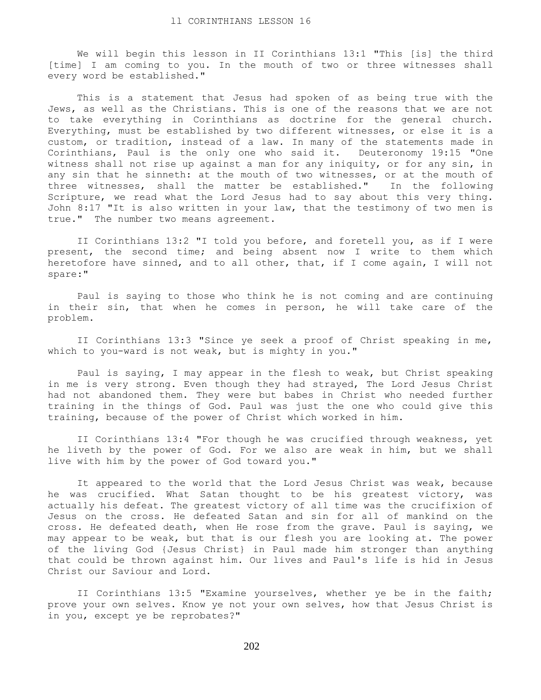We will begin this lesson in II Corinthians 13:1 "This [is] the third [time] I am coming to you. In the mouth of two or three witnesses shall every word be established."

 This is a statement that Jesus had spoken of as being true with the Jews, as well as the Christians. This is one of the reasons that we are not to take everything in Corinthians as doctrine for the general church. Everything, must be established by two different witnesses, or else it is a custom, or tradition, instead of a law. In many of the statements made in Corinthians, Paul is the only one who said it. Deuteronomy 19:15 "One witness shall not rise up against a man for any iniquity, or for any sin, in any sin that he sinneth: at the mouth of two witnesses, or at the mouth of three witnesses, shall the matter be established." In the following Scripture, we read what the Lord Jesus had to say about this very thing. John 8:17 "It is also written in your law, that the testimony of two men is true." The number two means agreement.

 II Corinthians 13:2 "I told you before, and foretell you, as if I were present, the second time; and being absent now I write to them which heretofore have sinned, and to all other, that, if I come again, I will not spare:"

 Paul is saying to those who think he is not coming and are continuing in their sin, that when he comes in person, he will take care of the problem.

 II Corinthians 13:3 "Since ye seek a proof of Christ speaking in me, which to you-ward is not weak, but is mighty in you."

 Paul is saying, I may appear in the flesh to weak, but Christ speaking in me is very strong. Even though they had strayed, The Lord Jesus Christ had not abandoned them. They were but babes in Christ who needed further training in the things of God. Paul was just the one who could give this training, because of the power of Christ which worked in him.

 II Corinthians 13:4 "For though he was crucified through weakness, yet he liveth by the power of God. For we also are weak in him, but we shall live with him by the power of God toward you."

 It appeared to the world that the Lord Jesus Christ was weak, because he was crucified. What Satan thought to be his greatest victory, was actually his defeat. The greatest victory of all time was the crucifixion of Jesus on the cross. He defeated Satan and sin for all of mankind on the cross. He defeated death, when He rose from the grave. Paul is saying, we may appear to be weak, but that is our flesh you are looking at. The power of the living God {Jesus Christ} in Paul made him stronger than anything that could be thrown against him. Our lives and Paul's life is hid in Jesus Christ our Saviour and Lord.

 II Corinthians 13:5 "Examine yourselves, whether ye be in the faith; prove your own selves. Know ye not your own selves, how that Jesus Christ is in you, except ye be reprobates?"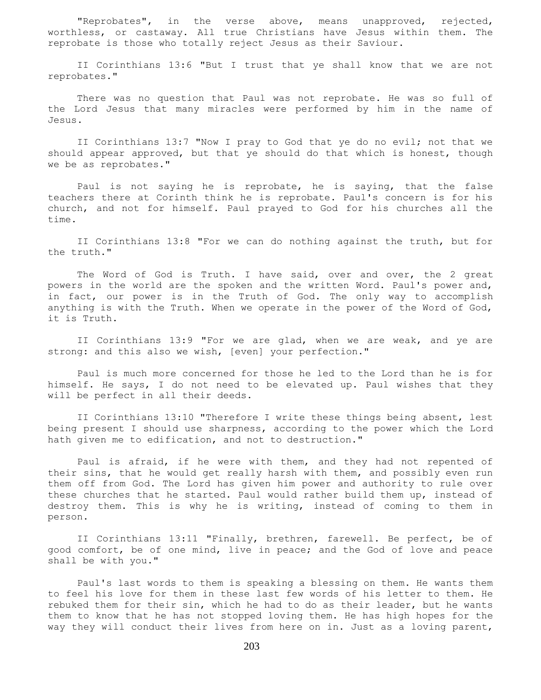"Reprobates", in the verse above, means unapproved, rejected, worthless, or castaway. All true Christians have Jesus within them. The reprobate is those who totally reject Jesus as their Saviour.

 II Corinthians 13:6 "But I trust that ye shall know that we are not reprobates."

 There was no question that Paul was not reprobate. He was so full of the Lord Jesus that many miracles were performed by him in the name of Jesus.

 II Corinthians 13:7 "Now I pray to God that ye do no evil; not that we should appear approved, but that ye should do that which is honest, though we be as reprobates."

 Paul is not saying he is reprobate, he is saying, that the false teachers there at Corinth think he is reprobate. Paul's concern is for his church, and not for himself. Paul prayed to God for his churches all the time.

 II Corinthians 13:8 "For we can do nothing against the truth, but for the truth."

 The Word of God is Truth. I have said, over and over, the 2 great powers in the world are the spoken and the written Word. Paul's power and, in fact, our power is in the Truth of God. The only way to accomplish anything is with the Truth. When we operate in the power of the Word of God, it is Truth.

 II Corinthians 13:9 "For we are glad, when we are weak, and ye are strong: and this also we wish, [even] your perfection."

 Paul is much more concerned for those he led to the Lord than he is for himself. He says, I do not need to be elevated up. Paul wishes that they will be perfect in all their deeds.

 II Corinthians 13:10 "Therefore I write these things being absent, lest being present I should use sharpness, according to the power which the Lord hath given me to edification, and not to destruction."

 Paul is afraid, if he were with them, and they had not repented of their sins, that he would get really harsh with them, and possibly even run them off from God. The Lord has given him power and authority to rule over these churches that he started. Paul would rather build them up, instead of destroy them. This is why he is writing, instead of coming to them in person.

 II Corinthians 13:11 "Finally, brethren, farewell. Be perfect, be of good comfort, be of one mind, live in peace; and the God of love and peace shall be with you."

 Paul's last words to them is speaking a blessing on them. He wants them to feel his love for them in these last few words of his letter to them. He rebuked them for their sin, which he had to do as their leader, but he wants them to know that he has not stopped loving them. He has high hopes for the way they will conduct their lives from here on in. Just as a loving parent,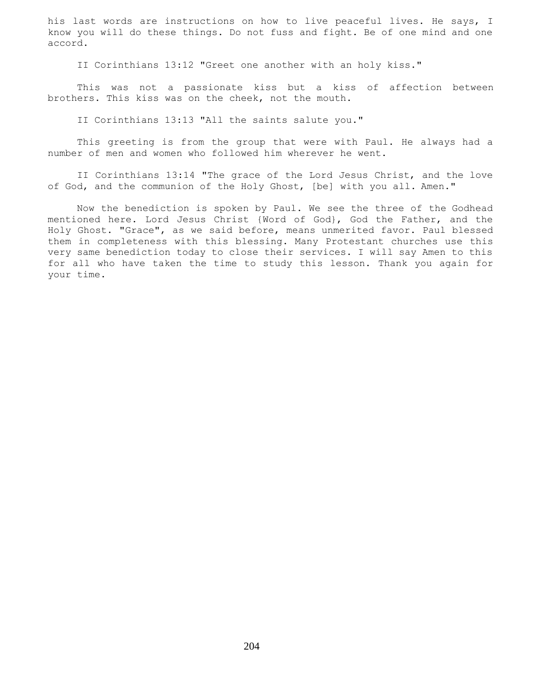his last words are instructions on how to live peaceful lives. He says, I know you will do these things. Do not fuss and fight. Be of one mind and one accord.

II Corinthians 13:12 "Greet one another with an holy kiss."

 This was not a passionate kiss but a kiss of affection between brothers. This kiss was on the cheek, not the mouth.

II Corinthians 13:13 "All the saints salute you."

 This greeting is from the group that were with Paul. He always had a number of men and women who followed him wherever he went.

 II Corinthians 13:14 "The grace of the Lord Jesus Christ, and the love of God, and the communion of the Holy Ghost, [be] with you all. Amen."

 Now the benediction is spoken by Paul. We see the three of the Godhead mentioned here. Lord Jesus Christ {Word of God}, God the Father, and the Holy Ghost. "Grace", as we said before, means unmerited favor. Paul blessed them in completeness with this blessing. Many Protestant churches use this very same benediction today to close their services. I will say Amen to this for all who have taken the time to study this lesson. Thank you again for your time.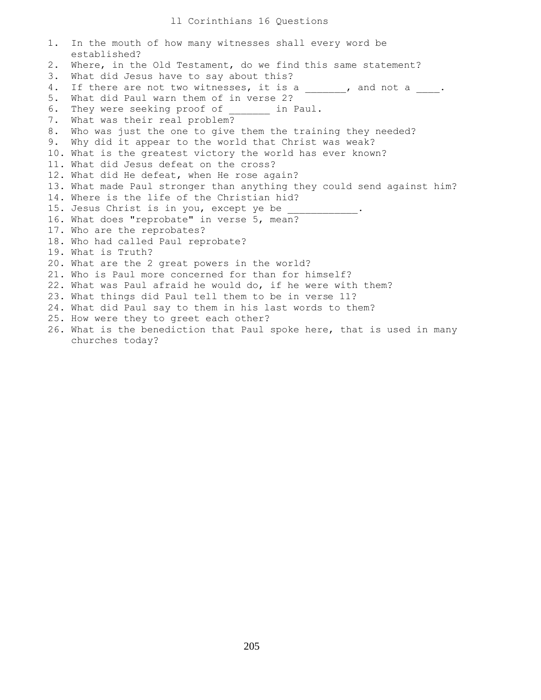```
1. In the mouth of how many witnesses shall every word be
    established?
2. Where, in the Old Testament, do we find this same statement?
3. What did Jesus have to say about this?
4. If there are not two witnesses, it is a _____, and not a ____.
5. What did Paul warn them of in verse 2?
6. They were seeking proof of ______ in Paul.
7. What was their real problem?
8. Who was just the one to give them the training they needed?
9. Why did it appear to the world that Christ was weak?
10. What is the greatest victory the world has ever known?
11. What did Jesus defeat on the cross?
12. What did He defeat, when He rose again?
13. What made Paul stronger than anything they could send against him?
14. Where is the life of the Christian hid?
15. Jesus Christ is in you, except ye be
16. What does "reprobate" in verse 5, mean?
17. Who are the reprobates?
18. Who had called Paul reprobate?
19. What is Truth?
20. What are the 2 great powers in the world?
21. Who is Paul more concerned for than for himself?
22. What was Paul afraid he would do, if he were with them?
23. What things did Paul tell them to be in verse 11?
24. What did Paul say to them in his last words to them?
25. How were they to greet each other?
26. What is the benediction that Paul spoke here, that is used in many
    churches today?
```